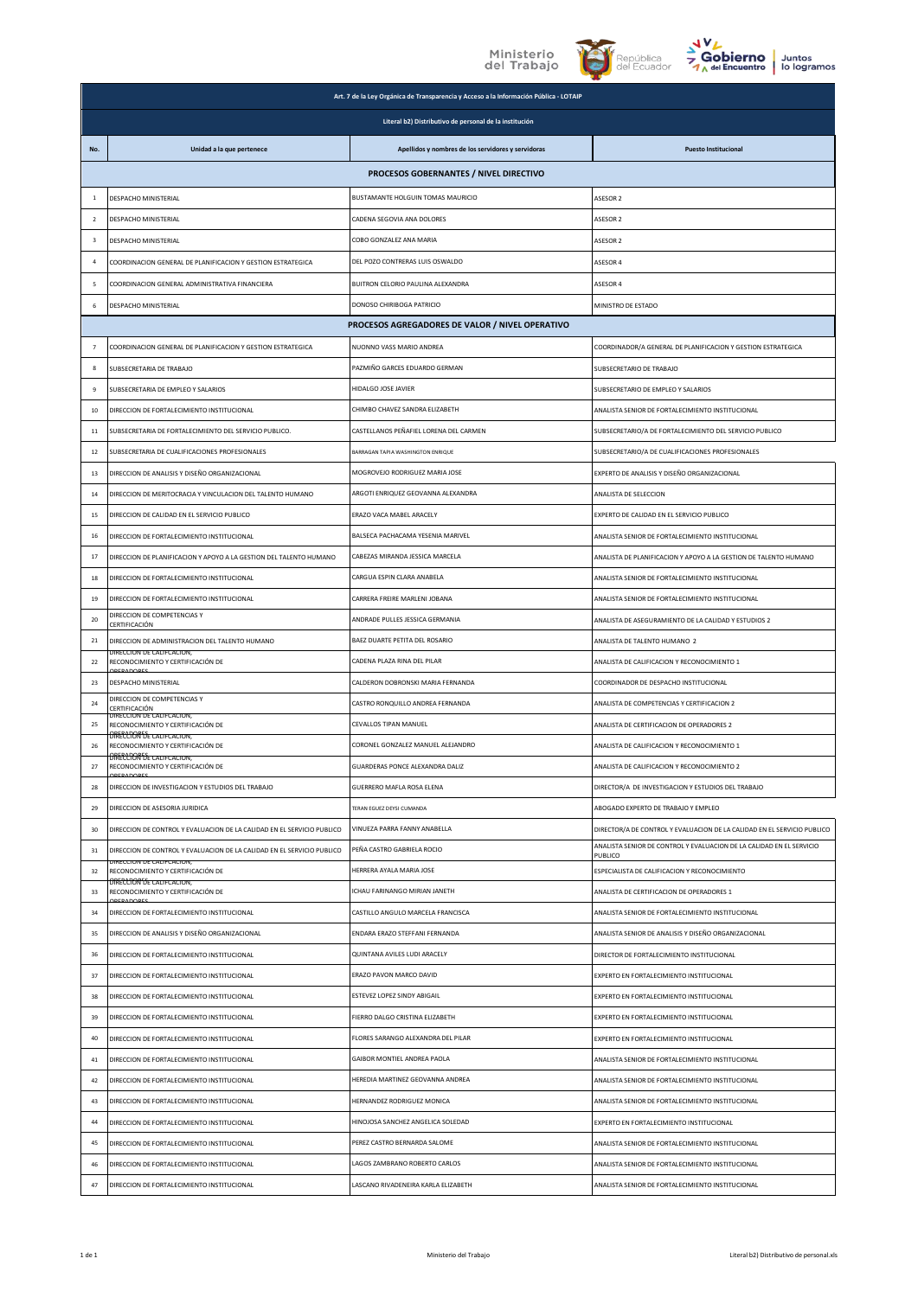



|                         | Art. 7 de la Ley Orgánica de Transparencia y Acceso a la Información Pública - LOTAIP            |                                                    |                                                                                  |  |
|-------------------------|--------------------------------------------------------------------------------------------------|----------------------------------------------------|----------------------------------------------------------------------------------|--|
|                         | Literal b2) Distributivo de personal de la institución                                           |                                                    |                                                                                  |  |
| No.                     | Unidad a la que pertenece                                                                        | Apellidos y nombres de los servidores y servidoras | <b>Puesto Institucional</b>                                                      |  |
|                         |                                                                                                  | PROCESOS GOBERNANTES / NIVEL DIRECTIVO             |                                                                                  |  |
| $\mathbf{1}$            | DESPACHO MINISTERIAL                                                                             | BUSTAMANTE HOLGUIN TOMAS MAURICIO                  | ASESOR 2                                                                         |  |
| $\overline{2}$          | DESPACHO MINISTERIAL                                                                             | CADENA SEGOVIA ANA DOLORES                         | ASESOR 2                                                                         |  |
| $\overline{\mathbf{3}}$ | DESPACHO MINISTERIAL                                                                             | COBO GONZALEZ ANA MARIA                            | ASESOR <sub>2</sub>                                                              |  |
| $\overline{a}$          | COORDINACION GENERAL DE PLANIFICACION Y GESTION ESTRATEGICA                                      | DEL POZO CONTRERAS LUIS OSWALDO                    | ASESOR 4                                                                         |  |
| 5                       | COORDINACION GENERAL ADMINISTRATIVA FINANCIERA                                                   | BUITRON CELORIO PAULINA ALEXANDRA                  | ASESOR 4                                                                         |  |
| 6                       | DESPACHO MINISTERIAL                                                                             | DONOSO CHIRIBOGA PATRICIO                          | MINISTRO DE ESTADO                                                               |  |
|                         |                                                                                                  | PROCESOS AGREGADORES DE VALOR / NIVEL OPERATIVO    |                                                                                  |  |
| $\overline{7}$          | COORDINACION GENERAL DE PLANIFICACION Y GESTION ESTRATEGICA                                      | NUONNO VASS MARIO ANDREA                           | COORDINADOR/A GENERAL DE PLANIFICACION Y GESTION ESTRATEGICA                     |  |
| 8                       | SUBSECRETARIA DE TRABAJO                                                                         | PAZMIÑO GARCES EDUARDO GERMAN                      | SUBSECRETARIO DE TRABAJO                                                         |  |
| 9                       | SUBSECRETARIA DE EMPLEO Y SALARIOS                                                               | HIDALGO JOSE JAVIER                                | SUBSECRETARIO DE EMPLEO Y SALARIOS                                               |  |
| 10                      | DIRECCION DE FORTALECIMIENTO INSTITUCIONAL                                                       | CHIMBO CHAVEZ SANDRA ELIZABETH                     | ANALISTA SENIOR DE FORTALECIMIENTO INSTITUCIONAL                                 |  |
| 11                      | SUBSECRETARIA DE FORTALECIMIENTO DEL SERVICIO PUBLICO.                                           | CASTELLANOS PEÑAFIEL LORENA DEL CARMEN             | SUBSECRETARIO/A DE FORTALECIMIENTO DEL SERVICIO PUBLICO                          |  |
| 12                      | SUBSECRETARIA DE CUALIFICACIONES PROFESIONALES                                                   | BARRAGAN TAPIA WASHINGTON ENRIQUE                  | SUBSECRETARIO/A DE CUALIFICACIONES PROFESIONALES                                 |  |
| 13                      | DIRECCION DE ANALISIS Y DISEÑO ORGANIZACIONAL                                                    | MOGROVEJO RODRIGUEZ MARIA JOSE                     | EXPERTO DE ANALISIS Y DISEÑO ORGANIZACIONAL                                      |  |
| 14                      | DIRECCION DE MERITOCRACIA Y VINCULACION DEL TALENTO HUMANO                                       | ARGOTI ENRIQUEZ GEOVANNA ALEXANDRA                 | ANALISTA DE SELECCION                                                            |  |
| 15                      | DIRECCION DE CALIDAD EN EL SERVICIO PUBLICO                                                      | ERAZO VACA MABEL ARACELY                           | EXPERTO DE CALIDAD EN EL SERVICIO PUBLICO                                        |  |
| 16                      | DIRECCION DE FORTALECIMIENTO INSTITUCIONAL                                                       | BALSECA PACHACAMA YESENIA MARIVEL                  | ANALISTA SENIOR DE FORTALECIMIENTO INSTITUCIONAL                                 |  |
| 17                      | DIRECCION DE PLANIFICACION Y APOYO A LA GESTION DEL TALENTO HUMANO                               | CABEZAS MIRANDA JESSICA MARCELA                    | ANALISTA DE PLANIFICACION Y APOYO A LA GESTION DE TALENTO HUMANO                 |  |
| 18                      | DIRECCION DE FORTALECIMIENTO INSTITUCIONAL                                                       | CARGUA ESPIN CLARA ANABELA                         | ANALISTA SENIOR DE FORTALECIMIENTO INSTITUCIONAL                                 |  |
| 19                      | DIRECCION DE FORTALECIMIENTO INSTITUCIONAL                                                       | CARRERA FREIRE MARLENI JOBANA                      | ANALISTA SENIOR DE FORTALECIMIENTO INSTITUCIONAL                                 |  |
| 20                      | DIRECCION DE COMPETENCIAS Y<br>CERTIFICACIÓN                                                     | ANDRADE PULLES JESSICA GERMANIA                    | ANALISTA DE ASEGURAMIENTO DE LA CALIDAD Y ESTUDIOS 2                             |  |
| 21                      | DIRECCION DE ADMINISTRACION DEL TALENTO HUMANO                                                   | BAEZ DUARTE PETITA DEL ROSARIO                     | ANALISTA DE TALENTO HUMANO 2                                                     |  |
| 22                      | JIRECCION DE CALIFCACION<br>RECONOCIMIENTO Y CERTIFICACIÓN DE                                    | CADENA PLAZA RINA DEL PILAR                        | ANALISTA DE CALIFICACION Y RECONOCIMIENTO 1                                      |  |
| 23                      | DESPACHO MINISTERIAL                                                                             | CALDERON DOBRONSKI MARIA FERNANDA                  | COORDINADOR DE DESPACHO INSTITUCIONAL                                            |  |
| 24                      | DIRECCION DE COMPETENCIAS Y<br>CERTIFICACIÓN                                                     | CASTRO RONQUILLO ANDREA FERNANDA                   | ANALISTA DE COMPETENCIAS Y CERTIFICACION 2                                       |  |
| 25                      | DIKECCION DE CALIFCACION,<br>RECONOCIMIENTO Y CERTIFICACIÓN DE                                   | CEVALLOS TIPAN MANUEL                              | ANALISTA DE CERTIFICACION DE OPERADORES 2                                        |  |
| 26                      | <b>TRECCTORFSE CALIFCACION,</b><br>RECONOCIMIENTO Y CERTIFICACIÓN DE                             | CORONEL GONZALEZ MANUEL ALEJANDRO                  | ANALISTA DE CALIFICACION Y RECONOCIMIENTO 1                                      |  |
| 27                      | <b>DIRECCIÓN DE CALIFCACION,</b><br>RECONOCIMIENTO Y CERTIFICACIÓN DE                            | GUARDERAS PONCE ALEXANDRA DALIZ                    | ANALISTA DE CALIFICACION Y RECONOCIMIENTO 2                                      |  |
| 28                      | DIRECCION DE INVESTIGACION Y ESTUDIOS DEL TRABAJO                                                | GUERRERO MAFLA ROSA ELENA                          | DIRECTOR/A DE INVESTIGACION Y ESTUDIOS DEL TRABAJO                               |  |
| 29                      | DIRECCION DE ASESORIA JURIDICA                                                                   | TERAN EGUEZ DEYSI CUMANDA                          | ABOGADO EXPERTO DE TRABAJO Y EMPLEO                                              |  |
| 30                      | DIRECCION DE CONTROL Y EVALUACION DE LA CALIDAD EN EL SERVICIO PUBLICO                           | VINUEZA PARRA FANNY ANABELLA                       | DIRECTOR/A DE CONTROL Y EVALUACION DE LA CALIDAD EN EL SERVICIO PUBLICO          |  |
| 31                      | DIRECCION DE CONTROL Y EVALUACION DE LA CALIDAD EN EL SERVICIO PUBLICO                           | PEÑA CASTRO GABRIELA ROCIO                         | ANALISTA SENIOR DE CONTROL Y EVALUACION DE LA CALIDAD EN EL SERVICIO<br>PUBLICO. |  |
| 32                      | ARECCIÓN DE CALIFOACIÓN.<br>RECONOCIMIENTO Y CERTIFICACIÓN DE<br><b>ORECCOON DE CALIFCACION.</b> | HERRERA AYALA MARIA JOSE                           | ESPECIALISTA DE CALIFICACION Y RECONOCIMIENTO                                    |  |
| 33                      | RECONOCIMIENTO Y CERTIFICACIÓN DE<br><b>DADOR</b>                                                | ICHAU FARINANGO MIRIAN JANETH                      | ANALISTA DE CERTIFICACION DE OPERADORES 1                                        |  |
| 34                      | DIRECCION DE FORTALECIMIENTO INSTITUCIONAL                                                       | CASTILLO ANGULO MARCELA FRANCISCA                  | ANALISTA SENIOR DE FORTALECIMIENTO INSTITUCIONAL                                 |  |
| 35                      | DIRECCION DE ANALISIS Y DISEÑO ORGANIZACIONAL                                                    | ENDARA ERAZO STEFFANI FERNANDA                     | ANALISTA SENIOR DE ANALISIS Y DISEÑO ORGANIZACIONAL                              |  |
| 36                      | DIRECCION DE FORTALECIMIENTO INSTITUCIONAL                                                       | QUINTANA AVILES LUDI ARACELY                       | DIRECTOR DE FORTALECIMIENTO INSTITUCIONAL                                        |  |
| 37                      | DIRECCION DE FORTALECIMIENTO INSTITUCIONAL                                                       | ERAZO PAVON MARCO DAVID                            | EXPERTO EN FORTALECIMIENTO INSTITUCIONAL                                         |  |
| 38                      | DIRECCION DE FORTALECIMIENTO INSTITUCIONAL                                                       | ESTEVEZ LOPEZ SINDY ABIGAIL                        | EXPERTO EN FORTALECIMIENTO INSTITUCIONAL                                         |  |
| 39                      | DIRECCION DE FORTALECIMIENTO INSTITUCIONAL                                                       | FIERRO DALGO CRISTINA ELIZABETH                    | EXPERTO EN FORTALECIMIENTO INSTITUCIONAL                                         |  |
| 40                      | DIRECCION DE FORTALECIMIENTO INSTITUCIONAL                                                       | FLORES SARANGO ALEXANDRA DEL PILAR                 | EXPERTO EN FORTALECIMIENTO INSTITUCIONAL                                         |  |
| 41                      | DIRECCION DE FORTALECIMIENTO INSTITUCIONAL                                                       | GAIBOR MONTIEL ANDREA PAOLA                        | ANALISTA SENIOR DE FORTALECIMIENTO INSTITUCIONAL                                 |  |
| 42                      | DIRECCION DE FORTALECIMIENTO INSTITUCIONAL                                                       | HEREDIA MARTINEZ GEOVANNA ANDREA                   | ANALISTA SENIOR DE FORTALECIMIENTO INSTITUCIONAL                                 |  |
| 43                      | DIRECCION DE FORTALECIMIENTO INSTITUCIONAL                                                       | HERNANDEZ RODRIGUEZ MONICA                         | ANALISTA SENIOR DE FORTALECIMIENTO INSTITUCIONAL                                 |  |
| 44                      | DIRECCION DE FORTALECIMIENTO INSTITUCIONAL                                                       | HINOJOSA SANCHEZ ANGELICA SOLEDAD                  | EXPERTO EN FORTALECIMIENTO INSTITUCIONAL                                         |  |
| 45                      | DIRECCION DE FORTALECIMIENTO INSTITUCIONAL                                                       | PEREZ CASTRO BERNARDA SALOME                       | ANALISTA SENIOR DE FORTALECIMIENTO INSTITUCIONAL                                 |  |
| 46                      | DIRECCION DE FORTALECIMIENTO INSTITUCIONAL                                                       | LAGOS ZAMBRANO ROBERTO CARLOS                      | ANALISTA SENIOR DE FORTALECIMIENTO INSTITUCIONAL                                 |  |
| 47                      | DIRECCION DE FORTALECIMIENTO INSTITUCIONAL                                                       | ASCANO RIVADENEIRA KARLA ELIZABETH                 | ANALISTA SENIOR DE FORTALECIMIENTO INSTITUCIONAL                                 |  |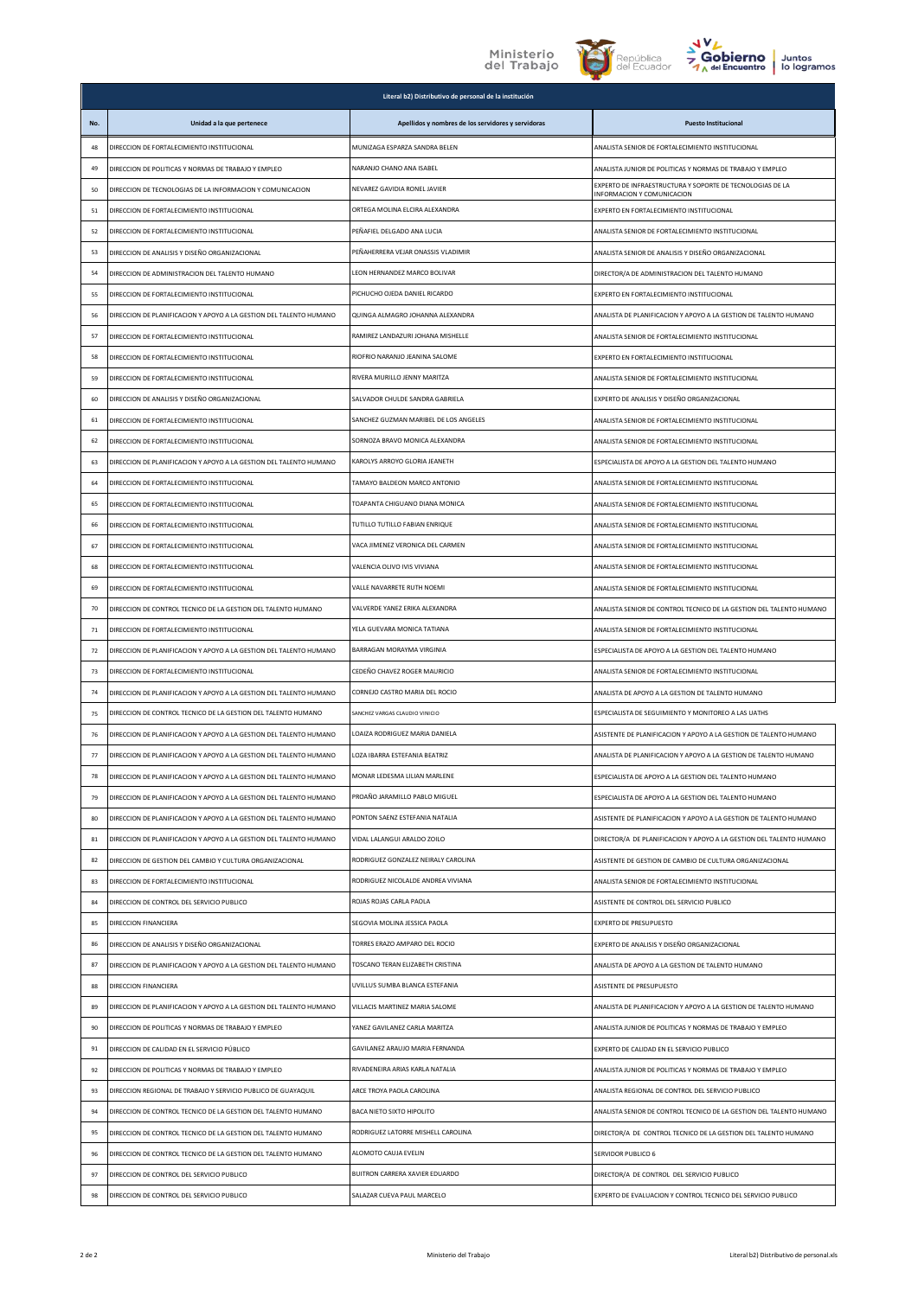



|     |                                                                    | Literal b2) Distributivo de personal de la institución |                                                                                         |
|-----|--------------------------------------------------------------------|--------------------------------------------------------|-----------------------------------------------------------------------------------------|
| No. | Unidad a la que pertenece                                          | Apellidos y nombres de los servidores y servidoras     | <b>Puesto Institucional</b>                                                             |
| 48  | DIRECCION DE FORTALECIMIENTO INSTITUCIONAL                         | MUNIZAGA ESPARZA SANDRA BELEN                          | ANALISTA SENIOR DE FORTALECIMIENTO INSTITUCIONAL                                        |
| 49  | DIRECCION DE POLITICAS Y NORMAS DE TRABAJO Y EMPLEO                | NARANJO CHANO ANA ISABEL                               | ANALISTA JUNIOR DE POLITICAS Y NORMAS DE TRABAJO Y EMPLEO                               |
| 50  | DIRECCION DE TECNOLOGIAS DE LA INFORMACION Y COMUNICACION          | NEVAREZ GAVIDIA RONEL JAVIER                           | EXPERTO DE INFRAESTRUCTURA Y SOPORTE DE TECNOLOGIAS DE LA<br>INFORMACION Y COMUNICACION |
| 51  | DIRECCION DE FORTALECIMIENTO INSTITUCIONAL                         | ORTEGA MOLINA ELCIRA ALEXANDRA                         | EXPERTO EN FORTALECIMIENTO INSTITUCIONAL                                                |
| 52  | DIRECCION DE FORTALECIMIENTO INSTITUCIONAL                         | PEÑAFIEL DELGADO ANA LUCIA                             | ANALISTA SENIOR DE FORTALECIMIENTO INSTITUCIONAL                                        |
| 53  | DIRECCION DE ANALISIS Y DISEÑO ORGANIZACIONAL                      | PEÑAHERRERA VEJAR ONASSIS VLADIMIR                     | ANALISTA SENIOR DE ANALISIS Y DISEÑO ORGANIZACIONAL                                     |
| 54  | DIRECCION DE ADMINISTRACION DEL TALENTO HUMANO                     | LEON HERNANDEZ MARCO BOLIVAR                           | DIRECTOR/A DE ADMINISTRACION DEL TALENTO HUMANO                                         |
| 55  | DIRECCION DE FORTALECIMIENTO INSTITUCIONAL                         | PICHUCHO OIFDA DANIFI RICARDO                          | EXPERTO EN FORTALECIMIENTO INSTITUCIONAL                                                |
| 56  | DIRECCION DE PLANIFICACION Y APOYO A LA GESTION DEL TALENTO HUMANO | QUINGA ALMAGRO JOHANNA ALEXANDRA                       | ANALISTA DE PLANIFICACION Y APOYO A LA GESTION DE TALENTO HUMANO                        |
| 57  | DIRECCION DE FORTALECIMIENTO INSTITUCIONAL                         | RAMIREZ LANDAZURI JOHANA MISHELLE                      | ANALISTA SENIOR DE FORTALECIMIENTO INSTITUCIONAL                                        |
| 58  | DIRECCION DE FORTALECIMIENTO INSTITUCIONAL                         | RIOFRIO NARANJO JEANINA SALOME                         | EXPERTO EN FORTALECIMIENTO INSTITUCIONAL                                                |
| 59  | DIRECCION DE FORTALECIMIENTO INSTITUCIONAL                         | RIVERA MURILLO JENNY MARITZA                           | ANALISTA SENIOR DE FORTALECIMIENTO INSTITUCIONAL                                        |
| 60  | DIRECCION DE ANALISIS Y DISEÑO ORGANIZACIONAL                      | SALVADOR CHULDE SANDRA GABRIELA                        | EXPERTO DE ANALISIS Y DISEÑO ORGANIZACIONAL                                             |
| 61  | DIRECCION DE FORTALECIMIENTO INSTITUCIONAL                         | SANCHEZ GUZMAN MARIBEL DE LOS ANGELES                  | ANALISTA SENIOR DE FORTALECIMIENTO INSTITUCIONAL                                        |
| 62  | DIRECCION DE FORTALECIMIENTO INSTITUCIONAL                         | SORNOZA BRAVO MONICA ALEXANDRA                         | ANALISTA SENIOR DE FORTALECIMIENTO INSTITUCIONAL                                        |
| 63  | DIRECCION DE PLANIFICACION Y APOYO A LA GESTION DEL TALENTO HUMANO | KAROLYS ARROYO GLORIA JEANETH                          | ESPECIALISTA DE APOYO A LA GESTION DEL TALENTO HUMANO                                   |
| 64  | DIRECCION DE FORTALECIMIENTO INSTITUCIONAL                         | TAMAYO BALDEON MARCO ANTONIO                           | ANALISTA SENIOR DE FORTALECIMIENTO INSTITUCIONAL                                        |
| 65  | DIRECCION DE FORTALECIMIENTO INSTITUCIONAL                         | TOAPANTA CHIGUANO DIANA MONICA                         | ANALISTA SENIOR DE FORTALECIMIENTO INSTITUCIONAL                                        |
| 66  | DIRECCION DE FORTALECIMIENTO INSTITUCIONAL                         | TUTILLO TUTILLO FABIAN ENRIQUE                         | ANALISTA SENIOR DE FORTALECIMIENTO INSTITUCIONAL                                        |
| 67  | DIRECCION DE FORTALECIMIENTO INSTITUCIONAL                         | VACA JIMENEZ VERONICA DEL CARMEN                       | ANALISTA SENIOR DE FORTALECIMIENTO INSTITUCIONAL                                        |
| 68  | DIRECCION DE FORTALECIMIENTO INSTITUCIONAL                         | VALENCIA OLIVO IVIS VIVIANA                            | ANALISTA SENIOR DE FORTALECIMIENTO INSTITUCIONAL                                        |
| 69  | DIRECCION DE FORTALECIMIENTO INSTITUCIONAL                         | VALLE NAVARRETE RUTH NOEMI                             | ANALISTA SENIOR DE FORTALECIMIENTO INSTITUCIONAL                                        |
| 70  | DIRECCION DE CONTROL TECNICO DE LA GESTION DEL TALENTO HUMANO      | VALVERDE YANEZ ERIKA ALEXANDRA                         | ANALISTA SENIOR DE CONTROL TECNICO DE LA GESTION DEL TALENTO HUMANO                     |
| 71  | DIRECCION DE FORTALECIMIENTO INSTITUCIONAL                         | YELA GUEVARA MONICA TATIANA                            | ANALISTA SENIOR DE FORTALECIMIENTO INSTITUCIONAL                                        |
| 72  | DIRECCION DE PLANIFICACION Y APOYO A LA GESTION DEL TALENTO HUMANO | BARRAGAN MORAYMA VIRGINIA                              | ESPECIALISTA DE APOYO A LA GESTION DEL TALENTO HUMANO                                   |
| 73  | DIRECCION DE FORTALECIMIENTO INSTITUCIONAL                         | CEDEÑO CHAVEZ ROGER MAURICIO                           | ANALISTA SENIOR DE FORTALECIMIENTO INSTITUCIONAL                                        |
| 74  | DIRECCION DE PLANIFICACION Y APOYO A LA GESTION DEL TALENTO HUMANO | CORNEJO CASTRO MARIA DEL ROCIO                         | ANALISTA DE APOYO A LA GESTION DE TALENTO HUMANO                                        |
| 75  | DIRECCION DE CONTROL TECNICO DE LA GESTION DEL TALENTO HUMANO      | SANCHEZ VARGAS CLAUDIO VINICIO                         | ESPECIALISTA DE SEGUIMIENTO Y MONITOREO A LAS UATHS                                     |
| 76  | DIRECCION DE PLANIFICACION Y APOYO A LA GESTION DEL TALENTO HUMANO | LOAIZA RODRIGUEZ MARIA DANIELA                         | ASISTENTE DE PLANIFICACION Y APOYO A LA GESTION DE TALENTO HUMANO                       |
| 77  | DIRECCION DE PLANIFICACION Y APOYO A LA GESTION DEL TALENTO HUMANO | LOZA IBARRA ESTEFANIA BEATRIZ                          | ANALISTA DE PLANIFICACION Y APOYO A LA GESTION DE TALENTO HUMANO                        |
| 78  | DIRECCION DE PLANIFICACION Y APOYO A LA GESTION DEL TALENTO HUMANO | MONAR LEDESMA LILIAN MARLENE                           | ESPECIALISTA DE APOYO A LA GESTION DEL TALENTO HUMANO                                   |
| 79  | DIRECCION DE PLANIFICACION Y APOYO A LA GESTION DEL TALENTO HUMANO | PROAÑO JARAMILLO PABLO MIGUEL                          | ESPECIALISTA DE APOYO A LA GESTION DEL TALENTO HUMANO                                   |
| 80  | DIRECCION DE PLANIFICACION Y APOYO A LA GESTION DEL TALENTO HUMANO | PONTON SAENZ ESTEFANIA NATALIA                         | ASISTENTE DE PLANIFICACION Y APOYO A LA GESTION DE TALENTO HUMANO                       |
| 81  | DIRECCION DE PLANIFICACION Y APOYO A LA GESTION DEL TALENTO HUMANO | VIDAL LALANGUI ARALDO ZOILO                            | DIRECTOR/A DE PLANIFICACION Y APOYO A LA GESTION DEL TALENTO HUMANO                     |
| 82  | DIRECCION DE GESTION DEL CAMBIO Y CULTURA ORGANIZACIONAL           | RODRIGUEZ GONZALEZ NEIRALY CAROLINA                    | ASISTENTE DE GESTION DE CAMBIO DE CULTURA ORGANIZACIONAL                                |
| 83  | DIRECCION DE FORTALECIMIENTO INSTITUCIONAL                         | RODRIGUEZ NICOLALDE ANDREA VIVIANA                     | ANALISTA SENIOR DE FORTALECIMIENTO INSTITUCIONAL                                        |
| 84  | DIRECCION DE CONTROL DEL SERVICIO PUBLICO                          | ROJAS ROJAS CARLA PAOLA                                | ASISTENTE DE CONTROL DEL SERVICIO PUBLICO                                               |
| 85  | DIRECCION FINANCIERA                                               | SEGOVIA MOLINA JESSICA PAOLA                           | EXPERTO DE PRESUPUESTO                                                                  |
| 86  | DIRECCION DE ANALISIS Y DISEÑO ORGANIZACIONAL                      | TORRES ERAZO AMPARO DEL ROCIO                          | EXPERTO DE ANALISIS Y DISEÑO ORGANIZACIONAL                                             |
| 87  | DIRECCION DE PLANIFICACION Y APOYO A LA GESTION DEL TALENTO HUMANO | TOSCANO TERAN ELIZABETH CRISTINA                       | ANALISTA DE APOYO A LA GESTION DE TALENTO HUMANO                                        |
| 88  | DIRECCION FINANCIERA                                               | UVILLUS SUMBA BLANCA ESTEFANIA                         | ASISTENTE DE PRESUPUESTO                                                                |
| 89  | DIRECCION DE PLANIFICACION Y APOYO A LA GESTION DEL TALENTO HUMANO | VILLACIS MARTINEZ MARIA SALOME                         | ANALISTA DE PLANIFICACION Y APOYO A LA GESTION DE TALENTO HUMANO                        |
| 90  | DIRECCION DE POLITICAS Y NORMAS DE TRABAJO Y EMPLEO                | YANEZ GAVILANEZ CARLA MARITZA                          | ANALISTA JUNIOR DE POLITICAS Y NORMAS DE TRABAJO Y EMPLEO                               |
| 91  | DIRECCION DE CALIDAD EN EL SERVICIO PÚBLICO                        | GAVILANEZ ARAUJO MARIA FERNANDA                        | EXPERTO DE CALIDAD EN EL SERVICIO PUBLICO                                               |
| 92  | DIRECCION DE POLITICAS Y NORMAS DE TRABAJO Y EMPLEO                | RIVADENEIRA ARIAS KARLA NATALIA                        | ANALISTA JUNIOR DE POLITICAS Y NORMAS DE TRABAJO Y EMPLEO                               |
| 93  | DIRECCION REGIONAL DE TRABAJO Y SERVICIO PUBLICO DE GUAYAQUIL      | ARCE TROYA PAOLA CAROLINA                              | ANALISTA REGIONAL DE CONTROL DEL SERVICIO PUBLICO                                       |
| 94  | DIRECCION DE CONTROL TECNICO DE LA GESTION DEL TALENTO HUMANO      | BACA NIETO SIXTO HIPOLITO                              | ANALISTA SENIOR DE CONTROL TECNICO DE LA GESTION DEL TALENTO HUMANO                     |
| 95  | DIRECCION DE CONTROL TECNICO DE LA GESTION DEL TALENTO HUMANO      | RODRIGUEZ LATORRE MISHELL CAROLINA                     | DIRECTOR/A DE CONTROL TECNICO DE LA GESTION DEL TALENTO HUMANO                          |
| 96  | DIRECCION DE CONTROL TECNICO DE LA GESTION DEL TALENTO HUMANO      | ALOMOTO CAUJA EVELIN                                   | <b>SERVIDOR PUBLICO 6</b>                                                               |
| 97  | DIRECCION DE CONTROL DEL SERVICIO PUBLICO                          | BUITRON CARRERA XAVIER EDUARDO                         | DIRECTOR/A DE CONTROL DEL SERVICIO PUBLICO                                              |
| 98  | DIRECCION DE CONTROL DEL SERVICIO PUBLICO                          | SALAZAR CUEVA PAUL MARCELO                             | EXPERTO DE EVALUACION Y CONTROL TECNICO DEL SERVICIO PUBLICO                            |
|     |                                                                    |                                                        |                                                                                         |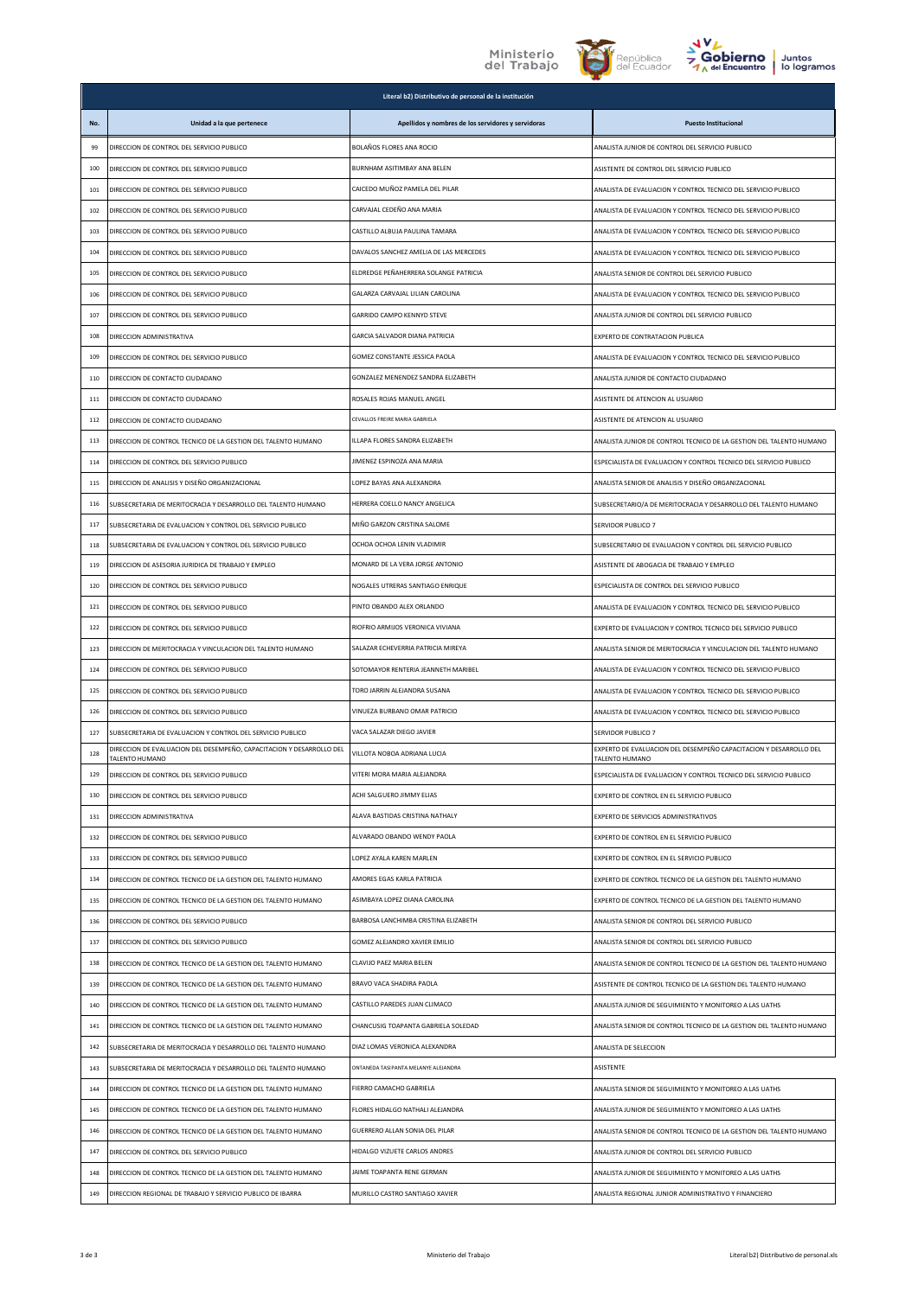





|     |                                                                                        | Literal b2) Distributivo de personal de la institución |                                                                                     |
|-----|----------------------------------------------------------------------------------------|--------------------------------------------------------|-------------------------------------------------------------------------------------|
| No. | Unidad a la que pertenece                                                              | Apellidos y nombres de los servidores y servidoras     | <b>Puesto Institucional</b>                                                         |
| 99  | DIRECCION DE CONTROL DEL SERVICIO PUBLICO                                              | BOLAÑOS FLORES ANA ROCIO                               | ANALISTA JUNIOR DE CONTROL DEL SERVICIO PUBLICO                                     |
| 100 | DIRECCION DE CONTROL DEL SERVICIO PUBLICO                                              | BURNHAM ASITIMBAY ANA BELEN                            | ASISTENTE DE CONTROL DEL SERVICIO PUBLICO                                           |
| 101 | DIRECCION DE CONTROL DEL SERVICIO PUBLICO                                              | CAICEDO MUÑOZ PAMELA DEL PILAR                         | ANALISTA DE EVALUACION Y CONTROL TECNICO DEL SERVICIO PUBLICO                       |
| 102 | DIRECCION DE CONTROL DEL SERVICIO PUBLICO                                              | CARVAJAL CEDEÑO ANA MARIA                              | ANALISTA DE EVALUACIÓN Y CONTROL TECNICO DEL SERVICIO PUBLICO                       |
| 103 | DIRECCION DE CONTROL DEL SERVICIO PUBLICO                                              | CASTILLO ALBUJA PAULINA TAMARA                         | ANALISTA DE EVALUACIÓN Y CONTROL TECNICO DEL SERVICIO PUBLICO                       |
| 104 | DIRECCION DE CONTROL DEL SERVICIO PUBLICO                                              | DAVALOS SANCHEZ AMELIA DE LAS MERCEDES                 | ANALISTA DE EVALUACIÓN Y CONTROL TECNICO DEL SERVICIO PUBLICO                       |
| 105 | DIRECCION DE CONTROL DEL SERVICIO PUBLICO                                              | ELDREDGE PEÑAHERRERA SOLANGE PATRICIA                  | ANALISTA SENIOR DE CONTROL DEL SERVICIO PUBLICO                                     |
| 106 | DIRECCIÓN DE CONTROL DEL SERVICIO PUBLICO                                              | GALARZA CARVAIAL LILIAN CAROLINA                       | ANALISTA DE EVALUACION Y CONTROL TECNICO DEL SERVICIO PUBLICO                       |
| 107 | DIRECCION DE CONTROL DEL SERVICIO PUBLICO                                              | <b>GARRIDO CAMPO KENNYD STEVE</b>                      | ANALISTA JUNIOR DE CONTROL DEL SERVICIO PUBLICO                                     |
| 108 | DIRECCION ADMINISTRATIVA                                                               | GARCIA SALVADOR DIANA PATRICIA                         | EXPERTO DE CONTRATACION PUBLICA                                                     |
| 109 | DIRECCION DE CONTROL DEL SERVICIO PUBLICO                                              | GOMEZ CONSTANTE JESSICA PAOLA                          | ANALISTA DE EVALUACION Y CONTROL TECNICO DEL SERVICIO PUBLICO                       |
| 110 | DIRECCION DE CONTACTO CIUDADANO                                                        | GONZALEZ MENENDEZ SANDRA ELIZABETH                     | ANALISTA JUNIOR DE CONTACTO CIUDADANO                                               |
| 111 | DIRECCION DE CONTACTO CIUDADANO                                                        | ROSALES ROJAS MANUEL ANGEL                             | ASISTENTE DE ATENCION AL USUARIO                                                    |
| 112 | DIRECCION DE CONTACTO CIUDADANO                                                        | CEVALLOS FREIRE MARIA GABRIELA                         | ASISTENTE DE ATENCION AL USUARIO                                                    |
| 113 | DIRECCION DE CONTROL TECNICO DE LA GESTION DEL TALENTO HUMANO                          | ILLAPA FLORES SANDRA ELIZABETH                         | ANALISTA JUNIOR DE CONTROL TECNICO DE LA GESTION DEL TALENTO HUMANO                 |
| 114 | DIRECCION DE CONTROL DEL SERVICIO PUBLICO                                              | JIMENEZ ESPINOZA ANA MARIA                             | ESPECIALISTA DE EVALUACION Y CONTROL TECNICO DEL SERVICIO PUBLICO                   |
| 115 | DIRECCION DE ANALISIS Y DISEÑO ORGANIZACIONAL                                          | LOPEZ BAYAS ANA ALEXANDRA                              | ANALISTA SENIOR DE ANALISIS Y DISEÑO ORGANIZACIONAL                                 |
| 116 | SUBSECRETARIA DE MERITOCRACIA Y DESARROLLO DEL TALENTO HUMANO                          | HERRERA COELLO NANCY ANGELICA                          | SUBSECRETARIO/A DE MERITOCRACIA Y DESARROLLO DEL TALENTO HUMANO                     |
| 117 | SUBSECRETARIA DE EVALUACION Y CONTROL DEL SERVICIO PUBLICO                             | MIÑO GARZON CRISTINA SALOME                            | SERVIDOR PUBLICO 7                                                                  |
| 118 | SUBSECRETARIA DE EVALUACION Y CONTROL DEL SERVICIO PUBLICO                             | OCHOA OCHOA LENIN VLADIMIR                             | SUBSECRETARIO DE EVALUACION Y CONTROL DEL SERVICIO PUBLICO                          |
| 119 | DIRECCION DE ASESORIA JURIDICA DE TRABAJO Y EMPLEO                                     | MONARD DE LA VERA JORGE ANTONIO                        | ASISTENTE DE ABOGACIA DE TRABAJO Y EMPLEO                                           |
| 120 | DIRECCION DE CONTROL DEL SERVICIO PUBLICO                                              | NOGALES UTRERAS SANTIAGO ENRIQUE                       | ESPECIALISTA DE CONTROL DEL SERVICIO PUBLICO                                        |
| 121 | DIRECCION DE CONTROL DEL SERVICIO PUBLICO                                              | PINTO OBANDO ALEX ORLANDO                              | ANALISTA DE EVALUACION Y CONTROL TECNICO DEL SERVICIO PUBLICO                       |
| 122 | DIRECCION DE CONTROL DEL SERVICIO PUBLICO                                              | RIOFRIO ARMIJOS VERONICA VIVIANA                       | EXPERTO DE EVALUACION Y CONTROL TECNICO DEL SERVICIO PUBLICO                        |
| 123 | DIRECCION DE MERITOCRACIA Y VINCULACION DEL TALENTO HUMANO                             | SALAZAR ECHEVERRIA PATRICIA MIREYA                     | ANALISTA SENIOR DE MERITOCRACIA Y VINCULACION DEL TALENTO HUMANO                    |
| 124 | DIRECCION DE CONTROL DEL SERVICIO PUBLICO                                              | SOTOMAYOR RENTERIA JEANNETH MARIBEL                    | ANALISTA DE EVALUACION Y CONTROL TECNICO DEL SERVICIO PUBLICO                       |
| 125 | DIRECCION DE CONTROL DEL SERVICIO PUBLICO                                              | TORO JARRIN ALEJANDRA SUSANA                           | ANALISTA DE EVALUACIÓN Y CONTROL TECNICO DEL SERVICIO PUBLICO                       |
| 126 | DIRECCION DE CONTROL DEL SERVICIO PUBLICO                                              | VINUEZA BURBANO OMAR PATRICIO                          | ANALISTA DE EVALUACION Y CONTROL TECNICO DEL SERVICIO PUBLICO                       |
| 127 | SUBSECRETARIA DE EVALUACION Y CONTROL DEL SERVICIO PUBLICO                             | VACA SALAZAR DIEGO JAVIER                              | SERVIDOR PUBLICO 7                                                                  |
| 128 | DIRECCION DE EVALUACION DEL DESEMPEÑO, CAPACITACION Y DESARROLLO DEL<br>TALENTO HUMANO | VILLOTA NOBOA ADRIANA LUCIA                            | EXPERTO DE EVALUACION DEL DESEMPEÑO CAPACITACION Y DESARROLLO DEL<br>TALENTO HUMANO |
| 129 | DIRECCION DE CONTROL DEL SERVICIO PUBLICO                                              | VITERI MORA MARIA ALEJANDRA                            | ESPECIALISTA DE EVALUACIÓN Y CONTROL TECNICO DEL SERVICIO PUBLICO                   |
| 130 | DIRECCION DE CONTROL DEL SERVICIO PUBLICO                                              | ACHI SALGUERO JIMMY ELIAS                              | EXPERTO DE CONTROL EN EL SERVICIO PUBLICO                                           |
| 131 | DIRECCION ADMINISTRATIVA                                                               | ALAVA BASTIDAS CRISTINA NATHALY                        | EXPERTO DE SERVICIOS ADMINISTRATIVOS                                                |
| 132 | DIRECCION DE CONTROL DEL SERVICIO PUBLICO                                              | ALVARADO OBANDO WENDY PAOLA                            | EXPERTO DE CONTROL EN EL SERVICIO PUBLICO                                           |
| 133 | DIRECCION DE CONTROL DEL SERVICIO PUBLICO                                              | LOPEZ AYALA KAREN MARLEN                               | EXPERTO DE CONTROL EN EL SERVICIO PUBLICO                                           |
| 134 | DIRECCION DE CONTROL TECNICO DE LA GESTION DEL TALENTO HUMANO                          | AMORES EGAS KARLA PATRICIA                             | EXPERTO DE CONTROL TECNICO DE LA GESTION DEL TALENTO HUMANO                         |
| 135 | DIRECCION DE CONTROL TECNICO DE LA GESTION DEL TALENTO HUMANO                          | ASIMBAYA LOPEZ DIANA CAROLINA                          | EXPERTO DE CONTROL TECNICO DE LA GESTION DEL TALENTO HUMANO                         |
| 136 | DIRECCION DE CONTROL DEL SERVICIO PUBLICO                                              | BARBOSA LANCHIMBA CRISTINA ELIZABETH                   | ANALISTA SENIOR DE CONTROL DEL SERVICIO PUBLICO                                     |
| 137 | DIRECCION DE CONTROL DEL SERVICIO PUBLICO                                              | GOMEZ ALEJANDRO XAVIER EMILIO                          | ANALISTA SENIOR DE CONTROL DEL SERVICIO PUBLICO                                     |
| 138 | DIRECCION DE CONTROL TECNICO DE LA GESTION DEL TALENTO HUMANO                          | CLAVIJO PAEZ MARIA BELEN                               | ANALISTA SENIOR DE CONTROL TECNICO DE LA GESTION DEL TALENTO HUMANO                 |
| 139 | DIRECCION DE CONTROL TECNICO DE LA GESTION DEL TALENTO HUMANO                          | BRAVO VACA SHADIRA PAOLA                               | ASISTENTE DE CONTROL TECNICO DE LA GESTION DEL TALENTO HUMANO                       |
| 140 | DIRECCION DE CONTROL TECNICO DE LA GESTION DEL TALENTO HUMANO                          | CASTILLO PAREDES JUAN CLIMACO                          | ANALISTA JUNIOR DE SEGUIMIENTO Y MONITOREO A LAS UATHS                              |
| 141 | DIRECCION DE CONTROL TECNICO DE LA GESTION DEL TALENTO HUMANO                          | CHANCUSIG TOAPANTA GABRIELA SOLEDAD                    | ANALISTA SENIOR DE CONTROL TECNICO DE LA GESTION DEL TALENTO HUMANO                 |
| 142 | SUBSECRETARIA DE MERITOCRACIA Y DESARROLLO DEL TALENTO HUMANO                          | DIAZ LOMAS VERONICA ALEXANDRA                          | ANALISTA DE SELECCION                                                               |
| 143 | SUBSECRETARIA DE MERITOCRACIA Y DESARROLLO DEL TALENTO HUMANO                          | ONTANEDA TASIPANTA MELANYE ALEJANDRA                   | ASISTENTE                                                                           |
| 144 | DIRECCION DE CONTROL TECNICO DE LA GESTION DEL TALENTO HUMANO                          | FIERRO CAMACHO GABRIELA                                | ANALISTA SENIOR DE SEGUIMIENTO Y MONITOREO A LAS UATHS                              |
| 145 | DIRECCION DE CONTROL TECNICO DE LA GESTION DEL TALENTO HUMANO                          | FLORES HIDALGO NATHALI ALEJANDRA                       | ANALISTA JUNIOR DE SEGUIMIENTO Y MONITOREO A LAS UATHS                              |
| 146 | DIRECCION DE CONTROL TECNICO DE LA GESTION DEL TALENTO HUMANO                          | GUERRERO ALLAN SONIA DEL PILAR                         | ANALISTA SENIOR DE CONTROL TECNICO DE LA GESTION DEL TALENTO HUMANO                 |
| 147 | DIRECCION DE CONTROL DEL SERVICIO PUBLICO                                              | HIDALGO VIZUETE CARLOS ANDRES                          | ANALISTA JUNIOR DE CONTROL DEL SERVICIO PUBLICO                                     |
| 148 | DIRECCION DE CONTROL TECNICO DE LA GESTION DEL TALENTO HUMANO                          | JAIME TOAPANTA RENE GERMAN                             | ANALISTA JUNIOR DE SEGUIMIENTO Y MONITOREO A LAS UATHS                              |
| 149 | DIRECCION REGIONAL DE TRABAJO Y SERVICIO PUBLICO DE IBARRA                             | MURILLO CASTRO SANTIAGO XAVIER                         | ANALISTA REGIONAL JUNIOR ADMINISTRATIVO Y FINANCIERO                                |
|     |                                                                                        |                                                        |                                                                                     |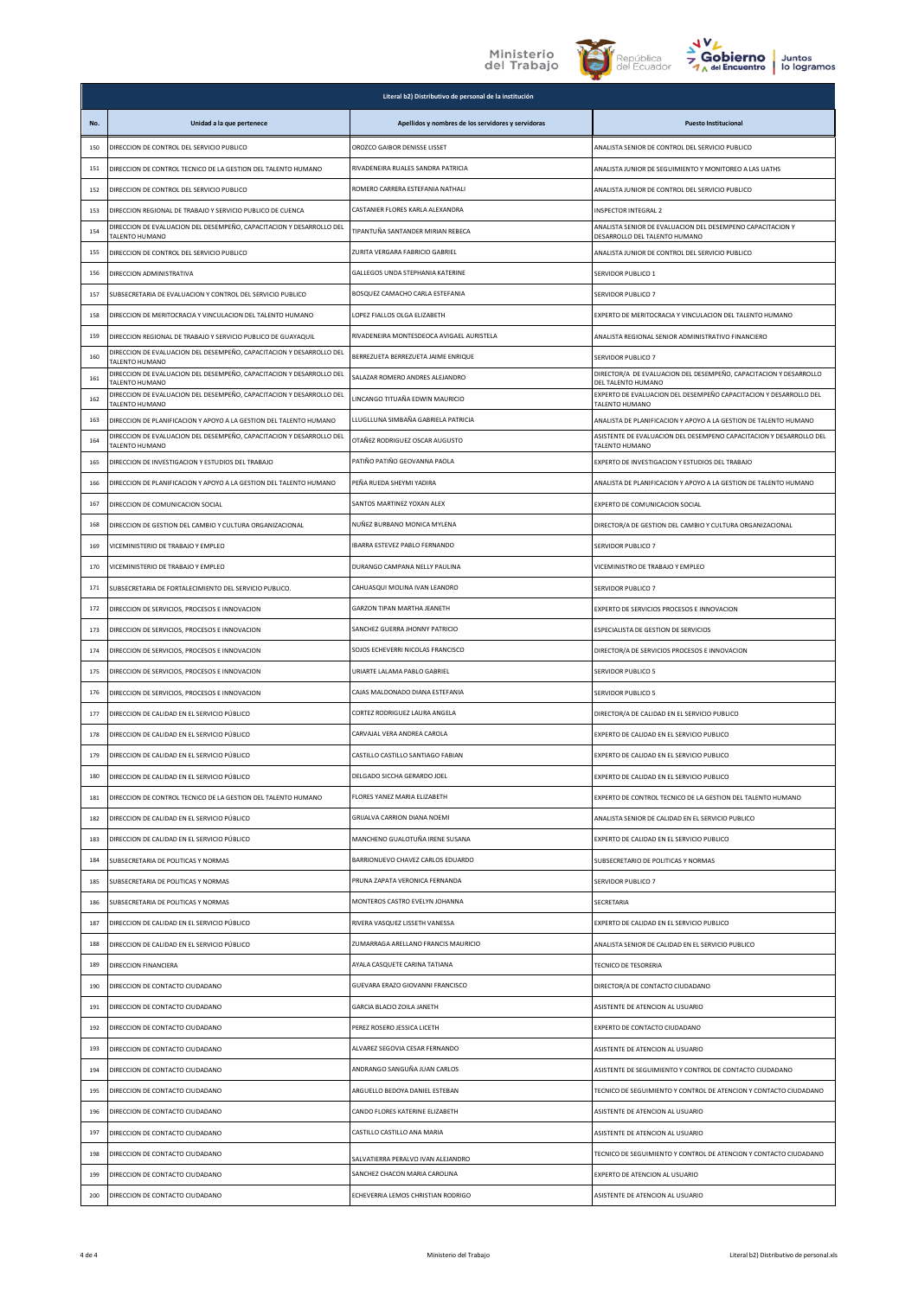## Ministerio<br>del Trabajo





|     | Literal b2) Distributivo de personal de la institución                                 |                                                    |                                                                                             |  |
|-----|----------------------------------------------------------------------------------------|----------------------------------------------------|---------------------------------------------------------------------------------------------|--|
| No. | Unidad a la que pertenece                                                              | Apellidos y nombres de los servidores y servidoras | <b>Puesto Institucional</b>                                                                 |  |
| 150 | DIRECCION DE CONTROL DEL SERVICIO PUBLICO                                              | OROZCO GAIBOR DENISSE LISSET                       | ANALISTA SENIOR DE CONTROL DEL SERVICIO PUBLICO                                             |  |
| 151 | DIRECCION DE CONTROL TECNICO DE LA GESTION DEL TALENTO HUMANO                          | RIVADENEIRA RUALES SANDRA PATRICIA                 | ANALISTA JUNIOR DE SEGUIMIENTO Y MONITOREO A LAS UATHS                                      |  |
| 152 | DIRECCION DE CONTROL DEL SERVICIO PUBLICO                                              | ROMERO CARRERA ESTEFANIA NATHALI                   | ANALISTA JUNIOR DE CONTROL DEL SERVICIO PUBLICO                                             |  |
| 153 | DIRECCION REGIONAL DE TRABAJO Y SERVICIO PUBLICO DE CUENCA                             | CASTANIER FLORES KARLA ALEXANDRA                   | <b>INSPECTOR INTEGRAL 2</b>                                                                 |  |
| 154 | DIRECCION DE EVALUACION DEL DESEMPEÑO, CAPACITACION Y DESARROLLO DEL<br>TALENTO HUMANO | TIPANTUÑA SANTANDER MIRIAN REBECA                  | ANALISTA SENIOR DE EVALUACION DEL DESEMPENO CAPACITACION Y<br>DESARROLLO DEL TALENTO HUMANO |  |
| 155 | DIRECCION DE CONTROL DEL SERVICIO PUBLICO                                              | ZURITA VERGARA FABRICIO GABRIEL                    | ANALISTA JUNIOR DE CONTROL DEL SERVICIO PUBLICO                                             |  |
| 156 | DIRECCION ADMINISTRATIVA                                                               | GALLEGOS UNDA STEPHANIA KATERINE                   | SERVIDOR PUBLICO 1                                                                          |  |
| 157 | SUBSECRETARIA DE EVALUACION Y CONTROL DEL SERVICIO PUBLICO                             | BOSQUEZ CAMACHO CARLA ESTEFANIA                    | SERVIDOR PUBLICO 7                                                                          |  |
| 158 | DIRECCION DE MERITOCRACIA Y VINCULACION DEL TALENTO HUMANO                             | LOPEZ FIALLOS OLGA ELIZABETH                       | EXPERTO DE MERITOCRACIA Y VINCULACION DEL TALENTO HUMANO                                    |  |
| 159 | DIRECCION REGIONAL DE TRABAJO Y SERVICIO PUBLICO DE GUAYAQUIL                          | RIVADENEIRA MONTESDEOCA AVIGAEL AURISTELA          | ANALISTA REGIONAL SENIOR ADMINISTRATIVO FINANCIERO                                          |  |
| 160 | DIRECCION DE EVALUACION DEL DESEMPEÑO, CAPACITACION Y DESARROLLO DEL<br>TALENTO HUMANO | BERREZUETA BERREZUETA JAIME ENRIQUE                | SERVIDOR PUBLICO 7                                                                          |  |
| 161 | DIRECCION DE EVALUACION DEL DESEMPEÑO, CAPACITACION Y DESARROLLO DEL<br>TALENTO HUMANO | SALAZAR ROMERO ANDRES ALEJANDRO                    | DIRECTOR/A DE EVALUACION DEL DESEMPEÑO, CAPACITACION Y DESARROLLO<br>DEL TALENTO HUMANO     |  |
| 162 | DIRECCION DE EVALUACION DEL DESEMPEÑO, CAPACITACION Y DESARROLLO DEL<br>TALENTO HUMANO | LINCANGO TITUAÑA EDWIN MAURICIO                    | EXPERTO DE EVALUACION DEL DESEMPEÑO CAPACITACION Y DESARROLLO DEL<br>TALENTO HUMANO         |  |
| 163 | DIRECCION DE PLANIFICACION Y APOYO A LA GESTION DEL TALENTO HUMANO                     | LLUGLLUNA SIMBAÑA GABRIELA PATRICIA                | ANALISTA DE PLANIFICACION Y APOYO A LA GESTION DE TALENTO HUMANO                            |  |
| 164 | DIRECCION DE EVALUACION DEL DESEMPEÑO, CAPACITACION Y DESARROLLO DEL<br>TALENTO HUMANO | OTAÑEZ RODRIGUEZ OSCAR AUGUSTO                     | ASISTENTE DE EVALUACION DEL DESEMPENO CAPACITACION Y DESARROLLO DEL<br>TALENTO HUMANO       |  |
| 165 | DIRECCION DE INVESTIGACION Y ESTUDIOS DEL TRABAJO                                      | PATIÑO PATIÑO GEOVANNA PAOLA                       | EXPERTO DE INVESTIGACION Y ESTUDIOS DEL TRABAJO                                             |  |
| 166 | DIRECCION DE PLANIFICACION Y APOYO A LA GESTION DEL TALENTO HUMANO                     | PEÑA RUEDA SHEYMI YADIRA                           | ANALISTA DE PLANIFICACION Y APOYO A LA GESTION DE TALENTO HUMANO                            |  |
| 167 | DIRECCION DE COMUNICACION SOCIAL                                                       | SANTOS MARTINEZ YOXAN ALEX                         | EXPERTO DE COMUNICACION SOCIAL                                                              |  |
| 168 | DIRECCION DE GESTION DEL CAMBIO Y CULTURA ORGANIZACIONAL                               | NUÑEZ BURBANO MONICA MYLENA                        | DIRECTOR/A DE GESTION DEL CAMBIO Y CULTURA ORGANIZACIONAL                                   |  |
| 169 | VICEMINISTERIO DE TRABAJO Y EMPLEO                                                     | IBARRA ESTEVEZ PABLO FERNANDO                      | SERVIDOR PUBLICO 7                                                                          |  |
| 170 | VICEMINISTERIO DE TRABAJO Y EMPLEO                                                     | DURANGO CAMPANA NELLY PAULINA                      | VICEMINISTRO DE TRABAJO Y EMPLEO                                                            |  |
| 171 | SUBSECRETARIA DE FORTALECIMIENTO DEL SERVICIO PUBLICO.                                 | CAHUASQUI MOLINA IVAN LEANDRO                      | SERVIDOR PUBLICO 7                                                                          |  |
| 172 | DIRECCION DE SERVICIOS, PROCESOS E INNOVACION                                          | GARZON TIPAN MARTHA JEANETH                        | EXPERTO DE SERVICIOS PROCESOS E INNOVACION                                                  |  |
| 173 | DIRECCION DE SERVICIOS, PROCESOS E INNOVACION                                          | SANCHEZ GUERRA JHONNY PATRICIO                     | ESPECIALISTA DE GESTION DE SERVICIOS                                                        |  |
| 174 | DIRECCION DE SERVICIOS, PROCESOS E INNOVACION                                          | SOJOS ECHEVERRI NICOLAS FRANCISCO                  | DIRECTOR/A DE SERVICIOS PROCESOS E INNOVACION                                               |  |
| 175 | DIRECCION DE SERVICIOS, PROCESOS E INNOVACION                                          | URIARTE LALAMA PABLO GABRIEL                       | <b>SERVIDOR PUBLICO 5</b>                                                                   |  |
| 176 | DIRECCION DE SERVICIOS, PROCESOS E INNOVACION                                          | CAJAS MALDONADO DIANA ESTEFANIA                    | <b>SERVIDOR PUBLICO 5</b>                                                                   |  |
| 177 | DIRECCION DE CALIDAD EN EL SERVICIO PÚBLICO                                            | CORTEZ RODRIGUEZ LAURA ANGELA                      | DIRECTOR/A DE CALIDAD EN EL SERVICIO PUBLICO                                                |  |
| 178 | DIRECCION DE CALIDAD EN EL SERVICIO PÚBLICO                                            | CARVAJAL VERA ANDREA CAROLA                        | EXPERTO DE CALIDAD EN EL SERVICIO PUBLICO                                                   |  |
| 179 | DIRECCION DE CALIDAD EN EL SERVICIO PÚBLICO                                            | CASTILLO CASTILLO SANTIAGO FABIAN                  | EXPERTO DE CALIDAD EN EL SERVICIO PUBLICO                                                   |  |
| 180 | DIRECCION DE CALIDAD EN EL SERVICIO PÚBLICO                                            | DELGADO SICCHA GERARDO JOEL                        | EXPERTO DE CALIDAD EN EL SERVICIO PUBLICO                                                   |  |
| 181 | DIRECCION DE CONTROL TECNICO DE LA GESTION DEL TALENTO HUMANO                          | FLORES YANEZ MARIA ELIZABETH                       | EXPERTO DE CONTROL TECNICO DE LA GESTION DEL TALENTO HUMANO                                 |  |
| 182 | DIRECCION DE CALIDAD EN EL SERVICIO PÚBLICO                                            | GRIJALVA CARRION DIANA NOEMI                       | ANALISTA SENIOR DE CALIDAD EN EL SERVICIO PUBLICO                                           |  |
| 183 | DIRECCION DE CALIDAD EN EL SERVICIO PÚBLICO                                            | MANCHENO GUALOTUÑA IRENE SUSANA                    | EXPERTO DE CALIDAD EN EL SERVICIO PUBLICO                                                   |  |
| 184 | SUBSECRETARIA DE POLITICAS Y NORMAS                                                    | BARRIONUEVO CHAVEZ CARLOS EDUARDO                  | SUBSECRETARIO DE POLITICAS Y NORMAS                                                         |  |
| 185 | SUBSECRETARIA DE POLITICAS Y NORMAS                                                    | PRUNA ZAPATA VERONICA FERNANDA                     | SERVIDOR PUBLICO 7                                                                          |  |
| 186 | SUBSECRETARIA DE POLITICAS Y NORMAS                                                    | MONTEROS CASTRO EVELYN JOHANNA                     | SECRETARIA                                                                                  |  |
| 187 | DIRECCION DE CALIDAD EN EL SERVICIO PÚBLICO                                            | RIVERA VASQUEZ LISSETH VANESSA                     | EXPERTO DE CALIDAD EN EL SERVICIO PUBLICO                                                   |  |
| 188 | DIRECCION DE CALIDAD EN EL SERVICIO PÚBLICO                                            | ZUMARRAGA ARELLANO FRANCIS MAURICIO                | ANALISTA SENIOR DE CALIDAD EN EL SERVICIO PUBLICO                                           |  |
| 189 | DIRECCION FINANCIERA                                                                   | AYALA CASQUETE CARINA TATIANA                      | TECNICO DE TESORERIA                                                                        |  |
| 190 | DIRECCION DE CONTACTO CIUDADANO                                                        | GUEVARA ERAZO GIOVANNI FRANCISCO                   | DIRECTOR/A DE CONTACTO CIUDADANO                                                            |  |
| 191 | DIRECCION DE CONTACTO CIUDADANO                                                        | <b>GARCIA BLACIO ZOILA JANETH</b>                  | ASISTENTE DE ATENCION AL USUARIO                                                            |  |
| 192 | DIRECCION DE CONTACTO CIUDADANO                                                        | PEREZ ROSERO JESSICA LICETH                        | EXPERTO DE CONTACTO CIUDADANO                                                               |  |
| 193 | DIRECCION DE CONTACTO CIUDADANO                                                        | ALVAREZ SEGOVIA CESAR FERNANDO                     | ASISTENTE DE ATENCION AL USUARIO                                                            |  |
| 194 | DIRECCION DE CONTACTO CIUDADANO                                                        | ANDRANGO SANGUÑA JUAN CARLOS                       | ASISTENTE DE SEGUIMIENTO Y CONTROL DE CONTACTO CIUDADANO                                    |  |
| 195 | DIRECCION DE CONTACTO CIUDADANO                                                        | ARGUELLO BEDOYA DANIEL ESTEBAN                     | TECNICO DE SEGUIMIENTO Y CONTROL DE ATENCION Y CONTACTO CIUDADANO                           |  |
| 196 | DIRECCION DE CONTACTO CIUDADANO                                                        | CANDO FLORES KATERINE ELIZABETH                    | ASISTENTE DE ATENCION AL USUARIO                                                            |  |
| 197 | DIRECCION DE CONTACTO CIUDADANO                                                        | CASTILLO CASTILLO ANA MARIA                        | ASISTENTE DE ATENCION AL USUARIO                                                            |  |
| 198 | DIRECCION DE CONTACTO CIUDADANO                                                        | SALVATIERRA PERALVO IVAN ALEJANDRO                 | TECNICO DE SEGUIMIENTO Y CONTROL DE ATENCION Y CONTACTO CIUDADANO                           |  |
| 199 | DIRECCION DE CONTACTO CIUDADANO                                                        | SANCHEZ CHACON MARIA CAROLINA                      | EXPERTO DE ATENCION AL USUARIO                                                              |  |
| 200 | DIRECCION DE CONTACTO CIUDADANO                                                        | ECHEVERRIA LEMOS CHRISTIAN RODRIGO                 | ASISTENTE DE ATENCION AL USUARIO                                                            |  |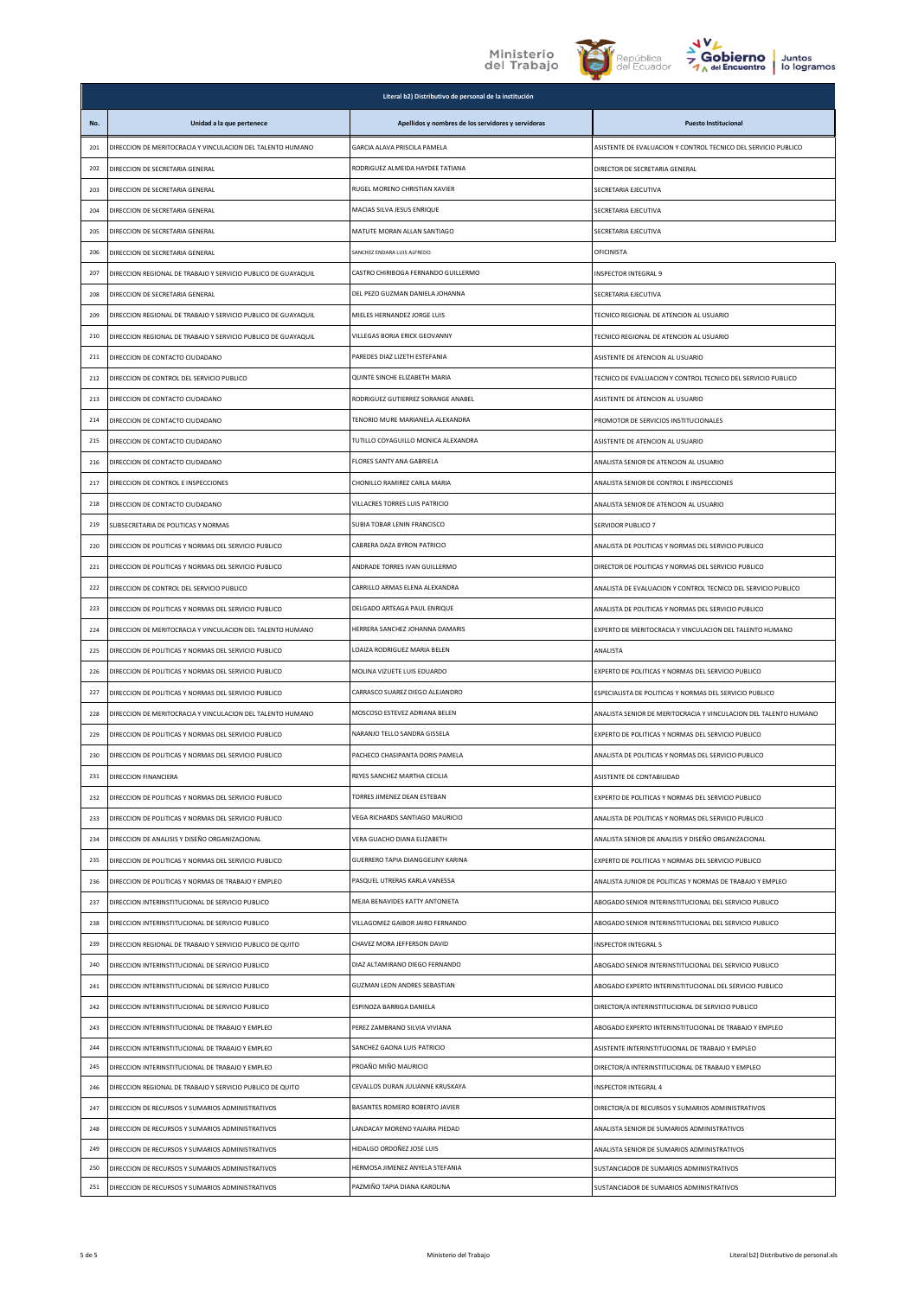



|            | Literal b2) Distributivo de personal de la institución                                               |                                                          |                                                                                            |  |
|------------|------------------------------------------------------------------------------------------------------|----------------------------------------------------------|--------------------------------------------------------------------------------------------|--|
| No.        | Unidad a la que pertenece                                                                            | Apellidos y nombres de los servidores y servidoras       | <b>Puesto Institucional</b>                                                                |  |
| 201        | DIRECCION DE MERITOCRACIA Y VINCULACION DEL TALENTO HUMANO                                           | GARCIA ALAVA PRISCILA PAMELA                             | ASISTENTE DE EVALUACION Y CONTROL TECNICO DEL SERVICIO PUBLICO                             |  |
| 202        | DIRECCION DE SECRETARIA GENERAL                                                                      | RODRIGUEZ ALMEIDA HAYDEE TATIANA                         | DIRECTOR DE SECRETARIA GENERAL                                                             |  |
| 203        | DIRECCION DE SECRETARIA GENERAL                                                                      | RUGEL MORENO CHRISTIAN XAVIER                            | SECRETARIA EJECUTIVA                                                                       |  |
| 204        | DIRECCION DE SECRETARIA GENERAL                                                                      | MACIAS SILVA JESUS ENRIQUE                               | SECRETARIA EJECUTIVA                                                                       |  |
| 205        | DIRECCION DE SECRETARIA GENERAL                                                                      | MATUTE MORAN ALLAN SANTIAGO                              | SECRETARIA EJECUTIVA                                                                       |  |
| 206        | DIRECCION DE SECRETARIA GENERAL                                                                      | SANCHEZ ENDARA LUIS ALFREDO                              | OFICINISTA                                                                                 |  |
| 207        | DIRECCION REGIONAL DE TRABAJO Y SERVICIO PUBLICO DE GUAYAQUIL                                        | CASTRO CHIRIBOGA FERNANDO GUILLERMO                      | <b>INSPECTOR INTEGRAL 9</b>                                                                |  |
| 208        | DIRECCION DE SECRETARIA GENERAL                                                                      | DEL PEZO GUZMAN DANIELA JOHANNA                          | SECRETARIA EJECUTIVA                                                                       |  |
| 209        | DIRECCION REGIONAL DE TRABAJO Y SERVICIO PUBLICO DE GUAYAQUIL                                        | MIELES HERNANDEZ JORGE LUIS                              | TECNICO REGIONAL DE ATENCION AL USUARIO                                                    |  |
| 210        | DIRECCION REGIONAL DE TRABAJO Y SERVICIO PUBLICO DE GUAYAQUIL                                        | VILLEGAS BORJA ERICK GEOVANNY                            | TECNICO REGIONAL DE ATENCION AL USUARIO                                                    |  |
| 211        | DIRECCION DE CONTACTO CIUDADANO                                                                      | PAREDES DIAZ LIZETH ESTEFANIA                            | ASISTENTE DE ATENCION AL USUARIO                                                           |  |
| 212        | DIRECCION DE CONTROL DEL SERVICIO PUBLICO                                                            | QUINTE SINCHE ELIZABETH MARIA                            | TECNICO DE EVALUACIÓN Y CONTROL TECNICO DEL SERVICIO PUBLICO                               |  |
| 213        | DIRECCION DE CONTACTO CIUDADANO                                                                      | RODRIGUEZ GUTIERREZ SORANGE ANABEL                       | ASISTENTE DE ATENCION AL USUARIO                                                           |  |
| 214        | DIRECCION DE CONTACTO CIUDADANO                                                                      | TENORIO MURE MARIANELA ALEXANDRA                         | PROMOTOR DE SERVICIOS INSTITUCIONALES                                                      |  |
| 215        | DIRECCION DE CONTACTO CIUDADANO                                                                      | TUTILLO COYAGUILLO MONICA ALEXANDRA                      | ASISTENTE DE ATENCION AL USUARIO                                                           |  |
| 216        | DIRECCION DE CONTACTO CIUDADANO                                                                      | FLORES SANTY ANA GABRIELA                                | ANALISTA SENIOR DE ATENCION AL USUARIO                                                     |  |
| 217        | DIRECCION DE CONTROL E INSPECCIONES                                                                  | CHONILLO RAMIREZ CARLA MARIA                             | ANALISTA SENIOR DE CONTROL E INSPECCIONES                                                  |  |
| 218        | DIRECCION DE CONTACTO CIUDADANO                                                                      | VILLACRES TORRES LUIS PATRICIO                           | ANALISTA SENIOR DE ATENCION AL USUARIO                                                     |  |
| 219        | SUBSECRETARIA DE POLITICAS Y NORMAS                                                                  | SUBIA TOBAR LENIN FRANCISCO                              | SERVIDOR PUBLICO 7                                                                         |  |
| 220        | DIRECCION DE POLITICAS Y NORMAS DEL SERVICIO PUBLICO                                                 | CABRERA DAZA BYRON PATRICIO                              | ANALISTA DE POLITICAS Y NORMAS DEL SERVICIO PUBLICO                                        |  |
| 221        | DIRECCION DE POLITICAS Y NORMAS DEL SERVICIO PUBLICO                                                 | ANDRADE TORRES IVAN GUILLERMO                            | DIRECTOR DE POLITICAS Y NORMAS DEL SERVICIO PUBLICO                                        |  |
| 222        | DIRECCION DE CONTROL DEL SERVICIO PUBLICO                                                            | CARRILLO ARMAS ELENA ALEXANDRA                           | ANALISTA DE EVALUACION Y CONTROL TECNICO DEL SERVICIO PUBLICO                              |  |
| 223        | DIRECCION DE POLITICAS Y NORMAS DEL SERVICIO PUBLICO                                                 | DELGADO ARTEAGA PAUL ENRIQUE                             | ANALISTA DE POLITICAS Y NORMAS DEL SERVICIO PUBLICO                                        |  |
| 224        | DIRECCION DE MERITOCRACIA Y VINCULACION DEL TALENTO HUMANO                                           | HERRERA SANCHEZ JOHANNA DAMARIS                          | EXPERTO DE MERITOCRACIA Y VINCULACION DEL TALENTO HUMANO                                   |  |
| 225        | DIRECCION DE POLITICAS Y NORMAS DEL SERVICIO PUBLICO                                                 | LOAIZA RODRIGUEZ MARIA BELEN                             | ANALISTA                                                                                   |  |
| 226        | DIRECCION DE POLITICAS Y NORMAS DEL SERVICIO PUBLICO                                                 | MOLINA VIZUETE LUIS EDUARDO                              | EXPERTO DE POLITICAS Y NORMAS DEL SERVICIO PUBLICO                                         |  |
| 227        | DIRECCION DE POLITICAS Y NORMAS DEL SERVICIO PUBLICO                                                 | CARRASCO SUAREZ DIEGO ALEJANDRO                          | ESPECIALISTA DE POLITICAS Y NORMAS DEL SERVICIO PUBLICO                                    |  |
| 228        | DIRECCION DE MERITOCRACIA Y VINCULACION DEL TALENTO HUMANO                                           | MOSCOSO ESTEVEZ ADRIANA BELEN                            | ANALISTA SENIOR DE MERITOCRACIA Y VINCULACION DEL TALENTO HUMANO                           |  |
| 229        | DIRECCION DE POLITICAS Y NORMAS DEL SERVICIO PUBLICO                                                 | NARANJO TELLO SANDRA GISSELA                             | EXPERTO DE POLITICAS Y NORMAS DEL SERVICIO PUBLICO                                         |  |
| 230        | DIRECCION DE POLITICAS Y NORMAS DEL SERVICIO PUBLICO                                                 | PACHECO CHASIPANTA DORIS PAMELA                          | ANALISTA DE POLITICAS Y NORMAS DEL SERVICIO PUBLICO                                        |  |
| 231        | DIRECCION FINANCIERA                                                                                 | REYES SANCHEZ MARTHA CECILIA                             | ASISTENTE DE CONTABILIDAD                                                                  |  |
| 232        | DIRECCION DE POLITICAS Y NORMAS DEL SERVICIO PUBLICO                                                 | TORRES JIMENEZ DEAN ESTEBAN                              | EXPERTO DE POLITICAS Y NORMAS DEL SERVICIO PUBLICO                                         |  |
| 233        | DIRECCION DE POLITICAS Y NORMAS DEL SERVICIO PUBLICO                                                 | VEGA RICHARDS SANTIAGO MAURICIO                          | ANALISTA DE POLITICAS Y NORMAS DEL SERVICIO PUBLICO                                        |  |
| 234        | DIRECCION DE ANALISIS Y DISEÑO ORGANIZACIONAL                                                        | VERA GUACHO DIANA ELIZABETH                              | ANALISTA SENIOR DE ANALISIS Y DISEÑO ORGANIZACIONAL                                        |  |
| 235        | DIRECCION DE POLITICAS Y NORMAS DEL SERVICIO PUBLICO                                                 | GUERRERO TAPIA DIANGGELINY KARINA                        | EXPERTO DE POLITICAS Y NORMAS DEL SERVICIO PUBLICO                                         |  |
| 236        | DIRECCION DE POLITICAS Y NORMAS DE TRABAJO Y EMPLEO                                                  | PASQUEL UTRERAS KARLA VANESSA                            | ANALISTA JUNIOR DE POLITICAS Y NORMAS DE TRABAJO Y EMPLEO                                  |  |
| 237        | DIRECCION INTERINSTITUCIONAL DE SERVICIO PUBLICO                                                     | MEJIA BENAVIDES KATTY ANTONIETA                          | ABOGADO SENIOR INTERINSTITUCIONAL DEL SERVICIO PUBLICO                                     |  |
| 238        | DIRECCION INTERINSTITUCIONAL DE SERVICIO PUBLICO                                                     | VILLAGOMEZ GAIBOR JAIRO FERNANDO                         | ABOGADO SENIOR INTERINSTITUCIONAL DEL SERVICIO PUBLICO                                     |  |
| 239        | DIRECCION REGIONAL DE TRABAJO Y SERVICIO PUBLICO DE QUITO                                            | CHAVEZ MORA JEFFERSON DAVID                              | INSPECTOR INTEGRAL 5                                                                       |  |
| 240        | DIRECCION INTERINSTITUCIONAL DE SERVICIO PUBLICO                                                     | DIAZ ALTAMIRANO DIEGO FERNANDO                           | ABOGADO SENIOR INTERINSTITUCIONAL DEL SERVICIO PUBLICO                                     |  |
| 241        | DIRECCION INTERINSTITUCIONAL DE SERVICIO PUBLICO                                                     | GUZMAN LEON ANDRES SEBASTIAN                             | ABOGADO EXPERTO INTERINSTITUCIONAL DEL SERVICIO PUBLICO                                    |  |
| 242        | DIRECCION INTERINSTITUCIONAL DE SERVICIO PUBLICO                                                     | ESPINOZA BARRIGA DANIELA                                 | DIRECTOR/A INTERINSTITUCIONAL DE SERVICIO PUBLICO                                          |  |
| 243        | DIRECCION INTERINSTITUCIONAL DE TRABAJO Y EMPLEO                                                     | PEREZ ZAMBRANO SILVIA VIVIANA                            | ABOGADO EXPERTO INTERINSTITUCIONAL DE TRABAJO Y EMPLEO                                     |  |
| 244        | DIRECCION INTERINSTITUCIONAL DE TRABAJO Y EMPLEO                                                     | SANCHEZ GAONA LUIS PATRICIO                              | ASISTENTE INTERINSTITUCIONAL DE TRABAJO Y EMPLEO                                           |  |
| 245        | DIRECCION INTERINSTITUCIONAL DE TRABAJO Y EMPLEO                                                     | PROAÑO MIÑO MAURICIO<br>CEVALLOS DURAN JULIANNE KRUSKAYA | DIRECTOR/A INTERINSTITUCIONAL DE TRABAJO Y EMPLEO                                          |  |
| 246        | DIRECCION REGIONAL DE TRABAJO Y SERVICIO PUBLICO DE QUITO                                            | BASANTES ROMERO ROBERTO JAVIER                           | INSPECTOR INTEGRAL 4                                                                       |  |
| 247        | DIRECCION DE RECURSOS Y SUMARIOS ADMINISTRATIVOS                                                     | LANDACAY MORENO YAJAIRA PIEDAD                           | DIRECTOR/A DE RECURSOS Y SUMARIOS ADMINISTRATIVOS                                          |  |
| 248<br>249 | DIRECCION DE RECURSOS Y SUMARIOS ADMINISTRATIVOS<br>DIRECCION DE RECURSOS Y SUMARIOS ADMINISTRATIVOS | HIDALGO ORDOÑEZ JOSE LUIS                                | ANALISTA SENIOR DE SUMARIOS ADMINISTRATIVOS<br>ANALISTA SENIOR DE SUMARIOS ADMINISTRATIVOS |  |
| 250        | DIRECCION DE RECURSOS Y SUMARIOS ADMINISTRATIVOS                                                     | HERMOSA JIMENEZ ANYELA STEFANIA                          | SUSTANCIADOR DE SUMARIOS ADMINISTRATIVOS                                                   |  |
| 251        | DIRECCION DE RECURSOS Y SUMARIOS ADMINISTRATIVOS                                                     | PAZMIÑO TAPIA DIANA KAROLINA                             | SUSTANCIADOR DE SUMARIOS ADMINISTRATIVOS                                                   |  |
|            |                                                                                                      |                                                          |                                                                                            |  |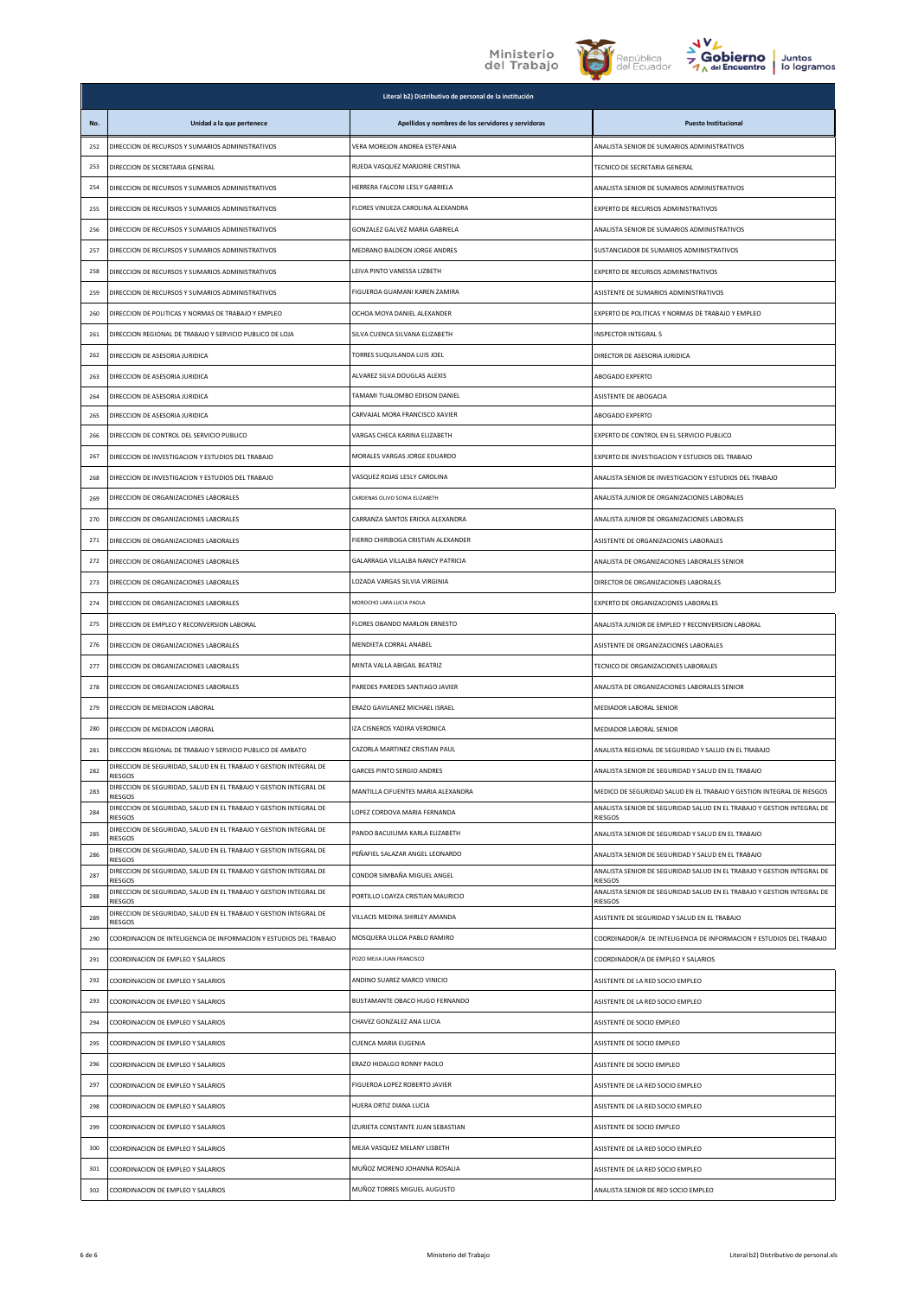





|     | Literal b2) Distributivo de personal de la institución                       |                                                    |                                                                                          |  |
|-----|------------------------------------------------------------------------------|----------------------------------------------------|------------------------------------------------------------------------------------------|--|
| No. | Unidad a la que pertenece                                                    | Apellidos y nombres de los servidores y servidoras | <b>Puesto Institucional</b>                                                              |  |
| 252 | DIRECCION DE RECURSOS Y SUMARIOS ADMINISTRATIVOS                             | VERA MOREJON ANDREA ESTEFANIA                      | ANALISTA SENIOR DE SUMARIOS ADMINISTRATIVOS                                              |  |
| 253 | DIRECCION DE SECRETARIA GENERAL                                              | RUEDA VASQUEZ MARJORIE CRISTINA                    | TECNICO DE SECRETARIA GENERAL                                                            |  |
| 254 | DIRECCION DE RECURSOS Y SUMARIOS ADMINISTRATIVOS                             | HERRERA FALCONI LESLY GABRIELA                     | ANALISTA SENIOR DE SUMARIOS ADMINISTRATIVOS                                              |  |
| 255 | DIRECCION DE RECURSOS Y SUMARIOS ADMINISTRATIVOS                             | FLORES VINUEZA CAROLINA ALEXANDRA                  | EXPERTO DE RECURSOS ADMINISTRATIVOS                                                      |  |
| 256 | DIRECCION DE RECURSOS Y SUMARIOS ADMINISTRATIVOS                             | GONZALEZ GALVEZ MARIA GABRIELA                     | ANALISTA SENIOR DE SUMARIOS ADMINISTRATIVOS                                              |  |
| 257 | DIRECCION DE RECURSOS Y SUMARIOS ADMINISTRATIVOS                             | MEDRANO BALDEON JORGE ANDRES                       | SUSTANCIADOR DE SUMARIOS ADMINISTRATIVOS                                                 |  |
| 258 | DIRECCION DE RECURSOS Y SUMARIOS ADMINISTRATIVOS                             | LEIVA PINTO VANESSA LIZBETH                        | EXPERTO DE RECURSOS ADMINISTRATIVOS                                                      |  |
| 259 | DIRECCION DE RECURSOS Y SUMARIOS ADMINISTRATIVOS                             | FIGUEROA GUAMANI KAREN ZAMIRA                      | ASISTENTE DE SUMARIOS ADMINISTRATIVOS                                                    |  |
| 260 | DIRECCION DE POLITICAS Y NORMAS DE TRABAJO Y EMPLEO                          | OCHOA MOYA DANIEL ALEXANDER                        | EXPERTO DE POLITICAS Y NORMAS DE TRABAJO Y EMPLEO                                        |  |
| 261 | DIRECCION REGIONAL DE TRABAJO Y SERVICIO PUBLICO DE LOJA                     | SILVA CUENCA SILVANA ELIZABETH                     | <b>INSPECTOR INTEGRAL 5</b>                                                              |  |
| 262 | DIRECCION DE ASESORIA JURIDICA                                               | TORRES SUQUILANDA LUIS JOEL                        | DIRECTOR DE ASESORIA JURIDICA                                                            |  |
| 263 | DIRECCION DE ASESORIA JURIDICA                                               | ALVAREZ SILVA DOUGLAS ALEXIS                       | ABOGADO EXPERTO                                                                          |  |
| 264 | DIRECCION DE ASESORIA JURIDICA                                               | TAMAMI TUALOMBO EDISON DANIEL                      | ASISTENTE DE ABOGACIA                                                                    |  |
| 265 | DIRECCION DE ASESORIA JURIDICA                                               | CARVAJAL MORA FRANCISCO XAVIER                     | ABOGADO EXPERTO                                                                          |  |
| 266 | DIRECCION DE CONTROL DEL SERVICIO PUBLICO                                    | VARGAS CHECA KARINA ELIZABETH                      | EXPERTO DE CONTROL EN EL SERVICIO PUBLICO                                                |  |
| 267 | DIRECCION DE INVESTIGACION Y ESTUDIOS DEL TRABAJO                            | MORALES VARGAS JORGE EDUARDO                       | EXPERTO DE INVESTIGACION Y ESTUDIOS DEL TRABAJO                                          |  |
| 268 | DIRECCION DE INVESTIGACION Y ESTUDIOS DEL TRABAJO                            | VASQUEZ ROJAS LESLY CAROLINA                       | ANALISTA SENIOR DE INVESTIGACION Y ESTUDIOS DEL TRABAJO                                  |  |
| 269 | DIRECCION DE ORGANIZACIONES LABORALES                                        | CARDENAS OLIVO SONIA ELIZABETH                     | ANALISTA JUNIOR DE ORGANIZACIONES LABORALES                                              |  |
| 270 | DIRECCION DE ORGANIZACIONES LABORALES                                        | CARRANZA SANTOS ERICKA ALEXANDRA                   | ANALISTA JUNIOR DE ORGANIZACIONES LABORALES                                              |  |
| 271 | DIRECCION DE ORGANIZACIONES LABORALES                                        | FIERRO CHIRIBOGA CRISTIAN ALEXANDER                | ASISTENTE DE ORGANIZACIONES LABORALES                                                    |  |
| 272 | DIRECCION DE ORGANIZACIONES LABORALES                                        | GALARRAGA VILLALBA NANCY PATRICIA                  | ANALISTA DE ORGANIZACIONES LABORALES SENIOR                                              |  |
| 273 | DIRECCION DE ORGANIZACIONES LABORALES                                        | LOZADA VARGAS SILVIA VIRGINIA                      | DIRECTOR DE ORGANIZACIONES LABORALES                                                     |  |
| 274 | DIRECCION DE ORGANIZACIONES LABORALES                                        | MOROCHO LARA LUCIA PAOLA                           | EXPERTO DE ORGANIZACIONES LABORALES                                                      |  |
| 275 | DIRECCION DE EMPLEO Y RECONVERSION LABORAL                                   | FLORES OBANDO MARLON ERNESTO                       | ANALISTA JUNIOR DE EMPLEO Y RECONVERSION LABORAL                                         |  |
| 276 | DIRECCION DE ORGANIZACIONES LABORALES                                        | MENDIETA CORRAL ANABEL                             | ASISTENTE DE ORGANIZACIONES LABORALES                                                    |  |
| 277 | DIRECCION DE ORGANIZACIONES LABORALES                                        | MINTA VALLA ABIGAIL BEATRIZ                        | TECNICO DE ORGANIZACIONES LABORALES                                                      |  |
| 278 | DIRECCION DE ORGANIZACIONES LABORALES                                        | PAREDES PAREDES SANTIAGO JAVIER                    | ANALISTA DE ORGANIZACIONES LABORALES SENIOR                                              |  |
| 279 | DIRECCION DE MEDIACION LABORAL                                               | ERAZO GAVILANEZ MICHAEL ISRAEL                     | MEDIADOR LABORAL SENIOR                                                                  |  |
| 280 | DIRECCION DE MEDIACION LABORAL                                               | IZA CISNEROS YADIRA VERONICA                       | MEDIADOR LABORAL SENIOR                                                                  |  |
| 281 | DIRECCION REGIONAL DE TRABAJO Y SERVICIO PUBLICO DE AMBATO                   | CAZORLA MARTINEZ CRISTIAN PAUL                     | ANALISTA REGIONAL DE SEGURIDAD Y SALUD EN EL TRABAJO                                     |  |
| 282 | DIRECCION DE SEGURIDAD, SALUD EN EL TRABAJO Y GESTION INTEGRAL DE<br>RIESGOS | <b>GARCES PINTO SERGIO ANDRES</b>                  | ANALISTA SENIOR DE SEGURIDAD Y SALUD EN EL TRABAJO                                       |  |
| 283 | DIRECCION DE SEGURIDAD, SALUD EN EL TRABAJO Y GESTION INTEGRAL DE<br>RIESGOS | MANTILLA CIFUENTES MARIA ALEXANDRA                 | MEDICO DE SEGURIDAD SALUD EN EL TRABAJO Y GESTION INTEGRAL DE RIESGOS                    |  |
| 284 | DIRECCION DE SEGURIDAD, SALUD EN EL TRABAJO Y GESTION INTEGRAL DE<br>RIESGOS | LOPEZ CORDOVA MARIA FERNANDA                       | ANALISTA SENIOR DE SEGURIDAD SALUD EN EL TRABAJO Y GESTION INTEGRAL DE<br>RIESGOS        |  |
| 285 | DIRECCION DE SEGURIDAD. SALUD EN EL TRABAJO Y GESTION INTEGRAL DE<br>RIESGOS | PANDO BACUILIMA KARLA ELIZABETH                    | ANALISTA SENIOR DE SEGURIDAD Y SALUD EN EL TRABAJO                                       |  |
| 286 | DIRECCION DE SEGURIDAD, SALUD EN EL TRABAJO Y GESTION INTEGRAL DE<br>RIESGOS | PEÑAFIEL SALAZAR ANGEL LEONARDO                    | ANALISTA SENIOR DE SEGURIDAD Y SALUD EN EL TRABAJO                                       |  |
| 287 | DIRECCION DE SEGURIDAD, SALUD EN EL TRABAJO Y GESTION INTEGRAL DE<br>RIESGOS | CONDOR SIMBAÑA MIGUEL ANGEL                        | ANALISTA SENIOR DE SEGURIDAD SALUD EN EL TRABAJO Y GESTION INTEGRAL DE<br><b>RIESGOS</b> |  |
| 288 | DIRECCION DE SEGURIDAD, SALUD EN EL TRABAJO Y GESTION INTEGRAL DE<br>RIESGOS | PORTILLO LOAYZA CRISTIAN MAURICIO                  | ANALISTA SENIOR DE SEGURIDAD SALUD EN EL TRABAJO Y GESTION INTEGRAL DE<br>RIESGOS        |  |
| 289 | DIRECCION DE SEGURIDAD, SALUD EN EL TRABAJO Y GESTION INTEGRAL DE<br>RIESGOS | VILLACIS MEDINA SHIRLEY AMANDA                     | ASISTENTE DE SEGURIDAD Y SALUD EN EL TRABAJO                                             |  |
| 290 | COORDINACION DE INTELIGENCIA DE INFORMACION Y ESTUDIOS DEL TRABAJO           | MOSQUERA ULLOA PABLO RAMIRO                        | COORDINADOR/A DE INTELIGENCIA DE INFORMACION Y ESTUDIOS DEL TRABAJO                      |  |
| 291 | COORDINACION DE EMPLEO Y SALARIOS                                            | POZO MEIJA JUAN FRANCISCO                          | COORDINADOR/A DE EMPLEO Y SALARIOS                                                       |  |
| 292 | COORDINACION DE EMPLEO Y SALARIOS                                            | ANDINO SUAREZ MARCO VINICIO                        | ASISTENTE DE LA RED SOCIO EMPLEO                                                         |  |
| 293 | COORDINACION DE EMPLEO Y SALARIOS                                            | BUSTAMANTE OBACO HUGO FERNANDO                     | ASISTENTE DE LA RED SOCIO EMPLEO                                                         |  |
| 294 | COORDINACION DE EMPLEO Y SALARIOS                                            | CHAVEZ GONZALEZ ANA LUCIA                          | ASISTENTE DE SOCIO EMPLEO                                                                |  |
| 295 | COORDINACION DE EMPLEO Y SALARIOS                                            | CUENCA MARIA EUGENIA                               | ASISTENTE DE SOCIO EMPLEO                                                                |  |
| 296 | COORDINACION DE EMPLEO Y SALARIOS                                            | ERAZO HIDALGO RONNY PAOLO                          | ASISTENTE DE SOCIO EMPLEO                                                                |  |
| 297 | COORDINACION DE EMPLEO Y SALARIOS                                            | FIGUEROA LOPEZ ROBERTO JAVIER                      | ASISTENTE DE LA RED SOCIO EMPLEO                                                         |  |
| 298 | COORDINACION DE EMPLEO Y SALARIOS                                            | HUERA ORTIZ DIANA LUCIA                            | ASISTENTE DE LA RED SOCIO EMPLEO                                                         |  |
| 299 | COORDINACION DE EMPLEO Y SALARIOS                                            | IZURIETA CONSTANTE JUAN SEBASTIAN                  | ASISTENTE DE SOCIO EMPLEO                                                                |  |
| 300 | COORDINACION DE EMPLEO Y SALARIOS                                            | MEJIA VASQUEZ MELANY LISBETH                       | ASISTENTE DE LA RED SOCIO EMPLEO                                                         |  |
| 301 | COORDINACION DE EMPLEO Y SALARIOS                                            | MUÑOZ MORENO JOHANNA ROSALIA                       | ASISTENTE DE LA RED SOCIO EMPLEO                                                         |  |
| 302 | COORDINACION DE EMPLEO Y SALARIOS                                            | MUÑOZ TORRES MIGUEL AUGUSTO                        | ANALISTA SENIOR DE RED SOCIO EMPLEO                                                      |  |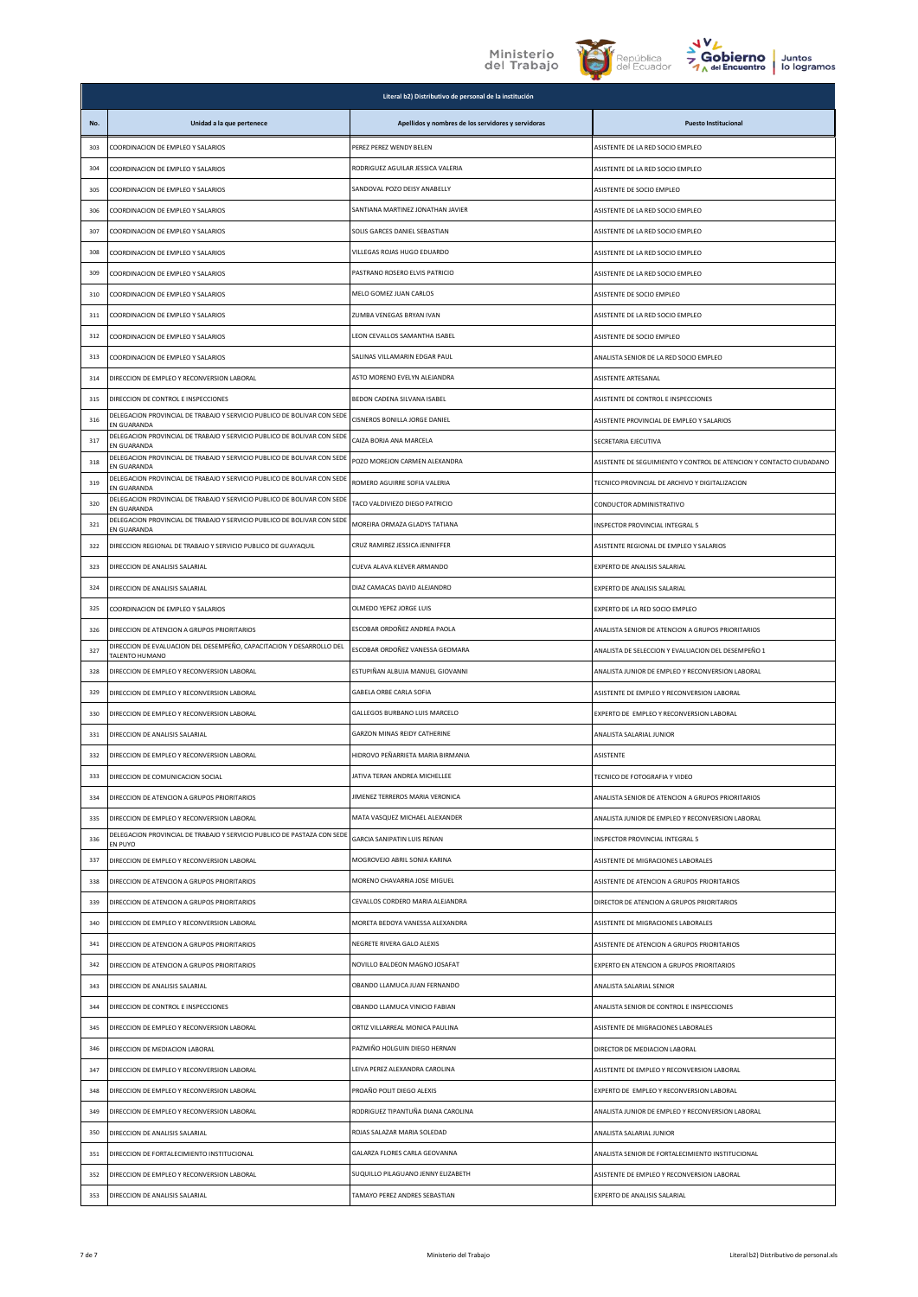



|     |                                                                                        | Literal b2) Distributivo de personal de la institución |                                                                     |
|-----|----------------------------------------------------------------------------------------|--------------------------------------------------------|---------------------------------------------------------------------|
| No. | Unidad a la que pertenece                                                              | Apellidos y nombres de los servidores y servidoras     | <b>Puesto Institucional</b>                                         |
| 303 | COORDINACION DE EMPLEO Y SALARIOS                                                      | PEREZ PEREZ WENDY BELEN                                | ASISTENTE DE LA RED SOCIO EMPLEO                                    |
| 304 | COORDINACION DE EMPLEO Y SALARIOS                                                      | RODRIGUEZ AGUILAR JESSICA VALERIA                      | ASISTENTE DE LA RED SOCIO EMPLEO                                    |
| 305 | COORDINACION DE EMPLEO Y SALARIOS                                                      | SANDOVAL POZO DEISY ANABELLY                           | ASISTENTE DE SOCIO EMPLEO                                           |
| 306 | COORDINACION DE EMPLEO Y SALARIOS                                                      | SANTIANA MARTINEZ JONATHAN JAVIER                      | ASISTENTE DE LA RED SOCIO EMPLEO                                    |
| 307 | COORDINACION DE EMPLEO Y SALARIOS                                                      | SOLIS GARCES DANIEL SEBASTIAN                          | ASISTENTE DE LA RED SOCIO EMPLEO                                    |
| 308 | COORDINACION DE EMPLEO Y SALARIOS                                                      | VILLEGAS ROJAS HUGO EDUARDO                            | ASISTENTE DE LA RED SOCIO EMPLEO                                    |
| 309 | COORDINACION DE EMPLEO Y SALARIOS                                                      | PASTRANO ROSERO ELVIS PATRICIO                         | ASISTENTE DE LA RED SOCIO EMPLEO                                    |
| 310 | COORDINACION DE EMPLEO Y SALARIOS                                                      | MELO GOMEZ IUAN CARLOS                                 | ASISTENTE DE SOCIO EMPLEO                                           |
| 311 | COORDINACION DE EMPLEO Y SALARIOS                                                      | ZUMBA VENEGAS BRYAN IVAN                               | ASISTENTE DE LA RED SOCIO EMPLEO                                    |
| 312 | COORDINACION DE EMPLEO Y SALARIOS                                                      | LEON CEVALLOS SAMANTHA ISABEL                          | ASISTENTE DE SOCIO EMPLEO                                           |
| 313 | COORDINACION DE EMPLEO Y SALARIOS                                                      | SALINAS VILLAMARIN EDGAR PAUL                          | ANALISTA SENIOR DE LA RED SOCIO EMPLEO                              |
| 314 | DIRECCION DE EMPLEO Y RECONVERSION LABORAL                                             | ASTO MORENO EVELYN ALEJANDRA                           | ASISTENTE ARTESANAL                                                 |
| 315 | DIRECCION DE CONTROL E INSPECCIONES                                                    | BEDON CADENA SILVANA ISABEL                            | ASISTENTE DE CONTROL E INSPECCIONES                                 |
| 316 | DELEGACION PROVINCIAL DE TRABAJO Y SERVICIO PUBLICO DE BOLIVAR CON SEDE<br>EN GUARANDA | CISNEROS BONILLA JORGE DANIEL                          | ASISTENTE PROVINCIAL DE EMPLEO Y SALARIOS                           |
| 317 | DELEGACION PROVINCIAL DE TRABAJO Y SERVICIO PUBLICO DE BOLIVAR CON SEDE<br>EN GUARANDA | CAIZA BORJA ANA MARCELA                                | SECRETARIA EJECUTIVA                                                |
| 318 | DELEGACION PROVINCIAL DE TRABAJO Y SERVICIO PUBLICO DE BOLIVAR CON SEDE<br>EN GUARANDA | POZO MOREJON CARMEN ALEXANDRA                          | ASISTENTE DE SEGUIMIENTO Y CONTROL DE ATENCION Y CONTACTO CIUDADANO |
| 319 | DELEGACION PROVINCIAL DE TRABAJO Y SERVICIO PUBLICO DE BOLIVAR CON SEDE<br>EN GUARANDA | ROMERO AGUIRRE SOFIA VALERIA                           | TECNICO PROVINCIAL DE ARCHIVO Y DIGITALIZACION                      |
| 320 | DELEGACION PROVINCIAL DE TRABAJO Y SERVICIO PUBLICO DE BOLIVAR CON SEDE<br>EN GUARANDA | TACO VALDIVIEZO DIEGO PATRICIO                         | CONDUCTOR ADMINISTRATIVO                                            |
| 321 | DELEGACION PROVINCIAL DE TRABAJO Y SERVICIO PUBLICO DE BOLIVAR CON SEDE<br>EN GUARANDA | MOREIRA ORMAZA GLADYS TATIANA                          | INSPECTOR PROVINCIAL INTEGRAL 5                                     |
| 322 | DIRECCION REGIONAL DE TRABAJO Y SERVICIO PUBLICO DE GUAYAQUIL                          | CRUZ RAMIREZ JESSICA JENNIFFER                         | ASISTENTE REGIONAL DE EMPLEO Y SALARIOS                             |
| 323 | DIRECCION DE ANALISIS SALARIAL                                                         | CUEVA ALAVA KLEVER ARMANDO                             | EXPERTO DE ANALISIS SALARIAL                                        |
| 324 | DIRECCION DE ANALISIS SALARIAL                                                         | DIAZ CAMACAS DAVID ALEJANDRO                           | EXPERTO DE ANALISIS SALARIAL                                        |
| 325 | COORDINACION DE EMPLEO Y SALARIOS                                                      | OLMEDO YEPEZ JORGE LUIS                                | EXPERTO DE LA RED SOCIO EMPLEO                                      |
| 326 | DIRECCION DE ATENCION A GRUPOS PRIORITARIOS                                            | ESCOBAR ORDOÑEZ ANDREA PAOLA                           | ANALISTA SENIOR DE ATENCION A GRUPOS PRIORITARIOS                   |
| 327 | DIRECCION DE EVALUACION DEL DESEMPEÑO, CAPACITACION Y DESARROLLO DEL<br>TALENTO HUMANO | ESCOBAR ORDOÑEZ VANESSA GEOMARA                        | ANALISTA DE SELECCION Y EVALUACION DEL DESEMPEÑO 1                  |
| 328 | DIRECCION DE EMPLEO Y RECONVERSION LABORAL                                             | ESTUPIÑAN ALBUJA MANUEL GIOVANNI                       | ANALISTA JUNIOR DE EMPLEO Y RECONVERSION LABORAL                    |
| 329 | DIRECCION DE EMPLEO Y RECONVERSION LABORAL                                             | GABELA ORBE CARLA SOFIA                                | ASISTENTE DE EMPLEO Y RECONVERSION LABORAL                          |
| 330 | DIRECCION DE EMPLEO Y RECONVERSION LABORAL                                             | GALLEGOS BURBANO LUIS MARCELO                          | EXPERTO DE EMPLEO Y RECONVERSION LABORAL                            |
| 331 | DIRECCION DE ANALISIS SALARIAL                                                         | GARZON MINAS REIDY CATHERINE                           | ANALISTA SALARIAL JUNIOR                                            |
| 332 | DIRECCION DE EMPLEO Y RECONVERSION LABORAL                                             | HIDROVO PEÑARRIETA MARIA BIRMANIA                      | <b>ASISTENTE</b>                                                    |
| 333 | DIRECCION DE COMUNICACION SOCIAL                                                       | JATIVA TERAN ANDREA MICHELLEE                          | TECNICO DE FOTOGRAFIA Y VIDEO                                       |
| 334 | DIRECCION DE ATENCION A GRUPOS PRIORITARIOS                                            | JIMENEZ TERREROS MARIA VERONICA                        | ANALISTA SENIOR DE ATENCION A GRUPOS PRIORITARIOS                   |
| 335 | DIRECCION DE EMPLEO Y RECONVERSION LABORAL                                             | MATA VASQUEZ MICHAEL ALEXANDER                         | ANALISTA JUNIOR DE EMPLEO Y RECONVERSION LABORAL                    |
| 336 | DELEGACION PROVINCIAL DE TRABAJO Y SERVICIO PUBLICO DE PASTAZA CON SEDE<br>EN PUYO     | GARCIA SANIPATIN LUIS RENAN                            | INSPECTOR PROVINCIAL INTEGRAL 5                                     |
| 337 | DIRECCION DE EMPLEO Y RECONVERSION LABORAL                                             | MOGROVEJO ABRIL SONIA KARINA                           | ASISTENTE DE MIGRACIONES LABORALES                                  |
| 338 | DIRECCION DE ATENCION A GRUPOS PRIORITARIOS                                            | MORENO CHAVARRIA JOSE MIGUEL                           | ASISTENTE DE ATENCION A GRUPOS PRIORITARIOS                         |
| 339 | DIRECCION DE ATENCION A GRUPOS PRIORITARIOS                                            | CEVALLOS CORDERO MARIA ALEJANDRA                       | DIRECTOR DE ATENCION A GRUPOS PRIORITARIOS                          |
| 340 | DIRECCION DE EMPLEO Y RECONVERSION LABORAL                                             | MORETA BEDOYA VANESSA ALEXANDRA                        | ASISTENTE DE MIGRACIONES LABORALES                                  |
| 341 | DIRECCION DE ATENCION A GRUPOS PRIORITARIOS                                            | NEGRETE RIVERA GALO ALEXIS                             | ASISTENTE DE ATENCION A GRUPOS PRIORITARIOS                         |
| 342 | DIRECCION DE ATENCION A GRUPOS PRIORITARIOS                                            | NOVILLO BALDEON MAGNO JOSAFAT                          | EXPERTO EN ATENCION A GRUPOS PRIORITARIOS                           |
| 343 | DIRECCION DE ANALISIS SALARIAL                                                         | OBANDO LLAMUCA JUAN FERNANDO                           | ANALISTA SALARIAL SENIOR                                            |
| 344 | DIRECCION DE CONTROL E INSPECCIONES                                                    | OBANDO LLAMUCA VINICIO FABIAN                          | ANALISTA SENIOR DE CONTROL E INSPECCIONES                           |
| 345 | DIRECCION DE EMPLEO Y RECONVERSION LABORAL                                             | ORTIZ VILLARREAL MONICA PAULINA                        | ASISTENTE DE MIGRACIONES LABORALES                                  |
| 346 | DIRECCION DE MEDIACION LABORAL                                                         | PAZMIÑO HOLGUIN DIEGO HERNAN                           | DIRECTOR DE MEDIACION LABORAL                                       |
| 347 | DIRECCION DE EMPLEO Y RECONVERSION LABORAL                                             | LEIVA PEREZ ALEXANDRA CAROLINA                         | ASISTENTE DE EMPLEO Y RECONVERSION LABORAL                          |
| 348 | DIRECCION DE EMPLEO Y RECONVERSION LABORAL                                             | PROAÑO POLIT DIEGO ALEXIS                              | EXPERTO DE EMPLEO Y RECONVERSION LABORAL                            |
| 349 | DIRECCION DE EMPLEO Y RECONVERSION LABORAL                                             | RODRIGUEZ TIPANTUÑA DIANA CAROLINA                     | ANALISTA JUNIOR DE EMPLEO Y RECONVERSION LABORAL                    |
| 350 | DIRECCION DE ANALISIS SALARIAL                                                         | ROJAS SALAZAR MARIA SOLEDAD                            | ANALISTA SALARIAL JUNIOR                                            |
| 351 | DIRECCION DE FORTALECIMIENTO INSTITUCIONAL                                             | GALARZA FLORES CARLA GEOVANNA                          | ANALISTA SENIOR DE FORTALECIMIENTO INSTITUCIONAL                    |
| 352 | DIRECCION DE EMPLEO Y RECONVERSION LABORAL                                             | SUQUILLO PILAGUANO JENNY ELIZABETH                     | ASISTENTE DE EMPLEO Y RECONVERSION LABORAL                          |
| 353 | DIRECCION DE ANALISIS SALARIAL                                                         | TAMAYO PEREZ ANDRES SEBASTIAN                          | EXPERTO DE ANALISIS SALARIAL                                        |
|     |                                                                                        |                                                        |                                                                     |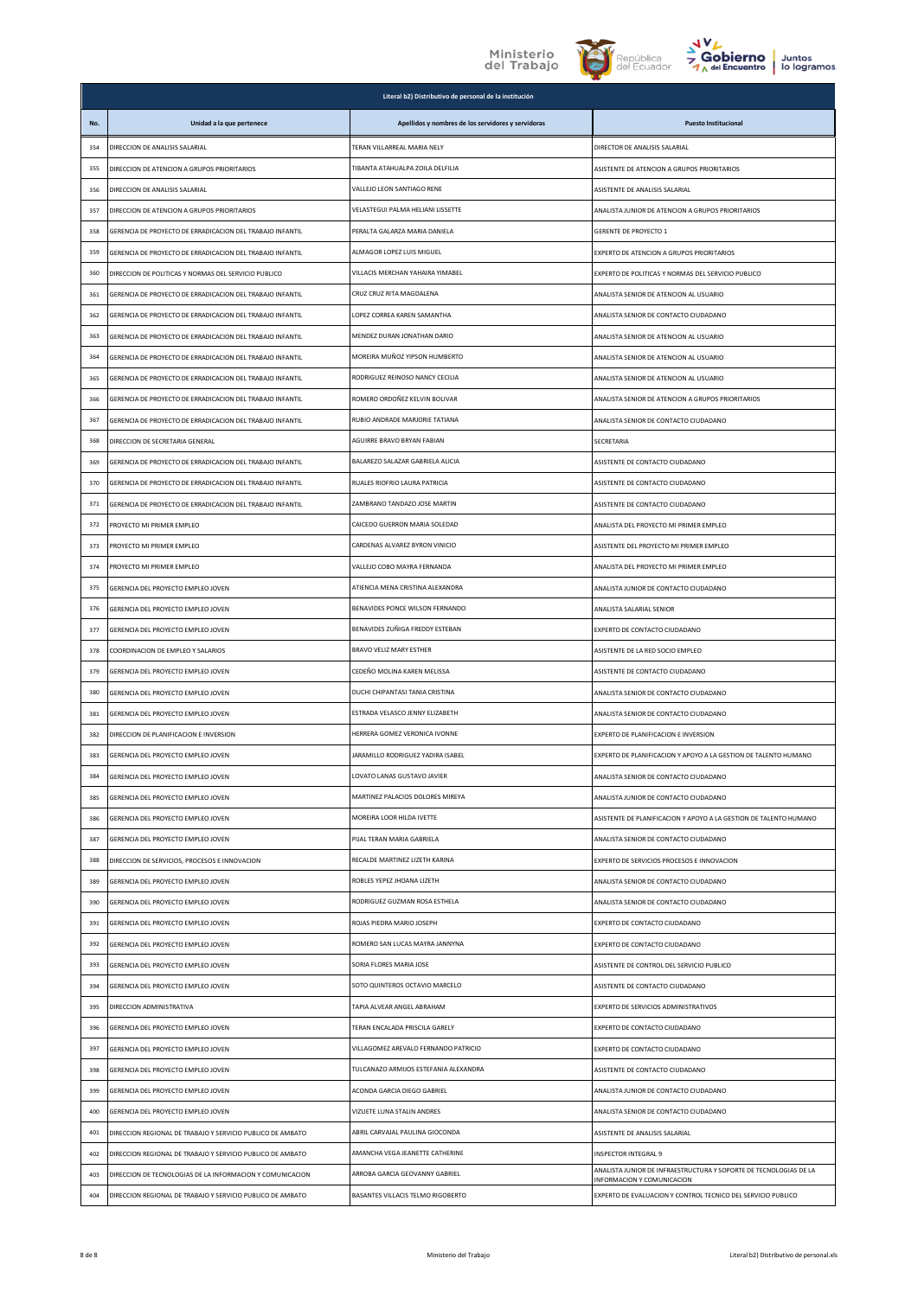





|     |                                                            | Literal b2) Distributivo de personal de la institución                        |                                                                                           |
|-----|------------------------------------------------------------|-------------------------------------------------------------------------------|-------------------------------------------------------------------------------------------|
| No. | Unidad a la que pertenece                                  | Apellidos y nombres de los servidores y servidoras                            | <b>Puesto Institucional</b>                                                               |
| 354 | DIRECCION DE ANALISIS SALARIAL                             | TERAN VILLARREAL MARIA NELY                                                   | DIRECTOR DE ANALISIS SALARIAL                                                             |
| 355 | DIRECCION DE ATENCION A GRUPOS PRIORITARIOS                | TIBANTA ATAHUALPA ZOILA DELFILIA                                              | ASISTENTE DE ATENCION A GRUPOS PRIORITARIOS                                               |
| 356 | DIRECCION DE ANALISIS SALARIAL                             | VALLEJO LEON SANTIAGO RENE                                                    | ASISTENTE DE ANALISIS SALARIAL                                                            |
| 357 | DIRECCION DE ATENCION A GRUPOS PRIORITARIOS                | VELASTEGUI PALMA HELIANI LISSETTE                                             | ANALISTA JUNIOR DE ATENCION A GRUPOS PRIORITARIOS                                         |
| 358 | GERENCIA DE PROYECTO DE ERRADICACION DEL TRABAJO INFANTIL  | PERALTA GALARZA MARIA DANIELA                                                 | <b>GERENTE DE PROYECTO 1</b>                                                              |
| 359 | GERENCIA DE PROYECTO DE ERRADICACION DEL TRABAJO INFANTIL  | ALMAGOR LOPEZ LUIS MIGUEL                                                     | EXPERTO DE ATENCION A GRUPOS PRIORITARIOS                                                 |
| 360 | DIRECCION DE POLITICAS Y NORMAS DEL SERVICIO PUBLICO       | VILLACIS MERCHAN YAHAIRA YIMABEL                                              | EXPERTO DE POLITICAS Y NORMAS DEL SERVICIO PUBLICO                                        |
| 361 | GERENCIA DE PROYECTO DE ERRADICACION DEL TRABAJO INFANTIL  | CRUZ CRUZ RITA MAGDALENA                                                      | ANALISTA SENIOR DE ATENCION AL USUARIO                                                    |
| 362 | GERENCIA DE PROYECTO DE ERRADICACION DEL TRABAJO INFANTIL  | LOPEZ CORREA KAREN SAMANTHA                                                   | ANALISTA SENIOR DE CONTACTO CIUDADANO                                                     |
| 363 | GERENCIA DE PROYECTO DE ERRADICACION DEL TRABAJO INFANTIL  | MENDEZ DURAN JONATHAN DARIO                                                   | ANALISTA SENIOR DE ATENCION AL USUARIO                                                    |
| 364 | GERENCIA DE PROYECTO DE ERRADICACION DEL TRABAJO INFANTIL  | MOREIRA MUÑOZ YIPSON HUMBERTO                                                 | ANALISTA SENIOR DE ATENCION AL USUARIO                                                    |
| 365 | GERENCIA DE PROYECTO DE ERRADICACION DEL TRABAJO INFANTIL  | RODRIGUEZ REINOSO NANCY CECILIA                                               | ANALISTA SENIOR DE ATENCION AL USUARIO                                                    |
| 366 | GERENCIA DE PROYECTO DE ERRADICACION DEL TRABAJO INFANTIL  | ROMERO ORDOÑEZ KELVIN BOLIVAR                                                 | ANALISTA SENIOR DE ATENCION A GRUPOS PRIORITARIOS                                         |
| 367 | GERENCIA DE PROYECTO DE ERRADICACION DEL TRABAJO INFANTIL  | RUBIO ANDRADE MARJORIE TATIANA                                                | ANALISTA SENIOR DE CONTACTO CIUDADANO                                                     |
| 368 | DIRECCION DE SECRETARIA GENERAL                            | AGUIRRE BRAVO BRYAN FABIAN                                                    | SECRETARIA                                                                                |
| 369 | GERENCIA DE PROYECTO DE ERRADICACION DEL TRABAJO INFANTIL  | BALAREZO SALAZAR GABRIELA ALICIA                                              | ASISTENTE DE CONTACTO CIUDADANO                                                           |
| 370 | GERENCIA DE PROYECTO DE ERRADICACION DEL TRABAJO INFANTIL  | RUALES RIOFRIO LAURA PATRICIA                                                 | ASISTENTE DE CONTACTO CIUDADANO                                                           |
| 371 | GERENCIA DE PROYECTO DE ERRADICACION DEL TRABAJO INFANTIL  | ZAMBRANO TANDAZO JOSE MARTIN                                                  | ASISTENTE DE CONTACTO CIUDADANO                                                           |
| 372 | PROYECTO MI PRIMER EMPLEO                                  | CAICEDO GUERRON MARIA SOLEDAD                                                 | ANALISTA DEL PROYECTO MI PRIMER EMPLEO                                                    |
| 373 | PROYECTO MI PRIMER EMPLEO                                  | CARDENAS ALVAREZ BYRON VINICIO                                                | ASISTENTE DEL PROYECTO MI PRIMER EMPLEO                                                   |
| 374 | PROYECTO MI PRIMER EMPLEO                                  | VALLEJO COBO MAYRA FERNANDA                                                   | ANALISTA DEL PROYECTO MI PRIMER EMPLEO                                                    |
| 375 | GERENCIA DEL PROYECTO EMPLEO JOVEN                         | ATIENCIA MENA CRISTINA ALEXANDRA                                              | ANALISTA JUNIOR DE CONTACTO CIUDADANO                                                     |
| 376 | GERENCIA DEL PROYECTO EMPLEO JOVEN                         | BENAVIDES PONCE WILSON FERNANDO                                               | ANALISTA SALARIAL SENIOR                                                                  |
| 377 | GERENCIA DEL PROYECTO EMPLEO JOVEN                         | BENAVIDES ZUÑIGA FREDDY ESTEBAN                                               | EXPERTO DE CONTACTO CIUDADANO                                                             |
| 378 | COORDINACION DE EMPLEO Y SALARIOS                          | BRAVO VELIZ MARY ESTHER                                                       | ASISTENTE DE LA RED SOCIO EMPLEO                                                          |
| 379 | GERENCIA DEL PROYECTO EMPLEO JOVEN                         | CEDEÑO MOLINA KAREN MELISSA                                                   | ASISTENTE DE CONTACTO CIUDADANO                                                           |
| 380 | GERENCIA DEL PROYECTO EMPLEO JOVEN                         | DUCHI CHIPANTASI TANIA CRISTINA                                               | ANALISTA SENIOR DE CONTACTO CIUDADANO                                                     |
| 381 | GERENCIA DEL PROYECTO EMPLEO JOVEN                         | ESTRADA VELASCO JENNY ELIZABETH                                               | ANALISTA SENIOR DE CONTACTO CIUDADANO                                                     |
| 382 | DIRECCION DE PLANIFICACION E INVERSION                     | HERRERA GOMEZ VERONICA IVONNE                                                 | EXPERTO DE PLANIFICACION E INVERSION                                                      |
| 383 | GERENCIA DEL PROYECTO EMPLEO JOVEN                         | JARAMILLO RODRIGUEZ YADIRA ISABEL                                             | EXPERTO DE PLANIFICACION Y APOYO A LA GESTION DE TALENTO HUMANO                           |
| 384 | GERENCIA DEL PROYECTO EMPLEO JOVEN                         | LOVATO LANAS GUSTAVO JAVIER                                                   | ANALISTA SENIOR DE CONTACTO CIUDADANO                                                     |
| 385 | GERENCIA DEL PROYECTO EMPLEO JOVEN                         | MARTINEZ PALACIOS DOLORES MIREYA                                              | ANALISTA JUNIOR DE CONTACTO CIUDADANO                                                     |
| 386 | GERENCIA DEL PROYECTO EMPLEO JOVEN                         | MOREIRA LOOR HILDA IVETTE                                                     | ASISTENTE DE PLANIFICACION Y APOYO A LA GESTION DE TALENTO HUMANO                         |
| 387 | GERENCIA DEL PROYECTO EMPLEO JOVEN                         | PIJAL TERAN MARIA GABRIELA                                                    | ANALISTA SENIOR DE CONTACTO CIUDADANO                                                     |
| 388 | DIRECCION DE SERVICIOS, PROCESOS E INNOVACION              | RECALDE MARTINEZ LIZETH KARINA                                                | EXPERTO DE SERVICIOS PROCESOS E INNOVACION                                                |
| 389 | GERENCIA DEL PROYECTO EMPLEO JOVEN                         | ROBLES YEPEZ JHOANA LIZETH                                                    | ANALISTA SENIOR DE CONTACTO CIUDADANO                                                     |
| 390 | GERENCIA DEL PROYECTO EMPLEO JOVEN                         | RODRIGUEZ GUZMAN ROSA ESTHELA                                                 | ANALISTA SENIOR DE CONTACTO CIUDADANO                                                     |
| 391 | GERENCIA DEL PROYECTO EMPLEO JOVEN                         | ROJAS PIEDRA MARIO JOSEPH                                                     | EXPERTO DE CONTACTO CIUDADANO                                                             |
| 392 | GERENCIA DEL PROYECTO EMPLEO JOVEN                         | ROMERO SAN LUCAS MAYRA JANNYNA                                                | EXPERTO DE CONTACTO CIUDADANO                                                             |
| 393 | GERENCIA DEL PROYECTO EMPLEO JOVEN                         | SORIA FLORES MARIA JOSE                                                       | ASISTENTE DE CONTROL DEL SERVICIO PUBLICO                                                 |
| 394 | GERENCIA DEL PROYECTO EMPLEO JOVEN                         | SOTO QUINTEROS OCTAVIO MARCELO                                                | ASISTENTE DE CONTACTO CIUDADANO                                                           |
| 395 | DIRECCION ADMINISTRATIVA                                   | TAPIA ALVEAR ANGEL ABRAHAM                                                    | EXPERTO DE SERVICIOS ADMINISTRATIVOS                                                      |
| 396 | GERENCIA DEL PROYECTO EMPLEO JOVEN                         | TERAN ENCALADA PRISCILA GARELY                                                | EXPERTO DE CONTACTO CIUDADANO                                                             |
| 397 | GERENCIA DEL PROYECTO EMPLEO JOVEN                         | VILLAGOMEZ AREVALO FERNANDO PATRICIO<br>TULCANAZO ARMIJOS ESTEFANIA ALEXANDRA | EXPERTO DE CONTACTO CIUDADANO                                                             |
| 398 | GERENCIA DEL PROYECTO EMPLEO JOVEN                         |                                                                               | ASISTENTE DE CONTACTO CIUDADANO                                                           |
| 399 | GERENCIA DEL PROYECTO EMPLEO JOVEN                         | ACONDA GARCIA DIEGO GABRIEL                                                   | ANALISTA JUNIOR DE CONTACTO CIUDADANO                                                     |
| 400 | GERENCIA DEL PROYECTO EMPLEO JOVEN                         | VIZUETE LUNA STALIN ANDRES                                                    | ANALISTA SENIOR DE CONTACTO CIUDADANO                                                     |
| 401 | DIRECCION REGIONAL DE TRABAJO Y SERVICIO PUBLICO DE AMBATO | ABRIL CARVAJAL PAULINA GIOCONDA                                               | ASISTENTE DE ANALISIS SALARIAL                                                            |
| 402 | DIRECCION REGIONAL DE TRABAJO Y SERVICIO PUBLICO DE AMBATO | AMANCHA VEGA JEANETTE CATHERINE                                               | INSPECTOR INTEGRAL 9<br>ANALISTA JUNIOR DE INFRAESTRUCTURA Y SOPORTE DE TECNOLOGIAS DE LA |
| 403 | DIRECCION DE TECNOLOGIAS DE LA INFORMACION Y COMUNICACION  | ARROBA GARCIA GEOVANNY GABRIEL<br>BASANTES VILLACIS TELMO RIGOBERTO           | INFORMACION Y COMUNICACION                                                                |
| 404 | DIRECCION REGIONAL DE TRABAJO Y SERVICIO PUBLICO DE AMBATO |                                                                               | EXPERTO DE EVALUACION Y CONTROL TECNICO DEL SERVICIO PUBLICO                              |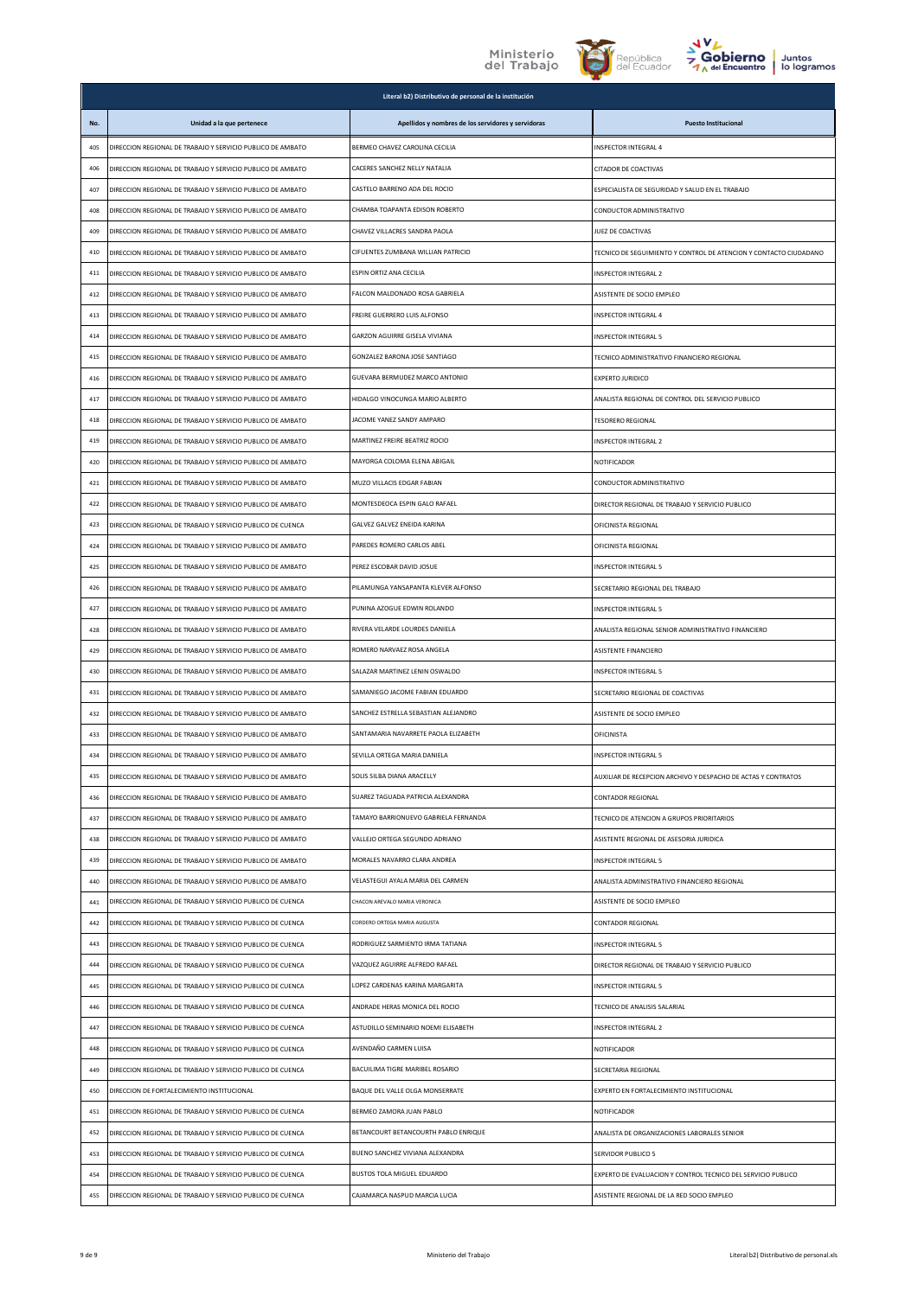





|     |                                                            | Literal b2) Distributivo de personal de la institución |                                                                   |
|-----|------------------------------------------------------------|--------------------------------------------------------|-------------------------------------------------------------------|
| No. | Unidad a la que pertenece                                  | Apellidos y nombres de los servidores y servidoras     | <b>Puesto Institucional</b>                                       |
| 405 | DIRECCION REGIONAL DE TRABAJO Y SERVICIO PUBLICO DE AMBATO | BERMEO CHAVEZ CAROLINA CECILIA                         | INSPECTOR INTEGRAL 4                                              |
| 406 | DIRECCION REGIONAL DE TRABAJO Y SERVICIO PUBLICO DE AMBATO | CACERES SANCHEZ NELLY NATALIA                          | <b>CITADOR DE COACTIVAS</b>                                       |
| 407 | DIRECCION REGIONAL DE TRABAJO Y SERVICIO PUBLICO DE AMBATO | CASTELO BARRENO ADA DEL ROCIO                          | ESPECIALISTA DE SEGURIDAD Y SALUD EN EL TRABAJO                   |
| 408 | DIRECCION REGIONAL DE TRABAJO Y SERVICIO PUBLICO DE AMBATO | CHAMBA TOAPANTA EDISON ROBERTO                         | CONDUCTOR ADMINISTRATIVO                                          |
| 409 | DIRECCION REGIONAL DE TRABAJO Y SERVICIO PUBLICO DE AMBATO | CHAVEZ VILLACRES SANDRA PAOLA                          | JUEZ DE COACTIVAS                                                 |
| 410 | DIRECCION REGIONAL DE TRABAJO Y SERVICIO PUBLICO DE AMBATO | CIFUENTES ZUMBANA WILLIAN PATRICIO                     | TECNICO DE SEGUIMIENTO Y CONTROL DE ATENCIÓN Y CONTACTO CIUDADANO |
| 411 | DIRECCION REGIONAL DE TRABAJO Y SERVICIO PUBLICO DE AMBATO | ESPIN ORTIZ ANA CECILIA                                | <b>INSPECTOR INTEGRAL 2</b>                                       |
| 412 | DIRECCION REGIONAL DE TRABAJO Y SERVICIO PUBLICO DE AMBATO | FALCON MALDONADO ROSA GABRIELA                         | ASISTENTE DE SOCIO EMPLEO                                         |
| 413 | DIRECCION REGIONAL DE TRABAJO Y SERVICIO PUBLICO DE AMBATO | FREIRE GUERRERO LUIS ALFONSO                           | <b>INSPECTOR INTEGRAL 4</b>                                       |
| 414 | DIRECCION REGIONAL DE TRABAJO Y SERVICIO PUBLICO DE AMBATO | GARZON AGUIRRE GISELA VIVIANA                          | <b>INSPECTOR INTEGRAL 5</b>                                       |
| 415 | DIRECCION REGIONAL DE TRABAJO Y SERVICIO PUBLICO DE AMBATO | GONZALEZ BARONA JOSE SANTIAGO                          | TECNICO ADMINISTRATIVO FINANCIERO REGIONAL                        |
| 416 | DIRECCION REGIONAL DE TRABAJO Y SERVICIO PUBLICO DE AMBATO | GUEVARA BERMUDEZ MARCO ANTONIO                         | <b>EXPERTO JURIDICO</b>                                           |
| 417 | DIRECCION REGIONAL DE TRABAJO Y SERVICIO PUBLICO DE AMBATO | HIDALGO VINOCUNGA MARIO ALBERTO                        | ANALISTA REGIONAL DE CONTROL DEL SERVICIO PUBLICO                 |
| 418 | DIRECCION REGIONAL DE TRABAJO Y SERVICIO PUBLICO DE AMBATO | JACOME YANEZ SANDY AMPARO                              | <b>TESORERO REGIONAL</b>                                          |
| 419 | DIRECCION REGIONAL DE TRABAJO Y SERVICIO PUBLICO DE AMBATO | MARTINEZ FREIRE BEATRIZ ROCIO                          | INSPECTOR INTEGRAL 2                                              |
| 420 | DIRECCION REGIONAL DE TRABAJO Y SERVICIO PUBLICO DE AMBATO | MAYORGA COLOMA ELENA ABIGAIL                           | NOTIFICADOR                                                       |
| 421 | DIRECCION REGIONAL DE TRABAJO Y SERVICIO PUBLICO DE AMBATO | MUZO VILLACIS EDGAR FABIAN                             | CONDUCTOR ADMINISTRATIVO                                          |
| 422 | DIRECCION REGIONAL DE TRABAJO Y SERVICIO PUBLICO DE AMBATO | MONTESDEOCA ESPIN GALO RAFAEL                          | DIRECTOR REGIONAL DE TRABAJO Y SERVICIO PUBLICO                   |
| 423 | DIRECCION REGIONAL DE TRABAJO Y SERVICIO PUBLICO DE CUENCA | GALVEZ GALVEZ ENEIDA KARINA                            | OFICINISTA REGIONAL                                               |
| 424 | DIRECCION REGIONAL DE TRABAJO Y SERVICIO PUBLICO DE AMBATO | PAREDES ROMERO CARLOS ABEL                             | OFICINISTA REGIONAL                                               |
| 425 | DIRECCION REGIONAL DE TRABAJO Y SERVICIO PUBLICO DE AMBATO | PEREZ ESCOBAR DAVID JOSUE                              | <b>INSPECTOR INTEGRAL 5</b>                                       |
| 426 | DIRECCION REGIONAL DE TRABAJO Y SERVICIO PUBLICO DE AMBATO | PILAMUNGA YANSAPANTA KLEVER ALFONSO                    | SECRETARIO REGIONAL DEL TRABAJO                                   |
| 427 | DIRECCION REGIONAL DE TRABAJO Y SERVICIO PUBLICO DE AMBATO | PUNINA AZOGUE EDWIN ROLANDO                            | <b>INSPECTOR INTEGRAL 5</b>                                       |
| 428 | DIRECCION REGIONAL DE TRABAJO Y SERVICIO PUBLICO DE AMBATO | RIVERA VELARDE LOURDES DANIELA                         | ANALISTA REGIONAL SENIOR ADMINISTRATIVO FINANCIERO                |
| 429 | DIRECCION REGIONAL DE TRABAJO Y SERVICIO PUBLICO DE AMBATO | ROMERO NARVAEZ ROSA ANGELA                             | ASISTENTE FINANCIERO                                              |
| 430 | DIRECCION REGIONAL DE TRABAJO Y SERVICIO PUBLICO DE AMBATO | SALAZAR MARTINEZ LENIN OSWALDO                         | <b>INSPECTOR INTEGRAL 5</b>                                       |
| 431 | DIRECCION REGIONAL DE TRABAJO Y SERVICIO PUBLICO DE AMBATO | SAMANIEGO IACOME FABIAN EDUARDO                        | SECRETARIO REGIONAL DE COACTIVAS                                  |
| 432 | DIRECCION REGIONAL DE TRABAJO Y SERVICIO PUBLICO DE AMBATO | SANCHEZ ESTRELLA SEBASTIAN ALEJANDRO                   | ASISTENTE DE SOCIO EMPLEO                                         |
| 433 | DIRECCION REGIONAL DE TRABAJO Y SERVICIO PUBLICO DE AMBATO | SANTAMARIA NAVARRETE PAOLA ELIZABETH                   | OFICINISTA                                                        |
| 434 | DIRECCION REGIONAL DE TRABAJO Y SERVICIO PUBLICO DE AMBATO | SEVILLA ORTEGA MARIA DANIELA                           | INSPECTOR INTEGRAL 5                                              |
| 435 | DIRECCION REGIONAL DE TRABAJO Y SERVICIO PUBLICO DE AMBATO | SOLIS SILBA DIANA ARACELLY                             | AUXILIAR DE RECEPCION ARCHIVO Y DESPACHO DE ACTAS Y CONTRATOS     |
| 436 | DIRECCION REGIONAL DE TRABAJO Y SERVICIO PUBLICO DE AMBATO | SUAREZ TAGUADA PATRICIA ALEXANDRA                      | CONTADOR REGIONAL                                                 |
| 437 | DIRECCION REGIONAL DE TRABAJO Y SERVICIO PUBLICO DE AMBATO | TAMAYO BARRIONUEVO GABRIELA FERNANDA                   | TECNICO DE ATENCION A GRUPOS PRIORITARIOS                         |
| 438 | DIRECCION REGIONAL DE TRABAJO Y SERVICIO PUBLICO DE AMBATO | VALLEJO ORTEGA SEGUNDO ADRIANO                         | ASISTENTE REGIONAL DE ASESORIA JURIDICA                           |
| 439 | DIRECCION REGIONAL DE TRABAJO Y SERVICIO PUBLICO DE AMBATO | MORALES NAVARRO CLARA ANDREA                           | <b>INSPECTOR INTEGRAL 5</b>                                       |
| 440 | DIRECCION REGIONAL DE TRABAJO Y SERVICIO PUBLICO DE AMBATO | VELASTEGUI AYALA MARIA DEL CARMEN                      | ANALISTA ADMINISTRATIVO FINANCIERO REGIONAL                       |
| 441 | DIRECCION REGIONAL DE TRABAJO Y SERVICIO PUBLICO DE CUENCA | CHACON AREVALO MARIA VERONICA                          | ASISTENTE DE SOCIO EMPLEO                                         |
| 442 | DIRECCION REGIONAL DE TRABAJO Y SERVICIO PUBLICO DE CUENCA | CORDERO ORTEGA MARIA AUGUSTA                           | CONTADOR REGIONAL                                                 |
| 443 | DIRECCION REGIONAL DE TRABAJO Y SERVICIO PUBLICO DE CUENCA | RODRIGUEZ SARMIENTO IRMA TATIANA                       | INSPECTOR INTEGRAL 5                                              |
| 444 | DIRECCION REGIONAL DE TRABAJO Y SERVICIO PUBLICO DE CUENCA | VAZQUEZ AGUIRRE ALFREDO RAFAEL                         | DIRECTOR REGIONAL DE TRABAJO Y SERVICIO PUBLICO                   |
| 445 | DIRECCION REGIONAL DE TRABAJO Y SERVICIO PUBLICO DE CUENCA | LOPEZ CARDENAS KARINA MARGARITA                        | <b>INSPECTOR INTEGRAL 5</b>                                       |
| 446 | DIRECCION REGIONAL DE TRABAJO Y SERVICIO PUBLICO DE CUENCA | ANDRADE HERAS MONICA DEL ROCIO                         | TECNICO DE ANALISIS SALARIAL                                      |
| 447 | DIRECCION REGIONAL DE TRABAJO Y SERVICIO PUBLICO DE CUENCA | ASTUDILLO SEMINARIO NOEMI ELISABETH                    | INSPECTOR INTEGRAL 2                                              |
| 448 | DIRECCION REGIONAL DE TRABAJO Y SERVICIO PUBLICO DE CUENCA | AVENDAÑO CARMEN LUISA                                  | NOTIFICADOR                                                       |
| 449 | DIRECCION REGIONAL DE TRABAJO Y SERVICIO PUBLICO DE CUENCA | BACUILIMA TIGRE MARIBEL ROSARIO                        | SECRETARIA REGIONAL                                               |
| 450 | DIRECCION DE FORTALECIMIENTO INSTITUCIONAL                 | BAQUE DEL VALLE OLGA MONSERRATE                        | EXPERTO EN FORTALECIMIENTO INSTITUCIONAL                          |
| 451 | DIRECCION REGIONAL DE TRABAJO Y SERVICIO PUBLICO DE CUENCA | BERMEO ZAMORA JUAN PABLO                               | NOTIFICADOR                                                       |
| 452 | DIRECCION REGIONAL DE TRABAJO Y SERVICIO PUBLICO DE CUENCA | BETANCOURT BETANCOURTH PABLO ENRIQUE                   | ANALISTA DE ORGANIZACIONES LABORALES SENIOR                       |
| 453 | DIRECCION REGIONAL DE TRABAJO Y SERVICIO PUBLICO DE CUENCA | BUENO SANCHEZ VIVIANA ALEXANDRA                        | SERVIDOR PUBLICO 5                                                |
| 454 | DIRECCION REGIONAL DE TRABAJO Y SERVICIO PUBLICO DE CUENCA | BUSTOS TOLA MIGUEL EDUARDO                             | EXPERTO DE EVALUACION Y CONTROL TECNICO DEL SERVICIO PUBLICO      |
| 455 | DIRECCION REGIONAL DE TRABAJO Y SERVICIO PUBLICO DE CUENCA | CAJAMARCA NASPUD MARCIA LUCIA                          | ASISTENTE REGIONAL DE LA RED SOCIO EMPLEO                         |
|     |                                                            |                                                        |                                                                   |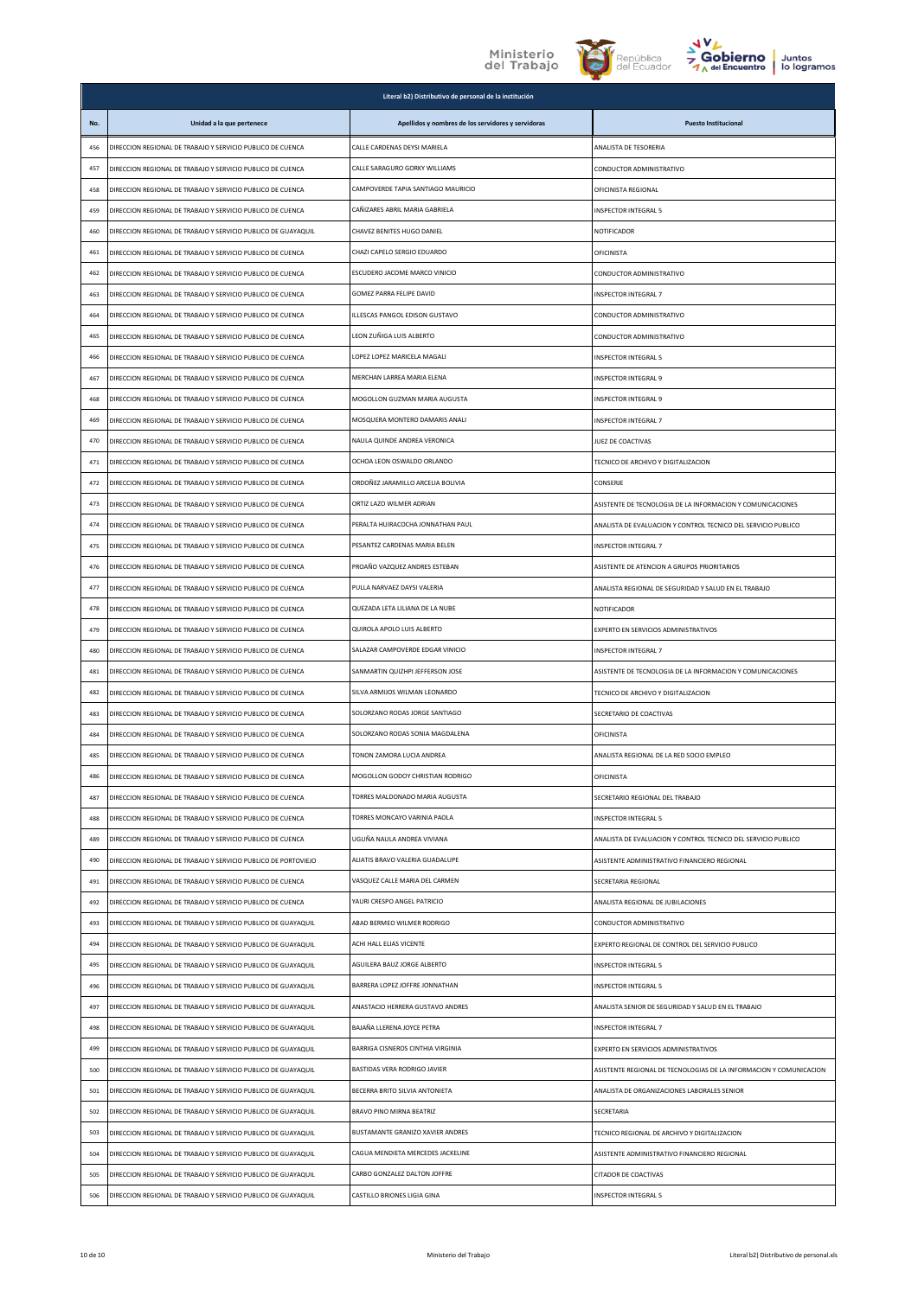





|     |                                                                | Literal b2) Distributivo de personal de la institución |                                                                    |
|-----|----------------------------------------------------------------|--------------------------------------------------------|--------------------------------------------------------------------|
| No. | Unidad a la que pertenece                                      | Apellidos y nombres de los servidores y servidoras     | <b>Puesto Institucional</b>                                        |
| 456 | DIRECCION REGIONAL DE TRABAJO Y SERVICIO PUBLICO DE CUENCA     | CALLE CARDENAS DEYSI MARIELA                           | ANALISTA DE TESORERIA                                              |
| 457 | DIRECCION REGIONAL DE TRABAJO Y SERVICIO PUBLICO DE CUENCA     | CALLE SARAGURO GORKY WILLIAMS                          | CONDUCTOR ADMINISTRATIVO                                           |
| 458 | DIRECCION REGIONAL DE TRABAJO Y SERVICIO PUBLICO DE CUENCA     | CAMPOVERDE TAPIA SANTIAGO MAURICIO                     | OFICINISTA REGIONAL                                                |
| 459 | DIRECCION REGIONAL DE TRABAJO Y SERVICIO PUBLICO DE CUENCA     | CAÑIZARES ABRIL MARIA GABRIELA                         | <b>INSPECTOR INTEGRAL 5</b>                                        |
| 460 | DIRECCION REGIONAL DE TRABAJO Y SERVICIO PUBLICO DE GUAYAQUIL  | CHAVEZ BENITES HUGO DANIEL                             | NOTIFICADOR                                                        |
| 461 | DIRECCION REGIONAL DE TRABAJO Y SERVICIO PUBLICO DE CUENCA     | CHAZI CAPELO SERGIO EDUARDO                            | <b>OFICINISTA</b>                                                  |
| 462 | DIRECCION REGIONAL DE TRABAJO Y SERVICIO PUBLICO DE CUENCA     | ESCUDERO JACOME MARCO VINICIO                          | CONDUCTOR ADMINISTRATIVO                                           |
| 463 | DIRECCION REGIONAL DE TRABAJO Y SERVICIO PUBLICO DE CUENCA     | <b>GOMEZ PARRA FELIPE DAVID</b>                        | <b>INSPECTOR INTEGRAL 7</b>                                        |
| 464 | DIRECCION REGIONAL DE TRABAJO Y SERVICIO PUBLICO DE CUENCA     | ILLESCAS PANGOL EDISON GUSTAVO                         | CONDUCTOR ADMINISTRATIVO                                           |
| 465 | DIRECCION REGIONAL DE TRABAJO Y SERVICIO PUBLICO DE CUENCA     | LEON ZUÑIGA LUIS ALBERTO                               | CONDUCTOR ADMINISTRATIVO                                           |
| 466 | DIRECCION REGIONAL DE TRABAJO Y SERVICIO PUBLICO DE CUENCA     | LOPEZ LOPEZ MARICELA MAGALI                            | <b>INSPECTOR INTEGRAL 5</b>                                        |
| 467 | DIRECCION REGIONAL DE TRABAJO Y SERVICIO PUBLICO DE CUENCA     | MERCHAN LARREA MARIA ELENA                             | <b>INSPECTOR INTEGRAL 9</b>                                        |
| 468 | DIRECCION REGIONAL DE TRABAJO Y SERVICIO PUBLICO DE CUENCA     | MOGOLLON GUZMAN MARIA AUGUSTA                          | INSPECTOR INTEGRAL 9                                               |
| 469 | DIRECCION REGIONAL DE TRABAJO Y SERVICIO PUBLICO DE CUENCA     | MOSQUERA MONTERO DAMARIS ANALI                         | INSPECTOR INTEGRAL 7                                               |
| 470 | DIRECCION REGIONAL DE TRABAJO Y SERVICIO PUBLICO DE CUENCA     | NAULA QUINDE ANDREA VERONICA                           | JUEZ DE COACTIVAS                                                  |
| 471 | DIRECCION REGIONAL DE TRABAJO Y SERVICIO PUBLICO DE CUENCA     | OCHOA LEON OSWALDO ORLANDO                             | TECNICO DE ARCHIVO Y DIGITALIZACION                                |
| 472 | DIRECCION REGIONAL DE TRABAJO Y SERVICIO PUBLICO DE CUENCA     | ORDOÑEZ JARAMILLO ARCELIA BOLIVIA                      | CONSERJE                                                           |
| 473 | DIRECCION REGIONAL DE TRABAJO Y SERVICIO PUBLICO DE CUENCA     | ORTIZ LAZO WILMER ADRIAN                               | ASISTENTE DE TECNOLOGIA DE LA INFORMACION Y COMUNICACIONES         |
| 474 | DIRECCION REGIONAL DE TRABAJO Y SERVICIO PUBLICO DE CUENCA     | PERALTA HUIRACOCHA JONNATHAN PAUL                      | ANALISTA DE EVALUACIÓN Y CONTROL TECNICO DEL SERVICIO PUBLICO      |
| 475 | DIRECCION REGIONAL DE TRABAJO Y SERVICIO PUBLICO DE CUENCA     | PESANTEZ CARDENAS MARIA BELEN                          | INSPECTOR INTEGRAL 7                                               |
| 476 | DIRECCION REGIONAL DE TRABAJO Y SERVICIO PUBLICO DE CUENCA     | PROAÑO VAZQUEZ ANDRES ESTEBAN                          | ASISTENTE DE ATENCION A GRUPOS PRIORITARIOS                        |
| 477 | DIRECCION REGIONAL DE TRABAJO Y SERVICIO PUBLICO DE CUENCA     | PULLA NARVAEZ DAYSI VALERIA                            | ANALISTA REGIONAL DE SEGURIDAD Y SALUD EN EL TRABAJO               |
| 478 | DIRECCION REGIONAL DE TRABAJO Y SERVICIO PUBLICO DE CUENCA     | QUEZADA LETA LILIANA DE LA NUBE                        | NOTIFICADOR                                                        |
| 479 | DIRECCION REGIONAL DE TRABAJO Y SERVICIO PUBLICO DE CUENCA     | QUIROLA APOLO LUIS ALBERTO                             | EXPERTO EN SERVICIOS ADMINISTRATIVOS                               |
| 480 | DIRECCION REGIONAL DE TRABAJO Y SERVICIO PUBLICO DE CUENCA     | SALAZAR CAMPOVERDE EDGAR VINICIO                       | <b>INSPECTOR INTEGRAL 7</b>                                        |
| 481 | DIRECCION REGIONAL DE TRABAJO Y SERVICIO PUBLICO DE CUENCA     | SANMARTIN QUIZHPI JEFFERSON JOSE                       | ASISTENTE DE TECNOLOGIA DE LA INFORMACION Y COMUNICACIONES         |
| 482 | DIRECCION REGIONAL DE TRABAJO Y SERVICIO PUBLICO DE CUENCA     | SILVA ARMIJOS WILMAN LEONARDO                          | TECNICO DE ARCHIVO Y DIGITALIZACION                                |
| 483 | DIRECCION REGIONAL DE TRABAJO Y SERVICIO PUBLICO DE CUENCA     | SOLORZANO RODAS JORGE SANTIAGO                         | SECRETARIO DE COACTIVAS                                            |
| 484 | DIRECCION REGIONAL DE TRABAJO Y SERVICIO PUBLICO DE CUENCA     | SOLORZANO RODAS SONIA MAGDALENA                        | OFICINISTA                                                         |
| 485 | DIRECCION REGIONAL DE TRABAJO Y SERVICIO PUBLICO DE CUENCA     | TONON ZAMORA LUCIA ANDREA                              | ANALISTA REGIONAL DE LA RED SOCIO EMPLEO                           |
| 486 | DIRECCION REGIONAL DE TRABAJO Y SERVICIO PUBLICO DE CUENCA     | MOGOLLON GODOY CHRISTIAN RODRIGO                       | OFICINISTA                                                         |
| 487 | DIRECCION REGIONAL DE TRABAJO Y SERVICIO PUBLICO DE CUENCA     | TORRES MALDONADO MARIA AUGUSTA                         | SECRETARIO REGIONAL DEL TRABAJO                                    |
| 488 | DIRECCION REGIONAL DE TRABAJO Y SERVICIO PUBLICO DE CUENCA     | TORRES MONCAYO VARINIA PAOLA                           | <b>NSPECTOR INTEGRAL 5</b>                                         |
| 489 | DIRECCION REGIONAL DE TRABAJO Y SERVICIO PUBLICO DE CUENCA     | UGUÑA NAULA ANDREA VIVIANA                             | ANALISTA DE EVALUACIÓN Y CONTROL TECNICO DEL SERVICIO PUBLICO      |
| 490 | DIRECCION REGIONAL DE TRABAJO Y SERVICIO PUBLICO DE PORTOVIEJO | ALIATIS BRAVO VALERIA GUADALUPE                        | ASISTENTE ADMINISTRATIVO FINANCIERO REGIONAL                       |
| 491 | DIRECCION REGIONAL DE TRABAJO Y SERVICIO PUBLICO DE CUENCA     | VASQUEZ CALLE MARIA DEL CARMEN                         | SECRETARIA REGIONAL                                                |
| 492 | DIRECCION REGIONAL DE TRABAJO Y SERVICIO PUBLICO DE CUENCA     | YAURI CRESPO ANGEL PATRICIO                            | ANALISTA REGIONAL DE JUBILACIONES                                  |
| 493 | DIRECCION REGIONAL DE TRABAJO Y SERVICIO PUBLICO DE GUAYAQUIL  | ABAD BERMEO WILMER RODRIGO                             | CONDUCTOR ADMINISTRATIVO                                           |
| 494 | DIRECCION REGIONAL DE TRABAJO Y SERVICIO PUBLICO DE GUAYAQUIL  | ACHI HALL ELIAS VICENTE                                | EXPERTO REGIONAL DE CONTROL DEL SERVICIO PUBLICO                   |
| 495 | DIRECCION REGIONAL DE TRABAJO Y SERVICIO PUBLICO DE GUAYAQUIL  | AGUILERA BAUZ JORGE ALBERTO                            | INSPECTOR INTEGRAL 5                                               |
| 496 | DIRECCION REGIONAL DE TRABAJO Y SERVICIO PUBLICO DE GUAYAQUIL  | BARRERA LOPEZ JOFFRE JONNATHAN                         | INSPECTOR INTEGRAL 5                                               |
| 497 | DIRECCION REGIONAL DE TRABAJO Y SERVICIO PUBLICO DE GUAYAQUIL  | ANASTACIO HERRERA GUSTAVO ANDRES                       | ANALISTA SENIOR DE SEGURIDAD Y SALUD EN EL TRABAJO                 |
| 498 | DIRECCION REGIONAL DE TRABAJO Y SERVICIO PUBLICO DE GUAYAQUIL  | BAJAÑA LLERENA JOYCE PETRA                             | INSPECTOR INTEGRAL 7                                               |
| 499 | DIRECCION REGIONAL DE TRABAJO Y SERVICIO PUBLICO DE GUAYAQUIL  | BARRIGA CISNEROS CINTHIA VIRGINIA                      | EXPERTO EN SERVICIOS ADMINISTRATIVOS                               |
| 500 | DIRECCION REGIONAL DE TRABAJO Y SERVICIO PUBLICO DE GUAYAQUIL  | BASTIDAS VERA RODRIGO JAVIER                           | ASISTENTE REGIONAL DE TECNOLOGIAS DE LA INFORMACION Y COMUNICACION |
| 501 | DIRECCION REGIONAL DE TRABAJO Y SERVICIO PUBLICO DE GUAYAQUIL  | BECERRA BRITO SILVIA ANTONIETA                         | ANALISTA DE ORGANIZACIONES LABORALES SENIOR                        |
| 502 | DIRECCION REGIONAL DE TRABAJO Y SERVICIO PUBLICO DE GUAYAQUIL  | BRAVO PINO MIRNA BEATRIZ                               | SECRETARIA                                                         |
| 503 | DIRECCION REGIONAL DE TRABAJO Y SERVICIO PUBLICO DE GUAYAQUIL  | BUSTAMANTE GRANIZO XAVIER ANDRES                       | TECNICO REGIONAL DE ARCHIVO Y DIGITALIZACION                       |
| 504 | DIRECCION REGIONAL DE TRABAJO Y SERVICIO PUBLICO DE GUAYAQUIL  | CAGUA MENDIETA MERCEDES JACKELINE                      | ASISTENTE ADMINISTRATIVO FINANCIERO REGIONAL                       |
| 505 | DIRECCION REGIONAL DE TRABAJO Y SERVICIO PUBLICO DE GUAYAQUIL  | CARBO GONZALEZ DALTON JOFFRE                           | CITADOR DE COACTIVAS                                               |
| 506 | DIRECCION REGIONAL DE TRABAJO Y SERVICIO PUBLICO DE GUAYAQUIL  | CASTILLO BRIONES LIGIA GINA                            | INSPECTOR INTEGRAL 5                                               |
|     |                                                                |                                                        |                                                                    |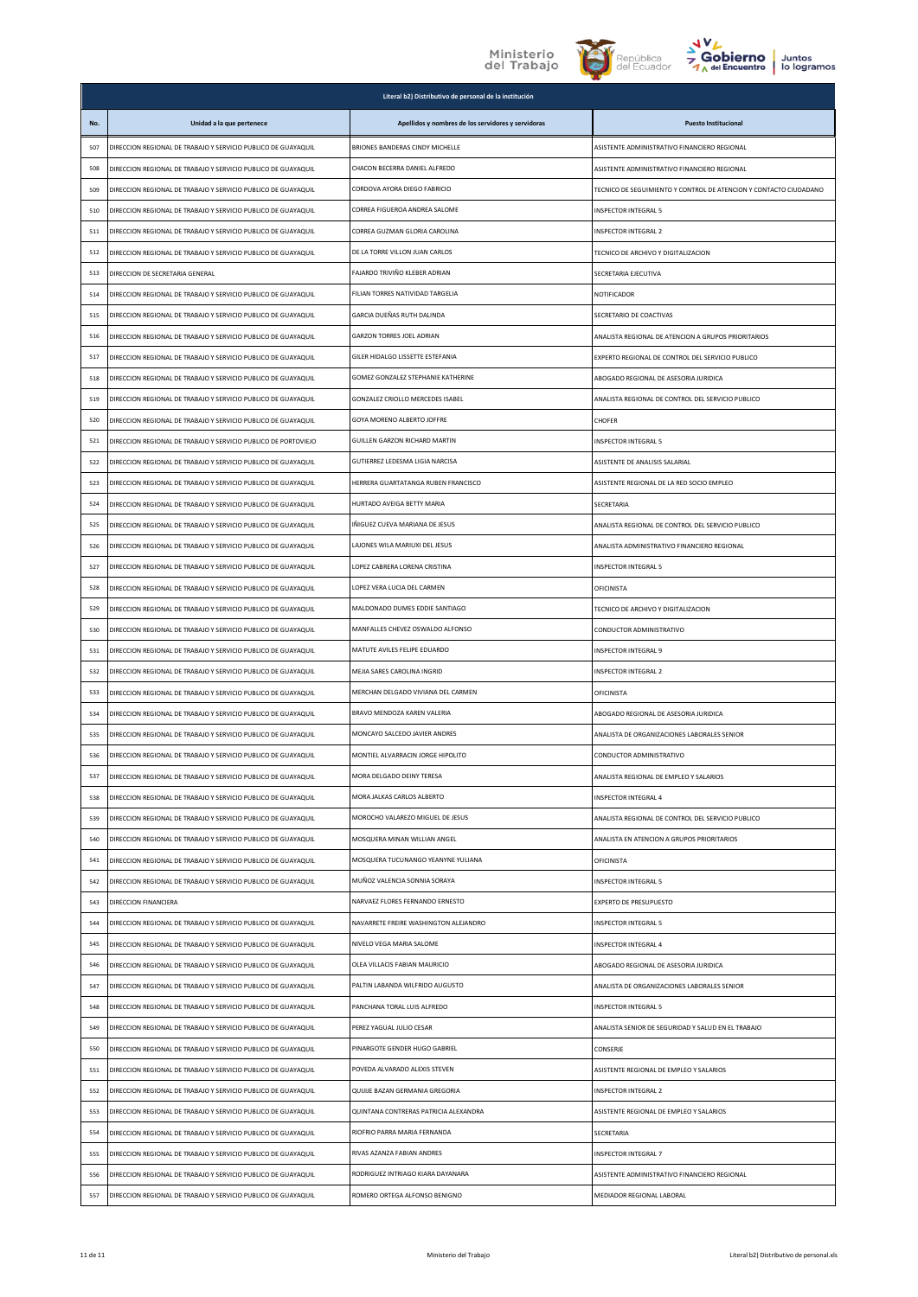





|     |                                                                | Literal b2) Distributivo de personal de la institución |                                                                   |
|-----|----------------------------------------------------------------|--------------------------------------------------------|-------------------------------------------------------------------|
| No. | Unidad a la que pertenece                                      | Apellidos y nombres de los servidores y servidoras     | <b>Puesto Institucional</b>                                       |
| 507 | DIRECCION REGIONAL DE TRABAJO Y SERVICIO PUBLICO DE GUAYAQUIL  | BRIONES BANDERAS CINDY MICHELLE                        | ASISTENTE ADMINISTRATIVO FINANCIERO REGIONAL                      |
| 508 | DIRECCION REGIONAL DE TRABAJO Y SERVICIO PUBLICO DE GUAYAQUIL  | CHACON BECERRA DANIEL ALFREDO                          | ASISTENTE ADMINISTRATIVO FINANCIERO REGIONAL                      |
| 509 | DIRECCION REGIONAL DE TRABAJO Y SERVICIO PUBLICO DE GUAYAQUIL  | CORDOVA AYORA DIEGO FABRICIO                           | TECNICO DE SEGUIMIENTO Y CONTROL DE ATENCION Y CONTACTO CIUDADANO |
| 510 | DIRECCION REGIONAL DE TRABAJO Y SERVICIO PUBLICO DE GUAYAQUIL  | CORREA FIGUEROA ANDREA SALOME                          | <b>INSPECTOR INTEGRAL 5</b>                                       |
| 511 | DIRECCION REGIONAL DE TRABAJO Y SERVICIO PUBLICO DE GUAYAQUIL  | CORREA GUZMAN GLORIA CAROLINA                          | INSPECTOR INTEGRAL 2                                              |
| 512 | DIRECCION REGIONAL DE TRABAJO Y SERVICIO PUBLICO DE GUAYAQUIL  | DE LA TORRE VILLON JUAN CARLOS                         | TECNICO DE ARCHIVO Y DIGITALIZACION                               |
| 513 | DIRECCION DE SECRETARIA GENERAL                                | FAJARDO TRIVIÑO KLEBER ADRIAN                          | SECRETARIA EJECUTIVA                                              |
| 514 | DIRECCION REGIONAL DE TRABAJO Y SERVICIO PUBLICO DE GUAYAQUIL  | FILIAN TORRES NATIVIDAD TARGELIA                       | NOTIFICADOR                                                       |
| 515 | DIRECCION REGIONAL DE TRABAJO Y SERVICIO PUBLICO DE GUAYAQUIL  | <b>GARCIA DUEÑAS RUTH DALINDA</b>                      | SECRETARIO DE COACTIVAS                                           |
| 516 | DIRECCION REGIONAL DE TRABAJO Y SERVICIO PUBLICO DE GUAYAQUIL  | <b>GARZON TORRES JOEL ADRIAN</b>                       | ANALISTA REGIONAL DE ATENCION A GRUPOS PRIORITARIOS               |
| 517 | DIRECCION REGIONAL DE TRABAJO Y SERVICIO PUBLICO DE GUAYAQUIL  | GILER HIDALGO LISSETTE ESTEFANIA                       | EXPERTO REGIONAL DE CONTROL DEL SERVICIO PUBLICO                  |
| 518 | DIRECCION REGIONAL DE TRABAJO Y SERVICIO PUBLICO DE GUAYAQUIL  | GOMEZ GONZALEZ STEPHANIE KATHERINE                     | ABOGADO REGIONAL DE ASESORIA JURIDICA                             |
| 519 | DIRECCION REGIONAL DE TRABAJO Y SERVICIO PUBLICO DE GUAYAQUIL  | GONZALEZ CRIOLLO MERCEDES ISABEL                       | ANALISTA REGIONAL DE CONTROL DEL SERVICIO PUBLICO                 |
| 520 | DIRECCION REGIONAL DE TRABAJO Y SERVICIO PUBLICO DE GUAYAQUIL  | GOYA MORENO ALBERTO JOFFRE                             | CHOFER                                                            |
| 521 | DIRECCION REGIONAL DE TRABAJO Y SERVICIO PUBLICO DE PORTOVIEJO | GUILLEN GARZON RICHARD MARTIN                          | INSPECTOR INTEGRAL 5                                              |
| 522 | DIRECCION REGIONAL DE TRABAJO Y SERVICIO PUBLICO DE GUAYAQUIL  | GUTIERREZ LEDESMA LIGIA NARCISA                        | ASISTENTE DE ANALISIS SALARIAL                                    |
| 523 | DIRECCION REGIONAL DE TRABAJO Y SERVICIO PUBLICO DE GUAYAQUIL  | HERRERA GUARTATANGA RUBEN FRANCISCO                    | ASISTENTE REGIONAL DE LA RED SOCIO EMPLEO                         |
| 524 | DIRECCION REGIONAL DE TRABAJO Y SERVICIO PUBLICO DE GUAYAQUIL  | HURTADO AVEIGA BETTY MARIA                             | SECRETARIA                                                        |
| 525 | DIRECCION REGIONAL DE TRABAJO Y SERVICIO PUBLICO DE GUAYAQUIL  | IÑIGUEZ CUEVA MARIANA DE JESUS                         | ANALISTA REGIONAL DE CONTROL DEL SERVICIO PUBLICO                 |
| 526 | DIRECCION REGIONAL DE TRABAJO Y SERVICIO PUBLICO DE GUAYAQUIL  | LAJONES WILA MARIUXI DEL JESUS                         | ANALISTA ADMINISTRATIVO FINANCIERO REGIONAL                       |
| 527 | DIRECCION REGIONAL DE TRABAJO Y SERVICIO PUBLICO DE GUAYAQUIL  | LOPEZ CABRERA LORENA CRISTINA                          | <b>INSPECTOR INTEGRAL 5</b>                                       |
| 528 | DIRECCION REGIONAL DE TRABAJO Y SERVICIO PUBLICO DE GUAYAQUIL  | LOPEZ VERA LUCIA DEL CARMEN                            | OFICINISTA                                                        |
| 529 | DIRECCION REGIONAL DE TRABAJO Y SERVICIO PUBLICO DE GUAYAQUIL  | MALDONADO DUMES EDDIE SANTIAGO                         | TECNICO DE ARCHIVO Y DIGITALIZACION                               |
| 530 | DIRECCION REGIONAL DE TRABAJO Y SERVICIO PUBLICO DE GUAYAQUIL  | MANFALLES CHEVEZ OSWALDO ALFONSO                       | CONDUCTOR ADMINISTRATIVO                                          |
| 531 | DIRECCION REGIONAL DE TRABAJO Y SERVICIO PUBLICO DE GUAYAQUIL  | MATUTE AVILES FELIPE EDUARDO                           | INSPECTOR INTEGRAL 9                                              |
| 532 | DIRECCION REGIONAL DE TRABAJO Y SERVICIO PUBLICO DE GUAYAQUIL  | MEJIA SARES CAROLINA INGRID                            | INSPECTOR INTEGRAL 2                                              |
| 533 | DIRECCION REGIONAL DE TRABAJO Y SERVICIO PUBLICO DE GUAYAQUIL  | MERCHAN DELGADO VIVIANA DEL CARMEN                     | OFICINISTA                                                        |
| 534 | DIRECCION REGIONAL DE TRABAJO Y SERVICIO PUBLICO DE GUAYAQUIL  | BRAVO MENDOZA KAREN VALERIA                            | ABOGADO REGIONAL DE ASESORIA JURIDICA                             |
| 535 | DIRECCION REGIONAL DE TRABAJO Y SERVICIO PUBLICO DE GUAYAQUIL  | MONCAYO SALCEDO JAVIER ANDRES                          | ANALISTA DE ORGANIZACIONES LABORALES SENIOR                       |
| 536 | DIRECCION REGIONAL DE TRABAJO Y SERVICIO PUBLICO DE GUAYAQUIL  | MONTIEL ALVARRACIN JORGE HIPOLITO                      | CONDUCTOR ADMINISTRATIVO                                          |
| 537 | DIRECCION REGIONAL DE TRABAJO Y SERVICIO PUBLICO DE GUAYAQUIL  | MORA DELGADO DEINY TERESA                              | ANALISTA REGIONAL DE EMPLEO Y SALARIOS                            |
| 538 | DIRECCION REGIONAL DE TRABAJO Y SERVICIO PUBLICO DE GUAYAQUIL  | MORA JALKAS CARLOS ALBERTO                             | INSPECTOR INTEGRAL 4                                              |
| 539 | DIRECCION REGIONAL DE TRABAJO Y SERVICIO PUBLICO DE GUAYAQUIL  | MOROCHO VALAREZO MIGUEL DE JESUS                       | ANALISTA REGIONAL DE CONTROL DEL SERVICIO PUBLICO                 |
| 540 | DIRECCION REGIONAL DE TRABAJO Y SERVICIO PUBLICO DE GUAYAQUIL  | MOSQUERA MINAN WILLIAN ANGEL                           | ANALISTA EN ATENCION A GRUPOS PRIORITARIOS                        |
| 541 | DIRECCION REGIONAL DE TRABAJO Y SERVICIO PUBLICO DE GUAYAQUIL  | MOSQUERA TUCUNANGO YEANYNE YULIANA                     | OFICINISTA                                                        |
| 542 | DIRECCION REGIONAL DE TRABAJO Y SERVICIO PUBLICO DE GUAYAQUIL  | MUÑOZ VALENCIA SONNIA SORAYA                           | INSPECTOR INTEGRAL 5                                              |
| 543 | DIRECCION FINANCIERA                                           | NARVAEZ FLORES FERNANDO ERNESTO                        | <b>EXPERTO DE PRESUPUESTO</b>                                     |
| 544 | DIRECCION REGIONAL DE TRABAJO Y SERVICIO PUBLICO DE GUAYAQUIL  | NAVARRETE FREIRE WASHINGTON ALEJANDRO                  | INSPECTOR INTEGRAL 5                                              |
| 545 | DIRECCION REGIONAL DE TRABAJO Y SERVICIO PUBLICO DE GUAYAQUIL  | NIVELO VEGA MARIA SALOME                               | INSPECTOR INTEGRAL 4                                              |
| 546 | DIRECCION REGIONAL DE TRABAJO Y SERVICIO PUBLICO DE GUAYAQUIL  | OLEA VILLACIS FABIAN MAURICIO                          | ABOGADO REGIONAL DE ASESORIA JURIDICA                             |
| 547 | DIRECCION REGIONAL DE TRABAJO Y SERVICIO PUBLICO DE GUAYAQUIL  | PALTIN LABANDA WILFRIDO AUGUSTO                        | ANALISTA DE ORGANIZACIONES LABORALES SENIOR                       |
| 548 | DIRECCION REGIONAL DE TRABAJO Y SERVICIO PUBLICO DE GUAYAQUIL  | PANCHANA TORAL LUIS ALFREDO                            | INSPECTOR INTEGRAL 5                                              |
| 549 | DIRECCION REGIONAL DE TRABAJO Y SERVICIO PUBLICO DE GUAYAQUIL  | PEREZ YAGUAL JULIO CESAR                               | ANALISTA SENIOR DE SEGURIDAD Y SALUD EN EL TRABAJO                |
| 550 | DIRECCION REGIONAL DE TRABAJO Y SERVICIO PUBLICO DE GUAYAQUIL  | PINARGOTE GENDER HUGO GABRIEL                          | CONSERJE                                                          |
| 551 | DIRECCION REGIONAL DE TRABAJO Y SERVICIO PUBLICO DE GUAYAQUIL  | POVEDA ALVARADO ALEXIS STEVEN                          | ASISTENTE REGIONAL DE EMPLEO Y SALARIOS                           |
| 552 | DIRECCION REGIONAL DE TRABAJO Y SERVICIO PUBLICO DE GUAYAQUIL  | QUIJIJE BAZAN GERMANIA GREGORIA                        | INSPECTOR INTEGRAL 2                                              |
| 553 | DIRECCION REGIONAL DE TRABAJO Y SERVICIO PUBLICO DE GUAYAQUIL  | QUINTANA CONTRERAS PATRICIA ALEXANDRA                  | ASISTENTE REGIONAL DE EMPLEO Y SALARIOS                           |
| 554 | DIRECCION REGIONAL DE TRABAJO Y SERVICIO PUBLICO DE GUAYAQUIL  | RIOFRIO PARRA MARIA FERNANDA                           | SECRETARIA                                                        |
| 555 | DIRECCION REGIONAL DE TRABAJO Y SERVICIO PUBLICO DE GUAYAQUIL  | RIVAS AZANZA FABIAN ANDRES                             | <b>INSPECTOR INTEGRAL 7</b>                                       |
| 556 | DIRECCION REGIONAL DE TRABAJO Y SERVICIO PUBLICO DE GUAYAQUIL  | RODRIGUEZ INTRIAGO KIARA DAYANARA                      | ASISTENTE ADMINISTRATIVO FINANCIERO REGIONAL                      |
| 557 | DIRECCION REGIONAL DE TRABAJO Y SERVICIO PUBLICO DE GUAYAQUIL  | ROMERO ORTEGA ALFONSO BENIGNO                          | MEDIADOR REGIONAL LABORAL                                         |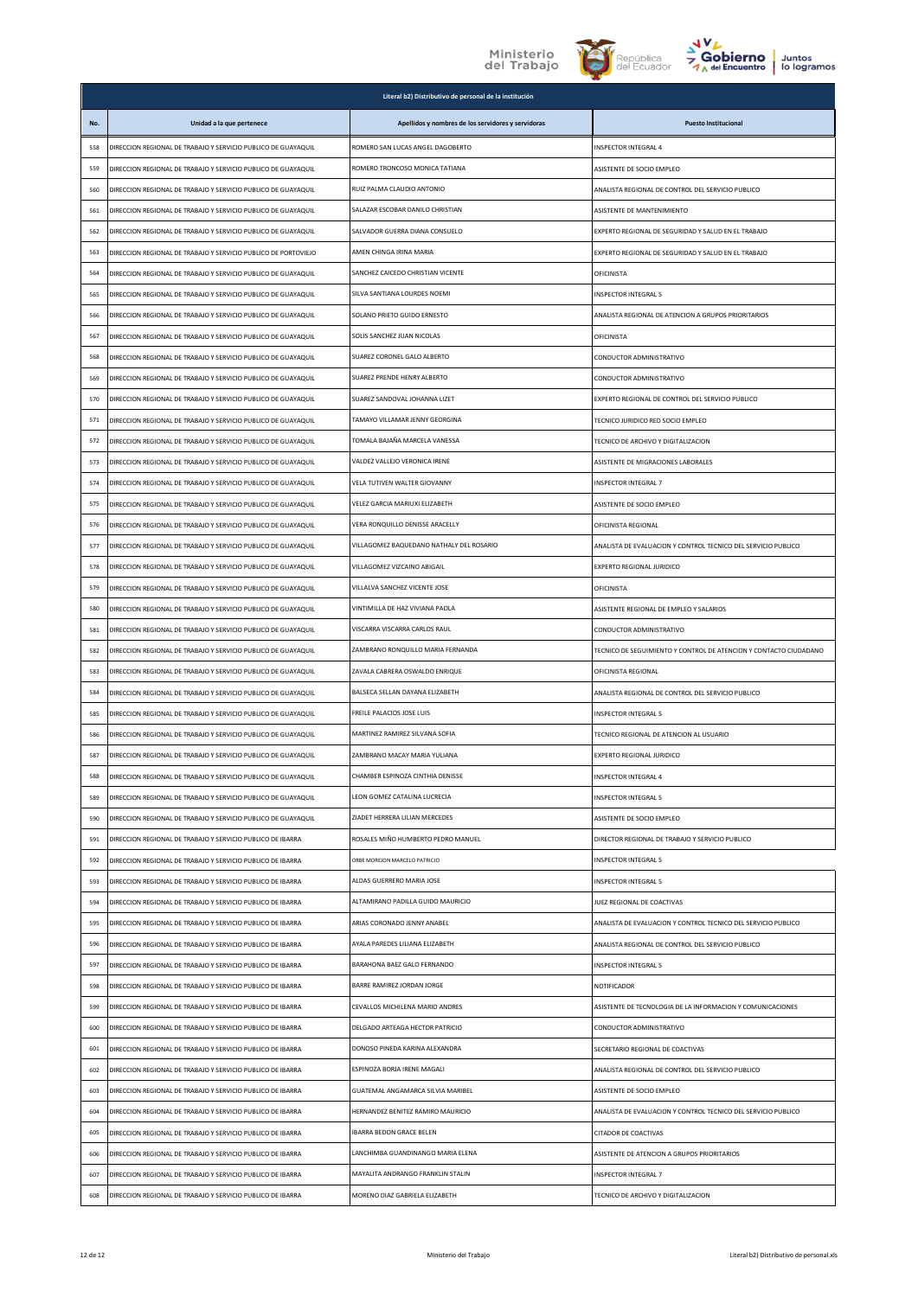





|     |                                                                | Literal b2) Distributivo de personal de la institución |                                                                   |
|-----|----------------------------------------------------------------|--------------------------------------------------------|-------------------------------------------------------------------|
| No. | Unidad a la que pertenece                                      | Apellidos y nombres de los servidores y servidoras     | <b>Puesto Institucional</b>                                       |
| 558 | DIRECCION REGIONAL DE TRABAJO Y SERVICIO PUBLICO DE GUAYAQUIL  | ROMERO SAN LUCAS ANGEL DAGOBERTO                       | <b>INSPECTOR INTEGRAL 4</b>                                       |
| 559 | DIRECCION REGIONAL DE TRABAJO Y SERVICIO PUBLICO DE GUAYAQUIL  | ROMERO TRONCOSO MONICA TATIANA                         | ASISTENTE DE SOCIO EMPLEO                                         |
| 560 | DIRECCION REGIONAL DE TRABAJO Y SERVICIO PUBLICO DE GUAYAQUIL  | RUIZ PALMA CLAUDIO ANTONIO                             | ANALISTA REGIONAL DE CONTROL DEL SERVICIO PUBLICO                 |
| 561 | DIRECCION REGIONAL DE TRABAJO Y SERVICIO PUBLICO DE GUAYAQUIL  | SALAZAR ESCOBAR DANILO CHRISTIAN                       | ASISTENTE DE MANTENIMIENTO                                        |
| 562 | DIRECCION REGIONAL DE TRABAJO Y SERVICIO PUBLICO DE GUAYAQUIL  | SALVADOR GUERRA DIANA CONSUELO                         | EXPERTO REGIONAL DE SEGURIDAD Y SALUD EN EL TRABAJO               |
| 563 | DIRECCION REGIONAL DE TRABAJO Y SERVICIO PUBLICO DE PORTOVIEJO | AMEN CHINGA IRINA MARIA                                | EXPERTO REGIONAL DE SEGURIDAD Y SALUD EN EL TRABAJO               |
| 564 | DIRECCION REGIONAL DE TRABAJO Y SERVICIO PUBLICO DE GUAYAQUIL  | SANCHEZ CAICEDO CHRISTIAN VICENTE                      | OFICINISTA                                                        |
| 565 | DIRECCION REGIONAL DE TRABAJO Y SERVICIO PUBLICO DE GUAYAQUIL  | SILVA SANTIANA LOURDES NOEMI                           | INSPECTOR INTEGRAL 5                                              |
| 566 | DIRECCION REGIONAL DE TRABAJO Y SERVICIO PUBLICO DE GUAYAQUIL  | SOLANO PRIETO GUIDO ERNESTO                            | ANALISTA REGIONAL DE ATENCION A GRUPOS PRIORITARIOS               |
| 567 | DIRECCION REGIONAL DE TRABAJO Y SERVICIO PUBLICO DE GUAYAQUIL  | SOLIS SANCHEZ JUAN NICOLAS                             | OFICINISTA                                                        |
| 568 | DIRECCION REGIONAL DE TRABAJO Y SERVICIO PUBLICO DE GUAYAQUIL  | SUAREZ CORONEL GALO ALBERTO                            | CONDUCTOR ADMINISTRATIVO                                          |
| 569 | DIRECCION REGIONAL DE TRABAJO Y SERVICIO PUBLICO DE GUAYAQUIL  | SUAREZ PRENDE HENRY ALBERTO                            | CONDUCTOR ADMINISTRATIVO                                          |
| 570 | DIRECCION REGIONAL DE TRABAJO Y SERVICIO PUBLICO DE GUAYAQUIL  | SUAREZ SANDOVAL JOHANNA LIZET                          | EXPERTO REGIONAL DE CONTROL DEL SERVICIO PUBLICO                  |
| 571 | DIRECCION REGIONAL DE TRABAJO Y SERVICIO PUBLICO DE GUAYAQUIL  | TAMAYO VILLAMAR JENNY GEORGINA                         | TECNICO JURIDICO RED SOCIO EMPLEO                                 |
| 572 | DIRECCION REGIONAL DE TRABAJO Y SERVICIO PUBLICO DE GUAYAQUIL  | TOMALA BAJAÑA MARCELA VANESSA                          | TECNICO DE ARCHIVO Y DIGITALIZACION                               |
| 573 | DIRECCION REGIONAL DE TRABAJO Y SERVICIO PUBLICO DE GUAYAQUIL  | VALDEZ VALLEJO VERONICA IRENE                          | ASISTENTE DE MIGRACIONES LABORALES                                |
| 574 | DIRECCION REGIONAL DE TRABAJO Y SERVICIO PUBLICO DE GUAYAQUIL  | VELA TUTIVEN WALTER GIOVANNY                           | <b>INSPECTOR INTEGRAL 7</b>                                       |
| 575 | DIRECCION REGIONAL DE TRABAJO Y SERVICIO PUBLICO DE GUAYAQUIL  | VELEZ GARCIA MARIUXI ELIZABETH                         | ASISTENTE DE SOCIO EMPLEO                                         |
| 576 | DIRECCION REGIONAL DE TRABAJO Y SERVICIO PUBLICO DE GUAYAQUIL  | VERA RONQUILLO DENISSE ARACELLY                        | OFICINISTA REGIONAL                                               |
| 577 | DIRECCION REGIONAL DE TRABAJO Y SERVICIO PUBLICO DE GUAYAQUIL  | VILLAGOMEZ BAQUEDANO NATHALY DEL ROSARIO               | ANALISTA DE EVALUACION Y CONTROL TECNICO DEL SERVICIO PUBLICO     |
| 578 | DIRECCION REGIONAL DE TRABAJO Y SERVICIO PUBLICO DE GUAYAQUIL  | VILLAGOMEZ VIZCAINO ABIGAIL                            | <b>EXPERTO REGIONAL JURIDICO</b>                                  |
| 579 | DIRECCION REGIONAL DE TRABAJO Y SERVICIO PUBLICO DE GUAYAQUIL  | VILLALVA SANCHEZ VICENTE JOSE                          | OFICINISTA                                                        |
| 580 | DIRECCION REGIONAL DE TRABAJO Y SERVICIO PUBLICO DE GUAYAQUIL  | VINTIMILLA DE HAZ VIVIANA PAOLA                        | ASISTENTE REGIONAL DE EMPLEO Y SALARIOS                           |
| 581 | DIRECCION REGIONAL DE TRABAJO Y SERVICIO PUBLICO DE GUAYAQUIL  | VISCARRA VISCARRA CARLOS RAUL                          | CONDUCTOR ADMINISTRATIVO                                          |
| 582 | DIRECCION REGIONAL DE TRABAJO Y SERVICIO PUBLICO DE GUAYAQUIL  | ZAMBRANO RONQUILLO MARIA FERNANDA                      | TECNICO DE SEGUIMIENTO Y CONTROL DE ATENCION Y CONTACTO CIUDADANO |
| 583 | DIRECCION REGIONAL DE TRABAJO Y SERVICIO PUBLICO DE GUAYAQUIL  | ZAVALA CABRERA OSWALDO ENRIQUE                         | OFICINISTA REGIONAL                                               |
| 584 | DIRECCION REGIONAL DE TRABAJO Y SERVICIO PUBLICO DE GUAYAQUIL  | BALSECA SELLAN DAYANA ELIZABETH                        | ANALISTA REGIONAL DE CONTROL DEL SERVICIO PUBLICO                 |
| 585 | DIRECCION REGIONAL DE TRABAJO Y SERVICIO PUBLICO DE GUAYAQUIL  | FREILE PALACIOS JOSE LUIS                              | INSPECTOR INTEGRAL 5                                              |
| 586 | DIRECCION REGIONAL DE TRABAJO Y SERVICIO PUBLICO DE GUAYAQUIL  | MARTINEZ RAMIREZ SILVANA SOFIA                         | TECNICO REGIONAL DE ATENCION AL USUARIO                           |
| 587 | DIRECCION REGIONAL DE TRABAJO Y SERVICIO PUBLICO DE GUAYAQUIL  | ZAMBRANO MACAY MARIA YULIANA                           | <b>EXPERTO REGIONAL JURIDICO</b>                                  |
| 588 | DIRECCION REGIONAL DE TRABAJO Y SERVICIO PUBLICO DE GUAYAQUIL  | CHAMBER ESPINOZA CINTHIA DENISSE                       | <b>INSPECTOR INTEGRAL 4</b>                                       |
| 589 | DIRECCION REGIONAL DE TRABAJO Y SERVICIO PUBLICO DE GUAYAQUIL  | LEON GOMEZ CATALINA LUCRECIA                           | INSPECTOR INTEGRAL 5                                              |
| 590 | DIRECCION REGIONAL DE TRABAJO Y SERVICIO PUBLICO DE GUAYAQUIL  | ZIADET HERRERA LILIAN MERCEDES                         | ASISTENTE DE SOCIO EMPLEO                                         |
| 591 | DIRECCION REGIONAL DE TRABAJO Y SERVICIO PUBLICO DE IBARRA     | ROSALES MIÑO HUMBERTO PEDRO MANUEL                     | DIRECTOR REGIONAL DE TRABAJO Y SERVICIO PUBLICO                   |
| 592 | DIRECCION REGIONAL DE TRABAJO Y SERVICIO PUBLICO DE IBARRA     | ORBE MOREJON MARCELO PATRICIO                          | <b>INSPECTOR INTEGRAL 5</b>                                       |
| 593 | DIRECCION REGIONAL DE TRABAJO Y SERVICIO PUBLICO DE IBARRA     | ALDAS GUERRERO MARIA JOSE                              | <b>INSPECTOR INTEGRAL 5</b>                                       |
| 594 | DIRECCION REGIONAL DE TRABAJO Y SERVICIO PUBLICO DE IBARRA     | ALTAMIRANO PADILLA GUIDO MAURICIO                      | JUEZ REGIONAL DE COACTIVAS                                        |
| 595 | DIRECCION REGIONAL DE TRABAJO Y SERVICIO PUBLICO DE IBARRA     | ARIAS CORONADO JENNY ANABEL                            | ANALISTA DE EVALUACION Y CONTROL TECNICO DEL SERVICIO PUBLICO     |
| 596 | DIRECCION REGIONAL DE TRABAJO Y SERVICIO PUBLICO DE IBARRA     | AYALA PAREDES LILIANA ELIZABETH                        | ANALISTA REGIONAL DE CONTROL DEL SERVICIO PUBLICO                 |
| 597 | DIRECCION REGIONAL DE TRABAJO Y SERVICIO PUBLICO DE IBARRA     | BARAHONA BAEZ GALO FERNANDO                            | INSPECTOR INTEGRAL 5                                              |
| 598 | DIRECCION REGIONAL DE TRABAJO Y SERVICIO PUBLICO DE IBARRA     | BARRE RAMIREZ JORDAN JORGE                             | NOTIFICADOR                                                       |
| 599 | DIRECCION REGIONAL DE TRABAJO Y SERVICIO PUBLICO DE IBARRA     | CEVALLOS MICHILENA MARIO ANDRES                        | ASISTENTE DE TECNOLOGIA DE LA INFORMACION Y COMUNICACIONES        |
| 600 | DIRECCION REGIONAL DE TRABAJO Y SERVICIO PUBLICO DE IBARRA     | DELGADO ARTEAGA HECTOR PATRICIO                        | CONDUCTOR ADMINISTRATIVO                                          |
| 601 | DIRECCION REGIONAL DE TRABAJO Y SERVICIO PUBLICO DE IBARRA     | DONOSO PINEDA KARINA ALEXANDRA                         | SECRETARIO REGIONAL DE COACTIVAS                                  |
| 602 | DIRECCION REGIONAL DE TRABAJO Y SERVICIO PUBLICO DE IBARRA     | ESPINOZA BORJA IRENE MAGALI                            | ANALISTA REGIONAL DE CONTROL DEL SERVICIO PUBLICO                 |
| 603 | DIRECCION REGIONAL DE TRABAJO Y SERVICIO PUBLICO DE IBARRA     | GUATEMAL ANGAMARCA SILVIA MARIBEL                      | ASISTENTE DE SOCIO EMPLEO                                         |
| 604 | DIRECCION REGIONAL DE TRABAJO Y SERVICIO PUBLICO DE IBARRA     | HERNANDEZ BENITEZ RAMIRO MAURICIO                      | ANALISTA DE EVALUACION Y CONTROL TECNICO DEL SERVICIO PUBLICO     |
| 605 | DIRECCION REGIONAL DE TRABAJO Y SERVICIO PUBLICO DE IBARRA     | <b>IBARRA BEDON GRACE BELEN</b>                        | CITADOR DE COACTIVAS                                              |
| 606 | DIRECCION REGIONAL DE TRABAJO Y SERVICIO PUBLICO DE IBARRA     | LANCHIMBA GUANDINANGO MARIA ELENA                      | ASISTENTE DE ATENCION A GRUPOS PRIORITARIOS                       |
| 607 | DIRECCION REGIONAL DE TRABAJO Y SERVICIO PUBLICO DE IBARRA     | MAYALITA ANDRANGO FRANKLIN STALIN                      | INSPECTOR INTEGRAL 7                                              |
| 608 | DIRECCION REGIONAL DE TRABAJO Y SERVICIO PUBLICO DE IBARRA     | MORENO DIAZ GABRIELA ELIZABETH                         | TECNICO DE ARCHIVO Y DIGITALIZACION                               |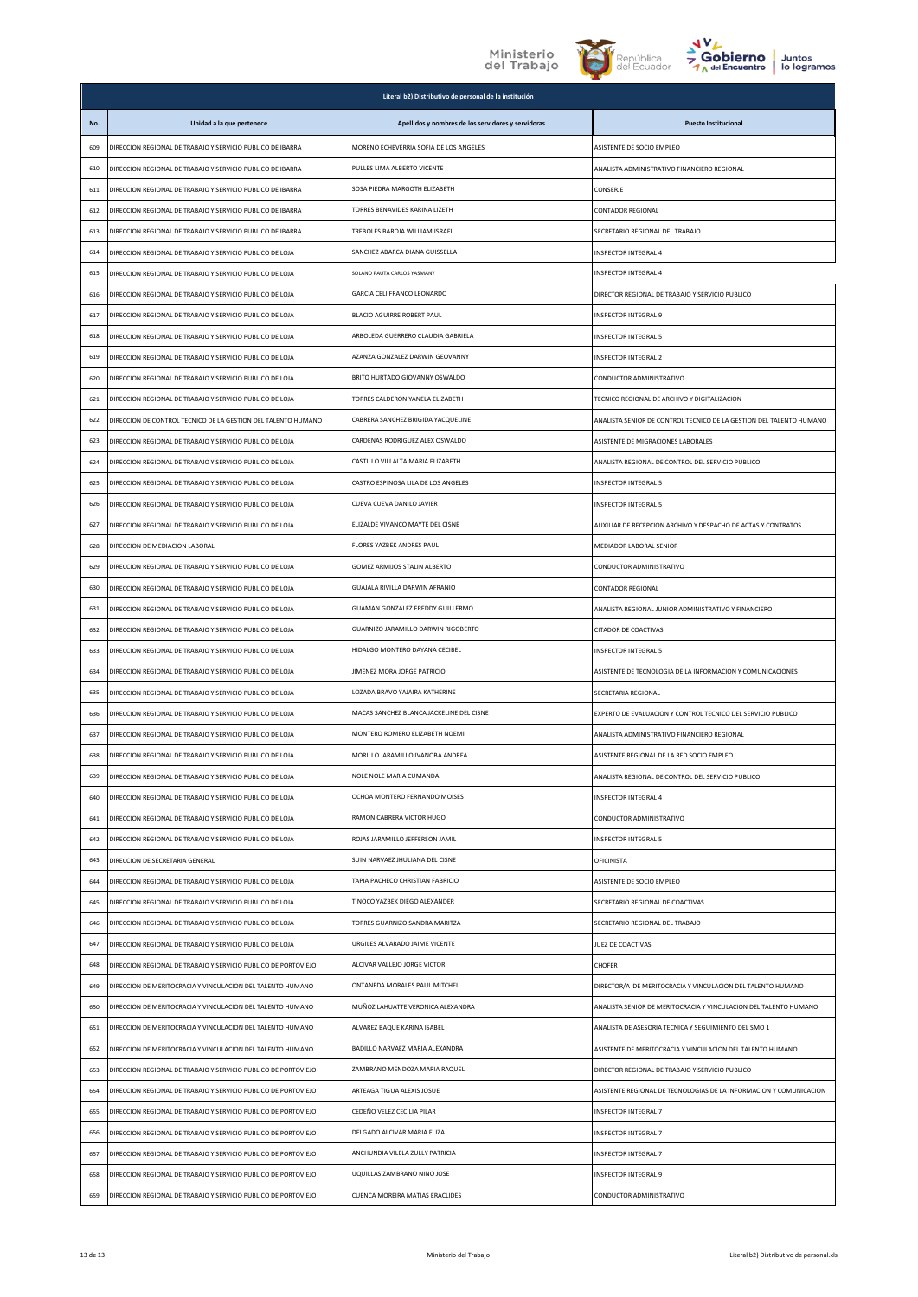





|     |                                                                | Literal b2) Distributivo de personal de la institución |                                                                     |
|-----|----------------------------------------------------------------|--------------------------------------------------------|---------------------------------------------------------------------|
| No. | Unidad a la que pertenece                                      | Apellidos y nombres de los servidores y servidoras     | <b>Puesto Institucional</b>                                         |
| 609 | DIRECCION REGIONAL DE TRABAJO Y SERVICIO PUBLICO DE IBARRA     | MORENO ECHEVERRIA SOFIA DE LOS ANGELES                 | ASISTENTE DE SOCIO EMPLEO                                           |
| 610 | DIRECCION REGIONAL DE TRABAJO Y SERVICIO PUBLICO DE IBARRA     | PULLES LIMA ALBERTO VICENTE                            | ANALISTA ADMINISTRATIVO FINANCIERO REGIONAL                         |
| 611 | DIRECCION REGIONAL DE TRABAJO Y SERVICIO PUBLICO DE IBARRA     | SOSA PIEDRA MARGOTH ELIZABETH                          | CONSERJE                                                            |
| 612 | DIRECCION REGIONAL DE TRABAJO Y SERVICIO PUBLICO DE IBARRA     | TORRES BENAVIDES KARINA LIZETH                         | CONTADOR REGIONAL                                                   |
| 613 | DIRECCION REGIONAL DE TRABAJO Y SERVICIO PUBLICO DE IBARRA     | TREBOLES BAROJA WILLIAM ISRAEL                         | SECRETARIO REGIONAL DEL TRABAJO                                     |
| 614 | DIRECCION REGIONAL DE TRABAJO Y SERVICIO PUBLICO DE LOJA       | SANCHEZ ABARCA DIANA GUISSELLA                         | <b>INSPECTOR INTEGRAL 4</b>                                         |
| 615 | DIRECCION REGIONAL DE TRABAJO Y SERVICIO PUBLICO DE LOJA       | SOLANO PAUTA CARLOS YASMANY                            | INSPECTOR INTEGRAL 4                                                |
| 616 | DIRECCION REGIONAL DE TRABAJO Y SERVICIO PUBLICO DE LOJA       | GARCIA CELI FRANCO LEONARDO                            | DIRECTOR REGIONAL DE TRABAJO Y SERVICIO PUBLICO                     |
| 617 | DIRECCION REGIONAL DE TRABAJO Y SERVICIO PUBLICO DE LOJA       | BLACIO AGUIRRE ROBERT PAUL                             | INSPECTOR INTEGRAL 9                                                |
| 618 | DIRECCION REGIONAL DE TRABAJO Y SERVICIO PUBLICO DE LOJA       | ARBOLEDA GUERRERO CLAUDIA GABRIELA                     | <b>INSPECTOR INTEGRAL 5</b>                                         |
| 619 | DIRECCION REGIONAL DE TRABAJO Y SERVICIO PUBLICO DE LOJA       | AZANZA GONZALEZ DARWIN GEOVANNY                        | <b>INSPECTOR INTEGRAL 2</b>                                         |
| 620 | DIRECCION REGIONAL DE TRABAJO Y SERVICIO PUBLICO DE LOJA       | BRITO HURTADO GIOVANNY OSWALDO                         | CONDUCTOR ADMINISTRATIVO                                            |
| 621 | DIRECCION REGIONAL DE TRABAJO Y SERVICIO PUBLICO DE LOJA       | TORRES CALDERON YANELA ELIZABETH                       | TECNICO REGIONAL DE ARCHIVO Y DIGITALIZACION                        |
| 622 | DIRECCION DE CONTROL TECNICO DE LA GESTION DEL TALENTO HUMANO  | CABRERA SANCHEZ BRIGIDA YACQUELINE                     | ANALISTA SENIOR DE CONTROL TECNICO DE LA GESTION DEL TALENTO HUMANO |
| 623 | DIRECCION REGIONAL DE TRABAJO Y SERVICIO PUBLICO DE LOJA       | CARDENAS RODRIGUEZ ALEX OSWALDO                        | ASISTENTE DE MIGRACIONES LABORALES                                  |
| 624 | DIRECCION REGIONAL DE TRABAJO Y SERVICIO PUBLICO DE LOJA       | CASTILLO VILLALTA MARIA ELIZABETH                      | ANALISTA REGIONAL DE CONTROL DEL SERVICIO PUBLICO                   |
| 625 | DIRECCION REGIONAL DE TRABAJO Y SERVICIO PUBLICO DE LOJA       | CASTRO ESPINOSA LILA DE LOS ANGELES                    | <b>INSPECTOR INTEGRAL 5</b>                                         |
| 626 | DIRECCION REGIONAL DE TRABAJO Y SERVICIO PUBLICO DE LOJA       | CUEVA CUEVA DANILO JAVIER                              | <b>INSPECTOR INTEGRAL 5</b>                                         |
| 627 | DIRECCION REGIONAL DE TRABAJO Y SERVICIO PUBLICO DE LOJA       | FLIZALDE VIVANCO MAYTE DEL CISNE                       | AUXILIAR DE RECEPCION ARCHIVO Y DESPACHO DE ACTAS Y CONTRATOS       |
| 628 | DIRECCION DE MEDIACION LABORAL                                 | FLORES YAZBEK ANDRES PAUL                              | MEDIADOR LABORAL SENIOR                                             |
| 629 | DIRECCION REGIONAL DE TRABAJO Y SERVICIO PUBLICO DE LOJA       | GOMEZ ARMIJOS STALIN ALBERTO                           | CONDUCTOR ADMINISTRATIVO                                            |
| 630 | DIRECCION REGIONAL DE TRABAJO Y SERVICIO PUBLICO DE LOJA       | GUAJALA RIVILLA DARWIN AFRANIO                         | CONTADOR REGIONAL                                                   |
| 631 | DIRECCION REGIONAL DE TRABAJO Y SERVICIO PUBLICO DE LOJA       | GUAMAN GONZALEZ FREDDY GUILLERMO                       | ANALISTA REGIONAL JUNIOR ADMINISTRATIVO Y FINANCIERO                |
| 632 | DIRECCION REGIONAL DE TRABAJO Y SERVICIO PUBLICO DE LOJA       | GUARNIZO JARAMILLO DARWIN RIGOBERTO                    | CITADOR DE COACTIVAS                                                |
| 633 | DIRECCION REGIONAL DE TRABAJO Y SERVICIO PUBLICO DE LOJA       | HIDALGO MONTERO DAYANA CECIBEL                         | <b>INSPECTOR INTEGRAL 5</b>                                         |
| 634 | DIRECCION REGIONAL DE TRABAJO Y SERVICIO PUBLICO DE LOJA       | JIMENEZ MORA JORGE PATRICIO                            | ASISTENTE DE TECNOLOGIA DE LA INFORMACION Y COMUNICACIONES          |
| 635 | DIRECCION REGIONAL DE TRABAJO Y SERVICIO PUBLICO DE LOJA       | LOZADA BRAVO YAJAIRA KATHERINE                         | SECRETARIA REGIONAL                                                 |
| 636 | DIRECCION REGIONAL DE TRABAJO Y SERVICIO PUBLICO DE LOJA       | MACAS SANCHEZ BLANCA JACKELINE DEL CISNE               | EXPERTO DE EVALUACION Y CONTROL TECNICO DEL SERVICIO PUBLICO        |
| 637 | DIRECCION REGIONAL DE TRABAJO Y SERVICIO PUBLICO DE LOJA       | MONTERO ROMERO ELIZABETH NOEMI                         | ANALISTA ADMINISTRATIVO FINANCIERO REGIONAL                         |
| 638 | DIRECCION REGIONAL DE TRABAJO Y SERVICIO PUBLICO DE LOJA       | MORILLO JARAMILLO IVANOBA ANDREA                       | ASISTENTE REGIONAL DE LA RED SOCIO EMPLEO                           |
| 639 | DIRECCION REGIONAL DE TRABAJO Y SERVICIO PUBLICO DE LOJA       | NOLE NOLE MARIA CUMANDA                                | ANALISTA REGIONAL DE CONTROL DEL SERVICIO PUBLICO                   |
| 640 | DIRECCION REGIONAL DE TRABAJO Y SERVICIO PUBLICO DE LOJA       | OCHOA MONTERO FERNANDO MOISES                          | INSPECTOR INTEGRAL 4                                                |
| 641 | DIRECCION REGIONAL DE TRABAJO Y SERVICIO PUBLICO DE LOJA       | RAMON CABRERA VICTOR HUGO                              | CONDUCTOR ADMINISTRATIVO                                            |
| 642 | DIRECCION REGIONAL DE TRABAJO Y SERVICIO PUBLICO DE LOJA       | ROJAS JARAMILLO JEFFERSON JAMIL                        | INSPECTOR INTEGRAL 5                                                |
| 643 | DIRECCION DE SECRETARIA GENERAL                                | SUIN NARVAEZ JHULIANA DEL CISNE                        | OFICINISTA                                                          |
| 644 | DIRECCION REGIONAL DE TRABAJO Y SERVICIO PUBLICO DE LOJA       | TAPIA PACHECO CHRISTIAN FABRICIO                       | ASISTENTE DE SOCIO EMPLEO                                           |
| 645 | DIRECCION REGIONAL DE TRABAJO Y SERVICIO PUBLICO DE LOJA       | TINOCO YAZBEK DIEGO ALEXANDER                          | SECRETARIO REGIONAL DE COACTIVAS                                    |
| 646 | DIRECCION REGIONAL DE TRABAJO Y SERVICIO PUBLICO DE LOJA       | TORRES GUARNIZO SANDRA MARITZA                         | SECRETARIO REGIONAL DEL TRABAJO                                     |
| 647 | DIRECCION REGIONAL DE TRABAJO Y SERVICIO PUBLICO DE LOJA       | URGILES ALVARADO JAIME VICENTE                         | JUEZ DE COACTIVAS                                                   |
| 648 | DIRECCION REGIONAL DE TRABAJO Y SERVICIO PUBLICO DE PORTOVIEJO | ALCIVAR VALLEJO JORGE VICTOR                           | CHOFER                                                              |
| 649 | DIRECCION DE MERITOCRACIA Y VINCULACION DEL TALENTO HUMANO     | ONTANEDA MORALES PAUL MITCHEL                          | DIRECTOR/A DE MERITOCRACIA Y VINCULACION DEL TALENTO HUMANO         |
| 650 | DIRECCION DE MERITOCRACIA Y VINCULACION DEL TALENTO HUMANO     | MUÑOZ LAHUATTE VERONICA ALEXANDRA                      | ANALISTA SENIOR DE MERITOCRACIA Y VINCULACION DEL TALENTO HUMANO    |
| 651 | DIRECCION DE MERITOCRACIA Y VINCULACION DEL TALENTO HUMANO     | ALVAREZ BAQUE KARINA ISABEL                            | ANALISTA DE ASESORIA TECNICA Y SEGUIMIENTO DEL SMO 1                |
| 652 | DIRECCION DE MERITOCRACIA Y VINCULACION DEL TALENTO HUMANO     | BADILLO NARVAEZ MARIA ALEXANDRA                        | ASISTENTE DE MERITOCRACIA Y VINCULACION DEL TALENTO HUMANO          |
| 653 | DIRECCION REGIONAL DE TRABAJO Y SERVICIO PUBLICO DE PORTOVIEJO | ZAMBRANO MENDOZA MARIA RAQUEL                          | DIRECTOR REGIONAL DE TRABAJO Y SERVICIO PUBLICO                     |
| 654 | DIRECCION REGIONAL DE TRABAJO Y SERVICIO PUBLICO DE PORTOVIEJO | ARTEAGA TIGUA ALEXIS JOSUE                             | ASISTENTE REGIONAL DE TECNOLOGIAS DE LA INFORMACION Y COMUNICACION  |
| 655 | DIRECCION REGIONAL DE TRABAJO Y SERVICIO PUBLICO DE PORTOVIEJO | CEDEÑO VELEZ CECILIA PILAR                             | INSPECTOR INTEGRAL 7                                                |
| 656 | DIRECCION REGIONAL DE TRABAJO Y SERVICIO PUBLICO DE PORTOVIEJO | DELGADO ALCIVAR MARIA ELIZA                            | INSPECTOR INTEGRAL 7                                                |
| 657 | DIRECCION REGIONAL DE TRABAJO Y SERVICIO PUBLICO DE PORTOVIEJO | ANCHUNDIA VILELA ZULLY PATRICIA                        | INSPECTOR INTEGRAL 7                                                |
| 658 | DIRECCION REGIONAL DE TRABAJO Y SERVICIO PUBLICO DE PORTOVIEJO | UQUILLAS ZAMBRANO NINO JOSE                            | INSPECTOR INTEGRAL 9                                                |
| 659 | DIRECCION REGIONAL DE TRABAJO Y SERVICIO PUBLICO DE PORTOVIEJO | CUENCA MOREIRA MATIAS ERACLIDES                        | CONDUCTOR ADMINISTRATIVO                                            |
|     |                                                                |                                                        |                                                                     |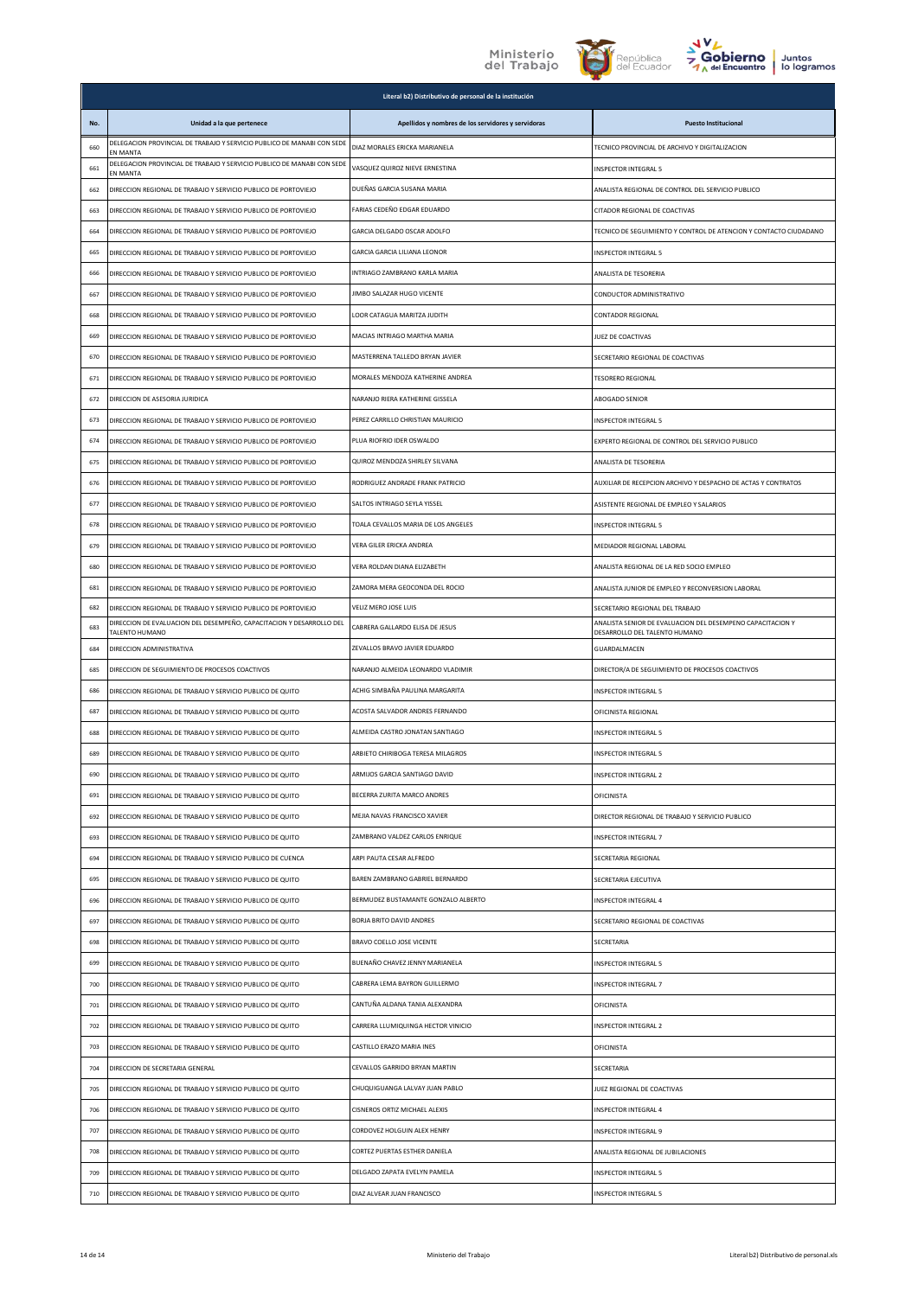





|     |                                                                                        | Literal b2) Distributivo de personal de la institución |                                                                                             |
|-----|----------------------------------------------------------------------------------------|--------------------------------------------------------|---------------------------------------------------------------------------------------------|
| No. | Unidad a la que pertenece                                                              | Apellidos y nombres de los servidores y servidoras     | <b>Puesto Institucional</b>                                                                 |
| 660 | DELEGACION PROVINCIAL DE TRABAJO Y SERVICIO PUBLICO DE MANABI CON SEDE<br>EN MANTA     | DIAZ MORALES ERICKA MARIANELA                          | TECNICO PROVINCIAL DE ARCHIVO Y DIGITALIZACION                                              |
| 661 | DELEGACION PROVINCIAL DE TRABAJO Y SERVICIO PUBLICO DE MANABI CON SEDE<br>EN MANTA     | VASQUEZ QUIROZ NIEVE ERNESTINA                         | <b>INSPECTOR INTEGRAL 5</b>                                                                 |
| 662 | DIRECCION REGIONAL DE TRABAJO Y SERVICIO PUBLICO DE PORTOVIEJO                         | DUEÑAS GARCIA SUSANA MARIA                             | ANALISTA REGIONAL DE CONTROL DEL SERVICIO PUBLICO                                           |
| 663 | DIRECCION REGIONAL DE TRABAJO Y SERVICIO PUBLICO DE PORTOVIEJO                         | FARIAS CEDEÑO EDGAR EDUARDO                            | CITADOR REGIONAL DE COACTIVAS                                                               |
| 664 | DIRECCION REGIONAL DE TRABAJO Y SERVICIO PUBLICO DE PORTOVIEJO                         | GARCIA DELGADO OSCAR ADOLFO                            | TECNICO DE SEGUIMIENTO Y CONTROL DE ATENCION Y CONTACTO CIUDADANO                           |
| 665 | DIRECCION REGIONAL DE TRABAJO Y SERVICIO PUBLICO DE PORTOVIEJO                         | GARCIA GARCIA LILIANA LEONOR                           | INSPECTOR INTEGRAL 5                                                                        |
| 666 | DIRECCION REGIONAL DE TRABAJO Y SERVICIO PUBLICO DE PORTOVIEJO                         | INTRIAGO ZAMBRANO KARLA MARIA                          | ANALISTA DE TESORERIA                                                                       |
| 667 | DIRECCION REGIONAL DE TRABAJO Y SERVICIO PUBLICO DE PORTOVIEJO                         | JIMBO SALAZAR HUGO VICENTE                             | CONDUCTOR ADMINISTRATIVO                                                                    |
| 668 | DIRECCION REGIONAL DE TRABAJO Y SERVICIO PUBLICO DE PORTOVIEJO                         | LOOR CATAGUA MARITZA JUDITH                            | CONTADOR REGIONAL                                                                           |
| 669 | DIRECCION REGIONAL DE TRABAJO Y SERVICIO PUBLICO DE PORTOVIEJO                         | MACIAS INTRIAGO MARTHA MARIA                           | JUEZ DE COACTIVAS                                                                           |
| 670 | DIRECCION REGIONAL DE TRABAJO Y SERVICIO PUBLICO DE PORTOVIEJO                         | MASTERRENA TALLEDO BRYAN JAVIER                        | SECRETARIO REGIONAL DE COACTIVAS                                                            |
| 671 | DIRECCION REGIONAL DE TRABAJO Y SERVICIO PUBLICO DE PORTOVIEJO                         | MORALES MENDOZA KATHERINE ANDREA                       | <b>TESORERO REGIONAL</b>                                                                    |
| 672 | DIRECCION DE ASESORIA JURIDICA                                                         | NARANJO RIERA KATHERINE GISSELA                        | ABOGADO SENIOR                                                                              |
| 673 | DIRECCION REGIONAL DE TRABAJO Y SERVICIO PUBLICO DE PORTOVIEJO                         | PEREZ CARRILLO CHRISTIAN MAURICIO                      | <b>INSPECTOR INTEGRAL 5</b>                                                                 |
| 674 | DIRECCION REGIONAL DE TRABAJO Y SERVICIO PUBLICO DE PORTOVIEJO                         | PLUA RIOFRIO IDER OSWALDO                              | EXPERTO REGIONAL DE CONTROL DEL SERVICIO PUBLICO                                            |
| 675 | DIRECCION REGIONAL DE TRABAJO Y SERVICIO PUBLICO DE PORTOVIEJO                         | QUIROZ MENDOZA SHIRLEY SILVANA                         | ANALISTA DE TESORERIA                                                                       |
| 676 | DIRECCION REGIONAL DE TRABAJO Y SERVICIO PUBLICO DE PORTOVIEJO                         | RODRIGUEZ ANDRADE FRANK PATRICIO                       | AUXILIAR DE RECEPCION ARCHIVO Y DESPACHO DE ACTAS Y CONTRATOS                               |
| 677 | DIRECCION REGIONAL DE TRABAJO Y SERVICIO PUBLICO DE PORTOVIEJO                         | SALTOS INTRIAGO SEYLA YISSEL                           | ASISTENTE REGIONAL DE EMPLEO Y SALARIOS                                                     |
| 678 | DIRECCION REGIONAL DE TRABAJO Y SERVICIO PUBLICO DE PORTOVIEJO                         | TOALA CEVALLOS MARIA DE LOS ANGELES                    | INSPECTOR INTEGRAL 5                                                                        |
| 679 | DIRECCION REGIONAL DE TRABAJO Y SERVICIO PUBLICO DE PORTOVIEJO                         | VERA GILER ERICKA ANDREA                               | MEDIADOR REGIONAL LABORAL                                                                   |
| 680 | DIRECCION REGIONAL DE TRABAJO Y SERVICIO PUBLICO DE PORTOVIEJO                         | VERA ROLDAN DIANA ELIZABETH                            | ANALISTA REGIONAL DE LA RED SOCIO EMPLEO                                                    |
| 681 | DIRECCION REGIONAL DE TRABAJO Y SERVICIO PUBLICO DE PORTOVIEJO                         | ZAMORA MERA GEOCONDA DEL ROCIO                         | ANALISTA JUNIOR DE EMPLEO Y RECONVERSION LABORAL                                            |
| 682 | DIRECCION REGIONAL DE TRABAJO Y SERVICIO PUBLICO DE PORTOVIEJO                         | VELIZ MERO JOSE LUIS                                   | SECRETARIO REGIONAL DEL TRABAJO                                                             |
| 683 | DIRECCION DE EVALUACION DEL DESEMPEÑO, CAPACITACION Y DESARROLLO DEL<br>TALENTO HUMANO | CABRERA GALLARDO ELISA DE JESUS                        | ANALISTA SENIOR DE EVALUACION DEL DESEMPENO CAPACITACION Y<br>DESARROLLO DEL TALENTO HUMANO |
| 684 | DIRECCION ADMINISTRATIVA                                                               | ZEVALLOS BRAVO JAVIER EDUARDO                          | GUARDALMACEN                                                                                |
| 685 | DIRECCION DE SEGUIMIENTO DE PROCESOS COACTIVOS                                         | NARANJO ALMEIDA LEONARDO VLADIMIR                      | DIRECTOR/A DE SEGUIMIENTO DE PROCESOS COACTIVOS                                             |
| 686 | DIRECCION REGIONAL DE TRABAJO Y SERVICIO PUBLICO DE QUITO                              | ACHIG SIMBAÑA PAULINA MARGARITA                        | <b>INSPECTOR INTEGRAL 5</b>                                                                 |
| 687 | DIRECCION REGIONAL DE TRABAJO Y SERVICIO PUBLICO DE QUITO                              | ACOSTA SALVADOR ANDRES FERNANDO                        | OFICINISTA REGIONAL                                                                         |
| 688 | DIRECCION REGIONAL DE TRABAJO Y SERVICIO PUBLICO DE QUITO                              | ALMEIDA CASTRO JONATAN SANTIAGO                        | INSPECTOR INTEGRAL 5                                                                        |
| 689 | DIRECCION REGIONAL DE TRABAJO Y SERVICIO PUBLICO DE QUITO                              | ARBIETO CHIRIBOGA TERESA MILAGROS                      | <b>INSPECTOR INTEGRAL 5</b>                                                                 |
| 690 | DIRECCION REGIONAL DE TRABAJO Y SERVICIO PUBLICO DE QUITO                              | ARMIJOS GARCIA SANTIAGO DAVID                          | <b>INSPECTOR INTEGRAL 2</b>                                                                 |
| 691 | DIRECCION REGIONAL DE TRABAJO Y SERVICIO PUBLICO DE QUITO                              | BECERRA ZURITA MARCO ANDRES                            | OFICINISTA                                                                                  |
| 692 | DIRECCION REGIONAL DE TRABAJO Y SERVICIO PUBLICO DE QUITO                              | MEJIA NAVAS FRANCISCO XAVIER                           | DIRECTOR REGIONAL DE TRABAJO Y SERVICIO PUBLICO                                             |
| 693 | DIRECCION REGIONAL DE TRABAJO Y SERVICIO PUBLICO DE QUITO                              | ZAMBRANO VALDEZ CARLOS ENRIQUE                         | INSPECTOR INTEGRAL 7                                                                        |
| 694 | DIRECCION REGIONAL DE TRABAJO Y SERVICIO PUBLICO DE CUENCA                             | ARPI PAUTA CESAR ALFREDO                               | SECRETARIA REGIONAL                                                                         |
| 695 | DIRECCION REGIONAL DE TRABAJO Y SERVICIO PUBLICO DE QUITO                              | BAREN ZAMBRANO GABRIEL BERNARDO                        | SECRETARIA EJECUTIVA                                                                        |
| 696 | DIRECCION REGIONAL DE TRABAJO Y SERVICIO PUBLICO DE QUITO                              | BERMUDEZ BUSTAMANTE GONZALO ALBERTO                    | INSPECTOR INTEGRAL 4                                                                        |
| 697 | DIRECCION REGIONAL DE TRABAJO Y SERVICIO PUBLICO DE QUITO                              | <b>BORJA BRITO DAVID ANDRES</b>                        | SECRETARIO REGIONAL DE COACTIVAS                                                            |
| 698 | DIRECCION REGIONAL DE TRABAJO Y SERVICIO PUBLICO DE QUITO                              | BRAVO COELLO JOSE VICENTE                              | SECRETARIA                                                                                  |
| 699 | DIRECCION REGIONAL DE TRABAJO Y SERVICIO PUBLICO DE QUITO                              | BUENAÑO CHAVEZ JENNY MARIANELA                         | INSPECTOR INTEGRAL 5                                                                        |
| 700 | DIRECCION REGIONAL DE TRABAJO Y SERVICIO PUBLICO DE QUITO                              | CABRERA LEMA BAYRON GUILLERMO                          | INSPECTOR INTEGRAL 7                                                                        |
| 701 | DIRECCION REGIONAL DE TRABAJO Y SERVICIO PUBLICO DE QUITO                              | CANTUÑA ALDANA TANIA ALEXANDRA                         | OFICINISTA                                                                                  |
| 702 | DIRECCION REGIONAL DE TRABAJO Y SERVICIO PUBLICO DE QUITO                              | CARRERA LLUMIQUINGA HECTOR VINICIO                     | <b>INSPECTOR INTEGRAL 2</b>                                                                 |
| 703 | DIRECCION REGIONAL DE TRABAJO Y SERVICIO PUBLICO DE QUITO                              | CASTILLO ERAZO MARIA INES                              | OFICINISTA                                                                                  |
| 704 | DIRECCION DE SECRETARIA GENERAL                                                        | CEVALLOS GARRIDO BRYAN MARTIN                          | SECRETARIA                                                                                  |
| 705 | DIRECCION REGIONAL DE TRABAJO Y SERVICIO PUBLICO DE QUITO                              | CHUQUIGUANGA LALVAY JUAN PABLO                         | JUEZ REGIONAL DE COACTIVAS                                                                  |
| 706 | DIRECCION REGIONAL DE TRABAJO Y SERVICIO PUBLICO DE QUITO                              | CISNEROS ORTIZ MICHAEL ALEXIS                          | INSPECTOR INTEGRAL 4                                                                        |
| 707 | DIRECCION REGIONAL DE TRABAJO Y SERVICIO PUBLICO DE QUITO                              | CORDOVEZ HOLGUIN ALEX HENRY                            | INSPECTOR INTEGRAL 9                                                                        |
| 708 | DIRECCION REGIONAL DE TRABAJO Y SERVICIO PUBLICO DE QUITO                              | CORTEZ PUERTAS ESTHER DANIELA                          | ANALISTA REGIONAL DE JUBILACIONES                                                           |
| 709 | DIRECCION REGIONAL DE TRABAJO Y SERVICIO PUBLICO DE QUITO                              | DELGADO ZAPATA EVELYN PAMELA                           | INSPECTOR INTEGRAL 5                                                                        |
| 710 | DIRECCION REGIONAL DE TRABAJO Y SERVICIO PUBLICO DE QUITO                              | DIAZ ALVEAR JUAN FRANCISCO                             | <b>INSPECTOR INTEGRAL 5</b>                                                                 |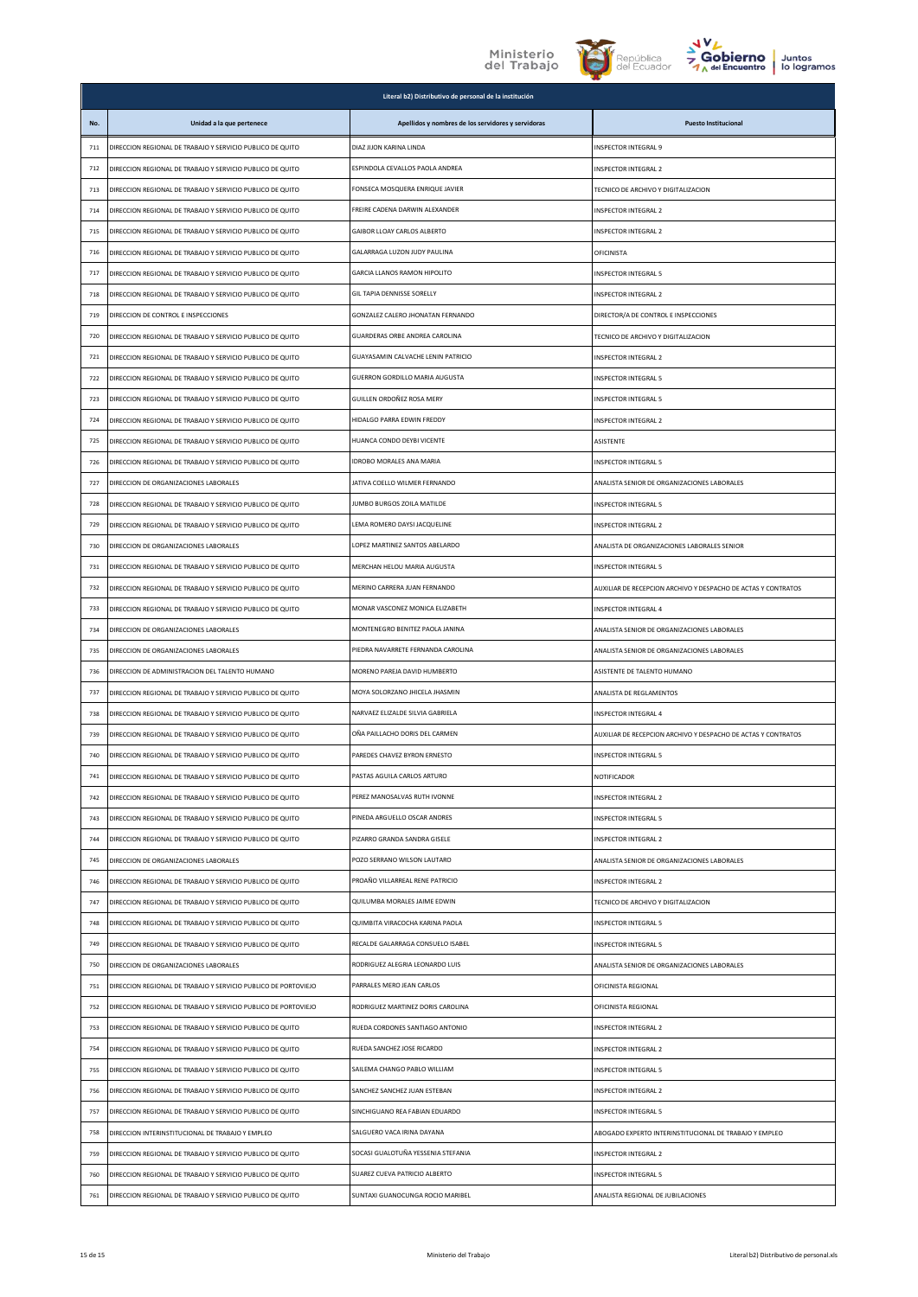





|     |                                                                | Literal b2) Distributivo de personal de la institución |                                                               |
|-----|----------------------------------------------------------------|--------------------------------------------------------|---------------------------------------------------------------|
| No. | Unidad a la que pertenece                                      | Apellidos y nombres de los servidores y servidoras     | <b>Puesto Institucional</b>                                   |
| 711 | DIRECCION REGIONAL DE TRABAJO Y SERVICIO PUBLICO DE QUITO      | DIAZ JIJON KARINA LINDA                                | INSPECTOR INTEGRAL 9                                          |
| 712 | DIRECCION REGIONAL DE TRABAJO Y SERVICIO PUBLICO DE QUITO      | ESPINDOLA CEVALLOS PAOLA ANDREA                        | INSPECTOR INTEGRAL 2                                          |
| 713 | DIRECCION REGIONAL DE TRABAJO Y SERVICIO PUBLICO DE QUITO      | FONSECA MOSQUERA ENRIQUE JAVIER                        | TECNICO DE ARCHIVO Y DIGITALIZACION                           |
| 714 | DIRECCION REGIONAL DE TRABAJO Y SERVICIO PUBLICO DE QUITO      | FREIRE CADENA DARWIN ALEXANDER                         | INSPECTOR INTEGRAL 2                                          |
| 715 | DIRECCION REGIONAL DE TRABAJO Y SERVICIO PUBLICO DE QUITO      | GAIBOR LLOAY CARLOS ALBERTO                            | INSPECTOR INTEGRAL 2                                          |
| 716 | DIRECCION REGIONAL DE TRABAJO Y SERVICIO PUBLICO DE QUITO      | GALARRAGA LUZON JUDY PAULINA                           | OFICINISTA                                                    |
| 717 | DIRECCION REGIONAL DE TRABAJO Y SERVICIO PUBLICO DE QUITO      | <b>GARCIA LLANOS RAMON HIPOLITO</b>                    | <b>INSPECTOR INTEGRAL 5</b>                                   |
| 718 | DIRECCION REGIONAL DE TRABAJO Y SERVICIO PUBLICO DE QUITO      | GIL TAPIA DENNISSE SORELLY                             | <b>INSPECTOR INTEGRAL 2</b>                                   |
| 719 | DIRECCION DE CONTROL E INSPECCIONES                            | GONZALEZ CALERO JHONATAN FERNANDO                      | DIRECTOR/A DE CONTROL E INSPECCIONES                          |
| 720 | DIRECCION REGIONAL DE TRABAJO Y SERVICIO PUBLICO DE QUITO      | GUARDERAS ORBE ANDREA CAROLINA                         | TECNICO DE ARCHIVO Y DIGITALIZACION                           |
| 721 | DIRECCION REGIONAL DE TRABAJO Y SERVICIO PUBLICO DE QUITO      | GUAYASAMIN CALVACHE LENIN PATRICIO                     | INSPECTOR INTEGRAL 2                                          |
| 722 | DIRECCION REGIONAL DE TRABAJO Y SERVICIO PUBLICO DE QUITO      | GUERRON GORDILLO MARIA AUGUSTA                         | INSPECTOR INTEGRAL 5                                          |
| 723 | DIRECCION REGIONAL DE TRABAJO Y SERVICIO PUBLICO DE QUITO      | GUILLEN ORDOÑEZ ROSA MERY                              | <b>INSPECTOR INTEGRAL 5</b>                                   |
| 724 | DIRECCION REGIONAL DE TRABAJO Y SERVICIO PUBLICO DE QUITO      | HIDALGO PARRA EDWIN FREDDY                             | <b>INSPECTOR INTEGRAL 2</b>                                   |
| 725 | DIRECCION REGIONAL DE TRABAJO Y SERVICIO PUBLICO DE QUITO      | HUANCA CONDO DEYBI VICENTE                             | ASISTENTE                                                     |
| 726 | DIRECCION REGIONAL DE TRABAJO Y SERVICIO PUBLICO DE QUITO      | IDROBO MORALES ANA MARIA                               | INSPECTOR INTEGRAL 5                                          |
| 727 | DIRECCION DE ORGANIZACIONES LABORALES                          | JATIVA COELLO WILMER FERNANDO                          | ANALISTA SENIOR DE ORGANIZACIONES LABORALES                   |
| 728 | DIRECCION REGIONAL DE TRABAJO Y SERVICIO PUBLICO DE QUITO      | JUMBO BURGOS ZOILA MATILDE                             | <b>INSPECTOR INTEGRAL 5</b>                                   |
| 729 | DIRECCION REGIONAL DE TRABAJO Y SERVICIO PUBLICO DE QUITO      | LEMA ROMERO DAYSI JACQUELINE                           | <b>INSPECTOR INTEGRAL 2</b>                                   |
| 730 | DIRECCION DE ORGANIZACIONES LABORALES                          | LOPEZ MARTINEZ SANTOS ABELARDO                         | ANALISTA DE ORGANIZACIONES LABORALES SENIOR                   |
| 731 | DIRECCION REGIONAL DE TRABAJO Y SERVICIO PUBLICO DE QUITO      | MERCHAN HELOU MARIA AUGUSTA                            | <b>INSPECTOR INTEGRAL 5</b>                                   |
| 732 | DIRECCION REGIONAL DE TRABAJO Y SERVICIO PUBLICO DE QUITO      | MERINO CARRERA JUAN FERNANDO                           | AUXILIAR DE RECEPCION ARCHIVO Y DESPACHO DE ACTAS Y CONTRATOS |
| 733 | DIRECCION REGIONAL DE TRABAJO Y SERVICIO PUBLICO DE QUITO      | MONAR VASCONEZ MONICA ELIZABETH                        | INSPECTOR INTEGRAL 4                                          |
| 734 | DIRECCION DE ORGANIZACIONES LABORALES                          | MONTENEGRO BENITEZ PAOLA JANINA                        | ANALISTA SENIOR DE ORGANIZACIONES LABORALES                   |
| 735 | DIRECCION DE ORGANIZACIONES LABORALES                          | PIEDRA NAVARRETE FERNANDA CAROLINA                     | ANALISTA SENIOR DE ORGANIZACIONES LABORALES                   |
| 736 | DIRECCION DE ADMINISTRACION DEL TALENTO HUMANO                 | MORENO PAREJA DAVID HUMBERTO                           | ASISTENTE DE TALENTO HUMANO                                   |
| 737 | DIRECCION REGIONAL DE TRABAJO Y SERVICIO PUBLICO DE QUITO      | MOYA SOLORZANO JHICELA JHASMIN                         | ANALISTA DE REGLAMENTOS                                       |
| 738 | DIRECCION REGIONAL DE TRABAJO Y SERVICIO PUBLICO DE QUITO      | NARVAEZ ELIZALDE SILVIA GABRIELA                       | INSPECTOR INTEGRAL 4                                          |
| 739 | DIRECCION REGIONAL DE TRABAJO Y SERVICIO PUBLICO DE QUITO      | OÑA PAILLACHO DORIS DEL CARMEN                         | AUXILIAR DE RECEPCION ARCHIVO Y DESPACHO DE ACTAS Y CONTRATOS |
| 740 | DIRECCION REGIONAL DE TRABAJO Y SERVICIO PUBLICO DE QUITO      | PAREDES CHAVEZ BYRON ERNESTO                           | INSPECTOR INTEGRAL 5                                          |
| 741 | DIRECCION REGIONAL DE TRABAJO Y SERVICIO PUBLICO DE QUITO      | PASTAS AGUILA CARLOS ARTURO                            | NOTIFICADOR                                                   |
| 742 | DIRECCION REGIONAL DE TRABAJO Y SERVICIO PUBLICO DE QUITO      | PEREZ MANOSALVAS RUTH IVONNE                           | INSPECTOR INTEGRAL 2                                          |
| 743 | DIRECCION REGIONAL DE TRABAJO Y SERVICIO PUBLICO DE QUITO      | PINEDA ARGUELLO OSCAR ANDRES                           | INSPECTOR INTEGRAL 5                                          |
| 744 | DIRECCION REGIONAL DE TRABAJO Y SERVICIO PUBLICO DE QUITO      | PIZARRO GRANDA SANDRA GISELE                           | INSPECTOR INTEGRAL 2                                          |
| 745 | DIRECCION DE ORGANIZACIONES LABORALES                          | POZO SERRANO WILSON LAUTARO                            | ANALISTA SENIOR DE ORGANIZACIONES LABORALES                   |
| 746 | DIRECCION REGIONAL DE TRABAJO Y SERVICIO PUBLICO DE QUITO      | PROAÑO VILLARREAL RENE PATRICIO                        | <b>INSPECTOR INTEGRAL 2</b>                                   |
| 747 | DIRECCION REGIONAL DE TRABAJO Y SERVICIO PUBLICO DE QUITO      | QUILUMBA MORALES JAIME EDWIN                           | TECNICO DE ARCHIVO Y DIGITALIZACION                           |
| 748 | DIRECCION REGIONAL DE TRABAJO Y SERVICIO PUBLICO DE QUITO      | QUIMBITA VIRACOCHA KARINA PAOLA                        | INSPECTOR INTEGRAL 5                                          |
| 749 | DIRECCION REGIONAL DE TRABAJO Y SERVICIO PUBLICO DE QUITO      | RECALDE GALARRAGA CONSUELO ISABEL                      | INSPECTOR INTEGRAL 5                                          |
| 750 | DIRECCION DE ORGANIZACIONES LABORALES                          | RODRIGUEZ ALEGRIA LEONARDO LUIS                        | ANALISTA SENIOR DE ORGANIZACIONES LABORALES                   |
| 751 | DIRECCION REGIONAL DE TRABAJO Y SERVICIO PUBLICO DE PORTOVIEJO | PARRALES MERO JEAN CARLOS                              | OFICINISTA REGIONAL                                           |
| 752 | DIRECCION REGIONAL DE TRABAJO Y SERVICIO PUBLICO DE PORTOVIEJO | RODRIGUEZ MARTINEZ DORIS CAROLINA                      | OFICINISTA REGIONAL                                           |
| 753 | DIRECCION REGIONAL DE TRABAJO Y SERVICIO PUBLICO DE QUITO      | RUEDA CORDONES SANTIAGO ANTONIO                        | INSPECTOR INTEGRAL 2                                          |
| 754 | DIRECCION REGIONAL DE TRABAJO Y SERVICIO PUBLICO DE QUITO      | RUEDA SANCHEZ JOSE RICARDO                             | <b>INSPECTOR INTEGRAL 2</b>                                   |
| 755 | DIRECCION REGIONAL DE TRABAJO Y SERVICIO PUBLICO DE QUITO      | SAILEMA CHANGO PABLO WILLIAM                           | INSPECTOR INTEGRAL 5                                          |
| 756 | DIRECCION REGIONAL DE TRABAJO Y SERVICIO PUBLICO DE QUITO      | SANCHEZ SANCHEZ JUAN ESTEBAN                           | INSPECTOR INTEGRAL 2                                          |
| 757 | DIRECCION REGIONAL DE TRABAJO Y SERVICIO PUBLICO DE QUITO      | SINCHIGUANO REA FABIAN EDUARDO                         | INSPECTOR INTEGRAL 5                                          |
| 758 | DIRECCION INTERINSTITUCIONAL DE TRABAJO Y EMPLEO               | SALGUERO VACA IRINA DAYANA                             | ABOGADO EXPERTO INTERINSTITUCIONAL DE TRABAJO Y EMPLEO        |
| 759 | DIRECCION REGIONAL DE TRABAJO Y SERVICIO PUBLICO DE QUITO      | SOCASI GUALOTUÑA YESSENIA STEFANIA                     | <b>INSPECTOR INTEGRAL 2</b>                                   |
| 760 | DIRECCION REGIONAL DE TRABAJO Y SERVICIO PUBLICO DE QUITO      | SUAREZ CUEVA PATRICIO ALBERTO                          | <b>NSPECTOR INTEGRAL 5</b>                                    |
| 761 | DIRECCION REGIONAL DE TRABAJO Y SERVICIO PUBLICO DE QUITO      | SUNTAXI GUANOCUNGA ROCIO MARIBEL                       | ANALISTA REGIONAL DE JUBILACIONES                             |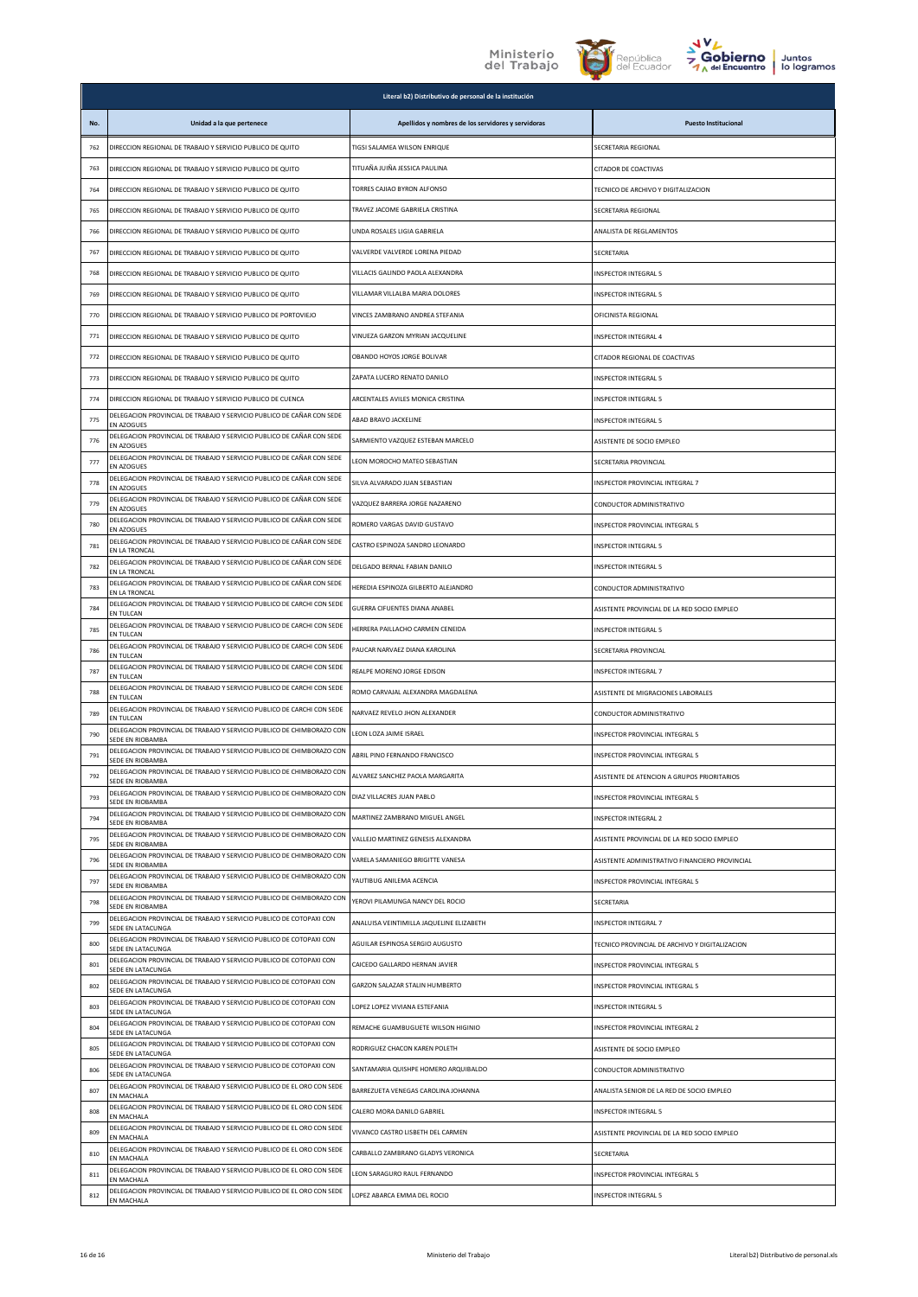## Ministerio<br>del Trabajo





|     | Literal b2) Distributivo de personal de la institución                                      |                                                    |                                                    |  |
|-----|---------------------------------------------------------------------------------------------|----------------------------------------------------|----------------------------------------------------|--|
| No. | Unidad a la que pertenece                                                                   | Apellidos y nombres de los servidores y servidoras | <b>Puesto Institucional</b>                        |  |
| 762 | DIRECCION REGIONAL DE TRABAJO Y SERVICIO PUBLICO DE QUITO                                   | TIGSI SALAMEA WILSON ENRIQUE                       | SECRETARIA REGIONAL                                |  |
| 763 | DIRECCION REGIONAL DE TRABAJO Y SERVICIO PUBLICO DE QUITO                                   | TITUAÑA JUIÑA JESSICA PAULINA                      | CITADOR DE COACTIVAS                               |  |
| 764 | DIRECCION REGIONAL DE TRABAJO Y SERVICIO PUBLICO DE QUITO                                   | TORRES CAJIAO BYRON ALFONSO                        | TECNICO DE ARCHIVO Y DIGITALIZACION                |  |
| 765 | DIRECCION REGIONAL DE TRABAJO Y SERVICIO PUBLICO DE QUITO                                   | TRAVEZ JACOME GABRIELA CRISTINA                    | SECRETARIA REGIONAL                                |  |
| 766 | DIRECCION REGIONAL DE TRABAJO Y SERVICIO PUBLICO DE QUITO                                   | UNDA ROSALES LIGIA GABRIELA                        | ANALISTA DE REGLAMENTOS                            |  |
| 767 | DIRECCION REGIONAL DE TRABAJO Y SERVICIO PUBLICO DE QUITO                                   | VALVERDE VALVERDE LORENA PIEDAD                    | SECRETARIA                                         |  |
| 768 | DIRECCION REGIONAL DE TRABAJO Y SERVICIO PUBLICO DE QUITO                                   | VILLACIS GALINDO PAOLA ALEXANDRA                   | INSPECTOR INTEGRAL 5                               |  |
| 769 | DIRECCION REGIONAL DE TRABAJO Y SERVICIO PUBLICO DE QUITO                                   | VILLAMAR VILLALBA MARIA DOLORES                    | INSPECTOR INTEGRAL 5                               |  |
| 770 | DIRECCION REGIONAL DE TRABAJO Y SERVICIO PUBLICO DE PORTOVIEJO                              | VINCES ZAMBRANO ANDREA STEFANIA                    | OFICINISTA REGIONAL                                |  |
| 771 | DIRECCION REGIONAL DE TRABAJO Y SERVICIO PUBLICO DE QUITO                                   | VINUEZA GARZON MYRIAN JACQUELINE                   | INSPECTOR INTEGRAL 4                               |  |
| 772 | DIRECCION REGIONAL DE TRABAJO Y SERVICIO PUBLICO DE QUITO                                   | OBANDO HOYOS JORGE BOLIVAR                         | CITADOR REGIONAL DE COACTIVAS                      |  |
| 773 | DIRECCION REGIONAL DE TRABAJO Y SERVICIO PUBLICO DE QUITO                                   | ZAPATA LUCERO RENATO DANILO                        | <b>INSPECTOR INTEGRAL 5</b>                        |  |
| 774 | DIRECCION REGIONAL DE TRABAJO Y SERVICIO PUBLICO DE CUENCA                                  | ARCENTALES AVILES MONICA CRISTINA                  | INSPECTOR INTEGRAL 5                               |  |
| 775 | DELEGACION PROVINCIAL DE TRABAJO Y SERVICIO PUBLICO DE CAÑAR CON SEDE<br>EN AZOGUES         | ABAD BRAVO JACKELINE                               | INSPECTOR INTEGRAL 5                               |  |
| 776 | DELEGACION PROVINCIAL DE TRABAJO Y SERVICIO PUBLICO DE CAÑAR CON SEDE<br>EN AZOGUES         | SARMIENTO VAZQUEZ ESTEBAN MARCELO                  | ASISTENTE DE SOCIO EMPLEO                          |  |
| 777 | DELEGACION PROVINCIAL DE TRABAJO Y SERVICIO PUBLICO DE CAÑAR CON SEDE<br><b>EN AZOGUES</b>  | LEON MOROCHO MATEO SEBASTIAN                       | SECRETARIA PROVINCIAL                              |  |
| 778 | DELEGACION PROVINCIAL DE TRABAJO Y SERVICIO PUBLICO DE CAÑAR CON SEDE<br>EN AZOGUES         | SILVA ALVARADO JUAN SEBASTIAN                      | INSPECTOR PROVINCIAL INTEGRAL 7                    |  |
| 779 | DELEGACION PROVINCIAL DE TRABAJO Y SERVICIO PUBLICO DE CAÑAR CON SEDE<br>EN AZOGUES         | VAZQUEZ BARRERA JORGE NAZARENO                     | CONDUCTOR ADMINISTRATIVO                           |  |
| 780 | DELEGACION PROVINCIAL DE TRABAJO Y SERVICIO PUBLICO DE CAÑAR CON SEDE<br>EN AZOGUES         | ROMERO VARGAS DAVID GUSTAVO                        | INSPECTOR PROVINCIAL INTEGRAL 5                    |  |
| 781 | DELEGACION PROVINCIAL DE TRABAJO Y SERVICIO PUBLICO DE CAÑAR CON SEDE<br>EN LA TRONCAL      | CASTRO ESPINOZA SANDRO LEONARDO                    | <b>INSPECTOR INTEGRAL 5</b>                        |  |
| 782 | DELEGACION PROVINCIAL DE TRABAJO Y SERVICIO PUBLICO DE CAÑAR CON SEDE<br>EN LA TRONCAL      | DELGADO BERNAL FABIAN DANILO                       | INSPECTOR INTEGRAL 5                               |  |
| 783 | DELEGACION PROVINCIAL DE TRABAJO Y SERVICIO PUBLICO DE CAÑAR CON SEDE<br>EN LA TRONCAL      | HEREDIA ESPINOZA GILBERTO ALEJANDRO                | CONDUCTOR ADMINISTRATIVO                           |  |
| 784 | DELEGACION PROVINCIAL DE TRABAJO Y SERVICIO PUBLICO DE CARCHI CON SEDE<br>EN TULCAN         | GUERRA CIFUENTES DIANA ANABEL                      | ASISTENTE PROVINCIAL DE LA RED SOCIO EMPLEO        |  |
| 785 | DELEGACION PROVINCIAL DE TRABAJO Y SERVICIO PUBLICO DE CARCHI CON SEDE<br>EN TULCAN         | HERRERA PAILLACHO CARMEN CENEIDA                   | INSPECTOR INTEGRAL 5                               |  |
| 786 | DELEGACION PROVINCIAL DE TRABAJO Y SERVICIO PUBLICO DE CARCHI CON SEDE<br>EN TULCAN         | PAUCAR NARVAEZ DIANA KAROLINA                      | SECRETARIA PROVINCIAL                              |  |
| 787 | DELEGACION PROVINCIAL DE TRABAJO Y SERVICIO PUBLICO DE CARCHI CON SEDE<br>EN TULCAN         | REALPE MORENO JORGE EDISON                         | INSPECTOR INTEGRAL 7                               |  |
| 788 | DELEGACION PROVINCIAL DE TRABAJO Y SERVICIO PUBLICO DE CARCHI CON SEDE<br>EN TULCAN         | ROMO CARVAJAL ALEXANDRA MAGDALENA                  | ASISTENTE DE MIGRACIONES LABORALES                 |  |
| 789 | DELEGACION PROVINCIAL DE TRABAJO Y SERVICIO PUBLICO DE CARCHI CON SEDE<br><b>FN TUI CAN</b> | NARVAEZ REVELO JHON ALEXANDER                      | CONDUCTOR ADMINISTRATIVO                           |  |
| 790 | DELEGACION PROVINCIAL DE TRABAJO Y SERVICIO PUBLICO DE CHIMBORAZO CON<br>SEDE EN RIOBAMBA   | LEON LOZA JAIME ISRAEL                             | INSPECTOR PROVINCIAL INTEGRAL 5                    |  |
| 791 | DELEGACION PROVINCIAL DE TRABAJO Y SERVICIO PUBLICO DE CHIMBORAZO CON<br>SEDE EN RIOBAMBA   | ABRIL PINO FERNANDO FRANCISCO                      | INSPECTOR PROVINCIAL INTEGRAL 5                    |  |
| 792 | DELEGACION PROVINCIAL DE TRABAJO Y SERVICIO PUBLICO DE CHIMBORAZO CON<br>SEDE EN RIOBAMBA   | LVAREZ SANCHEZ PAOLA MARGARITA                     | <b>ISISTENTE DE ATENCION A GRUPOS PRIORITARIOS</b> |  |
| 793 | DELEGACION PROVINCIAL DE TRABAJO Y SERVICIO PUBLICO DE CHIMBORAZO CON<br>SEDE EN RIOBAMBA   | DIAZ VILLACRES JUAN PABLO                          | INSPECTOR PROVINCIAL INTEGRAL 5                    |  |
| 794 | DELEGACION PROVINCIAL DE TRABAJO Y SERVICIO PUBLICO DE CHIMBORAZO CON<br>SEDE EN RIOBAMBA   | MARTINEZ ZAMBRANO MIGUEL ANGEL                     | INSPECTOR INTEGRAL 2                               |  |
| 795 | DELEGACION PROVINCIAL DE TRABAJO Y SERVICIO PUBLICO DE CHIMBORAZO CON<br>SEDE EN RIOBAMBA   | VALLEJO MARTINEZ GENESIS ALEXANDRA                 | ASISTENTE PROVINCIAL DE LA RED SOCIO EMPLEO        |  |
| 796 | DELEGACION PROVINCIAL DE TRABAJO Y SERVICIO PUBLICO DE CHIMBORAZO CON<br>SEDE EN RIOBAMBA   | VARELA SAMANIEGO BRIGITTE VANESA                   | ASISTENTE ADMINISTRATIVO FINANCIERO PROVINCIAL     |  |
| 797 | DELEGACION PROVINCIAL DE TRABAJO Y SERVICIO PUBLICO DE CHIMBORAZO CON<br>SEDE EN RIOBAMBA   | YAUTIBUG ANILEMA ACENCIA                           | INSPECTOR PROVINCIAL INTEGRAL 5                    |  |
| 798 | DELEGACION PROVINCIAL DE TRABAJO Y SERVICIO PUBLICO DE CHIMBORAZO CON<br>SEDE EN RIOBAMBA   | YEROVI PILAMUNGA NANCY DEL ROCIO                   | SECRETARIA                                         |  |
| 799 | DELEGACION PROVINCIAL DE TRABAJO Y SERVICIO PUBLICO DE COTOPAXI CON<br>SEDE EN LATACUNGA    | ANALUISA VEINTIMILLA JAQUELINE ELIZABETH           | INSPECTOR INTEGRAL 7                               |  |
| 800 | DELEGACION PROVINCIAL DE TRABAJO Y SERVICIO PUBLICO DE COTOPAXI CON<br>SEDE EN LATACUNGA    | AGUILAR ESPINOSA SERGIO AUGUSTO                    | TECNICO PROVINCIAL DE ARCHIVO Y DIGITALIZACION     |  |
| 801 | DELEGACION PROVINCIAL DE TRABAJO Y SERVICIO PUBLICO DE COTOPAXI CON<br>SEDE EN LATACUNGA    | CAICEDO GALLARDO HERNAN JAVIER                     | INSPECTOR PROVINCIAL INTEGRAL 5                    |  |
| 802 | DELEGACION PROVINCIAL DE TRABAJO Y SERVICIO PUBLICO DE COTOPAXI CON<br>SEDE EN LATACUNGA    | <b>GARZON SALAZAR STALIN HUMBERTO</b>              | INSPECTOR PROVINCIAL INTEGRAL 5                    |  |
| 803 | DELEGACION PROVINCIAL DE TRABAJO Y SERVICIO PUBLICO DE COTOPAXI CON<br>SEDE EN LATACUNGA    | LOPEZ LOPEZ VIVIANA ESTEFANIA                      | INSPECTOR INTEGRAL 5                               |  |
| 804 | DELEGACION PROVINCIAL DE TRABAJO Y SERVICIO PUBLICO DE COTOPAXI CON<br>SEDE EN LATACUNGA    | REMACHE GUAMBUGUETE WILSON HIGINIO                 | <b>NSPECTOR PROVINCIAL INTEGRAL 2</b>              |  |
| 805 | DELEGACION PROVINCIAL DE TRABAJO Y SERVICIO PUBLICO DE COTOPAXI CON<br>SEDE EN LATACUNGA    | RODRIGUEZ CHACON KAREN POLETH                      | ASISTENTE DE SOCIO EMPLEO                          |  |
| 806 | DELEGACION PROVINCIAL DE TRABAJO Y SERVICIO PUBLICO DE COTOPAXI CON<br>SEDE EN LATACUNGA    | SANTAMARIA QUISHPE HOMERO ARQUIBALDO               | CONDUCTOR ADMINISTRATIVO                           |  |
| 807 | DELEGACION PROVINCIAL DE TRABAJO Y SERVICIO PUBLICO DE EL ORO CON SEDE<br>EN MACHALA        | BARREZUETA VENEGAS CAROLINA JOHANNA                | ANALISTA SENIOR DE LA RED DE SOCIO EMPLEO          |  |
| 808 | DELEGACION PROVINCIAL DE TRABAJO Y SERVICIO PUBLICO DE EL ORO CON SEDE<br>EN MACHALA        | CALERO MORA DANILO GABRIEL                         | INSPECTOR INTEGRAL 5                               |  |
| 809 | DELEGACION PROVINCIAL DE TRABAJO Y SERVICIO PUBLICO DE EL ORO CON SEDE<br>EN MACHALA        | VIVANCO CASTRO LISBETH DEL CARMEN                  | ASISTENTE PROVINCIAL DE LA RED SOCIO EMPLEO        |  |
| 810 | DELEGACION PROVINCIAL DE TRABAJO Y SERVICIO PUBLICO DE EL ORO CON SEDE<br>EN MACHALA        | CARBALLO ZAMBRANO GLADYS VERONICA                  | SECRETARIA                                         |  |
| 811 | DELEGACION PROVINCIAL DE TRABAJO Y SERVICIO PUBLICO DE EL ORO CON SEDE<br>EN MACHALA        | LEON SARAGURO RAUL FERNANDO                        | INSPECTOR PROVINCIAL INTEGRAL 5                    |  |
| 812 | DELEGACION PROVINCIAL DE TRABAJO Y SERVICIO PUBLICO DE EL ORO CON SEDE<br>EN MACHALA        | LOPEZ ABARCA EMMA DEL ROCIO                        | <b>NSPECTOR INTEGRAL 5</b>                         |  |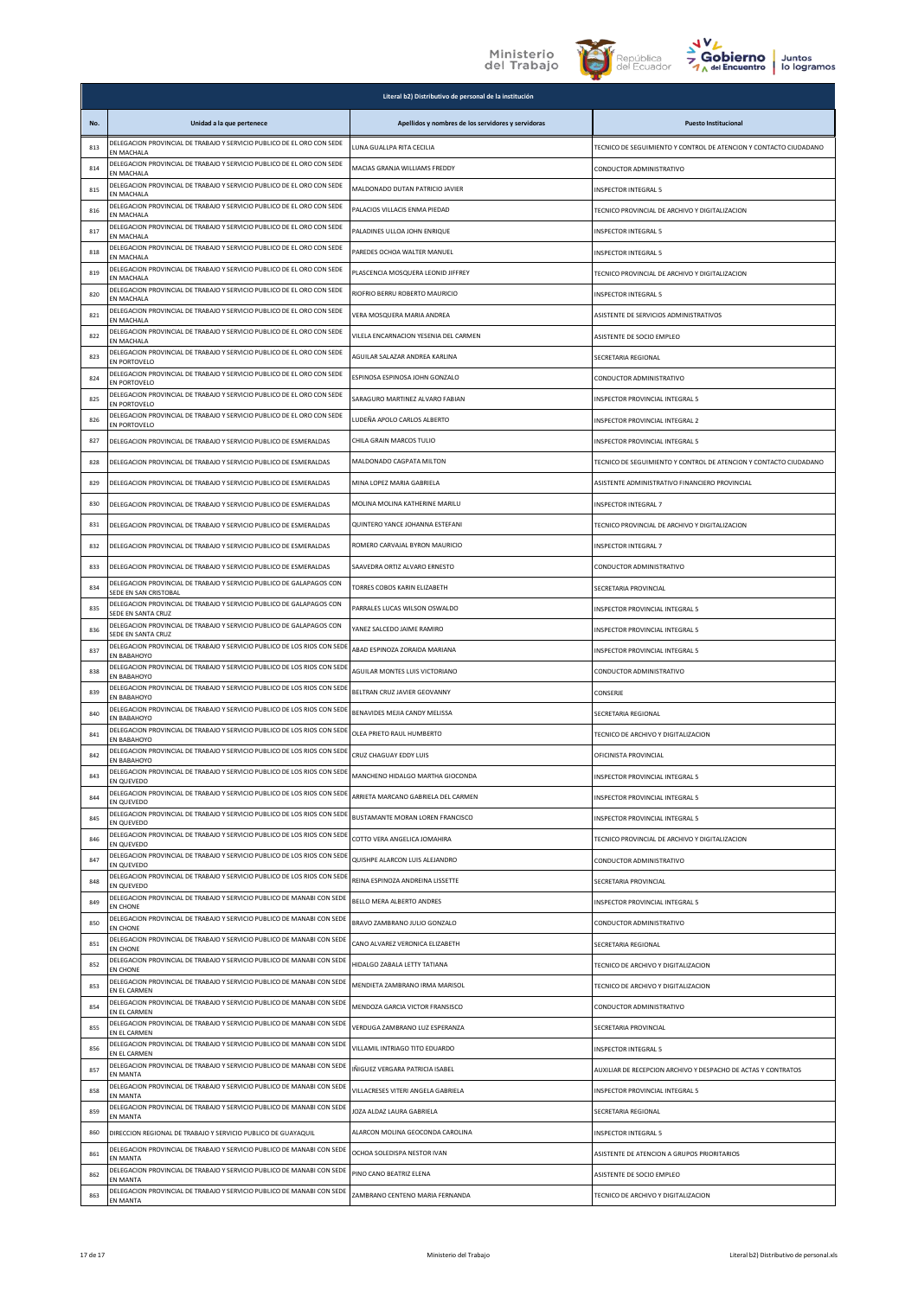



|     |                                                                                               | Literal b2) Distributivo de personal de la institución |                                                                   |
|-----|-----------------------------------------------------------------------------------------------|--------------------------------------------------------|-------------------------------------------------------------------|
| No. | Unidad a la que pertenece                                                                     | Apellidos y nombres de los servidores y servidoras     | <b>Puesto Institucional</b>                                       |
| 813 | DELEGACION PROVINCIAL DE TRABAJO Y SERVICIO PUBLICO DE EL ORO CON SEDE<br>EN MACHALA          | LUNA GUALLPA RITA CECILIA                              | TECNICO DE SEGUIMIENTO Y CONTROL DE ATENCION Y CONTACTO CIUDADANO |
| 814 | DELEGACION PROVINCIAL DE TRABAJO Y SERVICIO PUBLICO DE EL ORO CON SEDE<br>EN MACHALA          | MACIAS GRANJA WILLIAMS FREDDY                          | CONDUCTOR ADMINISTRATIVO                                          |
| 815 | DELEGACION PROVINCIAL DE TRABAJO Y SERVICIO PUBLICO DE EL ORO CON SEDE<br>EN MACHALA          | MALDONADO DUTAN PATRICIO JAVIER                        | <b>INSPECTOR INTEGRAL 5</b>                                       |
| 816 | DELEGACION PROVINCIAL DE TRABAJO Y SERVICIO PUBLICO DE EL ORO CON SEDE<br>EN MACHALA          | PALACIOS VILLACIS ENMA PIEDAD                          | TECNICO PROVINCIAL DE ARCHIVO Y DIGITALIZACION                    |
| 817 | DELEGACION PROVINCIAL DE TRABAJO Y SERVICIO PUBLICO DE EL ORO CON SEDE<br>FN MACHALA          | PALADINES ULLOA JOHN ENRIQUE                           | <b>INSPECTOR INTEGRAL 5</b>                                       |
| 818 | DELEGACION PROVINCIAL DE TRABAJO Y SERVICIO PUBLICO DE EL ORO CON SEDE<br>EN MACHALA          | PAREDES OCHOA WALTER MANUEL                            | <b>INSPECTOR INTEGRAL 5</b>                                       |
| 819 | DELEGACION PROVINCIAL DE TRABAJO Y SERVICIO PUBLICO DE EL ORO CON SEDE<br>EN MACHALA          | PLASCENCIA MOSQUERA LEONID JIFFREY                     | TECNICO PROVINCIAL DE ARCHIVO Y DIGITALIZACION                    |
| 820 | DELEGACION PROVINCIAL DE TRABAJO Y SERVICIO PUBLICO DE EL ORO CON SEDE<br>EN MACHALA          | RIOFRIO BERRU ROBERTO MAURICIO                         | <b>INSPECTOR INTEGRAL 5</b>                                       |
| 821 | DELEGACION PROVINCIAL DE TRABAJO Y SERVICIO PUBLICO DE EL ORO CON SEDE<br>EN MACHALA          | VERA MOSQUERA MARIA ANDREA                             | ASISTENTE DE SERVICIOS ADMINISTRATIVOS                            |
| 822 | DELEGACION PROVINCIAL DE TRABAJO Y SERVICIO PUBLICO DE EL ORO CON SEDE<br>EN MACHALA          | VILELA ENCARNACION YESENIA DEL CARMEN                  | ASISTENTE DE SOCIO EMPLEO                                         |
| 823 | DELEGACION PROVINCIAL DE TRABAJO Y SERVICIO PUBLICO DE EL ORO CON SEDE<br>EN PORTOVELO        | AGUILAR SALAZAR ANDREA KARLINA                         | SECRETARIA REGIONAL                                               |
| 824 | DELEGACION PROVINCIAL DE TRABAJO Y SERVICIO PUBLICO DE EL ORO CON SEDE<br>EN PORTOVELO        | ESPINOSA ESPINOSA JOHN GONZALO                         | CONDUCTOR ADMINISTRATIVO                                          |
| 825 | DELEGACION PROVINCIAL DE TRABAJO Y SERVICIO PUBLICO DE EL ORO CON SEDE<br>EN PORTOVELO        | SARAGURO MARTINEZ ALVARO FABIAN                        | INSPECTOR PROVINCIAL INTEGRAL 5                                   |
| 826 | DELEGACION PROVINCIAL DE TRABAJO Y SERVICIO PUBLICO DE EL ORO CON SEDE<br>EN PORTOVELO        | LUDEÑA APOLO CARLOS ALBERTO                            | INSPECTOR PROVINCIAL INTEGRAL 2                                   |
| 827 | DELEGACION PROVINCIAL DE TRABAJO Y SERVICIO PUBLICO DE ESMERALDAS                             | CHILA GRAIN MARCOS TULIO                               | <b>INSPECTOR PROVINCIAL INTEGRAL 5</b>                            |
| 828 | DELEGACION PROVINCIAL DE TRABAJO Y SERVICIO PUBLICO DE ESMERALDAS                             | MALDONADO CAGPATA MILTON                               | TECNICO DE SEGUIMIENTO Y CONTROL DE ATENCION Y CONTACTO CIUDADANO |
| 829 | DELEGACION PROVINCIAL DE TRABAJO Y SERVICIO PUBLICO DE ESMERALDAS                             | MINA LOPEZ MARIA GABRIELA                              | ASISTENTE ADMINISTRATIVO FINANCIERO PROVINCIAL                    |
| 830 | DELEGACION PROVINCIAL DE TRABAJO Y SERVICIO PUBLICO DE ESMERALDAS                             | MOLINA MOLINA KATHERINE MARILU                         | <b>INSPECTOR INTEGRAL 7</b>                                       |
| 831 | DELEGACION PROVINCIAL DE TRABAJO Y SERVICIO PUBLICO DE ESMERALDAS                             | QUINTERO YANCE JOHANNA ESTEFANI                        | TECNICO PROVINCIAL DE ARCHIVO Y DIGITALIZACION                    |
| 832 | DELEGACION PROVINCIAL DE TRABAJO Y SERVICIO PUBLICO DE ESMERALDAS                             | ROMERO CARVAJAL BYRON MAURICIO                         | <b>INSPECTOR INTEGRAL 7</b>                                       |
| 833 | DELEGACION PROVINCIAL DE TRABAJO Y SERVICIO PUBLICO DE ESMERALDAS                             | SAAVEDRA ORTIZ ALVARO ERNESTO                          | CONDUCTOR ADMINISTRATIVO                                          |
| 834 | DELEGACION PROVINCIAL DE TRABAJO Y SERVICIO PUBLICO DE GALAPAGOS CON<br>SEDE EN SAN CRISTOBAL | TORRES COBOS KARIN ELIZABETH                           | SECRETARIA PROVINCIAL                                             |
| 835 | DELEGACION PROVINCIAL DE TRABAJO Y SERVICIO PUBLICO DE GALAPAGOS CON<br>SEDE EN SANTA CRUZ    | PARRALES LUCAS WILSON OSWALDO                          | INSPECTOR PROVINCIAL INTEGRAL 5                                   |
| 836 | DELEGACION PROVINCIAL DE TRABAJO Y SERVICIO PUBLICO DE GALAPAGOS CON<br>SEDE EN SANTA CRUZ    | YANEZ SALCEDO JAIME RAMIRO                             | INSPECTOR PROVINCIAL INTEGRAL 5                                   |
| 837 | DELEGACION PROVINCIAL DE TRABAJO Y SERVICIO PUBLICO DE LOS RIOS CON SEDE<br>EN BABAHOYO       | ABAD ESPINOZA ZORAIDA MARIANA                          | INSPECTOR PROVINCIAL INTEGRAL 5                                   |
| 838 | DELEGACION PROVINCIAL DE TRABAJO Y SERVICIO PUBLICO DE LOS RIOS CON SEDE<br>EN BABAHOYO       | AGUILAR MONTES LUIS VICTORIANO                         | CONDUCTOR ADMINISTRATIVO                                          |
| 839 | DELEGACION PROVINCIAL DE TRABAJO Y SERVICIO PUBLICO DE LOS RIOS CON SEDE<br>EN BABAHOYO       | BELTRAN CRUZ JAVIER GEOVANNY                           | CONSERJE                                                          |
| 840 | DELEGACION PROVINCIAL DE TRABAJO Y SERVICIO PUBLICO DE LOS RIOS CON SEDE<br>EN BABAHOYO       | BENAVIDES MEJIA CANDY MELISSA                          | SECRETARIA REGIONAL                                               |
| 841 | DELEGACION PROVINCIAL DE TRABAJO Y SERVICIO PUBLICO DE LOS RIOS CON SEDE<br>EN BABAHOYO       | OLEA PRIETO RAUL HUMBERTO                              | TECNICO DE ARCHIVO Y DIGITALIZACION                               |
| 842 | DELEGACION PROVINCIAL DE TRABAJO Y SERVICIO PUBLICO DE LOS RIOS CON SEDE<br>EN BABAHOYO       | CRUZ CHAGUAY EDDY LUIS                                 | OFICINISTA PROVINCIAL                                             |
| 843 | DELEGACION PROVINCIAL DE TRABAJO Y SERVICIO PUBLICO DE LOS RIOS CON SEDE<br>N OLIEVEDO        | MANCHENO HIDALGO MARTHA GIOCONDA                       | <b>INSPECTOR PROVINCIAL INTEGRAL 5</b>                            |
| 844 | DELEGACION PROVINCIAL DE TRABAJO Y SERVICIO PUBLICO DE LOS RIOS CON SEDE<br>EN QUEVEDO        | ARRIETA MARCANO GABRIELA DEL CARMEN                    | INSPECTOR PROVINCIAL INTEGRAL 5                                   |
| 845 | DELEGACION PROVINCIAL DE TRABAJO Y SERVICIO PUBLICO DE LOS RIOS CON SEDE<br>EN QUEVEDO        | BUSTAMANTE MORAN LOREN FRANCISCO                       | INSPECTOR PROVINCIAL INTEGRAL 5                                   |
| 846 | DELEGACION PROVINCIAL DE TRABAJO Y SERVICIO PUBLICO DE LOS RIOS CON SEDE<br>EN QUEVEDO        | COTTO VERA ANGELICA JOMAHIRA                           | TECNICO PROVINCIAL DE ARCHIVO Y DIGITALIZACION                    |
| 847 | DELEGACION PROVINCIAL DE TRABAJO Y SERVICIO PUBLICO DE LOS RIOS CON SEDE<br>EN QUEVEDO        | QUISHPE ALARCON LUIS ALEJANDRO                         | CONDUCTOR ADMINISTRATIVO                                          |
| 848 | DELEGACION PROVINCIAL DE TRABAJO Y SERVICIO PUBLICO DE LOS RIOS CON SEDE<br>EN QUEVEDO        | REINA ESPINOZA ANDREINA LISSETTE                       | SECRETARIA PROVINCIAL                                             |
| 849 | DELEGACION PROVINCIAL DE TRABAJO Y SERVICIO PUBLICO DE MANABI CON SEDE<br>EN CHONE            | BELLO MERA ALBERTO ANDRES                              | INSPECTOR PROVINCIAL INTEGRAL 5                                   |
| 850 | DELEGACION PROVINCIAL DE TRABAJO Y SERVICIO PUBLICO DE MANABI CON SEDE<br>EN CHONE            | BRAVO ZAMBRANO JULIO GONZALO                           | CONDUCTOR ADMINISTRATIVO                                          |
| 851 | DELEGACION PROVINCIAL DE TRABAJO Y SERVICIO PUBLICO DE MANABI CON SEDE<br>EN CHONE            | CANO ALVAREZ VERONICA ELIZABETH                        | SECRETARIA REGIONAL                                               |
| 852 | DELEGACION PROVINCIAL DE TRABAJO Y SERVICIO PUBLICO DE MANABI CON SEDE<br>EN CHONE            | HIDALGO ZABALA LETTY TATIANA                           | TECNICO DE ARCHIVO Y DIGITALIZACION                               |
| 853 | DELEGACION PROVINCIAL DE TRABAJO Y SERVICIO PUBLICO DE MANABI CON SEDE<br>EN EL CARMEN        | MENDIETA ZAMBRANO IRMA MARISOL                         | TECNICO DE ARCHIVO Y DIGITALIZACION                               |
| 854 | DELEGACION PROVINCIAL DE TRABAJO Y SERVICIO PUBLICO DE MANABI CON SEDE<br>EN EL CARMEN        | MENDOZA GARCIA VICTOR FRANSISCO                        | CONDUCTOR ADMINISTRATIVO                                          |
| 855 | DELEGACION PROVINCIAL DE TRABAJO Y SERVICIO PUBLICO DE MANABI CON SEDE<br>EN EL CARMEN        | VERDUGA ZAMBRANO LUZ ESPERANZA                         | SECRETARIA PROVINCIAL                                             |
| 856 | DELEGACION PROVINCIAL DE TRABAJO Y SERVICIO PUBLICO DE MANABI CON SEDE<br>EN EL CARMEN        | VILLAMIL INTRIAGO TITO EDUARDO                         | <b>INSPECTOR INTEGRAL 5</b>                                       |
| 857 | DELEGACION PROVINCIAL DE TRABAJO Y SERVICIO PUBLICO DE MANABI CON SEDE<br>EN MANTA            | IÑIGUEZ VERGARA PATRICIA ISABEL                        | AUXILIAR DE RECEPCION ARCHIVO Y DESPACHO DE ACTAS Y CONTRATOS     |
| 858 | DELEGACION PROVINCIAL DE TRABAJO Y SERVICIO PUBLICO DE MANABI CON SEDE<br><b>FN MANTA</b>     | VILLACRESES VITERI ANGELA GABRIELA                     | INSPECTOR PROVINCIAL INTEGRAL 5                                   |
| 859 | DELEGACION PROVINCIAL DE TRABAJO Y SERVICIO PUBLICO DE MANABI CON SEDE<br>EN MANTA            | <b>OZA ALDAZ LAURA GABRIELA</b>                        | SECRETARIA REGIONAL                                               |
| 860 | DIRECCION REGIONAL DE TRABAJO Y SERVICIO PUBLICO DE GUAYAQUIL                                 | ALARCON MOLINA GEOCONDA CAROLINA                       | INSPECTOR INTEGRAL 5                                              |
| 861 | DELEGACION PROVINCIAL DE TRABAJO Y SERVICIO PUBLICO DE MANABI CON SEDE<br>EN MANTA            | OCHOA SOLEDISPA NESTOR IVAN                            | ASISTENTE DE ATENCION A GRUPOS PRIORITARIOS                       |
| 862 | DELEGACION PROVINCIAL DE TRABAJO Y SERVICIO PUBLICO DE MANABI CON SEDE<br>EN MANTA            | PINO CANO BEATRIZ ELENA                                | ASISTENTE DE SOCIO EMPLEO                                         |
| 863 | DELEGACION PROVINCIAL DE TRABAJO Y SERVICIO PUBLICO DE MANABI CON SEDE<br>EN MANTA            | ZAMBRANO CENTENO MARIA FERNANDA                        | TECNICO DE ARCHIVO Y DIGITALIZACION                               |
|     |                                                                                               |                                                        |                                                                   |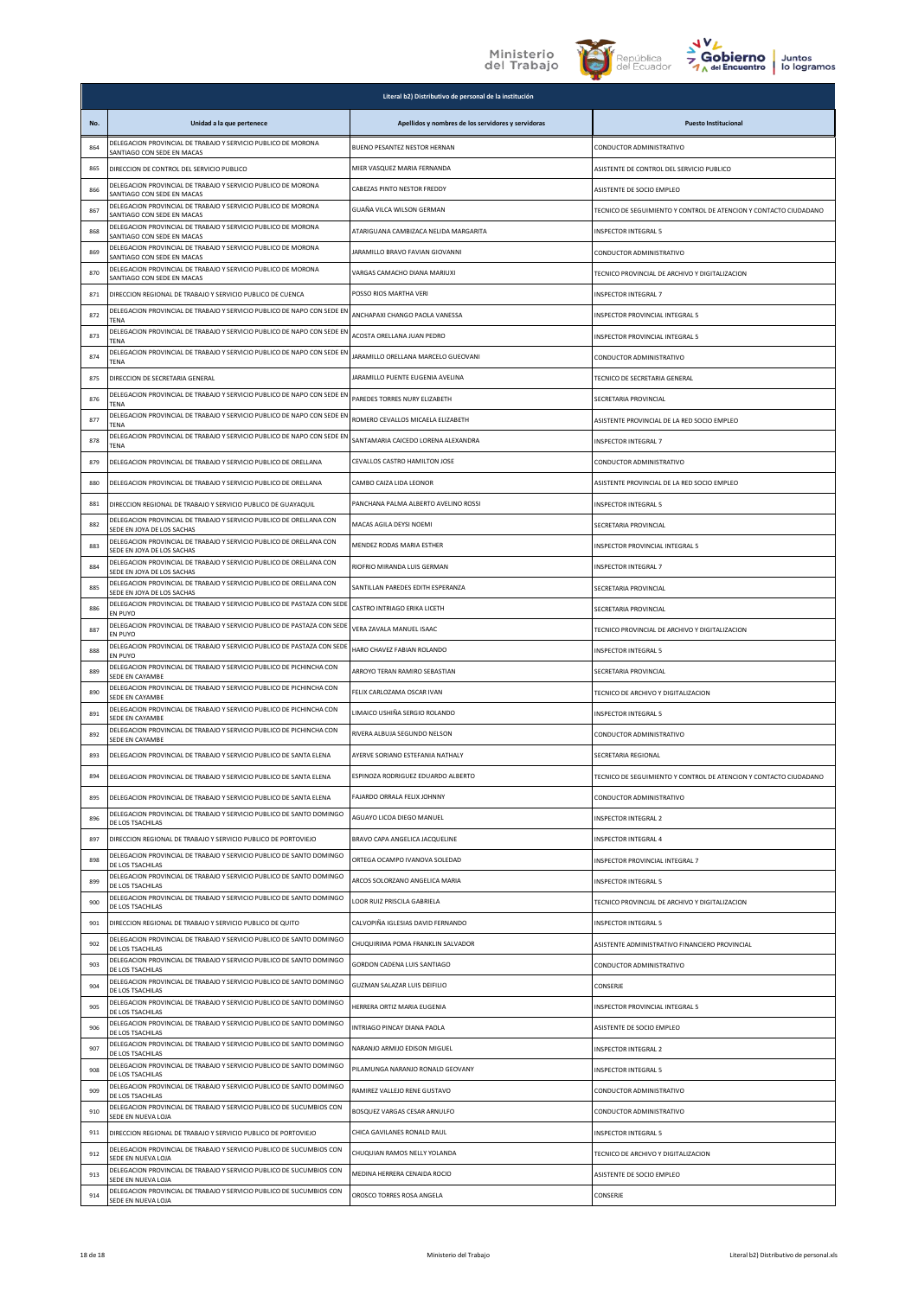



|     |                                                                                                   | Literal b2) Distributivo de personal de la institución |                                                                   |
|-----|---------------------------------------------------------------------------------------------------|--------------------------------------------------------|-------------------------------------------------------------------|
| No. | Unidad a la que pertenece                                                                         | Apellidos y nombres de los servidores y servidoras     | <b>Puesto Institucional</b>                                       |
| 864 | DELEGACION PROVINCIAL DE TRABAJO Y SERVICIO PUBLICO DE MORONA<br>SANTIAGO CON SEDE EN MACAS       | BUENO PESANTEZ NESTOR HERNAN                           | CONDUCTOR ADMINISTRATIVO                                          |
| 865 | DIRECCION DE CONTROL DEL SERVICIO PUBLICO                                                         | MIER VASQUEZ MARIA FERNANDA                            | ASISTENTE DE CONTROL DEL SERVICIO PUBLICO                         |
| 866 | DELEGACION PROVINCIAL DE TRABAJO Y SERVICIO PUBLICO DE MORONA<br>SANTIAGO CON SEDE EN MACAS       | CABEZAS PINTO NESTOR FREDDY                            | ASISTENTE DE SOCIO EMPLEO                                         |
| 867 | DELEGACION PROVINCIAL DE TRABAJO Y SERVICIO PUBLICO DE MORONA<br>SANTIAGO CON SEDE EN MACAS       | GUAÑA VILCA WILSON GERMAN                              | TECNICO DE SEGUIMIENTO Y CONTROL DE ATENCION Y CONTACTO CIUDADANO |
| 868 | DELEGACION PROVINCIAL DE TRABAJO Y SERVICIO PUBLICO DE MORONA<br>SANTIAGO CON SEDE EN MACAS       | ATARIGUANA CAMBIZACA NELIDA MARGARITA                  | <b>INSPECTOR INTEGRAL 5</b>                                       |
| 869 | DELEGACION PROVINCIAL DE TRABAJO Y SERVICIO PUBLICO DE MORONA<br>SANTIAGO CON SEDE EN MACAS       | JARAMILLO BRAVO FAVIAN GIOVANNI                        | CONDUCTOR ADMINISTRATIVO                                          |
| 870 | DELEGACION PROVINCIAL DE TRABAJO Y SERVICIO PUBLICO DE MORONA<br>SANTIAGO CON SEDE EN MACAS       | VARGAS CAMACHO DIANA MARIUXI                           | TECNICO PROVINCIAL DE ARCHIVO Y DIGITALIZACION                    |
| 871 | DIRECCION REGIONAL DE TRABAJO Y SERVICIO PUBLICO DE CUENCA                                        | POSSO RIOS MARTHA VERI                                 | INSPECTOR INTEGRAL 7                                              |
| 872 | DELEGACION PROVINCIAL DE TRABAJO Y SERVICIO PUBLICO DE NAPO CON SEDE EN<br>TENA                   | ANCHAPAXI CHANGO PAOLA VANESSA                         | INSPECTOR PROVINCIAL INTEGRAL 5                                   |
| 873 | DELEGACION PROVINCIAL DE TRABAJO Y SERVICIO PUBLICO DE NAPO CON SEDE EN<br>TENA                   | ACOSTA ORELLANA JUAN PEDRO                             | INSPECTOR PROVINCIAL INTEGRAL 5                                   |
| 874 | DELEGACION PROVINCIAL DE TRABAJO Y SERVICIO PUBLICO DE NAPO CON SEDE EN<br>TENA                   | JARAMILLO ORELLANA MARCELO GUEOVANI                    | CONDUCTOR ADMINISTRATIVO                                          |
| 875 | DIRECCION DE SECRETARIA GENERAL                                                                   | JARAMILLO PUENTE EUGENIA AVELINA                       | TECNICO DE SECRETARIA GENERAL                                     |
| 876 | DELEGACION PROVINCIAL DE TRABAJO Y SERVICIO PUBLICO DE NAPO CON SEDE EN<br>TFNA                   | PAREDES TORRES NURY ELIZABETH                          | SECRETARIA PROVINCIAL                                             |
| 877 | DELEGACION PROVINCIAL DE TRABAJO Y SERVICIO PUBLICO DE NAPO CON SEDE EN<br>TENA                   | ROMERO CEVALLOS MICAELA ELIZABETH                      | ASISTENTE PROVINCIAL DE LA RED SOCIO EMPLEO                       |
| 878 | DELEGACION PROVINCIAL DE TRABAJO Y SERVICIO PUBLICO DE NAPO CON SEDE EN<br>TENA                   | SANTAMARIA CAICEDO LORENA ALEXANDRA                    | INSPECTOR INTEGRAL 7                                              |
| 879 | DELEGACION PROVINCIAL DE TRABAJO Y SERVICIO PUBLICO DE ORELLANA                                   | CEVALLOS CASTRO HAMILTON JOSE                          | CONDUCTOR ADMINISTRATIVO                                          |
| 880 | DELEGACION PROVINCIAL DE TRABAJO Y SERVICIO PUBLICO DE ORELLANA                                   | CAMBO CAIZA LIDA LEONOR                                | ASISTENTE PROVINCIAL DE LA RED SOCIO EMPLEO                       |
| 881 | DIRECCION REGIONAL DE TRABAJO Y SERVICIO PUBLICO DE GUAYAQUIL                                     | PANCHANA PALMA ALBERTO AVELINO ROSSI                   | <b>INSPECTOR INTEGRAL 5</b>                                       |
| 882 | DELEGACION PROVINCIAL DE TRABAJO Y SERVICIO PUBLICO DE ORELLANA CON<br>SEDE EN JOYA DE LOS SACHAS | MACAS AGILA DEYSI NOEMI                                | SECRETARIA PROVINCIAL                                             |
| 883 | DELEGACION PROVINCIAL DE TRABAJO Y SERVICIO PUBLICO DE ORELLANA CON<br>SEDE EN JOYA DE LOS SACHAS | MENDEZ RODAS MARIA ESTHER                              | INSPECTOR PROVINCIAL INTEGRAL 5                                   |
| 884 | DELEGACION PROVINCIAL DE TRABAJO Y SERVICIO PUBLICO DE ORELLANA CON<br>SEDE EN JOYA DE LOS SACHAS | RIOFRIO MIRANDA LUIS GERMAN                            | INSPECTOR INTEGRAL 7                                              |
| 885 | DELEGACION PROVINCIAL DE TRABAJO Y SERVICIO PUBLICO DE ORELLANA CON<br>SEDE EN JOYA DE LOS SACHAS | SANTILLAN PAREDES EDITH ESPERANZA                      | SECRETARIA PROVINCIAL                                             |
| 886 | DELEGACION PROVINCIAL DE TRABAJO Y SERVICIO PUBLICO DE PASTAZA CON SEDE<br>EN PUYO                | CASTRO INTRIAGO ERIKA LICETH                           | SECRETARIA PROVINCIAL                                             |
| 887 | DELEGACION PROVINCIAL DE TRABAJO Y SERVICIO PUBLICO DE PASTAZA CON SEDE<br>EN PUYO                | VERA ZAVALA MANUEL ISAAC                               | TECNICO PROVINCIAL DE ARCHIVO Y DIGITALIZACION                    |
| 888 | DELEGACION PROVINCIAL DE TRABAJO Y SERVICIO PUBLICO DE PASTAZA CON SEDE<br>EN PUYO                | HARO CHAVEZ FABIAN ROLANDO                             | <b>INSPECTOR INTEGRAL 5</b>                                       |
| 889 | DELEGACION PROVINCIAL DE TRABAJO Y SERVICIO PUBLICO DE PICHINCHA CON<br>SEDE EN CAYAMBE           | ARROYO TERAN RAMIRO SEBASTIAN                          | SECRETARIA PROVINCIAL                                             |
| 890 | DELEGACION PROVINCIAL DE TRABAJO Y SERVICIO PUBLICO DE PICHINCHA CON<br>SEDE EN CAYAMBE           | FELIX CARLOZAMA OSCAR IVAN                             | TECNICO DE ARCHIVO Y DIGITALIZACION                               |
| 891 | DELEGACION PROVINCIAL DE TRABAJO Y SERVICIO PUBLICO DE PICHINCHA CON<br><b>SEDE EN CAYAMBE</b>    | LIMAICO USHIÑA SERGIO ROLANDO                          | INSPECTOR INTEGRAL 5                                              |
| 892 | DELEGACION PROVINCIAL DE TRABAJO Y SERVICIO PUBLICO DE PICHINCHA CON<br>SEDE EN CAYAMBE           | RIVERA ALBUJA SEGUNDO NELSON                           | CONDUCTOR ADMINISTRATIVO                                          |
| 893 | DELEGACION PROVINCIAL DE TRABAJO Y SERVICIO PUBLICO DE SANTA ELENA                                | AYERVE SORIANO ESTEFANIA NATHALY                       | SECRETARIA REGIONAL                                               |
| 894 | DELEGACION PROVINCIAL DE TRABAJO Y SERVICIO PUBLICO DE SANTA ELENA                                | ESPINOZA RODRIGUEZ EDUARDO ALBERTO                     | TECNICO DE SEGUIMIENTO Y CONTROL DE ATENCION Y CONTACTO CIUDADANO |
| 895 | DELEGACION PROVINCIAL DE TRABAJO Y SERVICIO PUBLICO DE SANTA ELENA                                | FAJARDO ORRALA FELIX JOHNNY                            | CONDUCTOR ADMINISTRATIVO                                          |
| 896 | DELEGACION PROVINCIAL DE TRABAJO Y SERVICIO PUBLICO DE SANTO DOMINGO<br>DE LOS TSACHILAS          | AGUAYO LICOA DIEGO MANUEL                              | INSPECTOR INTEGRAL 2                                              |
| 897 | DIRECCION REGIONAL DE TRABAJO Y SERVICIO PUBLICO DE PORTOVIEJO                                    | BRAVO CAPA ANGELICA JACQUELINE                         | <b>INSPECTOR INTEGRAL 4</b>                                       |
| 898 | DELEGACION PROVINCIAL DE TRABAJO Y SERVICIO PUBLICO DE SANTO DOMINGO<br>DE LOS TSACHILAS          | ORTEGA OCAMPO IVANOVA SOLEDAD                          | INSPECTOR PROVINCIAL INTEGRAL 7                                   |
| 899 | DELEGACION PROVINCIAL DE TRABAJO Y SERVICIO PUBLICO DE SANTO DOMINGO<br>DE LOS TSACHILAS          | ARCOS SOLORZANO ANGELICA MARIA                         | <b>INSPECTOR INTEGRAL 5</b>                                       |
| 900 | DELEGACION PROVINCIAL DE TRABAJO Y SERVICIO PUBLICO DE SANTO DOMINGO<br>DE LOS TSACHILAS          | LOOR RUIZ PRISCILA GABRIELA                            | TECNICO PROVINCIAL DE ARCHIVO Y DIGITALIZACION                    |
| 901 | DIRECCION REGIONAL DE TRABAJO Y SERVICIO PUBLICO DE QUITO                                         | CALVOPIÑA IGLESIAS DAVID FERNANDO                      | INSPECTOR INTEGRAL 5                                              |
| 902 | DELEGACION PROVINCIAL DE TRABAJO Y SERVICIO PUBLICO DE SANTO DOMINGO<br>DE LOS TSACHILAS          | CHUQUIRIMA POMA FRANKLIN SALVADOR                      | ASISTENTE ADMINISTRATIVO FINANCIERO PROVINCIAL                    |
| 903 | DELEGACION PROVINCIAL DE TRABAJO Y SERVICIO PUBLICO DE SANTO DOMINGO<br>DE LOS TSACHILAS          | GORDON CADENA LUIS SANTIAGO                            | CONDUCTOR ADMINISTRATIVO                                          |
| 904 | DELEGACION PROVINCIAL DE TRABAJO Y SERVICIO PUBLICO DE SANTO DOMINGO<br>DE LOS TSACHILAS          | GUZMAN SALAZAR LUIS DEIFILIO                           | CONSERJE                                                          |
| 905 | DELEGACION PROVINCIAL DE TRABAJO Y SERVICIO PUBLICO DE SANTO DOMINGO<br>DE LOS TSACHILAS          | HERRERA ORTIZ MARIA EUGENIA                            | INSPECTOR PROVINCIAL INTEGRAL 5                                   |
| 906 | DELEGACION PROVINCIAL DE TRABAJO Y SERVICIO PUBLICO DE SANTO DOMINGO<br>DE LOS TSACHILAS          | INTRIAGO PINCAY DIANA PAOLA                            | ASISTENTE DE SOCIO EMPLEO                                         |
| 907 | DELEGACION PROVINCIAL DE TRABAJO Y SERVICIO PUBLICO DE SANTO DOMINGO<br>DE LOS TSACHILAS          | NARANJO ARMIJO EDISON MIGUEL                           | <b>INSPECTOR INTEGRAL 2</b>                                       |
| 908 | DELEGACION PROVINCIAL DE TRABAJO Y SERVICIO PUBLICO DE SANTO DOMINGO<br>DE LOS TSACHILAS          | PILAMUNGA NARANJO RONALD GEOVANY                       | <b>INSPECTOR INTEGRAL 5</b>                                       |
| 909 | DELEGACION PROVINCIAL DE TRABAJO Y SERVICIO PUBLICO DE SANTO DOMINGO<br>DE LOS TSACHILAS          | RAMIREZ VALLEJO RENE GUSTAVO                           | CONDUCTOR ADMINISTRATIVO                                          |
| 910 | DELEGACION PROVINCIAL DE TRABAJO Y SERVICIO PUBLICO DE SUCUMBIOS CON<br>SEDE EN NUEVA LOJA        | BOSQUEZ VARGAS CESAR ARNULFO                           | CONDUCTOR ADMINISTRATIVO                                          |
| 911 | DIRECCION REGIONAL DE TRABAJO Y SERVICIO PUBLICO DE PORTOVIEJO                                    | CHICA GAVILANES RONALD RAUL                            | INSPECTOR INTEGRAL 5                                              |
| 912 | DELEGACION PROVINCIAL DE TRABAJO Y SERVICIO PUBLICO DE SUCUMBIOS CON<br>SEDE EN NUEVA LOJA        | CHUQUIAN RAMOS NELLY YOLANDA                           | TECNICO DE ARCHIVO Y DIGITALIZACION                               |
| 913 | DELEGACION PROVINCIAL DE TRABAJO Y SERVICIO PUBLICO DE SUCUMBIOS CON<br>SEDE EN NUEVA LOJA        | MEDINA HERRERA CENAIDA ROCIO                           | ASISTENTE DE SOCIO EMPLEO                                         |
| 914 | DELEGACION PROVINCIAL DE TRABAJO Y SERVICIO PUBLICO DE SUCUMBIOS CON<br>SEDE EN NUEVA LOJA        | OROSCO TORRES ROSA ANGELA                              | CONSERJE                                                          |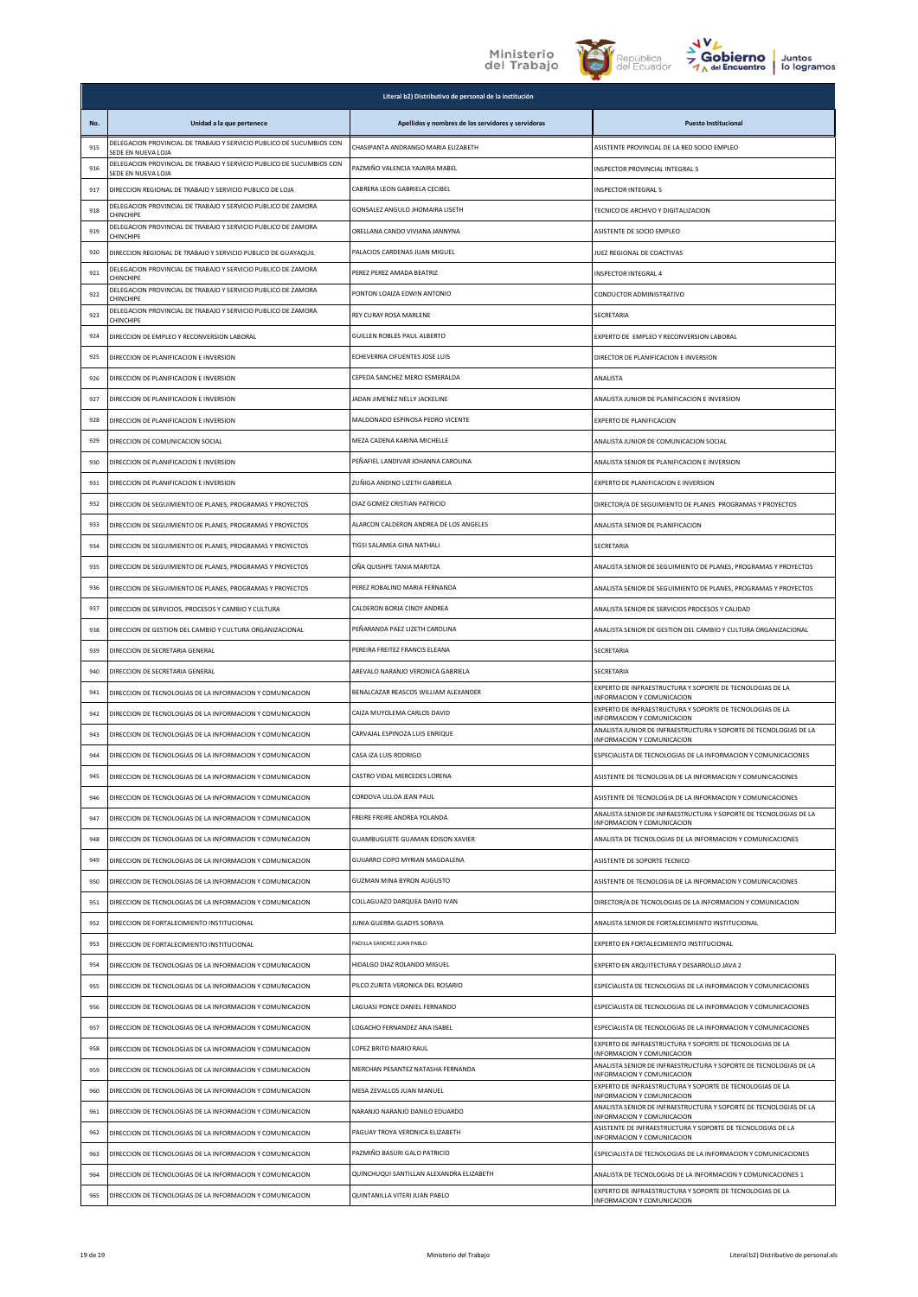



|     |                                                                                            | Literal b2) Distributivo de personal de la institución |                                                                                                       |
|-----|--------------------------------------------------------------------------------------------|--------------------------------------------------------|-------------------------------------------------------------------------------------------------------|
| No. | Unidad a la que pertenece                                                                  | Apellidos y nombres de los servidores y servidoras     | <b>Puesto Institucional</b>                                                                           |
| 915 | DELEGACION PROVINCIAL DE TRABAJO Y SERVICIO PUBLICO DE SUCUMBIOS CON<br>SEDE EN NUEVA LOJA | CHASIPANTA ANDRANGO MARIA ELIZABETH                    | ASISTENTE PROVINCIAL DE LA RED SOCIO EMPLEO                                                           |
| 916 | DELEGACION PROVINCIAL DE TRABAJO Y SERVICIO PUBLICO DE SUCUMBIOS CON<br>SEDE EN NUEVA LOJA | PAZMIÑO VALENCIA YAJAIRA MABEL                         | INSPECTOR PROVINCIAL INTEGRAL 5                                                                       |
| 917 | DIRECCION REGIONAL DE TRABAJO Y SERVICIO PUBLICO DE LOJA                                   | CABRERA LEON GABRIELA CECIBEL                          | <b>INSPECTOR INTEGRAL 5</b>                                                                           |
| 918 | DELEGACION PROVINCIAL DE TRABAJO Y SERVICIO PUBLICO DE ZAMORA<br>CHINCHIPE                 | GONSALEZ ANGULO JHOMAIRA LISETH                        | TECNICO DE ARCHIVO Y DIGITALIZACION                                                                   |
| 919 | DELEGACION PROVINCIAL DE TRABAJO Y SERVICIO PUBLICO DE ZAMORA<br>CHINCHIPE                 | ORELLANA CANDO VIVIANA JANNYNA                         | ASISTENTE DE SOCIO EMPLEO                                                                             |
| 920 | DIRECCION REGIONAL DE TRABAJO Y SERVICIO PUBLICO DE GUAYAQUIL                              | PALACIOS CARDENAS JUAN MIGUEL                          | JUEZ REGIONAL DE COACTIVAS                                                                            |
| 921 | DELEGACION PROVINCIAL DE TRABAJO Y SERVICIO PUBLICO DE ZAMORA<br>CHINCHIPE                 | PEREZ PEREZ AMADA BEATRIZ                              | INSPECTOR INTEGRAL 4                                                                                  |
| 922 | DELEGACION PROVINCIAL DE TRABAJO Y SERVICIO PUBLICO DE ZAMORA<br>CHINCHIPE                 | PONTON LOAIZA EDWIN ANTONIO                            | CONDUCTOR ADMINISTRATIVO                                                                              |
| 923 | DELEGACION PROVINCIAL DE TRABAJO Y SERVICIO PUBLICO DE ZAMORA<br>CHINCHIPE                 | REY CURAY ROSA MARLENE                                 | SECRETARIA                                                                                            |
| 924 | DIRECCION DE EMPLEO Y RECONVERSION LABORAL                                                 | GUILLEN ROBLES PAUL ALBERTO                            | EXPERTO DE EMPLEO Y RECONVERSION LABORAL                                                              |
| 925 | DIRECCION DE PLANIFICACION E INVERSION                                                     | ECHEVERRIA CIFUENTES JOSE LUIS                         | DIRECTOR DE PLANIFICACION E INVERSION                                                                 |
| 926 | DIRECCION DE PLANIFICACION E INVERSION                                                     | CEPEDA SANCHEZ MERCI ESMERALDA                         | ANALISTA                                                                                              |
| 927 | DIRECCION DE PLANIFICACION E INVERSION                                                     | JADAN JIMENEZ NELLY JACKELINE                          | ANALISTA JUNIOR DE PLANIFICACION E INVERSION                                                          |
| 928 | DIRECCION DE PLANIFICACION E INVERSION                                                     | MALDONADO ESPINOSA PEDRO VICENTE                       | EXPERTO DE PLANIFICACION                                                                              |
| 929 | DIRECCION DE COMUNICACION SOCIAL                                                           | MEZA CADENA KARINA MICHELLE                            | ANALISTA JUNIOR DE COMUNICACION SOCIAL                                                                |
| 930 | DIRECCION DE PLANIFICACION E INVERSION                                                     | PEÑAFIEL LANDIVAR JOHANNA CAROLINA                     | ANALISTA SENIOR DE PLANIFICACION E INVERSION                                                          |
| 931 | DIRECCION DE PLANIFICACION E INVERSION                                                     | ZUÑIGA ANDINO LIZETH GABRIELA                          | EXPERTO DE PLANIFICACION E INVERSION                                                                  |
| 932 | DIRECCION DE SEGUIMIENTO DE PLANES, PROGRAMAS Y PROYECTOS                                  | DIAZ GOMEZ CRISTIAN PATRICIO                           | DIRECTOR/A DE SEGUIMIENTO DE PLANES PROGRAMAS Y PROYECTOS                                             |
| 933 | DIRECCION DE SEGUIMIENTO DE PLANES, PROGRAMAS Y PROYECTOS                                  | ALARCON CALDERON ANDREA DE LOS ANGELES                 | ANALISTA SENIOR DE PLANIFICACION                                                                      |
| 934 | DIRECCION DE SEGUIMIENTO DE PLANES, PROGRAMAS Y PROYECTOS                                  | TIGSI SALAMEA GINA NATHALI                             | SECRETARIA                                                                                            |
| 935 | DIRECCION DE SEGUIMIENTO DE PLANES, PROGRAMAS Y PROYECTOS                                  | OÑA QUISHPE TANIA MARITZA                              | ANALISTA SENIOR DE SEGUIMIENTO DE PLANES, PROGRAMAS Y PROYECTOS                                       |
| 936 | DIRECCION DE SEGUIMIENTO DE PLANES, PROGRAMAS Y PROYECTOS                                  | PEREZ ROBALINO MARIA FERNANDA                          | ANALISTA SENIOR DE SEGUIMIENTO DE PLANES, PROGRAMAS Y PROYECTOS                                       |
| 937 | DIRECCION DE SERVICIOS, PROCESOS Y CAMBIO Y CULTURA                                        | CALDERON BORJA CINDY ANDREA                            | ANALISTA SENIOR DE SERVICIOS PROCESOS Y CALIDAD                                                       |
| 938 | DIRECCION DE GESTION DEL CAMBIO Y CULTURA ORGANIZACIONAL                                   | PEÑARANDA PAEZ LIZETH CAROLINA                         | ANALISTA SENIOR DE GESTION DEL CAMBIO Y CULTURA ORGANIZACIONAL                                        |
| 939 | DIRECCION DE SECRETARIA GENERAL                                                            | PEREIRA FREITEZ FRANCIS ELEANA                         | SECRETARIA                                                                                            |
| 940 | DIRECCION DE SECRETARIA GENERAL                                                            | AREVALO NARANJO VERONICA GABRIELA                      | SECRETARIA                                                                                            |
| 941 | DIRECCION DE TECNOLOGIAS DE LA INFORMACION Y COMUNICACION                                  | BENALCAZAR REASCOS WILLIAM ALEXANDER                   | EXPERTO DE INFRAESTRUCTURA Y SOPORTE DE TECNOLOGIAS DE LA<br>INFORMACION Y COMUNICACION               |
| 942 | DIRECCION DE TECNOLOGIAS DE LA INFORMACION Y COMUNICACION                                  | CAIZA MUYOLEMA CARLOS DAVID                            | EXPERTO DE INFRAESTRUCTURA Y SOPORTE DE TECNOLOGIAS DE LA<br><b>NFORMACION Y COMUNICACION</b>         |
| 943 | DIRECCION DE TECNOLOGIAS DE LA INFORMACION Y COMUNICACION                                  | CARVAJAL ESPINOZA LUIS ENRIQUE                         | ANALISTA JUNIOR DE INFRAESTRUCTURA Y SOPORTE DE TECNOLOGIAS DE LA<br>INFORMACION Y COMUNICACION       |
| 944 | DIRECCION DE TECNOLOGIAS DE LA INFORMACION Y COMUNICACION                                  | CASA IZA LUIS RODRIGO                                  | ESPECIALISTA DE TECNOLOGIAS DE LA INFORMACION Y COMUNICACIONES                                        |
| 945 | DIRECCION DE TECNOLOGIAS DE LA INFORMACION Y COMUNICACION                                  | CASTRO VIDAL MERCEDES LORENA                           | ASISTENTE DE TECNOLOGIA DE LA INFORMACION Y COMUNICACIONES                                            |
| 946 | DIRECCION DE TECNOLOGIAS DE LA INFORMACION Y COMUNICACION                                  | CORDOVA ULLOA JEAN PAUL                                | ASISTENTE DE TECNOLOGIA DE LA INFORMACION Y COMUNICACIONES                                            |
| 947 | DIRECCION DE TECNOLOGIAS DE LA INFORMACION Y COMUNICACION                                  | FREIRE FREIRE ANDREA YOLANDA                           | ANALISTA SENIOR DE INFRAESTRUCTURA Y SOPORTE DE TECNOLOGIAS DE LA<br>INFORMACION Y COMUNICACION       |
| 948 | DIRECCION DE TECNOLOGIAS DE LA INFORMACION Y COMUNICACION                                  | GUAMBUGUETE GUAMAN EDISON XAVIER                       | ANALISTA DE TECNOLOGIAS DE LA INFORMACION Y COMUNICACIONES                                            |
| 949 | DIRECCION DE TECNOLOGIAS DE LA INFORMACION Y COMUNICACION                                  | GUIJARRO COPO MYRIAN MAGDALENA                         | ASISTENTE DE SOPORTE TECNICO                                                                          |
| 950 | DIRECCION DE TECNOLOGIAS DE LA INFORMACION Y COMUNICACION                                  | <b>GUZMAN MINA BYRON AUGUSTO</b>                       | ASISTENTE DE TECNOLOGIA DE LA INFORMACION Y COMUNICACIONES                                            |
| 951 | DIRECCION DE TECNOLOGIAS DE LA INFORMACION Y COMUNICACION                                  | COLLAGUAZO DARQUEA DAVID IVAN                          | DIRECTOR/A DE TECNOLOGIAS DE LA INFORMACION Y COMUNICACION                                            |
| 952 | DIRECCION DE FORTALECIMIENTO INSTITUCIONAL                                                 | JUNIA GUERRA GLADYS SORAYA                             | ANALISTA SENIOR DE FORTALECIMIENTO INSTITUCIONAL                                                      |
| 953 | DIRECCION DE FORTALECIMIENTO INSTITUCIONAL                                                 | PADILLA SANCHEZ JUAN PABLO                             | EXPERTO EN FORTALECIMIENTO INSTITUCIONAL                                                              |
| 954 | DIRECCION DE TECNOLOGIAS DE LA INFORMACION Y COMUNICACION                                  | HIDALGO DIAZ ROLANDO MIGUEL                            | EXPERTO EN ARQUITECTURA Y DESARROLLO JAVA 2                                                           |
| 955 | DIRECCION DE TECNOLOGIAS DE LA INFORMACION Y COMUNICACION                                  | PILCO ZURITA VERONICA DEL ROSARIO                      | ESPECIALISTA DE TECNOLOGIAS DE LA INFORMACION Y COMUNICACIONES                                        |
| 956 | DIRECCION DE TECNOLOGIAS DE LA INFORMACION Y COMUNICACION                                  | LAGUASI PONCE DANIEL FERNANDO                          | ESPECIALISTA DE TECNOLOGIAS DE LA INFORMACION Y COMUNICACIONES                                        |
| 957 | DIRECCION DE TECNOLOGIAS DE LA INFORMACION Y COMUNICACION                                  | LOGACHO FERNANDEZ ANA ISABEL                           | ESPECIALISTA DE TECNOLOGIAS DE LA INFORMACION Y COMUNICACIONES                                        |
| 958 | DIRECCION DE TECNOLOGIAS DE LA INFORMACION Y COMUNICACION                                  | LOPEZ BRITO MARIO RAUL                                 | EXPERTO DE INFRAESTRUCTURA Y SOPORTE DE TECNOLOGIAS DE LA<br>INFORMACION Y COMUNICACION               |
| 959 | DIRECCION DE TECNOLOGIAS DE LA INFORMACION Y COMUNICACION                                  | MERCHAN PESANTEZ NATASHA FERNANDA                      | ANALISTA SENIOR DE INFRAESTRUCTURA Y SOPORTE DE TECNOLOGIAS DE LA<br><b>NFORMACION Y COMUNICACION</b> |
| 960 | DIRECCION DE TECNOLOGIAS DE LA INFORMACION Y COMUNICACION                                  | MESA ZEVALLOS JUAN MANUEL                              | EXPERTO DE INFRAESTRUCTURA Y SOPORTE DE TECNOLOGIAS DE LA<br>INFORMACION Y COMUNICACION               |
| 961 | DIRECCION DE TECNOLOGIAS DE LA INFORMACION Y COMUNICACION                                  | NARANJO NARANJO DANILO EDUARDO                         | ANALISTA SENIOR DE INFRAESTRUCTURA Y SOPORTE DE TECNOLOGIAS DE LA<br>INFORMACION Y COMUNICACION       |
| 962 | DIRECCION DE TECNOLOGIAS DE LA INFORMACION Y COMUNICACION                                  | PAGUAY TROYA VERONICA ELIZABETH                        | ASISTENTE DE INFRAESTRUCTURA Y SOPORTE DE TECNOLOGIAS DE LA<br>INFORMACION Y COMUNICACION             |
| 963 | DIRECCION DE TECNOLOGIAS DE LA INFORMACION Y COMUNICACION                                  | PAZMIÑO BASURI GALO PATRICIO                           | ESPECIALISTA DE TECNOLOGIAS DE LA INFORMACION Y COMUNICACIONES                                        |
| 964 | DIRECCION DE TECNOLOGIAS DE LA INFORMACION Y COMUNICACION                                  | QUINCHUQUI SANTILLAN ALEXANDRA ELIZABETH               | ANALISTA DE TECNOLOGIAS DE LA INFORMACION Y COMUNICACIONES 1                                          |
| 965 | DIRECCION DE TECNOLOGIAS DE LA INFORMACION Y COMUNICACION                                  | QUINTANILLA VITERI JUAN PABLO                          | EXPERTO DE INFRAESTRUCTURA Y SOPORTE DE TECNOLOGIAS DE LA<br>INFORMACION Y COMUNICACION               |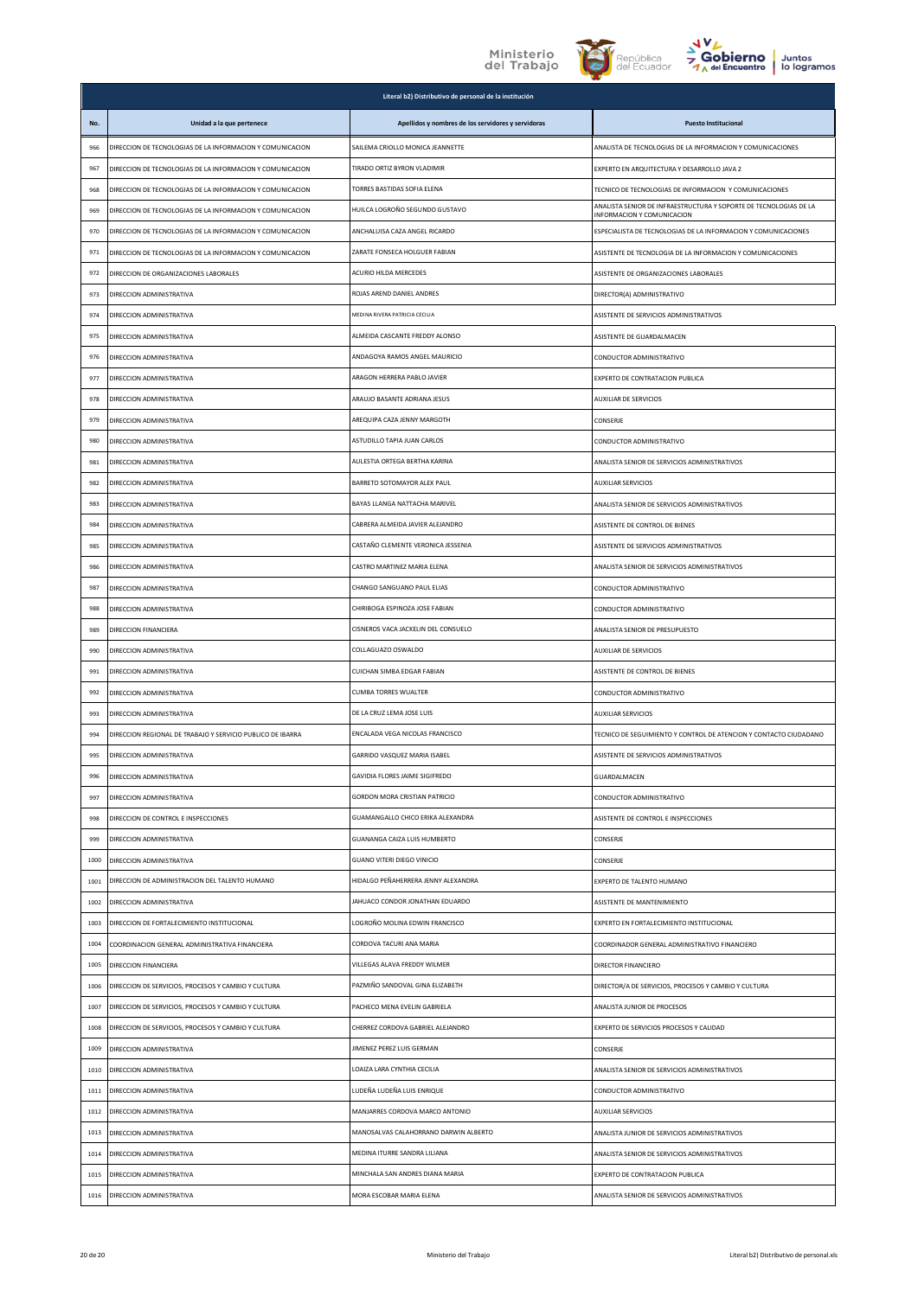





|      |                                                            | Literal b2) Distributivo de personal de la institución |                                                                                                 |
|------|------------------------------------------------------------|--------------------------------------------------------|-------------------------------------------------------------------------------------------------|
| No.  | Unidad a la que pertenece                                  | Apellidos y nombres de los servidores y servidoras     | <b>Puesto Institucional</b>                                                                     |
| 966  | DIRECCION DE TECNOLOGIAS DE LA INFORMACION Y COMUNICACION  | SAILEMA CRIOLLO MONICA JEANNETTE                       | ANALISTA DE TECNOLOGIAS DE LA INFORMACION Y COMUNICACIONES                                      |
| 967  | DIRECCION DE TECNOLOGIAS DE LA INFORMACION Y COMUNICACION  | TIRADO ORTIZ BYRON VLADIMIR                            | EXPERTO EN ARQUITECTURA Y DESARROLLO JAVA 2                                                     |
| 968  | DIRECCION DE TECNOLOGIAS DE LA INFORMACION Y COMUNICACION  | TORRES BASTIDAS SOFIA ELENA                            | TECNICO DE TECNOLOGIAS DE INFORMACION Y COMUNICACIONES                                          |
| 969  | DIRECCION DE TECNOLOGIAS DE LA INFORMACION Y COMUNICACION  | HUILCA LOGROÑO SEGUNDO GUSTAVO                         | ANALISTA SENIOR DE INFRAESTRUCTURA Y SOPORTE DE TECNOLOGIAS DE LA<br>INFORMACION Y COMUNICACION |
| 970  | DIRECCION DE TECNOLOGIAS DE LA INFORMACION Y COMUNICACION  | ANCHALUISA CAZA ANGEL RICARDO                          | ESPECIALISTA DE TECNOLOGIAS DE LA INFORMACION Y COMUNICACIONES                                  |
| 971  | DIRECCION DE TECNOLOGIAS DE LA INFORMACION Y COMUNICACION  | ZARATE FONSECA HOLGUER FABIAN                          | ASISTENTE DE TECNOLOGIA DE LA INFORMACION Y COMUNICACIONES                                      |
| 972  | DIRECCION DE ORGANIZACIONES LABORALES                      | ACURIO HILDA MERCEDES                                  | ASISTENTE DE ORGANIZACIONES LABORALES                                                           |
| 973  | DIRECCION ADMINISTRATIVA                                   | ROJAS AREND DANIEL ANDRES                              | DIRECTOR(A) ADMINISTRATIVO                                                                      |
| 974  | DIRECCION ADMINISTRATIVA                                   | MEDINA RIVERA PATRICIA CECILIA                         | ASISTENTE DE SERVICIOS ADMINISTRATIVOS                                                          |
| 975  | DIRECCION ADMINISTRATIVA                                   | ALMEIDA CASCANTE FREDDY ALONSO                         | ASISTENTE DE GUARDALMACEN                                                                       |
| 976  | DIRECCION ADMINISTRATIVA                                   | ANDAGOYA RAMOS ANGEL MAURICIO                          | CONDUCTOR ADMINISTRATIVO                                                                        |
| 977  | DIRECCION ADMINISTRATIVA                                   | ARAGON HERRERA PABLO JAVIER                            | EXPERTO DE CONTRATACION PUBLICA                                                                 |
| 978  | DIRECCION ADMINISTRATIVA                                   | ARAUJO BASANTE ADRIANA JESUS                           | <b>AUXILIAR DE SERVICIOS</b>                                                                    |
| 979  | DIRECCION ADMINISTRATIVA                                   | AREQUIPA CAZA JENNY MARGOTH                            | CONSERJE                                                                                        |
| 980  | DIRECCION ADMINISTRATIVA                                   | ASTUDILLO TAPIA JUAN CARLOS                            | CONDUCTOR ADMINISTRATIVO                                                                        |
| 981  | DIRECCION ADMINISTRATIVA                                   | AULESTIA ORTEGA BERTHA KARINA                          | ANALISTA SENIOR DE SERVICIOS ADMINISTRATIVOS                                                    |
| 982  | DIRECCION ADMINISTRATIVA                                   | BARRETO SOTOMAYOR ALEX PAUL                            | <b>AUXILIAR SERVICIOS</b>                                                                       |
| 983  | DIRECCION ADMINISTRATIVA                                   | BAYAS LLANGA NATTACHA MARIVEL                          | ANALISTA SENIOR DE SERVICIOS ADMINISTRATIVOS                                                    |
| 984  | DIRECCION ADMINISTRATIVA                                   | CABRERA ALMEIDA JAVIER ALEJANDRO                       | ASISTENTE DE CONTROL DE BIENES                                                                  |
| 985  | DIRECCION ADMINISTRATIVA                                   | CASTAÑO CLEMENTE VERONICA JESSENIA                     | ASISTENTE DE SERVICIOS ADMINISTRATIVOS                                                          |
| 986  | DIRECCION ADMINISTRATIVA                                   | CASTRO MARTINEZ MARIA ELENA                            | ANALISTA SENIOR DE SERVICIOS ADMINISTRATIVOS                                                    |
| 987  | DIRECCION ADMINISTRATIVA                                   | CHANGO SANGUANO PAUL ELIAS                             | CONDUCTOR ADMINISTRATIVO                                                                        |
| 988  | DIRECCION ADMINISTRATIVA                                   | CHIRIBOGA ESPINOZA JOSE FABIAN                         | CONDUCTOR ADMINISTRATIVO                                                                        |
| 989  | DIRECCION FINANCIERA                                       | CISNEROS VACA JACKELIN DEL CONSUELO                    | ANALISTA SENIOR DE PRESUPUESTO                                                                  |
| 990  | DIRECCION ADMINISTRATIVA                                   | COLLAGUAZO OSWALDO                                     | <b>AUXILIAR DE SERVICIOS</b>                                                                    |
| 991  | DIRECCION ADMINISTRATIVA                                   | CUICHAN SIMBA EDGAR FABIAN                             | ASISTENTE DE CONTROL DE BIENES                                                                  |
| 992  | DIRECCION ADMINISTRATIVA                                   | <b>CUMBA TORRES WUALTER</b>                            | CONDUCTOR ADMINISTRATIVO                                                                        |
| 993  | DIRECCION ADMINISTRATIVA                                   | DE LA CRUZ LEMA JOSE LUIS                              | <b>AUXILIAR SERVICIOS</b>                                                                       |
| 994  | DIRECCION REGIONAL DE TRABAJO Y SERVICIO PUBLICO DE IBARRA | ENCALADA VEGA NICOLAS FRANCISCO                        | TECNICO DE SEGUIMIENTO Y CONTROL DE ATENCION Y CONTACTO CIUDADANO                               |
| 995  | DIRECCION ADMINISTRATIVA                                   | GARRIDO VASQUEZ MARIA ISABEL                           | ASISTENTE DE SERVICIOS ADMINISTRATIVOS                                                          |
| 996  | DIRECCION ADMINISTRATIVA                                   | GAVIDIA FLORES JAIME SIGIFREDO                         | GUARDALMACEN                                                                                    |
| 997  | DIRECCION ADMINISTRATIVA                                   | GORDON MORA CRISTIAN PATRICIO                          | CONDUCTOR ADMINISTRATIVO                                                                        |
| 998  | DIRECCION DE CONTROL E INSPECCIONES                        | GUAMANGALLO CHICO ERIKA ALEXANDRA                      | ASISTENTE DE CONTROL E INSPECCIONES                                                             |
| 999  | DIRECCION ADMINISTRATIVA                                   | GUANANGA CAIZA LUIS HUMBERTO                           | CONSERJE                                                                                        |
| 1000 | DIRECCION ADMINISTRATIVA                                   | GUANO VITERI DIEGO VINICIO                             | CONSERJE                                                                                        |
| 1001 | DIRECCION DE ADMINISTRACION DEL TALENTO HUMANO             | HIDALGO PEÑAHERRERA JENNY ALEXANDRA                    | EXPERTO DE TALENTO HUMANO                                                                       |
| 1002 | DIRECCION ADMINISTRATIVA                                   | JAHUACO CONDOR JONATHAN EDUARDO                        | ASISTENTE DE MANTENIMIENTO                                                                      |
| 1003 | DIRECCION DE FORTALECIMIENTO INSTITUCIONAL                 | LOGROÑO MOLINA EDWIN FRANCISCO                         | EXPERTO EN FORTALECIMIENTO INSTITUCIONAL                                                        |
| 1004 | COORDINACION GENERAL ADMINISTRATIVA FINANCIERA             | CORDOVA TACURI ANA MARIA                               | COORDINADOR GENERAL ADMINISTRATIVO FINANCIERO                                                   |
| 1005 | DIRECCION FINANCIERA                                       | VILLEGAS ALAVA FREDDY WILMER                           | DIRECTOR FINANCIERO                                                                             |
| 1006 | DIRECCION DE SERVICIOS, PROCESOS Y CAMBIO Y CULTURA        | PAZMIÑO SANDOVAL GINA ELIZABETH                        | DIRECTOR/A DE SERVICIOS, PROCESOS Y CAMBIO Y CULTURA                                            |
| 1007 | DIRECCION DE SERVICIOS, PROCESOS Y CAMBIO Y CULTURA        | PACHECO MENA EVELIN GABRIELA                           | ANALISTA JUNIOR DE PROCESOS                                                                     |
| 1008 | DIRECCION DE SERVICIOS, PROCESOS Y CAMBIO Y CULTURA        | CHERREZ CORDOVA GABRIEL ALEJANDRO                      | EXPERTO DE SERVICIOS PROCESOS Y CALIDAD                                                         |
| 1009 | DIRECCION ADMINISTRATIVA                                   | JIMENEZ PEREZ LUIS GERMAN                              | CONSERJE                                                                                        |
| 1010 | DIRECCION ADMINISTRATIVA                                   | LOAIZA LARA CYNTHIA CECILIA                            | ANALISTA SENIOR DE SERVICIOS ADMINISTRATIVOS                                                    |
| 1011 | DIRECCION ADMINISTRATIVA                                   | LUDEÑA LUDEÑA LUIS ENRIQUE                             | CONDUCTOR ADMINISTRATIVO                                                                        |
| 1012 | DIRECCION ADMINISTRATIVA                                   | MANJARRES CORDOVA MARCO ANTONIO                        | <b>AUXILIAR SERVICIOS</b>                                                                       |
| 1013 | DIRECCION ADMINISTRATIVA                                   | MANOSALVAS CALAHORRANO DARWIN ALBERTO                  | ANALISTA JUNIOR DE SERVICIOS ADMINISTRATIVOS                                                    |
| 1014 | DIRECCION ADMINISTRATIVA                                   | MEDINA ITURRE SANDRA LILIANA                           | ANALISTA SENIOR DE SERVICIOS ADMINISTRATIVOS                                                    |
| 1015 | DIRECCION ADMINISTRATIVA                                   | MINCHALA SAN ANDRES DIANA MARIA                        | EXPERTO DE CONTRATACION PUBLICA                                                                 |
| 1016 | DIRECCION ADMINISTRATIVA                                   | MORA ESCOBAR MARIA ELENA                               | ANALISTA SENIOR DE SERVICIOS ADMINISTRATIVOS                                                    |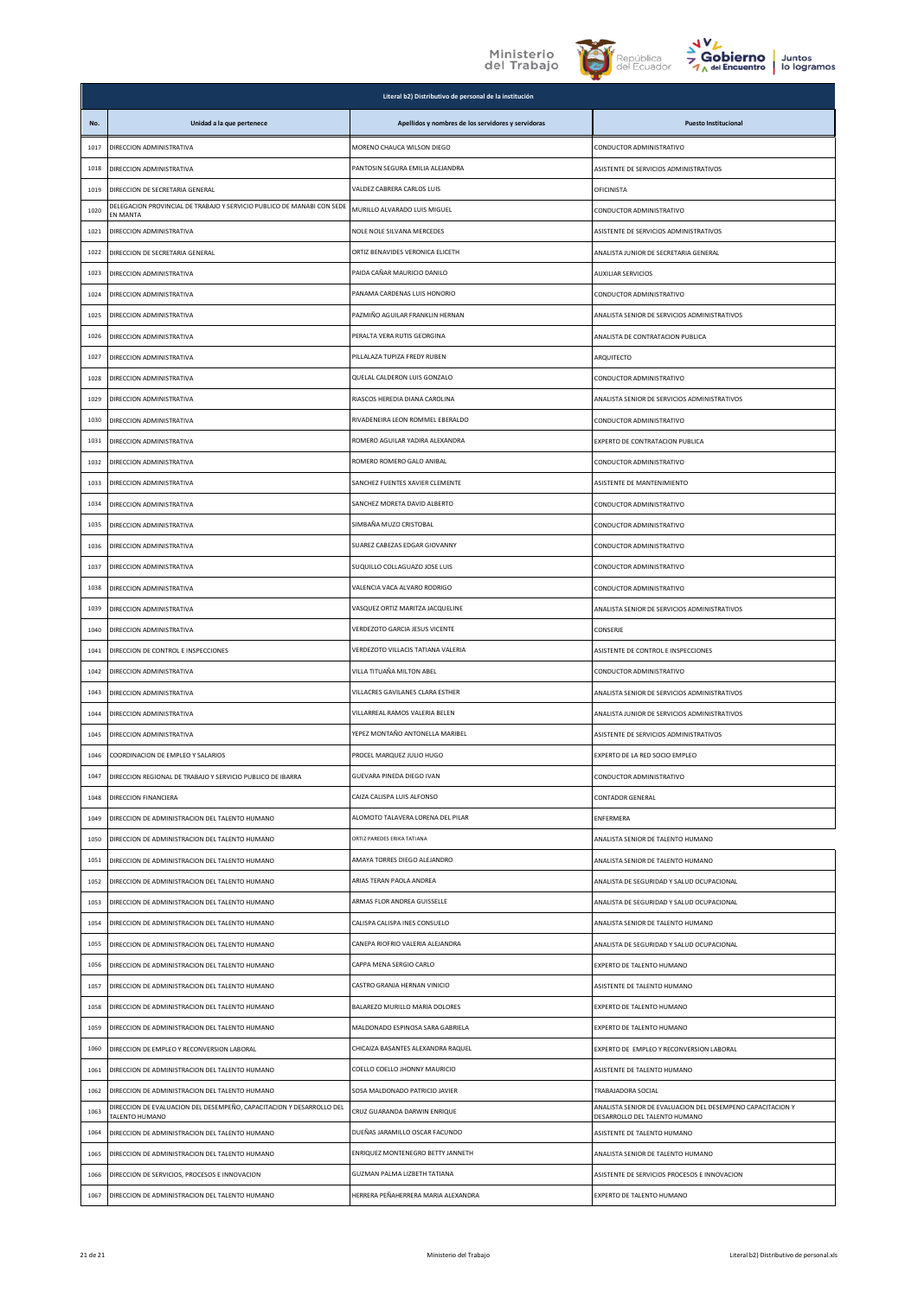



|      | Literal b2) Distributivo de personal de la institución                                 |                                                    |                                                                                             |  |
|------|----------------------------------------------------------------------------------------|----------------------------------------------------|---------------------------------------------------------------------------------------------|--|
| No.  | Unidad a la que pertenece                                                              | Apellidos y nombres de los servidores y servidoras | <b>Puesto Institucional</b>                                                                 |  |
| 1017 | DIRECCION ADMINISTRATIVA                                                               | MORENO CHAUCA WILSON DIEGO                         | CONDUCTOR ADMINISTRATIVO                                                                    |  |
| 1018 | DIRECCION ADMINISTRATIVA                                                               | PANTOSIN SEGURA EMILIA ALEJANDRA                   | ASISTENTE DE SERVICIOS ADMINISTRATIVOS                                                      |  |
| 1019 | DIRECCION DE SECRETARIA GENERAL                                                        | VALDEZ CABRERA CARLOS LUIS                         | OFICINISTA                                                                                  |  |
| 1020 | DELEGACION PROVINCIAL DE TRABAJO Y SERVICIO PUBLICO DE MANABI CON SEDE<br>EN MANTA     | MURILLO ALVARADO LUIS MIGUEL                       | CONDUCTOR ADMINISTRATIVO                                                                    |  |
| 1021 | DIRECCION ADMINISTRATIVA                                                               | NOLE NOLE SILVANA MERCEDES                         | ASISTENTE DE SERVICIOS ADMINISTRATIVOS                                                      |  |
| 1022 | DIRECCION DE SECRETARIA GENERAL                                                        | ORTIZ BENAVIDES VERONICA FLICETH                   | ANALISTA JUNIOR DE SECRETARIA GENERAL                                                       |  |
| 1023 | DIRECCION ADMINISTRATIVA                                                               | PAIDA CAÑAR MAURICIO DANILO                        | <b>AUXILIAR SERVICIOS</b>                                                                   |  |
| 1024 | DIRECCION ADMINISTRATIVA                                                               | PANAMA CARDENAS LUIS HONORIO                       | CONDUCTOR ADMINISTRATIVO                                                                    |  |
| 1025 | DIRECCION ADMINISTRATIVA                                                               | PAZMIÑO AGUILAR FRANKLIN HERNAN                    | ANALISTA SENIOR DE SERVICIOS ADMINISTRATIVOS                                                |  |
| 1026 | DIRECCION ADMINISTRATIVA                                                               | PERALTA VERA RUTIS GEORGINA                        | ANALISTA DE CONTRATACION PUBLICA                                                            |  |
| 1027 | DIRECCION ADMINISTRATIVA                                                               | PILLALAZA TUPIZA FREDY RUBEN                       | ARQUITECTO                                                                                  |  |
| 1028 | DIRECCION ADMINISTRATIVA                                                               | QUELAL CALDERON LUIS GONZALO                       | CONDUCTOR ADMINISTRATIVO                                                                    |  |
| 1029 | DIRECCION ADMINISTRATIVA                                                               | RIASCOS HEREDIA DIANA CAROLINA                     | ANALISTA SENIOR DE SERVICIOS ADMINISTRATIVOS                                                |  |
| 1030 | DIRECCION ADMINISTRATIVA                                                               | RIVADENEIRA LEON ROMMEL EBERALDO                   | CONDUCTOR ADMINISTRATIVO                                                                    |  |
| 1031 | DIRECCION ADMINISTRATIVA                                                               | ROMERO AGUILAR YADIRA ALEXANDRA                    | EXPERTO DE CONTRATACION PUBLICA                                                             |  |
| 1032 | DIRECCION ADMINISTRATIVA                                                               | ROMERO ROMERO GALO ANIBAL                          | CONDUCTOR ADMINISTRATIVO                                                                    |  |
| 1033 | DIRECCION ADMINISTRATIVA                                                               | SANCHEZ FUENTES XAVIER CLEMENTE                    | ASISTENTE DE MANTENIMIENTO                                                                  |  |
| 1034 | DIRECCION ADMINISTRATIVA                                                               | SANCHEZ MORETA DAVID ALBERTO                       | CONDUCTOR ADMINISTRATIVO                                                                    |  |
| 1035 | DIRECCION ADMINISTRATIVA                                                               | SIMBAÑA MUZO CRISTOBAL                             | CONDUCTOR ADMINISTRATIVO                                                                    |  |
| 1036 | DIRECCION ADMINISTRATIVA                                                               | SUAREZ CABEZAS EDGAR GIOVANNY                      | CONDUCTOR ADMINISTRATIVO                                                                    |  |
| 1037 | DIRECCION ADMINISTRATIVA                                                               | SUQUILLO COLLAGUAZO JOSE LUIS                      | CONDUCTOR ADMINISTRATIVO                                                                    |  |
| 1038 | DIRECCION ADMINISTRATIVA                                                               | VALENCIA VACA ALVARO RODRIGO                       | CONDUCTOR ADMINISTRATIVO                                                                    |  |
| 1039 | DIRECCION ADMINISTRATIVA                                                               | VASQUEZ ORTIZ MARITZA JACQUELINE                   | ANALISTA SENIOR DE SERVICIOS ADMINISTRATIVOS                                                |  |
| 1040 | DIRECCION ADMINISTRATIVA                                                               | VERDEZOTO GARCIA JESUS VICENTE                     | CONSERJE                                                                                    |  |
| 1041 | DIRECCION DE CONTROL E INSPECCIONES                                                    | VERDEZOTO VILLACIS TATIANA VALERIA                 | ASISTENTE DE CONTROL E INSPECCIONES                                                         |  |
| 1042 | DIRECCION ADMINISTRATIVA                                                               | VILLA TITUAÑA MILTON ABEL                          | CONDUCTOR ADMINISTRATIVO                                                                    |  |
| 1043 | DIRECCION ADMINISTRATIVA                                                               | VILLACRES GAVILANES CLARA ESTHER                   | ANALISTA SENIOR DE SERVICIOS ADMINISTRATIVOS                                                |  |
| 1044 | DIRECCION ADMINISTRATIVA                                                               | VILLARREAL RAMOS VALERIA BELEN                     | ANALISTA JUNIOR DE SERVICIOS ADMINISTRATIVOS                                                |  |
| 1045 | DIRECCION ADMINISTRATIVA                                                               | YEPEZ MONTAÑO ANTONELLA MARIBEL                    | ASISTENTE DE SERVICIOS ADMINISTRATIVOS                                                      |  |
| 1046 | COORDINACION DE EMPLEO Y SALARIOS                                                      | PROCEL MARQUEZ JULIO HUGO                          | EXPERTO DE LA RED SOCIO EMPLEO                                                              |  |
| 1047 | DIRECCION REGIONAL DE TRABAJO Y SERVICIO PUBLICO DE IBARRA                             | GUEVARA PINEDA DIEGO IVAN                          | CONDUCTOR ADMINISTRATIVO                                                                    |  |
| 1048 | DIRECCION FINANCIERA                                                                   | CAIZA CALISPA LUIS ALFONSO                         | <b>CONTADOR GENERAL</b>                                                                     |  |
| 1049 | DIRECCION DE ADMINISTRACION DEL TALENTO HUMANO                                         | ALOMOTO TALAVERA LORENA DEL PILAR                  | <b>ENFERMERA</b>                                                                            |  |
| 1050 | DIRECCION DE ADMINISTRACION DEL TALENTO HUMANO                                         | ORTIZ PAREDES ERIKA TATIANA                        | ANALISTA SENIOR DE TALENTO HUMANO                                                           |  |
| 1051 | DIRECCION DE ADMINISTRACION DEL TALENTO HUMANO                                         | AMAYA TORRES DIEGO ALEJANDRO                       | ANALISTA SENIOR DE TALENTO HUMANO                                                           |  |
| 1052 | DIRECCION DE ADMINISTRACION DEL TALENTO HUMANO                                         | ARIAS TERAN PAOLA ANDREA                           | ANALISTA DE SEGURIDAD Y SALUD OCUPACIONAL                                                   |  |
| 1053 | DIRECCION DE ADMINISTRACION DEL TALENTO HUMANO                                         | ARMAS FLOR ANDREA GUISSELLE                        | ANALISTA DE SEGURIDAD Y SALUD OCUPACIONAL                                                   |  |
| 1054 | DIRECCION DE ADMINISTRACION DEL TALENTO HUMANO                                         | CALISPA CALISPA INES CONSUELO                      | ANALISTA SENIOR DE TALENTO HUMANO                                                           |  |
| 1055 | DIRECCION DE ADMINISTRACION DEL TALENTO HUMANO                                         | CANEPA RIOFRIO VALERIA ALEJANDRA                   | ANALISTA DE SEGURIDAD Y SALUD OCUPACIONAL                                                   |  |
| 1056 | DIRECCION DE ADMINISTRACION DEL TALENTO HUMANO                                         | CAPPA MENA SERGIO CARLO                            | EXPERTO DE TALENTO HUMANO                                                                   |  |
| 1057 | DIRECCION DE ADMINISTRACION DEL TALENTO HUMANO                                         | CASTRO GRANJA HERNAN VINICIO                       | ASISTENTE DE TALENTO HUMANO                                                                 |  |
| 1058 | DIRECCION DE ADMINISTRACION DEL TALENTO HUMANO                                         | BALAREZO MURILLO MARIA DOLORES                     | EXPERTO DE TALENTO HUMANO                                                                   |  |
| 1059 | DIRECCION DE ADMINISTRACION DEL TALENTO HUMANO                                         | MALDONADO ESPINOSA SARA GABRIELA                   | EXPERTO DE TALENTO HUMANO                                                                   |  |
| 1060 | DIRECCION DE EMPLEO Y RECONVERSION LABORAL                                             | CHICAIZA BASANTES ALEXANDRA RAQUEL                 | EXPERTO DE EMPLEO Y RECONVERSION LABORAL                                                    |  |
| 1061 | DIRECCION DE ADMINISTRACION DEL TALENTO HUMANO                                         | COELLO COELLO JHONNY MAURICIO                      | ASISTENTE DE TALENTO HUMANO                                                                 |  |
| 1062 | DIRECCION DE ADMINISTRACION DEL TALENTO HUMANO                                         | SOSA MALDONADO PATRICIO JAVIER                     | TRABAJADORA SOCIAL                                                                          |  |
| 1063 | DIRECCION DE EVALUACION DEL DESEMPEÑO, CAPACITACION Y DESARROLLO DEL<br>TALENTO HUMANO | CRUZ GUARANDA DARWIN ENRIQUE                       | ANALISTA SENIOR DE EVALUACION DEL DESEMPENO CAPACITACION Y<br>DESARROLLO DEL TALENTO HUMANO |  |
| 1064 | DIRECCION DE ADMINISTRACION DEL TALENTO HUMANO                                         | DUEÑAS JARAMILLO OSCAR FACUNDO                     | ASISTENTE DE TALENTO HUMANO                                                                 |  |
| 1065 | DIRECCION DE ADMINISTRACION DEL TALENTO HUMANO                                         | ENRIQUEZ MONTENEGRO BETTY JANNETH                  | ANALISTA SENIOR DE TALENTO HUMANO                                                           |  |
| 1066 | DIRECCION DE SERVICIOS, PROCESOS E INNOVACION                                          | GUZMAN PALMA LIZBETH TATIANA                       | ASISTENTE DE SERVICIOS PROCESOS E INNOVACION                                                |  |
| 1067 | DIRECCION DE ADMINISTRACION DEL TALENTO HUMANO                                         | HERRERA PEÑAHERRERA MARIA ALEXANDRA                | EXPERTO DE TALENTO HUMANO                                                                   |  |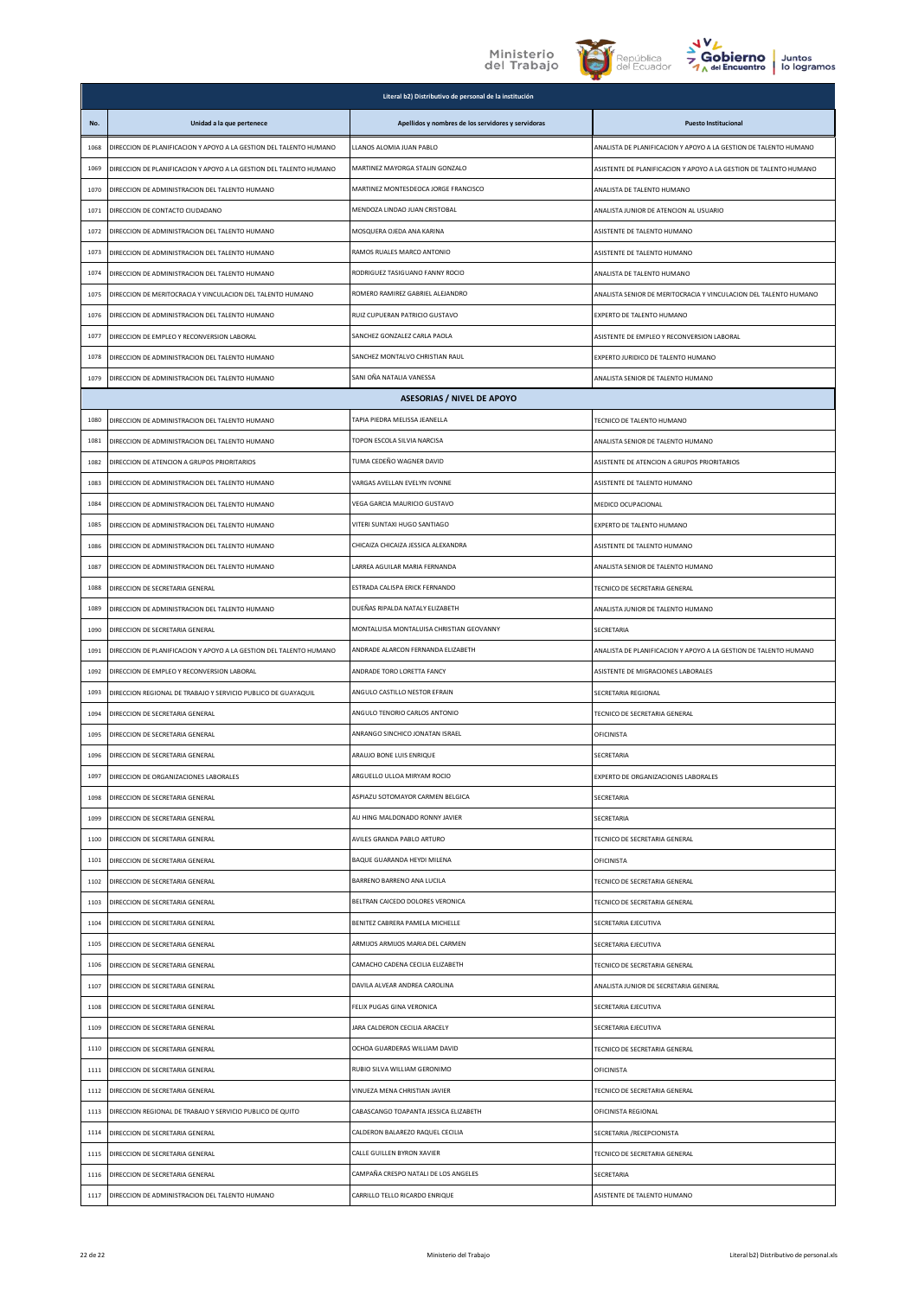



|      |                                                                    | Literal b2) Distributivo de personal de la institución |                                                                   |
|------|--------------------------------------------------------------------|--------------------------------------------------------|-------------------------------------------------------------------|
| No.  | Unidad a la que pertenece                                          | Apellidos y nombres de los servidores y servidoras     | <b>Puesto Institucional</b>                                       |
| 1068 | DIRECCION DE PLANIFICACION Y APOYO A LA GESTION DEL TALENTO HUMANO | LLANOS ALOMIA JUAN PABLO                               | ANALISTA DE PLANIFICACION Y APOYO A LA GESTION DE TALENTO HUMANO  |
| 1069 | DIRECCION DE PLANIFICACION Y APOYO A LA GESTION DEL TALENTO HUMANO | MARTINEZ MAYORGA STALIN GONZALO                        | ASISTENTE DE PLANIFICACION Y APOYO A LA GESTION DE TALENTO HUMANO |
| 1070 | DIRECCION DE ADMINISTRACION DEL TALENTO HUMANO                     | MARTINEZ MONTESDEOCA JORGE FRANCISCO                   | ANALISTA DE TALENTO HUMANO                                        |
| 1071 | DIRECCION DE CONTACTO CIUDADANO                                    | MENDOZA LINDAO JUAN CRISTOBAL                          | ANALISTA JUNIOR DE ATENCION AL USUARIO                            |
| 1072 | DIRECCION DE ADMINISTRACION DEL TALENTO HUMANO                     | MOSQUERA OJEDA ANA KARINA                              | ASISTENTE DE TALENTO HUMANO                                       |
| 1073 | DIRECCION DE ADMINISTRACION DEL TALENTO HUMANO                     | RAMOS RUALES MARCO ANTONIO                             | ASISTENTE DE TALENTO HUMANO                                       |
| 1074 | DIRECCION DE ADMINISTRACION DEL TALENTO HUMANO                     | RODRIGUEZ TASIGUANO FANNY ROCIO                        | ANALISTA DE TALENTO HUMANO                                        |
| 1075 | DIRECCION DE MERITOCRACIA Y VINCULACION DEL TALENTO HUMANO         | ROMERO RAMIREZ GABRIEL ALEJANDRO                       | ANALISTA SENIOR DE MERITOCRACIA Y VINCULACION DEL TALENTO HUMANO  |
| 1076 | DIRECCION DE ADMINISTRACION DEL TALENTO HUMANO                     | RUIZ CUPUERAN PATRICIO GUSTAVO                         | EXPERTO DE TALENTO HUMANO                                         |
| 1077 | DIRECCION DE EMPLEO Y RECONVERSION LABORAL                         | SANCHEZ GONZALEZ CARLA PAOLA                           | ASISTENTE DE EMPLEO Y RECONVERSION LABORAL                        |
| 1078 | DIRECCION DE ADMINISTRACION DEL TALENTO HUMANO                     | SANCHEZ MONTALVO CHRISTIAN RAUL                        | EXPERTO JURIDICO DE TALENTO HUMANO                                |
| 1079 | DIRECCION DE ADMINISTRACION DEL TALENTO HUMANO                     | SANI OÑA NATALIA VANESSA                               | ANALISTA SENIOR DE TALENTO HUMANO                                 |
|      |                                                                    | <b>ASESORIAS / NIVEL DE APOYO</b>                      |                                                                   |
| 1080 | DIRECCION DE ADMINISTRACION DEL TALENTO HUMANO                     | TAPIA PIEDRA MELISSA JEANELLA                          | TECNICO DE TALENTO HUMANO                                         |
| 1081 | DIRECCION DE ADMINISTRACION DEL TALENTO HUMANO                     | TOPON ESCOLA SILVIA NARCISA                            | ANALISTA SENIOR DE TALENTO HUMANO                                 |
| 1082 | DIRECCION DE ATENCION A GRUPOS PRIORITARIOS                        | TUMA CEDEÑO WAGNER DAVID                               | ASISTENTE DE ATENCION A GRUPOS PRIORITARIOS                       |
| 1083 | DIRECCION DE ADMINISTRACION DEL TALENTO HUMANO                     | VARGAS AVELLAN EVELYN IVONNE                           | ASISTENTE DE TALENTO HUMANO                                       |
| 1084 | DIRECCION DE ADMINISTRACION DEL TALENTO HUMANO                     | VEGA GARCIA MAURICIO GUSTAVO                           | MEDICO OCUPACIONAL                                                |
| 1085 | DIRECCION DE ADMINISTRACION DEL TALENTO HUMANO                     | VITERI SUNTAXI HUGO SANTIAGO                           | EXPERTO DE TALENTO HUMANO                                         |
| 1086 | DIRECCION DE ADMINISTRACION DEL TALENTO HUMANO                     | CHICAIZA CHICAIZA JESSICA ALEXANDRA                    | ASISTENTE DE TALENTO HUMANO                                       |
| 1087 | DIRECCION DE ADMINISTRACION DEL TALENTO HUMANO                     | LARREA AGUILAR MARIA FERNANDA                          | ANALISTA SENIOR DE TALENTO HUMANO                                 |
| 1088 | DIRECCION DE SECRETARIA GENERAL                                    | ESTRADA CALISPA ERICK FERNANDO                         | TECNICO DE SECRETARIA GENERAL                                     |
| 1089 | DIRECCION DE ADMINISTRACION DEL TALENTO HUMANO                     | DUEÑAS RIPALDA NATALY ELIZABETH                        | ANALISTA JUNIOR DE TALENTO HUMANO                                 |
| 1090 | DIRECCION DE SECRETARIA GENERAL                                    | MONTALUISA MONTALUISA CHRISTIAN GEOVANNY               | SECRETARIA                                                        |
| 1091 | DIRECCION DE PLANIFICACION Y APOYO A LA GESTION DEL TALENTO HUMANO | ANDRADE ALARCON FERNANDA ELIZABETH                     | ANALISTA DE PLANIFICACION Y APOYO A LA GESTION DE TALENTO HUMANO  |
| 1092 | DIRECCION DE EMPLEO Y RECONVERSION LABORAL                         | ANDRADE TORO LORETTA FANCY                             | ASISTENTE DE MIGRACIONES LABORALES                                |
| 1093 | DIRECCION REGIONAL DE TRABAJO Y SERVICIO PUBLICO DE GUAYAQUIL      | ANGULO CASTILLO NESTOR EFRAIN                          | SECRETARIA REGIONAL                                               |
| 1094 | DIRECCION DE SECRETARIA GENERAL                                    | ANGULO TENORIO CARLOS ANTONIO                          | TECNICO DE SECRETARIA GENERAL                                     |
| 1095 | DIRECCION DE SECRETARIA GENERAL                                    | ANRANGO SINCHICO JONATAN ISRAEL                        | OFICINISTA                                                        |
| 1096 | DIRECCION DE SECRETARIA GENERAL                                    | ARAUJO BONE LUIS ENRIQUE                               | SECRETARIA                                                        |
| 1097 | DIRECCION DE ORGANIZACIONES LABORALES                              | ARGUELLO ULLOA MIRYAM ROCIO                            | EXPERTO DE ORGANIZACIONES LABORALES                               |
| 1098 | DIRECCION DE SECRETARIA GENERAL                                    | ASPIAZU SOTOMAYOR CARMEN BELGICA                       | SECRETARIA                                                        |
| 1099 | DIRECCION DE SECRETARIA GENERAL                                    | AU HING MALDONADO RONNY JAVIER                         | SECRETARIA                                                        |
| 1100 | DIRECCION DE SECRETARIA GENERAL                                    | AVILES GRANDA PABLO ARTURO                             | TECNICO DE SECRETARIA GENERAL                                     |
| 1101 | DIRECCION DE SECRETARIA GENERAL                                    | BAQUE GUARANDA HEYDI MILENA                            | OFICINISTA                                                        |
| 1102 | DIRECCION DE SECRETARIA GENERAL                                    | BARRENO BARRENO ANA LUCILA                             | TECNICO DE SECRETARIA GENERAL                                     |
| 1103 | DIRECCION DE SECRETARIA GENERAL                                    | BELTRAN CAICEDO DOLORES VERONICA                       | TECNICO DE SECRETARIA GENERAL                                     |
| 1104 | DIRECCION DE SECRETARIA GENERAL                                    | BENITEZ CABRERA PAMELA MICHELLE                        | SECRETARIA EJECUTIVA                                              |
| 1105 | DIRECCION DE SECRETARIA GENERAL                                    | ARMIJOS ARMIJOS MARIA DEL CARMEN                       | SECRETARIA EJECUTIVA                                              |
| 1106 | DIRECCION DE SECRETARIA GENERAL                                    | CAMACHO CADENA CECILIA ELIZABETH                       | TECNICO DE SECRETARIA GENERAL                                     |
| 1107 | DIRECCION DE SECRETARIA GENERAL                                    | DAVILA ALVEAR ANDREA CAROLINA                          | ANALISTA JUNIOR DE SECRETARIA GENERAL                             |
| 1108 | DIRECCION DE SECRETARIA GENERAL                                    | FELIX PUGAS GINA VERONICA                              | SECRETARIA EJECUTIVA                                              |
| 1109 | DIRECCION DE SECRETARIA GENERAL                                    | JARA CALDERON CECILIA ARACELY                          | SECRETARIA EJECUTIVA                                              |
| 1110 | DIRECCION DE SECRETARIA GENERAL                                    | OCHOA GUARDERAS WILLIAM DAVID                          | TECNICO DE SECRETARIA GENERAL                                     |
| 1111 | DIRECCION DE SECRETARIA GENERAL                                    | RUBIO SILVA WILLIAM GERONIMO                           | OFICINISTA                                                        |
| 1112 | DIRECCION DE SECRETARIA GENERAL                                    | VINUEZA MENA CHRISTIAN JAVIER                          | TECNICO DE SECRETARIA GENERAL                                     |
| 1113 | DIRECCION REGIONAL DE TRABAJO Y SERVICIO PUBLICO DE QUITO          | CABASCANGO TOAPANTA JESSICA ELIZABETH                  | OFICINISTA REGIONAL                                               |
| 1114 | DIRECCION DE SECRETARIA GENERAL                                    | CALDERON BALAREZO RAQUEL CECILIA                       | SECRETARIA / RECEPCIONISTA                                        |
| 1115 | DIRECCION DE SECRETARIA GENERAL                                    | CALLE GUILLEN BYRON XAVIER                             | TECNICO DE SECRETARIA GENERAL                                     |
| 1116 | DIRECCION DE SECRETARIA GENERAL                                    | CAMPAÑA CRESPO NATALI DE LOS ANGELES                   | SECRETARIA                                                        |
| 1117 | DIRECCION DE ADMINISTRACION DEL TALENTO HUMANO                     | CARRILLO TELLO RICARDO ENRIQUE                         | ASISTENTE DE TALENTO HUMANO                                       |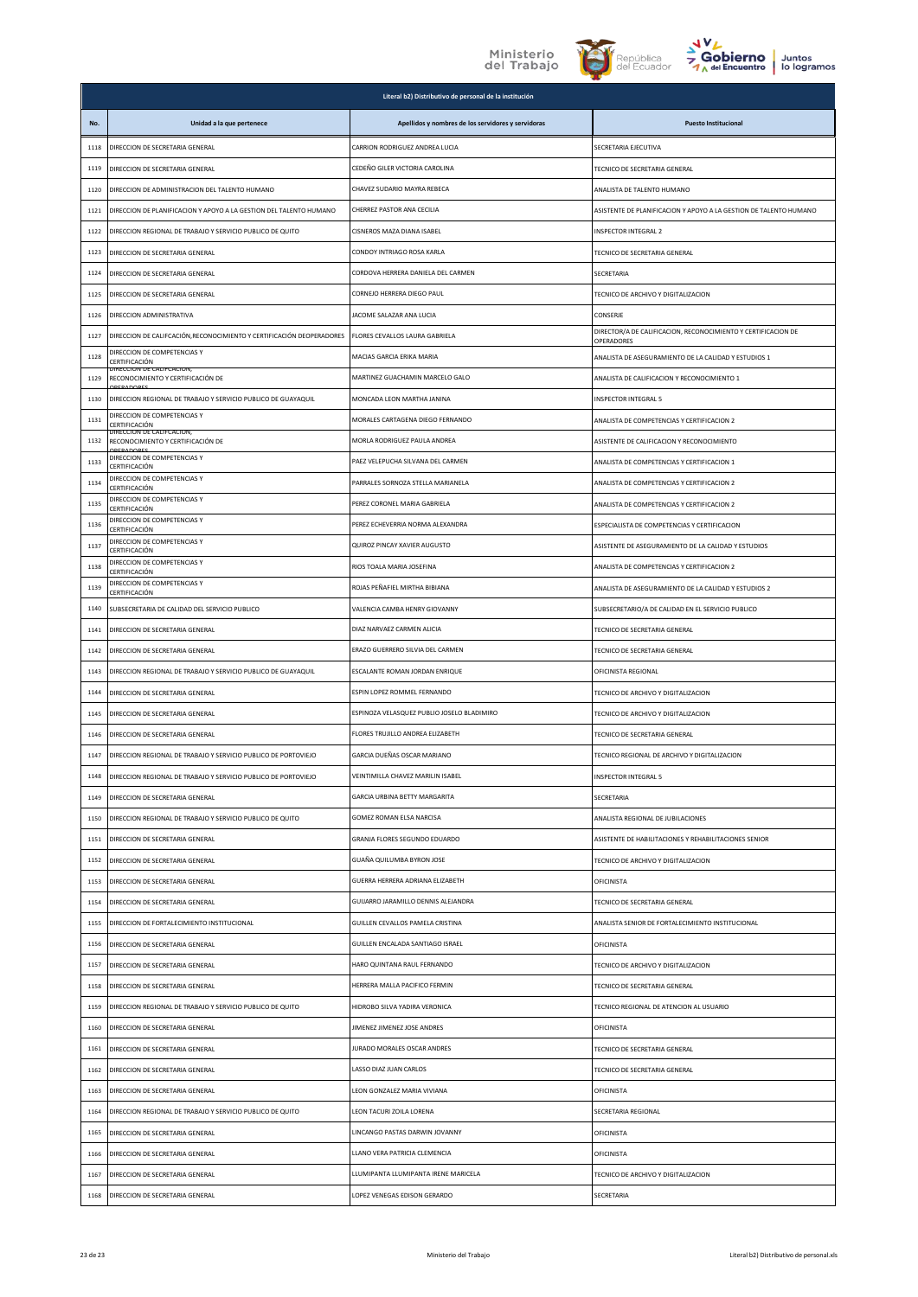





|      |                                                                       | Literal b2) Distributivo de personal de la institución |                                                                             |
|------|-----------------------------------------------------------------------|--------------------------------------------------------|-----------------------------------------------------------------------------|
| No.  | Unidad a la que pertenece                                             | Apellidos y nombres de los servidores y servidoras     | <b>Puesto Institucional</b>                                                 |
| 1118 | DIRECCION DE SECRETARIA GENERAL                                       | CARRION RODRIGUEZ ANDREA LUCIA                         | SECRETARIA EJECUTIVA                                                        |
| 1119 | DIRECCION DE SECRETARIA GENERAL                                       | CEDEÑO GILER VICTORIA CAROLINA                         | TECNICO DE SECRETARIA GENERAL                                               |
| 1120 | DIRECCION DE ADMINISTRACION DEL TALENTO HUMANO                        | CHAVEZ SUDARIO MAYRA REBECA                            | ANALISTA DE TALENTO HUMANO                                                  |
| 1121 | DIRECCION DE PLANIFICACION Y APOYO A LA GESTION DEL TALENTO HUMANO    | CHERREZ PASTOR ANA CECILIA                             | ASISTENTE DE PLANIFICACION Y APOYO A LA GESTION DE TALENTO HUMANO           |
| 1122 | DIRECCION REGIONAL DE TRABAJO Y SERVICIO PUBLICO DE QUITO             | CISNEROS MAZA DIANA ISABEL                             | INSPECTOR INTEGRAL 2                                                        |
| 1123 | DIRECCION DE SECRETARIA GENERAL                                       | CONDOY INTRIAGO ROSA KARLA                             | TECNICO DE SECRETARIA GENERAL                                               |
| 1124 | DIRECCION DE SECRETARIA GENERAL                                       | CORDOVA HERRERA DANIELA DEL CARMEN                     | SECRETARIA                                                                  |
| 1125 | DIRECCION DE SECRETARIA GENERAL                                       | CORNEJO HERRERA DIEGO PAUL                             | TECNICO DE ARCHIVO Y DIGITALIZACION                                         |
| 1126 | DIRECCION ADMINISTRATIVA                                              | JACOME SALAZAR ANA LUCIA                               | CONSERJE                                                                    |
| 1127 | DIRECCION DE CALIFCACIÓN, RECONOCIMIENTO Y CERTIFICACIÓN DEOPERADORES | FLORES CEVALLOS LAURA GABRIELA                         | DIRECTOR/A DE CALIFICACION, RECONOCIMIENTO Y CERTIFICACION DE<br>OPERADORES |
| 1128 | DIRECCION DE COMPETENCIAS Y<br>CERTIFICACIÓN                          | MACIAS GARCIA ERIKA MARIA                              | ANALISTA DE ASEGURAMIENTO DE LA CALIDAD Y ESTUDIOS 1                        |
| 1129 | DIRECCION DE CALIFCACION,<br>RECONOCIMIENTO Y CERTIFICACIÓN DE        | MARTINEZ GUACHAMIN MARCELO GALO                        | ANALISTA DE CALIFICACION Y RECONOCIMIENTO 1                                 |
| 1130 | DIRECCION REGIONAL DE TRABAJO Y SERVICIO PUBLICO DE GUAYAQUIL         | MONCADA LEON MARTHA JANINA                             | INSPECTOR INTEGRAL 5                                                        |
| 1131 | DIRECCION DE COMPETENCIAS Y<br>CERTIFICACIÓN                          | MORALES CARTAGENA DIEGO FERNANDO                       | ANALISTA DE COMPETENCIAS Y CERTIFICACION 2                                  |
| 1132 | DIRECCION DE CALIFCACION,<br>RECONOCIMIENTO Y CERTIFICACIÓN DE        | MORLA RODRIGUEZ PAULA ANDREA                           | ASISTENTE DE CALIFICACION Y RECONOCIMIENTO                                  |
| 1133 | DIRECCION DE COMPETENCIAS Y<br>CERTIFICACIÓN                          | PAEZ VELEPUCHA SILVANA DEL CARMEN                      | ANALISTA DE COMPETENCIAS Y CERTIFICACION 1                                  |
| 1134 | DIRECCION DE COMPETENCIAS Y<br>CERTIFICACIÓN                          | PARRALES SORNOZA STELLA MARIANELA                      | ANALISTA DE COMPETENCIAS Y CERTIFICACION 2                                  |
| 1135 | DIRECCION DE COMPETENCIAS Y<br>CERTIFICACIÓN                          | PEREZ CORONEL MARIA GABRIELA                           | ANALISTA DE COMPETENCIAS Y CERTIFICACION 2                                  |
| 1136 | DIRECCION DE COMPETENCIAS Y<br>CERTIFICACIÓN                          | PEREZ ECHEVERRIA NORMA ALEXANDRA                       | ESPECIALISTA DE COMPETENCIAS Y CERTIFICACION                                |
| 1137 | DIRECCION DE COMPETENCIAS Y<br>CERTIFICACIÓN                          | QUIROZ PINCAY XAVIER AUGUSTO                           | ASISTENTE DE ASEGURAMIENTO DE LA CALIDAD Y ESTUDIOS                         |
| 1138 | DIRECCION DE COMPETENCIAS Y<br>CERTIFICACIÓN                          | RIOS TOALA MARIA JOSEFINA                              | ANALISTA DE COMPETENCIAS Y CERTIFICACION 2                                  |
| 1139 | DIRECCION DE COMPETENCIAS Y<br>CERTIFICACIÓN                          | ROJAS PEÑAFIEL MIRTHA BIBIANA                          | ANALISTA DE ASEGURAMIENTO DE LA CALIDAD Y ESTUDIOS 2                        |
| 1140 | SUBSECRETARIA DE CALIDAD DEL SERVICIO PUBLICO                         | VALENCIA CAMBA HENRY GIOVANNY                          | SUBSECRETARIO/A DE CALIDAD EN EL SERVICIO PUBLICO                           |
| 1141 | DIRECCION DE SECRETARIA GENERAL                                       | DIAZ NARVAEZ CARMEN ALICIA                             | TECNICO DE SECRETARIA GENERAL                                               |
| 1142 | DIRECCION DE SECRETARIA GENERAL                                       | ERAZO GUERRERO SILVIA DEL CARMEN                       | TECNICO DE SECRETARIA GENERAL                                               |
| 1143 | DIRECCION REGIONAL DE TRABAJO Y SERVICIO PUBLICO DE GUAYAQUIL         | ESCALANTE ROMAN JORDAN ENRIQUE                         | OFICINISTA REGIONAL                                                         |
| 1144 | DIRECCION DE SECRETARIA GENERAL                                       | ESPIN LOPEZ ROMMEL FERNANDO                            | TECNICO DE ARCHIVO Y DIGITALIZACION                                         |
| 1145 | DIRECCION DE SECRETARIA GENERAL                                       | ESPINOZA VELASQUEZ PUBLIO JOSELO BLADIMIRO             | TECNICO DE ARCHIVO Y DIGITALIZACION                                         |
| 1146 | DIRECCION DE SECRETARIA GENERAL                                       | FLORES TRUJILLO ANDREA ELIZABETH                       | TECNICO DE SECRETARIA GENERAL                                               |
| 1147 | DIRECCION REGIONAL DE TRABAJO Y SERVICIO PUBLICO DE PORTOVIEJO        | GARCIA DUEÑAS OSCAR MARIANO                            | TECNICO REGIONAL DE ARCHIVO Y DIGITALIZACION                                |
| 1148 | DIRECCION REGIONAL DE TRABAJO Y SERVICIO PUBLICO DE PORTOVIEJO        | VEINTIMILLA CHAVEZ MARILIN ISABEL                      | <b>INSPECTOR INTEGRAL 5</b>                                                 |
| 1149 | DIRECCION DE SECRETARIA GENERAL                                       | GARCIA URBINA BETTY MARGARITA                          | SECRETARIA                                                                  |
| 1150 | DIRECCION REGIONAL DE TRABAJO Y SERVICIO PUBLICO DE QUITO             | GOMEZ ROMAN ELSA NARCISA                               | ANALISTA REGIONAL DE JUBILACIONES                                           |
| 1151 | DIRECCION DE SECRETARIA GENERAL                                       | GRANJA FLORES SEGUNDO EDUARDO                          | ASISTENTE DE HABILITACIONES Y REHABILITACIONES SENIOR                       |
| 1152 | DIRECCION DE SECRETARIA GENERAL                                       | GUAÑA QUILUMBA BYRON JOSE                              | TECNICO DE ARCHIVO Y DIGITALIZACION                                         |
| 1153 | DIRECCION DE SECRETARIA GENERAL                                       | GUERRA HERRERA ADRIANA ELIZABETH                       | OFICINISTA                                                                  |
| 1154 | DIRECCION DE SECRETARIA GENERAL                                       | GUIJARRO JARAMILLO DENNIS ALEJANDRA                    | TECNICO DE SECRETARIA GENERAL                                               |
| 1155 | DIRECCION DE FORTALECIMIENTO INSTITUCIONAL                            | GUILLEN CEVALLOS PAMELA CRISTINA                       | ANALISTA SENIOR DE FORTALECIMIENTO INSTITUCIONAL                            |
| 1156 | DIRECCION DE SECRETARIA GENERAL                                       | GUILLEN ENCALADA SANTIAGO ISRAEL                       | OFICINISTA                                                                  |
| 1157 | DIRECCION DE SECRETARIA GENERAL                                       | HARO QUINTANA RAUL FERNANDO                            | TECNICO DE ARCHIVO Y DIGITALIZACION                                         |
| 1158 | DIRECCION DE SECRETARIA GENERAL                                       | HERRERA MALLA PACIFICO FERMIN                          | TECNICO DE SECRETARIA GENERAL                                               |
| 1159 | DIRECCION REGIONAL DE TRABAJO Y SERVICIO PUBLICO DE QUITO             | HIDROBO SILVA YADIRA VERONICA                          | TECNICO REGIONAL DE ATENCION AL USUARIO                                     |
| 1160 | DIRECCION DE SECRETARIA GENERAL                                       | JIMENEZ JIMENEZ JOSE ANDRES                            | <b>OFICINISTA</b>                                                           |
| 1161 | DIRECCION DE SECRETARIA GENERAL                                       | JURADO MORALES OSCAR ANDRES                            | TECNICO DE SECRETARIA GENERAL                                               |
| 1162 | DIRECCION DE SECRETARIA GENERAL                                       | LASSO DIAZ JUAN CARLOS                                 | TECNICO DE SECRETARIA GENERAL                                               |
| 1163 | DIRECCION DE SECRETARIA GENERAL                                       | LEON GONZALEZ MARIA VIVIANA                            | OFICINISTA                                                                  |
| 1164 | DIRECCION REGIONAL DE TRABAJO Y SERVICIO PUBLICO DE QUITO             | LEON TACURI ZOILA LORENA                               | SECRETARIA REGIONAL                                                         |
| 1165 | DIRECCION DE SECRETARIA GENERAL                                       | LINCANGO PASTAS DARWIN JOVANNY                         | <b>OFICINISTA</b>                                                           |
| 1166 | DIRECCION DE SECRETARIA GENERAL                                       | LLANO VERA PATRICIA CLEMENCIA                          | OFICINISTA                                                                  |
| 1167 | DIRECCION DE SECRETARIA GENERAL                                       | LLUMIPANTA LLUMIPANTA IRENE MARICELA                   | TECNICO DE ARCHIVO Y DIGITALIZACION                                         |
| 1168 | DIRECCION DE SECRETARIA GENERAL                                       | LOPEZ VENEGAS EDISON GERARDO                           | SECRETARIA                                                                  |
|      |                                                                       |                                                        |                                                                             |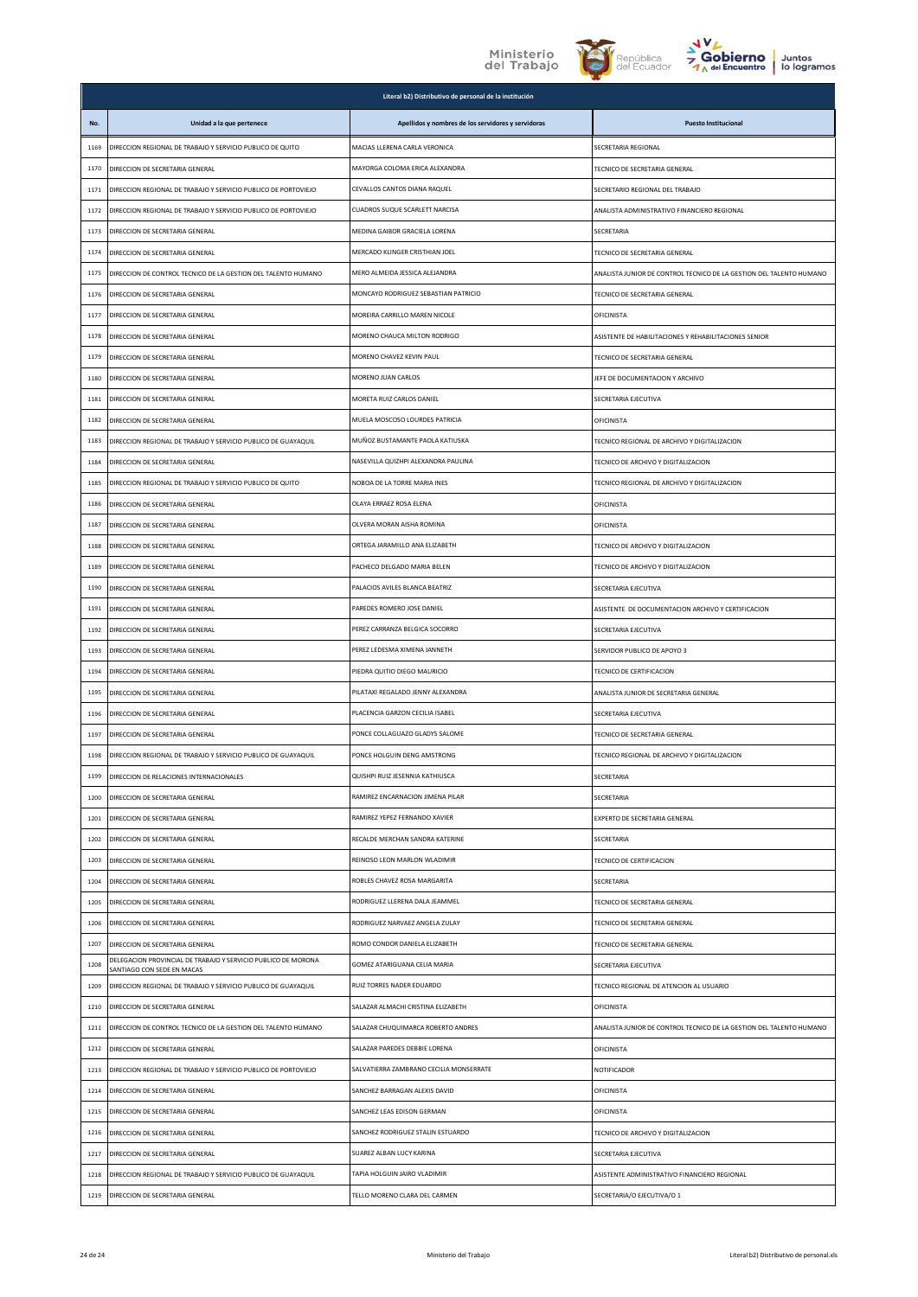## Ministerio<br>del Trabajo





|      |                                                                                             | Literal b2) Distributivo de personal de la institución |                                                                     |
|------|---------------------------------------------------------------------------------------------|--------------------------------------------------------|---------------------------------------------------------------------|
| No.  | Unidad a la que pertenece                                                                   | Apellidos y nombres de los servidores y servidoras     | <b>Puesto Institucional</b>                                         |
| 1169 | DIRECCION REGIONAL DE TRABAJO Y SERVICIO PUBLICO DE QUITO                                   | MACIAS LLERENA CARLA VERONICA                          | SECRETARIA REGIONAL                                                 |
| 1170 | DIRECCION DE SECRETARIA GENERAL                                                             | MAYORGA COLOMA ERICA ALEXANDRA                         | TECNICO DE SECRETARIA GENERAL                                       |
| 1171 | DIRECCION REGIONAL DE TRABAJO Y SERVICIO PUBLICO DE PORTOVIEJO                              | CEVALLOS CANTOS DIANA RAQUEL                           | SECRETARIO REGIONAL DEL TRABAJO                                     |
| 1172 | DIRECCION REGIONAL DE TRABAJO Y SERVICIO PUBLICO DE PORTOVIEJO                              | CUADROS SUQUE SCARLETT NARCISA                         | ANALISTA ADMINISTRATIVO FINANCIERO REGIONAL                         |
| 1173 | DIRECCION DE SECRETARIA GENERAL                                                             | MEDINA GAIBOR GRACIELA LORENA                          | SECRETARIA                                                          |
| 1174 | DIRECCION DE SECRETARIA GENERAL                                                             | MERCADO KLINGER CRISTHIAN JOEL                         | TECNICO DE SECRETARIA GENERAL                                       |
| 1175 | DIRECCION DE CONTROL TECNICO DE LA GESTION DEL TALENTO HUMANO                               | MERO ALMEIDA JESSICA ALEJANDRA                         | ANALISTA JUNIOR DE CONTROL TECNICO DE LA GESTION DEL TALENTO HUMANO |
| 1176 | DIRECCION DE SECRETARIA GENERAL                                                             | MONCAYO RODRIGUEZ SEBASTIAN PATRICIO                   | TECNICO DE SECRETARIA GENERAL                                       |
| 1177 | DIRECCION DE SECRETARIA GENERAL                                                             | MOREIRA CARRILLO MAREN NICOLE                          | OFICINISTA                                                          |
| 1178 | DIRECCION DE SECRETARIA GENERAL                                                             | MORENO CHAUCA MILTON RODRIGO                           | ASISTENTE DE HABILITACIONES Y REHABILITACIONES SENIOR               |
| 1179 | DIRECCION DE SECRETARIA GENERAL                                                             | MORENO CHAVEZ KEVIN PAUL                               | TECNICO DE SECRETARIA GENERAL                                       |
| 1180 | DIRECCION DE SECRETARIA GENERAL                                                             | MORENO JUAN CARLOS                                     | JEFE DE DOCUMENTACION Y ARCHIVO                                     |
| 1181 | DIRECCION DE SECRETARIA GENERAL                                                             | MORETA RUIZ CARLOS DANIEL                              | SECRETARIA EJECUTIVA                                                |
| 1182 | DIRECCION DE SECRETARIA GENERAL                                                             | MUELA MOSCOSO LOURDES PATRICIA                         | OFICINISTA                                                          |
| 1183 | DIRECCION REGIONAL DE TRABAJO Y SERVICIO PUBLICO DE GUAYAQUIL                               | MUÑOZ BUSTAMANTE PAOLA KATIUSKA                        | TECNICO REGIONAL DE ARCHIVO Y DIGITALIZACION                        |
| 1184 | DIRECCION DE SECRETARIA GENERAL                                                             | NASEVILLA QUIZHPI ALEXANDRA PAULINA                    | TECNICO DE ARCHIVO Y DIGITALIZACION                                 |
| 1185 | DIRECCION REGIONAL DE TRABAJO Y SERVICIO PUBLICO DE QUITO                                   | NOBOA DE LA TORRE MARIA INES                           | TECNICO REGIONAL DE ARCHIVO Y DIGITALIZACION                        |
| 1186 | DIRECCION DE SECRETARIA GENERAL                                                             | OLAYA ERRAEZ ROSA ELENA                                | OFICINISTA                                                          |
| 1187 | DIRECCION DE SECRETARIA GENERAL                                                             | OLVERA MORAN AISHA ROMINA                              | OFICINISTA                                                          |
| 1188 | DIRECCION DE SECRETARIA GENERAL                                                             | ORTEGA JARAMILLO ANA ELIZABETH                         | TECNICO DE ARCHIVO Y DIGITALIZACION                                 |
| 1189 | DIRECCION DE SECRETARIA GENERAL                                                             | PACHECO DELGADO MARIA BELEN                            | TECNICO DE ARCHIVO Y DIGITALIZACION                                 |
| 1190 | DIRECCION DE SECRETARIA GENERAL                                                             | PALACIOS AVILES BLANCA BEATRIZ                         | SECRETARIA EJECUTIVA                                                |
| 1191 | DIRECCION DE SECRETARIA GENERAL                                                             | PAREDES ROMERO JOSE DANIEL                             | ASISTENTE DE DOCUMENTACION ARCHIVO Y CERTIFICACION                  |
| 1192 | DIRECCION DE SECRETARIA GENERAL                                                             | PEREZ CARRANZA BELGICA SOCORRO                         | SECRETARIA EJECUTIVA                                                |
| 1193 | DIRECCION DE SECRETARIA GENERAL                                                             | PEREZ LEDESMA XIMENA JANNETH                           | SERVIDOR PUBLICO DE APOYO 3                                         |
| 1194 | DIRECCION DE SECRETARIA GENERAL                                                             | PIEDRA QUITIO DIEGO MAURICIO                           | TECNICO DE CERTIFICACION                                            |
| 1195 | DIRECCION DE SECRETARIA GENERAL                                                             | PILATAXI REGALADO JENNY ALEXANDRA                      | ANALISTA JUNIOR DE SECRETARIA GENERAL                               |
| 1196 | DIRECCION DE SECRETARIA GENERAL                                                             | PLACENCIA GARZON CECILIA ISABEL                        | SECRETARIA EJECUTIVA                                                |
| 1197 | DIRECCION DE SECRETARIA GENERAL                                                             | PONCE COLLAGUAZO GLADYS SALOME                         | TECNICO DE SECRETARIA GENERAL                                       |
| 1198 | DIRECCION REGIONAL DE TRABAJO Y SERVICIO PUBLICO DE GUAYAQUIL                               | PONCE HOLGUIN DENG AMSTRONG                            | TECNICO REGIONAL DE ARCHIVO Y DIGITALIZACION                        |
| 1199 | DIRECCION DE RELACIONES INTERNACIONALES                                                     | QUISHPI RUIZ JESENNIA KATHIUSCA                        | SECRETARIA                                                          |
| 1200 | DIRECCION DE SECRETARIA GENERAL                                                             | RAMIREZ ENCARNACION JIMENA PILAR                       | SECRETARIA                                                          |
| 1201 | DIRECCION DE SECRETARIA GENERAL                                                             | RAMIREZ YEPEZ FERNANDO XAVIER                          | EXPERTO DE SECRETARIA GENERAL                                       |
| 1202 | DIRECCION DE SECRETARIA GENERAL                                                             | RECALDE MERCHAN SANDRA KATERINE                        | SECRETARIA                                                          |
| 1203 | DIRECCION DE SECRETARIA GENERAL                                                             | REINOSO LEON MARLON WLADIMIR                           | TECNICO DE CERTIFICACION                                            |
| 1204 | DIRECCION DE SECRETARIA GENERAL                                                             | ROBLES CHAVEZ ROSA MARGARITA                           | SECRETARIA                                                          |
| 1205 | DIRECCION DE SECRETARIA GENERAL                                                             | RODRIGUEZ LLERENA DALA JEAMMEL                         | TECNICO DE SECRETARIA GENERAL                                       |
| 1206 | DIRECCION DE SECRETARIA GENERAL                                                             | RODRIGUEZ NARVAEZ ANGELA ZULAY                         | TECNICO DE SECRETARIA GENERAL                                       |
| 1207 | DIRECCION DE SECRETARIA GENERAL                                                             | ROMO CONDOR DANIELA ELIZABETH                          | TECNICO DE SECRETARIA GENERAL                                       |
| 1208 | DELEGACION PROVINCIAL DE TRABAJO Y SERVICIO PUBLICO DE MORONA<br>SANTIAGO CON SEDE EN MACAS | GOMEZ ATARIGUANA CELIA MARIA                           | SECRETARIA EJECUTIVA                                                |
| 1209 | DIRECCION REGIONAL DE TRABAJO Y SERVICIO PUBLICO DE GUAYAQUIL                               | RUIZ TORRES NADER EDUARDO                              | TECNICO REGIONAL DE ATENCION AL USUARIO                             |
| 1210 | DIRECCION DE SECRETARIA GENERAL                                                             | SALAZAR ALMACHI CRISTINA ELIZABETH                     | OFICINISTA                                                          |
| 1211 | DIRECCION DE CONTROL TECNICO DE LA GESTION DEL TALENTO HUMANO                               | SALAZAR CHUQUIMARCA ROBERTO ANDRES                     | ANALISTA JUNIOR DE CONTROL TECNICO DE LA GESTION DEL TALENTO HUMANO |
| 1212 | DIRECCION DE SECRETARIA GENERAL                                                             | SALAZAR PAREDES DEBBIE LORENA                          | OFICINISTA                                                          |
| 1213 | DIRECCION REGIONAL DE TRABAJO Y SERVICIO PUBLICO DE PORTOVIEJO                              | SALVATIERRA ZAMBRANO CECILIA MONSERRATE                | NOTIFICADOR                                                         |
| 1214 | DIRECCION DE SECRETARIA GENERAL                                                             | SANCHEZ BARRAGAN ALEXIS DAVID                          | OFICINISTA                                                          |
| 1215 | DIRECCION DE SECRETARIA GENERAL                                                             | SANCHEZ LEAS EDISON GERMAN                             | OFICINISTA                                                          |
| 1216 | DIRECCION DE SECRETARIA GENERAL                                                             | SANCHEZ RODRIGUEZ STALIN ESTUARDO                      | TECNICO DE ARCHIVO Y DIGITALIZACION                                 |
| 1217 | DIRECCION DE SECRETARIA GENERAL                                                             | SUAREZ ALBAN LUCY KARINA                               | SECRETARIA EJECUTIVA                                                |
| 1218 | DIRECCION REGIONAL DE TRABAJO Y SERVICIO PUBLICO DE GUAYAQUIL                               | TAPIA HOLGUIN JAIRO VLADIMIR                           | ASISTENTE ADMINISTRATIVO FINANCIERO REGIONAL                        |
| 1219 | DIRECCION DE SECRETARIA GENERAL                                                             | TELLO MORENO CLARA DEL CARMEN                          | SECRETARIA/O EJECUTIVA/O 1                                          |
|      |                                                                                             |                                                        |                                                                     |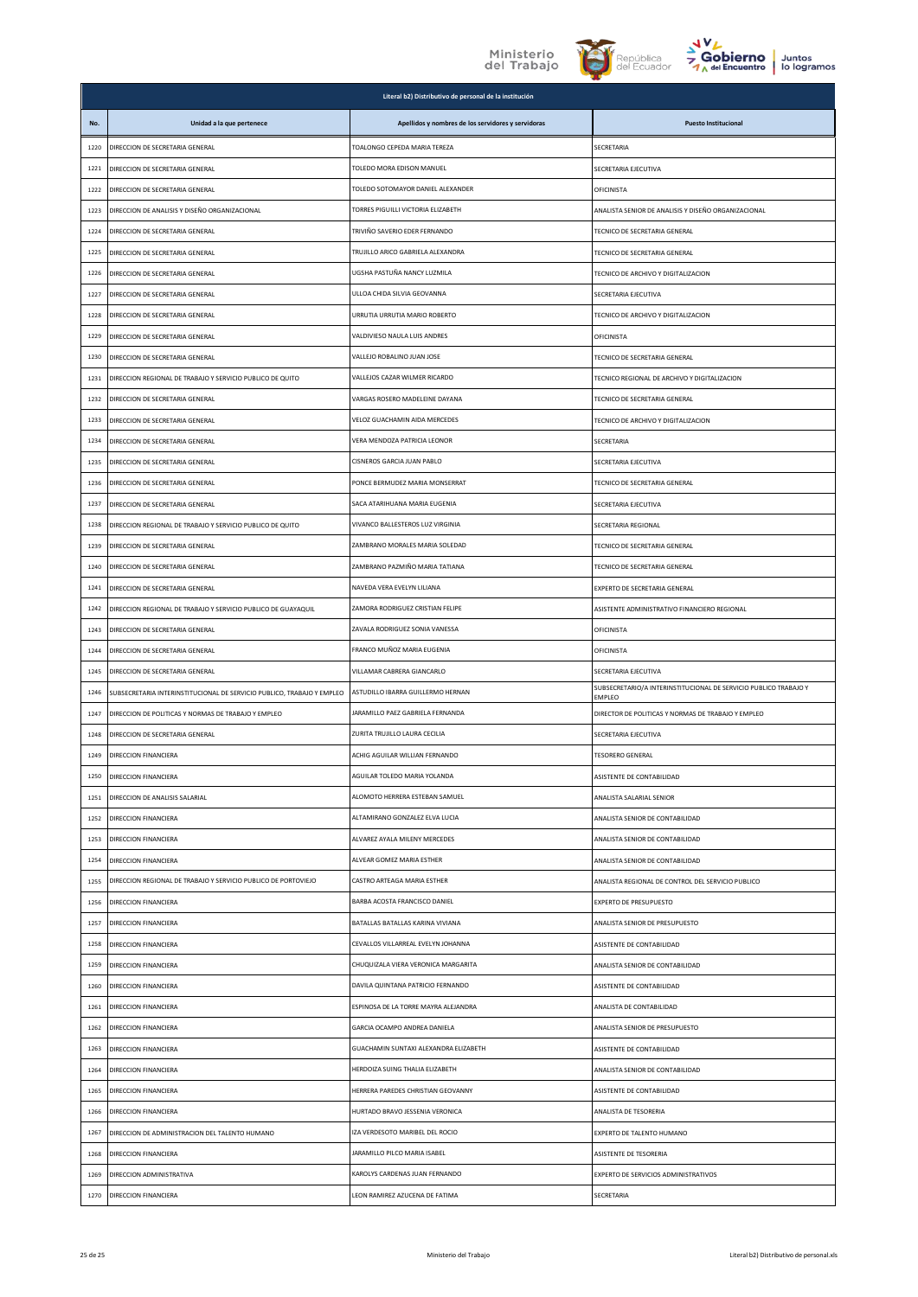



|      |                                                                        | Literal b2) Distributivo de personal de la institución |                                                                            |
|------|------------------------------------------------------------------------|--------------------------------------------------------|----------------------------------------------------------------------------|
| No.  | Unidad a la que pertenece                                              | Apellidos y nombres de los servidores y servidoras     | <b>Puesto Institucional</b>                                                |
| 1220 | DIRECCION DE SECRETARIA GENERAL                                        | TOALONGO CEPEDA MARIA TEREZA                           | SECRETARIA                                                                 |
| 1221 | DIRECCION DE SECRETARIA GENERAL                                        | TOLEDO MORA EDISON MANUEL                              | SECRETARIA EJECUTIVA                                                       |
| 1222 | DIRECCION DE SECRETARIA GENERAL                                        | TOLEDO SOTOMAYOR DANIEL ALEXANDER                      | OFICINISTA                                                                 |
| 1223 | DIRECCION DE ANALISIS Y DISEÑO ORGANIZACIONAL                          | TORRES PIGUILLI VICTORIA ELIZABETH                     | ANALISTA SENIOR DE ANALISIS Y DISEÑO ORGANIZACIONAL                        |
| 1224 | DIRECCION DE SECRETARIA GENERAL                                        | TRIVIÑO SAVERIO EDER FERNANDO                          | TECNICO DE SECRETARIA GENERAL                                              |
| 1225 | DIRECCION DE SECRETARIA GENERAL                                        | TRUJILLO ARICO GABRIELA ALEXANDRA                      | TECNICO DE SECRETARIA GENERAL                                              |
| 1226 | DIRECCION DE SECRETARIA GENERAL                                        | UGSHA PASTUÑA NANCY LUZMILA                            | TECNICO DE ARCHIVO Y DIGITALIZACION                                        |
| 1227 | DIRECCION DE SECRETARIA GENERAL                                        | ULLOA CHIDA SILVIA GEOVANNA                            | SECRETARIA EJECUTIVA                                                       |
| 1228 | DIRECCION DE SECRETARIA GENERAL                                        | URRUTIA URRUTIA MARIO ROBERTO                          | TECNICO DE ARCHIVO Y DIGITALIZACION                                        |
| 1229 | DIRECCION DE SECRETARIA GENERAL                                        | VALDIVIESO NAULA LUIS ANDRES                           | OFICINISTA                                                                 |
| 1230 | DIRECCION DE SECRETARIA GENERAL                                        | VALLEJO ROBALINO JUAN JOSE                             | TECNICO DE SECRETARIA GENERAL                                              |
| 1231 | DIRECCION REGIONAL DE TRABAJO Y SERVICIO PUBLICO DE QUITO              | VALLEJOS CAZAR WILMER RICARDO                          | TECNICO REGIONAL DE ARCHIVO Y DIGITALIZACION                               |
| 1232 | DIRECCION DE SECRETARIA GENERAL                                        | VARGAS ROSERO MADELEINE DAYANA                         | TECNICO DE SECRETARIA GENERAL                                              |
| 1233 | DIRECCION DE SECRETARIA GENERAL                                        | VELOZ GUACHAMIN AIDA MERCEDES                          | TECNICO DE ARCHIVO Y DIGITALIZACION                                        |
| 1234 | DIRECCION DE SECRETARIA GENERAL                                        | VERA MENDOZA PATRICIA LEONOR                           | SECRETARIA                                                                 |
| 1235 | DIRECCION DE SECRETARIA GENERAL                                        | CISNEROS GARCIA JUAN PABLO                             | SECRETARIA EJECUTIVA                                                       |
| 1236 | DIRECCION DE SECRETARIA GENERAL                                        | PONCE BERMUDEZ MARIA MONSERRAT                         | TECNICO DE SECRETARIA GENERAL                                              |
| 1237 | DIRECCION DE SECRETARIA GENERAL                                        | SACA ATARIHUANA MARIA EUGENIA                          | SECRETARIA EJECUTIVA                                                       |
| 1238 | DIRECCION REGIONAL DE TRABAJO Y SERVICIO PUBLICO DE QUITO              | VIVANCO BALLESTEROS LUZ VIRGINIA                       | SECRETARIA REGIONAL                                                        |
| 1239 | DIRECCION DE SECRETARIA GENERAL                                        | ZAMBRANO MORALES MARIA SOLEDAD                         | TECNICO DE SECRETARIA GENERAL                                              |
| 1240 | DIRECCION DE SECRETARIA GENERAL                                        | ZAMBRANO PAZMIÑO MARIA TATIANA                         | TECNICO DE SECRETARIA GENERAL                                              |
| 1241 | DIRECCION DE SECRETARIA GENERAL                                        | NAVEDA VERA EVELYN LILIANA                             | EXPERTO DE SECRETARIA GENERAL                                              |
| 1242 | DIRECCION REGIONAL DE TRABAJO Y SERVICIO PUBLICO DE GUAYAQUIL          | ZAMORA RODRIGUEZ CRISTIAN FELIPE                       | ASISTENTE ADMINISTRATIVO FINANCIERO REGIONAL                               |
| 1243 | DIRECCION DE SECRETARIA GENERAL                                        | ZAVALA RODRIGUEZ SONIA VANESSA                         | OFICINISTA                                                                 |
| 1244 | DIRECCION DE SECRETARIA GENERAL                                        | FRANCO MUÑOZ MARIA EUGENIA                             | OFICINISTA                                                                 |
| 1245 | DIRECCION DE SECRETARIA GENERAL                                        | VILLAMAR CABRERA GIANCARLO                             | SECRETARIA EJECUTIVA                                                       |
| 1246 | SUBSECRETARIA INTERINSTITUCIONAL DE SERVICIO PUBLICO, TRABAJO Y EMPLEO | ASTUDILLO IBARRA GUILLERMO HERNAN                      | SUBSECRETARIO/A INTERINSTITUCIONAL DE SERVICIO PUBLICO TRABAJO Y<br>EMPLEO |
| 1247 | DIRECCION DE POLITICAS Y NORMAS DE TRABAJO Y EMPLEO                    | JARAMILLO PAEZ GABRIELA FERNANDA                       | DIRECTOR DE POLITICAS Y NORMAS DE TRABAJO Y EMPLEO                         |
| 1248 | DIRECCION DE SECRETARIA GENERAL                                        | ZURITA TRUJILLO LAURA CECILIA                          | SECRETARIA EJECUTIVA                                                       |
| 1249 | DIRECCION FINANCIERA                                                   | ACHIG AGUILAR WILLIAN FERNANDO                         | <b>TESORERO GENERAL</b>                                                    |
| 1250 | DIRECCION FINANCIERA                                                   | AGUILAR TOLEDO MARIA YOLANDA                           | ASISTENTE DE CONTABILIDAD                                                  |
| 1251 | DIRECCION DE ANALISIS SALARIAL                                         | ALOMOTO HERRERA ESTEBAN SAMUEL                         | ANALISTA SALARIAL SENIOR                                                   |
| 1252 | DIRECCION FINANCIERA                                                   | ALTAMIRANO GONZALEZ ELVA LUCIA                         | ANALISTA SENIOR DE CONTABILIDAD                                            |
| 1253 | DIRECCION FINANCIERA                                                   | ALVAREZ AYALA MILENY MERCEDES                          | ANALISTA SENIOR DE CONTABILIDAD                                            |
| 1254 | DIRECCION FINANCIERA                                                   | ALVEAR GOMEZ MARIA ESTHER                              | ANALISTA SENIOR DE CONTABILIDAD                                            |
| 1255 | DIRECCION REGIONAL DE TRABAJO Y SERVICIO PUBLICO DE PORTOVIEJO         | CASTRO ARTEAGA MARIA ESTHER                            | ANALISTA REGIONAL DE CONTROL DEL SERVICIO PUBLICO                          |
| 1256 | DIRECCION FINANCIERA                                                   | BARBA ACOSTA FRANCISCO DANIEL                          | EXPERTO DE PRESUPUESTO                                                     |
| 1257 | DIRECCION FINANCIERA                                                   | BATALLAS BATALLAS KARINA VIVIANA                       | ANALISTA SENIOR DE PRESUPUESTO                                             |
| 1258 | DIRECCION FINANCIERA                                                   | CEVALLOS VILLARREAL EVELYN JOHANNA                     | ASISTENTE DE CONTABILIDAD                                                  |
| 1259 | DIRECCION FINANCIERA                                                   | CHUQUIZALA VIERA VERONICA MARGARITA                    | ANALISTA SENIOR DE CONTABILIDAD                                            |
| 1260 | DIRECCION FINANCIERA                                                   | DAVILA QUINTANA PATRICIO FERNANDO                      | ASISTENTE DE CONTABILIDAD                                                  |
| 1261 | DIRECCION FINANCIERA                                                   | ESPINOSA DE LA TORRE MAYRA ALEJANDRA                   | ANALISTA DE CONTABILIDAD                                                   |
| 1262 | DIRECCION FINANCIERA                                                   | GARCIA OCAMPO ANDREA DANIELA                           | ANALISTA SENIOR DE PRESUPUESTO                                             |
| 1263 | DIRECCION FINANCIERA                                                   | GUACHAMIN SUNTAXI ALEXANDRA ELIZABETH                  | ASISTENTE DE CONTABILIDAD                                                  |
| 1264 | DIRECCION FINANCIERA                                                   | HERDOIZA SUING THALIA ELIZABETH                        | ANALISTA SENIOR DE CONTABILIDAD                                            |
| 1265 | DIRECCION FINANCIERA                                                   | HERRERA PAREDES CHRISTIAN GEOVANNY                     | ASISTENTE DE CONTABILIDAD                                                  |
| 1266 | DIRECCION FINANCIERA                                                   | HURTADO BRAVO JESSENIA VERONICA                        | ANALISTA DE TESORERIA                                                      |
| 1267 | DIRECCION DE ADMINISTRACION DEL TALENTO HUMANO                         | IZA VERDESOTO MARIBEL DEL ROCIO                        | EXPERTO DE TALENTO HUMANO                                                  |
| 1268 | DIRECCION FINANCIERA                                                   | JARAMILLO PILCO MARIA ISABEL                           | ASISTENTE DE TESORERIA                                                     |
| 1269 | DIRECCION ADMINISTRATIVA                                               | KAROLYS CARDENAS JUAN FERNANDO                         | EXPERTO DE SERVICIOS ADMINISTRATIVOS                                       |
| 1270 | DIRECCION FINANCIERA                                                   | LEON RAMIREZ AZUCENA DE FATIMA                         | SECRETARIA                                                                 |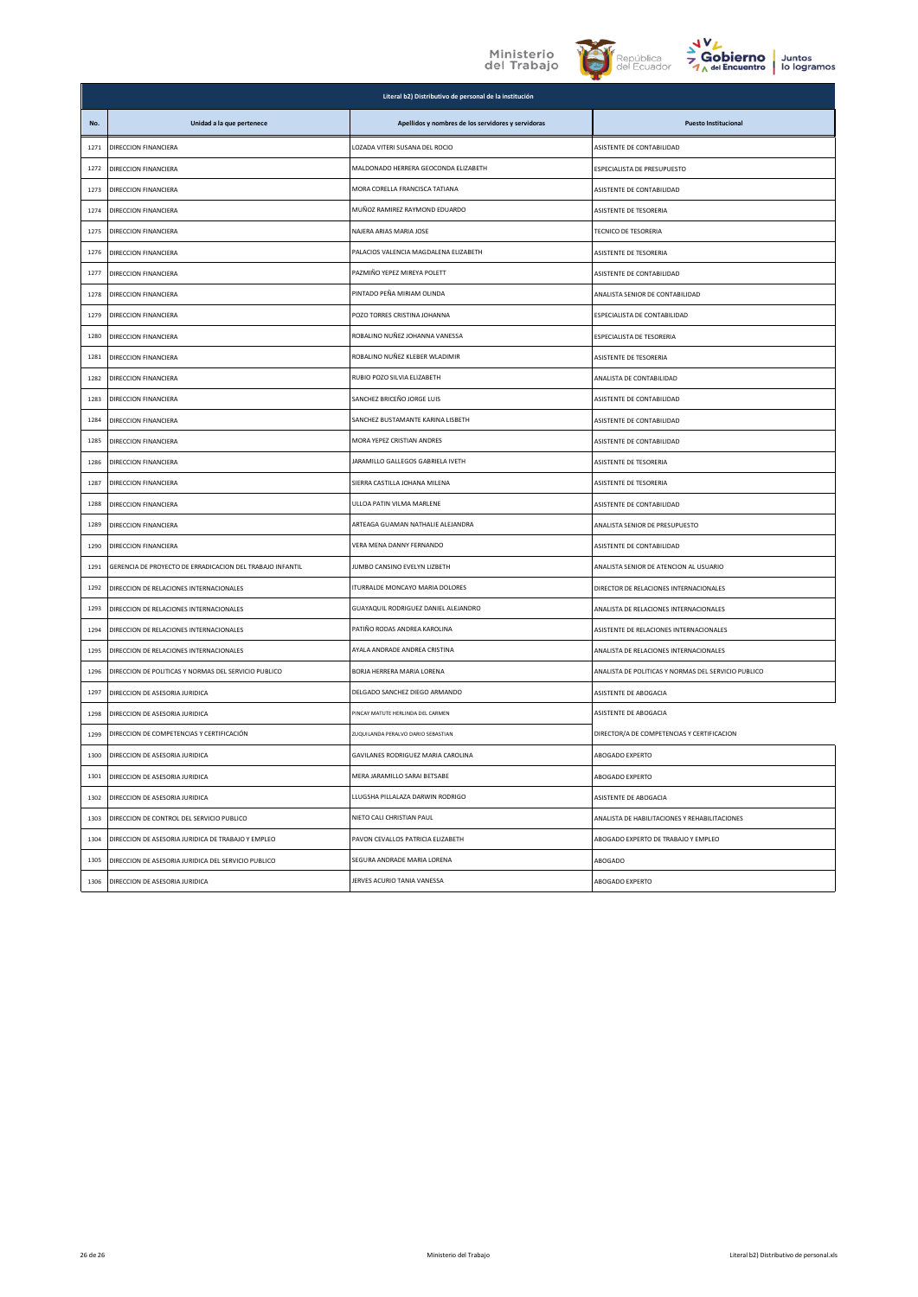



| <b>Juntos</b> |  |
|---------------|--|
| lo logramos   |  |

|      | Literal b2) Distributivo de personal de la institución    |                                                    |                                                     |  |  |
|------|-----------------------------------------------------------|----------------------------------------------------|-----------------------------------------------------|--|--|
| No.  | Unidad a la que pertenece                                 | Apellidos y nombres de los servidores y servidoras | <b>Puesto Institucional</b>                         |  |  |
| 1271 | DIRECCION FINANCIERA                                      | LOZADA VITERI SUSANA DEL ROCIO                     | ASISTENTE DE CONTABILIDAD                           |  |  |
| 1272 | <b>DIRECCION FINANCIERA</b>                               | MALDONADO HERRERA GEOCONDA ELIZABETH               | <b>ESPECIALISTA DE PRESUPUESTO</b>                  |  |  |
| 1273 | DIRECCION FINANCIERA                                      | MORA CORELLA FRANCISCA TATIANA                     | ASISTENTE DE CONTABILIDAD                           |  |  |
| 1274 | DIRECCION FINANCIERA                                      | MUÑOZ RAMIREZ RAYMOND EDUARDO                      | ASISTENTE DE TESORERIA                              |  |  |
| 1275 | DIRECCION FINANCIERA                                      | NAJERA ARIAS MARIA JOSE                            | <b>TECNICO DE TESORERIA</b>                         |  |  |
| 1276 | DIRECCION FINANCIERA                                      | PALACIOS VALENCIA MAGDALENA ELIZABETH              | <b>ASISTENTE DE TESORERIA</b>                       |  |  |
| 1277 | DIRECCION FINANCIERA                                      | PAZMIÑO YEPEZ MIREYA POLETT                        | ASISTENTE DE CONTABILIDAD                           |  |  |
| 1278 | DIRECCION FINANCIERA                                      | PINTADO PEÑA MIRIAM OLINDA                         | ANALISTA SENIOR DE CONTABILIDAD                     |  |  |
| 1279 | DIRECCION FINANCIERA                                      | POZO TORRES CRISTINA JOHANNA                       | ESPECIALISTA DE CONTABILIDAD                        |  |  |
| 1280 | DIRECCION FINANCIERA                                      | ROBALINO NUÑEZ JOHANNA VANESSA                     | ESPECIALISTA DE TESORERIA                           |  |  |
| 1281 | DIRECCION FINANCIERA                                      | ROBALINO NUÑEZ KLEBER WLADIMIR                     | <b>ASISTENTE DE TESORERIA</b>                       |  |  |
| 1282 | DIRECCION FINANCIFRA                                      | RUBIO POZO SILVIA ELIZABETH                        | ANALISTA DE CONTABILIDAD                            |  |  |
| 1283 | DIRECCION FINANCIFRA                                      | SANCHEZ BRICEÑO JORGE LUIS                         | <b>ASISTENTE DE CONTABILIDAD</b>                    |  |  |
| 1284 | DIRECCION FINANCIERA                                      | SANCHEZ BUSTAMANTE KARINA LISBETH                  | ASISTENTE DE CONTABILIDAD                           |  |  |
| 1285 | DIRECCION FINANCIERA                                      | MORA YEPEZ CRISTIAN ANDRES                         | ASISTENTE DE CONTABILIDAD                           |  |  |
| 1286 | DIRECCION FINANCIERA                                      | JARAMILLO GALLEGOS GABRIELA IVETH                  | ASISTENTE DE TESORERIA                              |  |  |
| 1287 | DIRECCION FINANCIERA                                      | SIERRA CASTILLA JOHANA MILENA                      | ASISTENTE DE TESORERIA                              |  |  |
| 1288 | DIRECCION FINANCIFRA                                      | ULLOA PATIN VILMA MARLENE                          | <b>ASISTENTE DE CONTABILIDAD</b>                    |  |  |
| 1289 | DIRECCION FINANCIERA                                      | ARTEAGA GUAMAN NATHALIE ALEJANDRA                  | ANALISTA SENIOR DE PRESUPUESTO                      |  |  |
| 1290 | DIRECCION FINANCIERA                                      | VERA MENA DANNY FERNANDO                           | ASISTENTE DE CONTABILIDAD                           |  |  |
| 1291 | GERENCIA DE PROYECTO DE ERRADICACION DEL TRABAJO INFANTIL | JUMBO CANSINO EVELYN LIZBETH                       | ANALISTA SENIOR DE ATENCION AL USUARIO              |  |  |
| 1292 | DIRECCION DE RELACIONES INTERNACIONALES                   | <b>ITURRALDE MONCAYO MARIA DOLORES</b>             | DIRECTOR DE RELACIONES INTERNACIONALES              |  |  |
| 1293 | DIRECCION DE RELACIONES INTERNACIONALES                   | GUAYAQUIL RODRIGUEZ DANIEL ALEJANDRO               | ANALISTA DE RELACIONES INTERNACIONALES              |  |  |
| 1294 | DIRECCION DE RELACIONES INTERNACIONALES                   | PATIÑO RODAS ANDREA KAROLINA                       | ASISTENTE DE RELACIONES INTERNACIONALES             |  |  |
| 1295 | DIRECCION DE RELACIONES INTERNACIONALES                   | AYALA ANDRADE ANDREA CRISTINA                      | ANALISTA DE RELACIONES INTERNACIONALES              |  |  |
| 1296 | DIRECCION DE POLITICAS Y NORMAS DEL SERVICIO PUBLICO      | BORJA HERRERA MARIA LORENA                         | ANALISTA DE POLITICAS Y NORMAS DEL SERVICIO PUBLICO |  |  |
| 1297 | DIRECCION DE ASESORIA JURIDICA                            | DELGADO SANCHEZ DIEGO ARMANDO                      | ASISTENTE DE ABOGACIA                               |  |  |
| 1298 | DIRECCION DE ASESORIA JURIDICA                            | PINCAY MATUTE HERLINDA DEL CARMEN                  | <b>ASISTENTE DE ABOGACIA</b>                        |  |  |
| 1299 | DIRECCION DE COMPETENCIAS Y CERTIFICACIÓN                 | ZUQUILANDA PERALVO DARIO SEBASTIAN                 | DIRECTOR/A DE COMPETENCIAS Y CERTIFICACION          |  |  |
| 1300 | DIRECCION DE ASESORIA JURIDICA                            | GAVILANES RODRIGUEZ MARIA CAROLINA                 | ABOGADO EXPERTO                                     |  |  |
| 1301 | DIRECCION DE ASESORIA JURIDICA                            | MERA JARAMILLO SARAI BETSABE                       | ABOGADO EXPERTO                                     |  |  |
| 1302 | DIRECCION DE ASESORIA JURIDICA                            | LLUGSHA PILLALAZA DARWIN RODRIGO                   | ASISTENTE DE ABOGACIA                               |  |  |
| 1303 | DIRECCION DE CONTROL DEL SERVICIO PUBLICO                 | NIETO CALI CHRISTIAN PAUL                          | ANALISTA DE HABILITACIONES Y REHABILITACIONES       |  |  |
| 1304 | DIRECCIÓN DE ASESORIA JURIDICA DE TRABAJO Y EMPLEO        | PAVON CEVALLOS PATRICIA ELIZABETH                  | ABOGADO EXPERTO DE TRABAJO Y EMPLEO                 |  |  |
| 1305 | DIRECCION DE ASESORIA JURIDICA DEL SERVICIO PUBLICO       | SEGURA ANDRADE MARIA LORENA                        | ABOGADO                                             |  |  |
| 1306 | DIRECCION DE ASESORIA JURIDICA                            | JERVES ACURIO TANIA VANESSA                        | ABOGADO EXPERTO                                     |  |  |
|      |                                                           |                                                    |                                                     |  |  |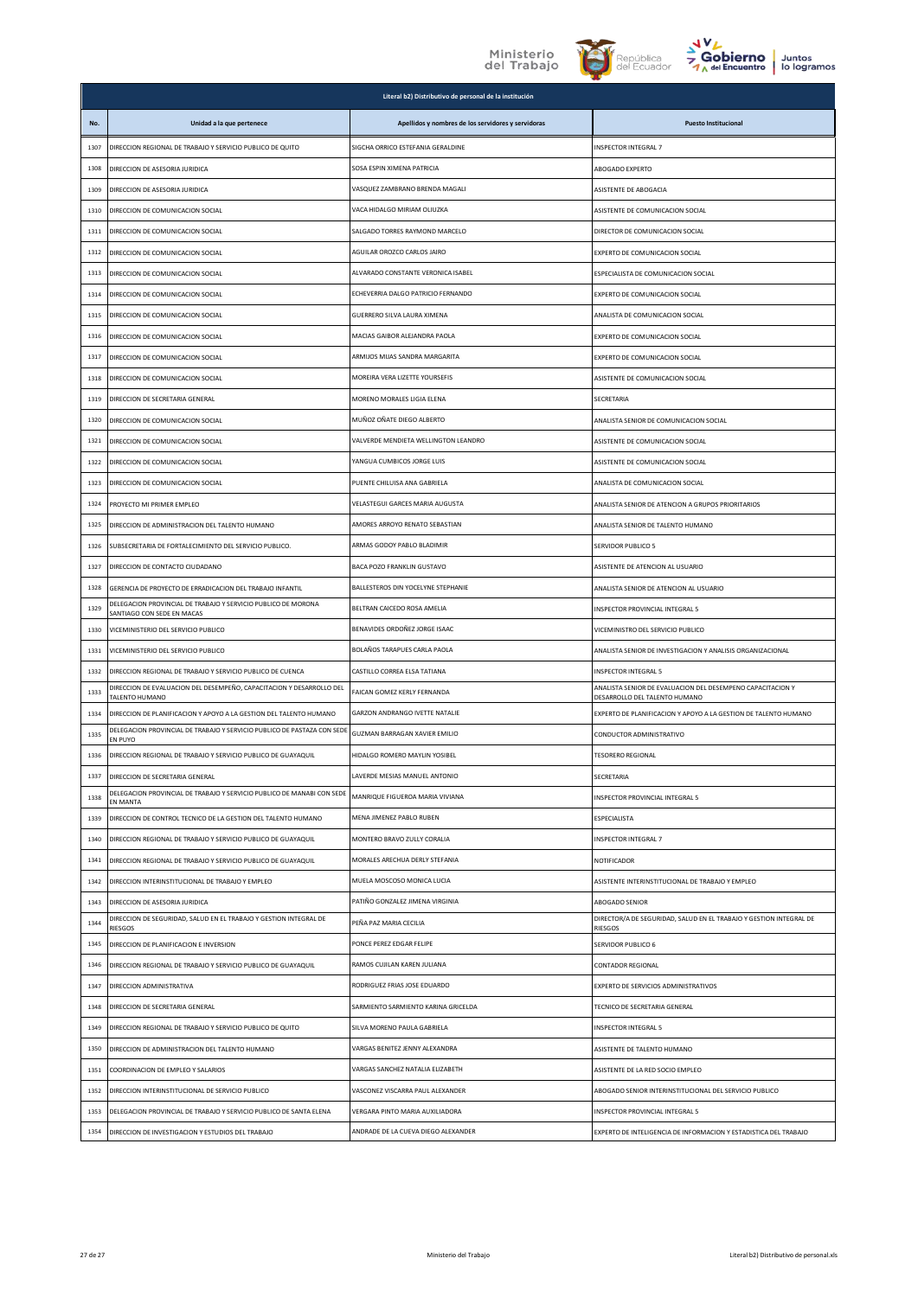



|      | Literal b2) Distributivo de personal de la institución                                      |                                                    |                                                                                             |  |  |
|------|---------------------------------------------------------------------------------------------|----------------------------------------------------|---------------------------------------------------------------------------------------------|--|--|
| No.  | Unidad a la que pertenece                                                                   | Apellidos y nombres de los servidores y servidoras | <b>Puesto Institucional</b>                                                                 |  |  |
| 1307 | DIRECCION REGIONAL DE TRABAJO Y SERVICIO PUBLICO DE QUITO                                   | SIGCHA ORRICO ESTEFANIA GERALDINE                  | INSPECTOR INTEGRAL 7                                                                        |  |  |
| 1308 | DIRECCION DE ASESORIA JURIDICA                                                              | SOSA ESPIN XIMENA PATRICIA                         | ABOGADO EXPERTO                                                                             |  |  |
| 1309 | DIRECCION DE ASESORIA JURIDICA                                                              | VASQUEZ ZAMBRANO BRENDA MAGALI                     | ASISTENTE DE ABOGACIA                                                                       |  |  |
| 1310 | DIRECCION DE COMUNICACION SOCIAL                                                            | VACA HIDALGO MIRIAM OLIUZKA                        | ASISTENTE DE COMUNICACION SOCIAL                                                            |  |  |
| 1311 | DIRECCION DE COMUNICACION SOCIAL                                                            | SALGADO TORRES RAYMOND MARCELO                     | DIRECTOR DE COMUNICACION SOCIAL                                                             |  |  |
| 1312 | DIRECCION DE COMUNICACION SOCIAL                                                            | AGUILAR OROZCO CARLOS JAIRO                        | EXPERTO DE COMUNICACION SOCIAL                                                              |  |  |
| 1313 | DIRECCION DE COMUNICACION SOCIAL                                                            | ALVARADO CONSTANTE VERONICA ISABEL                 | ESPECIALISTA DE COMUNICACION SOCIAL                                                         |  |  |
| 1314 | DIRECCION DE COMUNICACION SOCIAL                                                            | ECHEVERRIA DALGO PATRICIO FERNANDO                 | EXPERTO DE COMUNICACION SOCIAL                                                              |  |  |
| 1315 | DIRECCION DE COMUNICACION SOCIAL                                                            | GUERRERO SILVA LAURA XIMENA                        | ANALISTA DE COMUNICACION SOCIAL                                                             |  |  |
| 1316 | DIRECCION DE COMUNICACION SOCIAL                                                            | MACIAS GAIBOR ALEJANDRA PAOLA                      | EXPERTO DE COMUNICACION SOCIAL                                                              |  |  |
| 1317 | DIRECCION DE COMUNICACION SOCIAL                                                            | ARMIJOS MIJAS SANDRA MARGARITA                     | EXPERTO DE COMUNICACION SOCIAL                                                              |  |  |
| 1318 | DIRECCION DE COMUNICACION SOCIAL                                                            | MOREIRA VERA LIZETTE YOURSEFIS                     | ASISTENTE DE COMUNICACION SOCIAL                                                            |  |  |
| 1319 | DIRECCION DE SECRETARIA GENERAL                                                             | MORENO MORALES LIGIA ELENA                         | SECRETARIA                                                                                  |  |  |
| 1320 | DIRECCION DE COMUNICACION SOCIAL                                                            | MUÑOZ OÑATE DIEGO ALBERTO                          | ANALISTA SENIOR DE COMUNICACION SOCIAL                                                      |  |  |
| 1321 | DIRECCION DE COMUNICACION SOCIAL                                                            | VALVERDE MENDIETA WELLINGTON LEANDRO               | ASISTENTE DE COMUNICACION SOCIAL                                                            |  |  |
| 1322 | DIRECCION DE COMUNICACION SOCIAL                                                            | YANGUA CUMBICOS JORGE LUIS                         | ASISTENTE DE COMUNICACION SOCIAL                                                            |  |  |
| 1323 | DIRECCION DE COMUNICACION SOCIAL                                                            | PUENTE CHILUISA ANA GABRIELA                       | ANALISTA DE COMUNICACION SOCIAL                                                             |  |  |
| 1324 | PROYECTO MI PRIMER EMPLEO                                                                   | VELASTEGUI GARCES MARIA AUGUSTA                    | ANALISTA SENIOR DE ATENCION A GRUPOS PRIORITARIOS                                           |  |  |
| 1325 | DIRECCION DE ADMINISTRACION DEL TALENTO HUMANO                                              | AMORES ARROYO RENATO SEBASTIAN                     | ANALISTA SENIOR DE TALENTO HUMANO                                                           |  |  |
| 1326 | SUBSECRETARIA DE FORTALECIMIENTO DEL SERVICIO PUBLICO.                                      | ARMAS GODOY PABLO BLADIMIR                         | <b>SERVIDOR PUBLICO 5</b>                                                                   |  |  |
| 1327 | DIRECCION DE CONTACTO CIUDADANO                                                             | <b>BACA POZO FRANKLIN GUSTAVO</b>                  | ASISTENTE DE ATENCION AL USUARIO                                                            |  |  |
| 1328 | GERENCIA DE PROYECTO DE ERRADICACION DEL TRABAJO INFANTIL                                   | BALLESTEROS DIN YOCELYNE STEPHANIE                 | ANALISTA SENIOR DE ATENCION AL USUARIO                                                      |  |  |
| 1329 | DELEGACION PROVINCIAL DE TRABAJO Y SERVICIO PUBLICO DE MORONA<br>SANTIAGO CON SEDE EN MACAS | BELTRAN CAICEDO ROSA AMELIA                        | INSPECTOR PROVINCIAL INTEGRAL 5                                                             |  |  |
| 1330 | VICEMINISTERIO DEL SERVICIO PUBLICO                                                         | BENAVIDES ORDOÑEZ JORGE ISAAC                      | VICEMINISTRO DEL SERVICIO PUBLICO                                                           |  |  |
| 1331 | VICEMINISTERIO DEL SERVICIO PUBLICO                                                         | BOLAÑOS TARAPUES CARLA PAOLA                       | ANALISTA SENIOR DE INVESTIGACION Y ANALISIS ORGANIZACIONAL                                  |  |  |
| 1332 | DIRECCION REGIONAL DE TRABAJO Y SERVICIO PUBLICO DE CUENCA                                  | CASTILLO CORREA ELSA TATIANA                       | INSPECTOR INTEGRAL 5                                                                        |  |  |
| 1333 | DIRECCION DE EVALUACION DEL DESEMPEÑO, CAPACITACION Y DESARROLLO DEL<br>TALENTO HUMANO      | FAICAN GOMEZ KERLY FERNANDA                        | ANALISTA SENIOR DE EVALUACION DEL DESEMPENO CAPACITACION Y<br>DESARROLLO DEL TALENTO HUMANO |  |  |
| 1334 | DIRECCION DE PLANIFICACION Y APOYO A LA GESTION DEL TALENTO HUMANO                          | GARZON ANDRANGO IVETTE NATALIE                     | EXPERTO DE PLANIFICACION Y APOYO A LA GESTION DE TALENTO HUMANO                             |  |  |
| 1335 | DELEGACION PROVINCIAL DE TRABAJO Y SERVICIO PUBLICO DE PASTAZA CON SEDE<br>EN PUYO          | GUZMAN BARRAGAN XAVIER EMILIO                      | CONDUCTOR ADMINISTRATIVO                                                                    |  |  |
| 1336 | DIRECCION REGIONAL DE TRABAJO Y SERVICIO PUBLICO DE GUAYAQUIL                               | HIDALGO ROMERO MAYLIN YOSIBEL                      | <b>TESORERO REGIONAL</b>                                                                    |  |  |
| 1337 | DIRECCION DE SECRETARIA GENERAL                                                             | LAVERDE MESIAS MANUEL ANTONIO                      | SECRETARIA                                                                                  |  |  |
| 1338 | DELEGACION PROVINCIAL DE TRABAJO Y SERVICIO PUBLICO DE MANABI CON SEDE<br>EN MANTA          | MANRIQUE FIGUEROA MARIA VIVIANA                    | INSPECTOR PROVINCIAL INTEGRAL 5                                                             |  |  |
| 1339 | DIRECCION DE CONTROL TECNICO DE LA GESTION DEL TALENTO HUMANO                               | MENA JIMENEZ PABLO RUBEN                           | ESPECIALISTA                                                                                |  |  |
| 1340 | DIRECCION REGIONAL DE TRABAJO Y SERVICIO PUBLICO DE GUAYAQUIL                               | MONTERO BRAVO ZULLY CORALIA                        | INSPECTOR INTEGRAL 7                                                                        |  |  |
| 1341 | DIRECCION REGIONAL DE TRABAJO Y SERVICIO PUBLICO DE GUAYAQUIL                               | MORALES ARECHUA DERLY STEFANIA                     | NOTIFICADOR                                                                                 |  |  |
| 1342 | DIRECCION INTERINSTITUCIONAL DE TRABAJO Y EMPLEO                                            | MUELA MOSCOSO MONICA LUCIA                         | ASISTENTE INTERINSTITUCIONAL DE TRABAJO Y EMPLEO                                            |  |  |
| 1343 | DIRECCION DE ASESORIA JURIDICA                                                              | PATIÑO GONZALEZ JIMENA VIRGINIA                    | ABOGADO SENIOR                                                                              |  |  |
| 1344 | DIRECCION DE SEGURIDAD, SALUD EN EL TRABAJO Y GESTION INTEGRAL DE<br>RIESGOS                | PEÑA PAZ MARIA CECILIA                             | DIRECTOR/A DE SEGURIDAD, SALUD EN EL TRABAJO Y GESTION INTEGRAL DE<br><b>RIESGOS</b>        |  |  |
| 1345 | DIRECCION DE PLANIFICACION E INVERSION                                                      | PONCE PEREZ EDGAR FELIPE                           | SERVIDOR PUBLICO 6                                                                          |  |  |
| 1346 | DIRECCION REGIONAL DE TRABAJO Y SERVICIO PUBLICO DE GUAYAQUIL                               | RAMOS CUJILAN KAREN JULIANA                        | CONTADOR REGIONAL                                                                           |  |  |
| 1347 | DIRECCION ADMINISTRATIVA                                                                    | RODRIGUEZ FRIAS JOSE EDUARDO                       | EXPERTO DE SERVICIOS ADMINISTRATIVOS                                                        |  |  |
| 1348 | DIRECCION DE SECRETARIA GENERAL                                                             | SARMIENTO SARMIENTO KARINA GRICELDA                | TECNICO DE SECRETARIA GENERAL                                                               |  |  |
| 1349 | DIRECCION REGIONAL DE TRABAJO Y SERVICIO PUBLICO DE QUITO                                   | SILVA MORENO PAULA GABRIELA                        | <b>INSPECTOR INTEGRAL 5</b>                                                                 |  |  |
| 1350 | DIRECCION DE ADMINISTRACION DEL TALENTO HUMANO                                              | VARGAS BENITEZ JENNY ALEXANDRA                     | ASISTENTE DE TALENTO HUMANO                                                                 |  |  |
| 1351 | COORDINACION DE EMPLEO Y SALARIOS                                                           | VARGAS SANCHEZ NATALIA ELIZABETH                   | ASISTENTE DE LA RED SOCIO EMPLEO                                                            |  |  |
| 1352 | DIRECCION INTERINSTITUCIONAL DE SERVICIO PUBLICO                                            | VASCONEZ VISCARRA PAUL ALEXANDER                   | ABOGADO SENIOR INTERINSTITUCIONAL DEL SERVICIO PUBLICO                                      |  |  |
| 1353 | DELEGACION PROVINCIAL DE TRABAJO Y SERVICIO PUBLICO DE SANTA ELENA                          | VERGARA PINTO MARIA AUXILIADORA                    | INSPECTOR PROVINCIAL INTEGRAL 5                                                             |  |  |
| 1354 | DIRECCION DE INVESTIGACION Y ESTUDIOS DEL TRABAJO                                           | ANDRADE DE LA CUEVA DIEGO ALEXANDER                | EXPERTO DE INTELIGENCIA DE INFORMACION Y ESTADISTICA DEL TRABAJO                            |  |  |